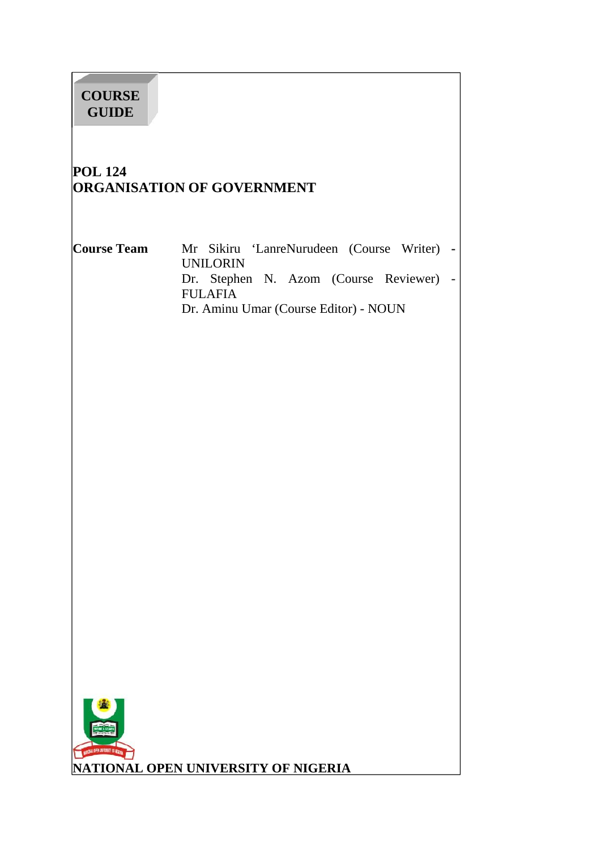# **COURSE GUIDE**

# **POL 124 ORGANISATION OF GOVERNMENT**

**Course Team** Mr Sikiru 'LanreNurudeen (Course Writer) **-** UNILORIN Dr. Stephen N. Azom (Course Reviewer) - FULAFIA Dr. Aminu Umar (Course Editor) - NOUN

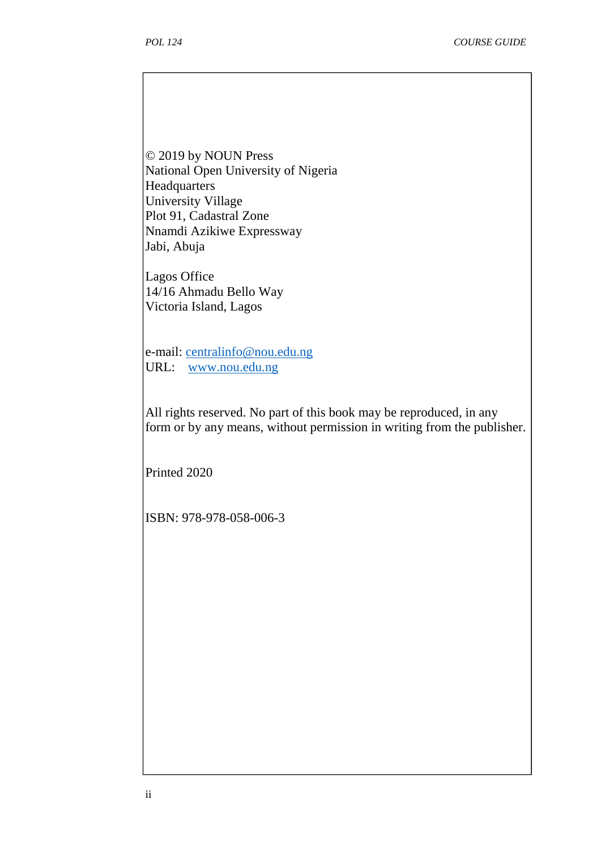© 2019 by NOUN Press National Open University of Nigeria **Headquarters** University Village Plot 91, Cadastral Zone Nnamdi Azikiwe Expressway Jabi, Abuja

Lagos Office 14/16 Ahmadu Bello Way Victoria Island, Lagos

e-mail: centralinfo@nou.edu.ng URL: www.nou.edu.ng

All rights reserved. No part of this book may be reproduced, in any form or by any means, without permission in writing from the publisher.

Printed 2020

ISBN: 978-978-058-006-3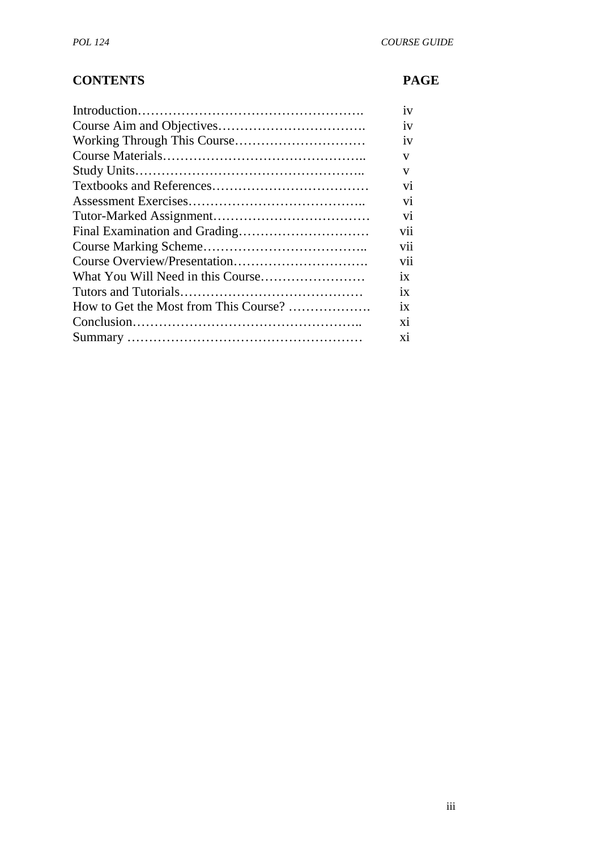# **CONTENTS PAGE**

|                                       | 1V             |  |
|---------------------------------------|----------------|--|
|                                       | iv             |  |
|                                       | 1V             |  |
|                                       | V              |  |
|                                       | V              |  |
|                                       | V <sub>1</sub> |  |
|                                       | vi             |  |
|                                       | vi             |  |
|                                       | V11            |  |
|                                       | V11            |  |
|                                       | vii            |  |
|                                       | 1X             |  |
|                                       | 1X             |  |
| How to Get the Most from This Course? | ix             |  |
|                                       | X1             |  |
|                                       | X1             |  |
|                                       |                |  |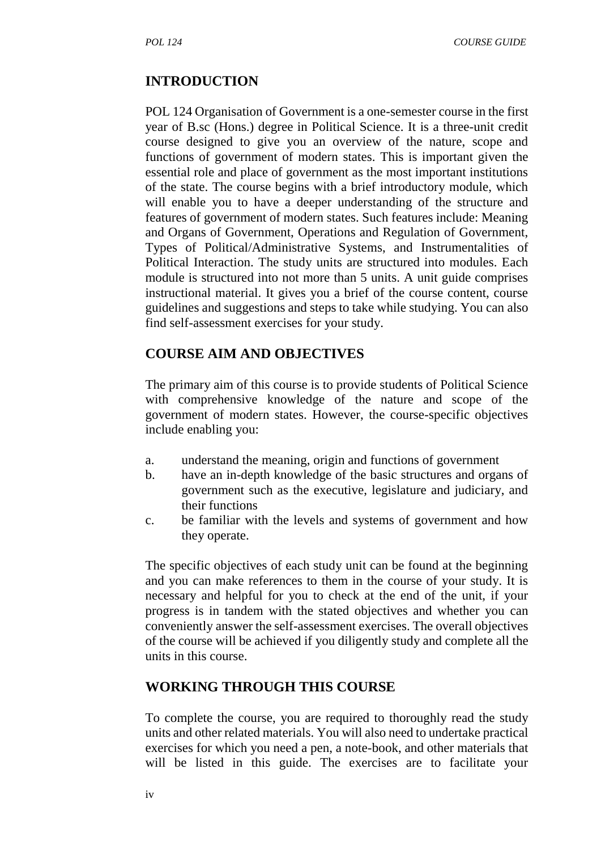#### **INTRODUCTION**

POL 124 Organisation of Government is a one-semester course in the first year of B.sc (Hons.) degree in Political Science. It is a three-unit credit course designed to give you an overview of the nature, scope and functions of government of modern states. This is important given the essential role and place of government as the most important institutions of the state. The course begins with a brief introductory module, which will enable you to have a deeper understanding of the structure and features of government of modern states. Such features include: Meaning and Organs of Government, Operations and Regulation of Government, Types of Political/Administrative Systems, and Instrumentalities of Political Interaction. The study units are structured into modules. Each module is structured into not more than 5 units. A unit guide comprises instructional material. It gives you a brief of the course content, course guidelines and suggestions and steps to take while studying. You can also find self-assessment exercises for your study.

# **COURSE AIM AND OBJECTIVES**

The primary aim of this course is to provide students of Political Science with comprehensive knowledge of the nature and scope of the government of modern states. However, the course-specific objectives include enabling you:

- a. understand the meaning, origin and functions of government
- b. have an in-depth knowledge of the basic structures and organs of government such as the executive, legislature and judiciary, and their functions
- c. be familiar with the levels and systems of government and how they operate.

The specific objectives of each study unit can be found at the beginning and you can make references to them in the course of your study. It is necessary and helpful for you to check at the end of the unit, if your progress is in tandem with the stated objectives and whether you can conveniently answer the self-assessment exercises. The overall objectives of the course will be achieved if you diligently study and complete all the units in this course.

#### **WORKING THROUGH THIS COURSE**

To complete the course, you are required to thoroughly read the study units and other related materials. You will also need to undertake practical exercises for which you need a pen, a note-book, and other materials that will be listed in this guide. The exercises are to facilitate your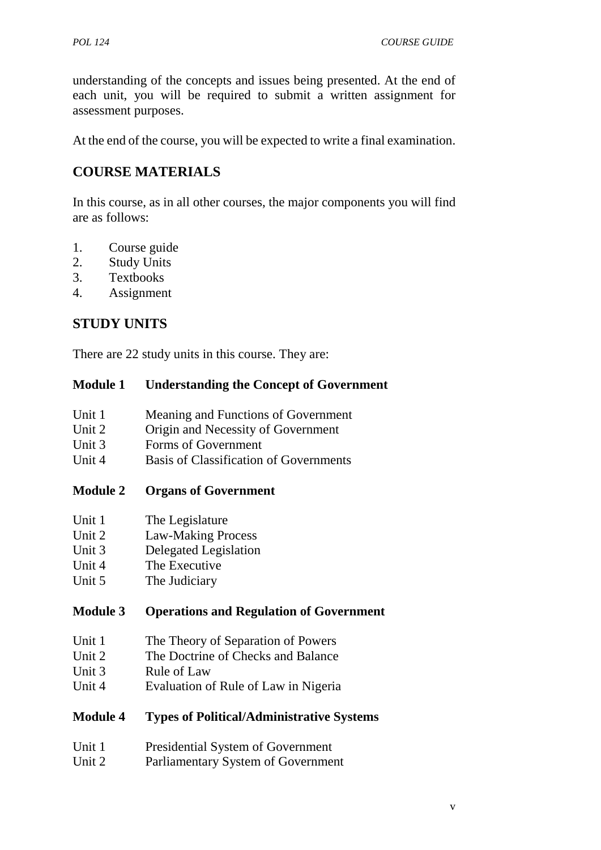understanding of the concepts and issues being presented. At the end of each unit, you will be required to submit a written assignment for assessment purposes.

At the end of the course, you will be expected to write a final examination.

# **COURSE MATERIALS**

In this course, as in all other courses, the major components you will find are as follows:

- 1. Course guide
- 2. Study Units
- 3. Textbooks
- 4. Assignment

# **STUDY UNITS**

There are 22 study units in this course. They are:

## **Module 1 Understanding the Concept of Government**

- Unit 1 Meaning and Functions of Government
- Unit 2 Origin and Necessity of Government
- Unit 3 Forms of Government
- Unit 4 Basis of Classification of Governments

# **Module 2 Organs of Government**

- Unit 1 The Legislature
- Unit 2 Law-Making Process
- Unit 3 Delegated Legislation
- Unit 4 The Executive
- Unit 5 The Judiciary

# **Module 3 Operations and Regulation of Government**

- Unit 1 The Theory of Separation of Powers
- Unit 2 The Doctrine of Checks and Balance
- Unit 3 Rule of Law
- Unit 4 Evaluation of Rule of Law in Nigeria

# **Module 4 Types of Political/Administrative Systems**

- Unit 1 Presidential System of Government
- Unit 2 Parliamentary System of Government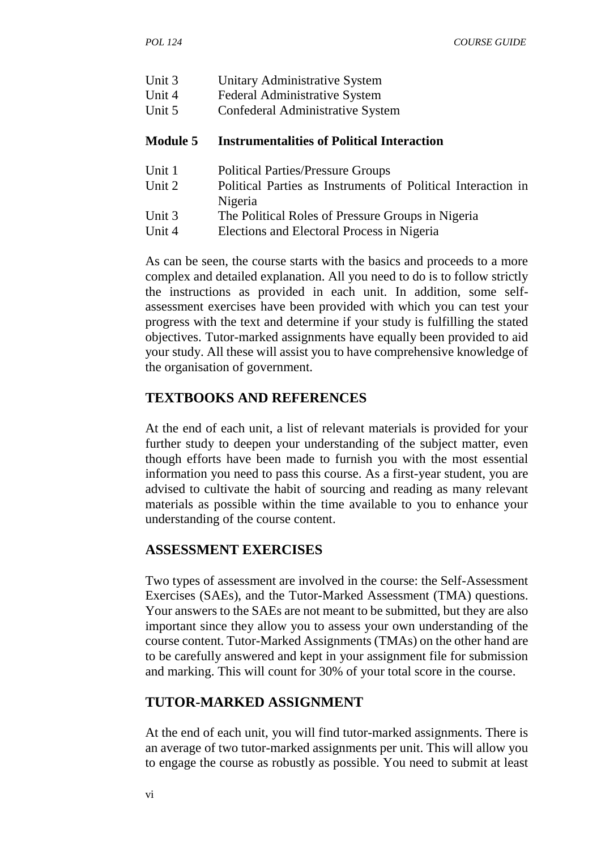- Unit 3 Unitary Administrative System
- Unit 4 Federal Administrative System
- Unit 5 Confederal Administrative System

#### **Module 5 Instrumentalities of Political Interaction**

- Unit 1 Political Parties/Pressure Groups
- Unit 2 Political Parties as Instruments of Political Interaction in Nigeria
- Unit 3 The Political Roles of Pressure Groups in Nigeria
- Unit 4 Elections and Electoral Process in Nigeria

As can be seen, the course starts with the basics and proceeds to a more complex and detailed explanation. All you need to do is to follow strictly the instructions as provided in each unit. In addition, some self assessment exercises have been provided with which you can test your progress with the text and determine if your study is fulfilling the stated objectives. Tutor-marked assignments have equally been provided to aid your study. All these will assist you to have comprehensive knowledge of the organisation of government.

# **TEXTBOOKS AND REFERENCES**

At the end of each unit, a list of relevant materials is provided for your further study to deepen your understanding of the subject matter, even though efforts have been made to furnish you with the most essential information you need to pass this course. As a first-year student, you are advised to cultivate the habit of sourcing and reading as many relevant materials as possible within the time available to you to enhance your understanding of the course content.

#### **ASSESSMENT EXERCISES**

Two types of assessment are involved in the course: the Self-Assessment Exercises (SAEs), and the Tutor-Marked Assessment (TMA) questions. Your answers to the SAEs are not meant to be submitted, but they are also important since they allow you to assess your own understanding of the course content. Tutor-Marked Assignments (TMAs) on the other hand are to be carefully answered and kept in your assignment file for submission and marking. This will count for 30% of your total score in the course.

# **TUTOR-MARKED ASSIGNMENT**

At the end of each unit, you will find tutor-marked assignments. There is an average of two tutor-marked assignments per unit. This will allow you to engage the course as robustly as possible. You need to submit at least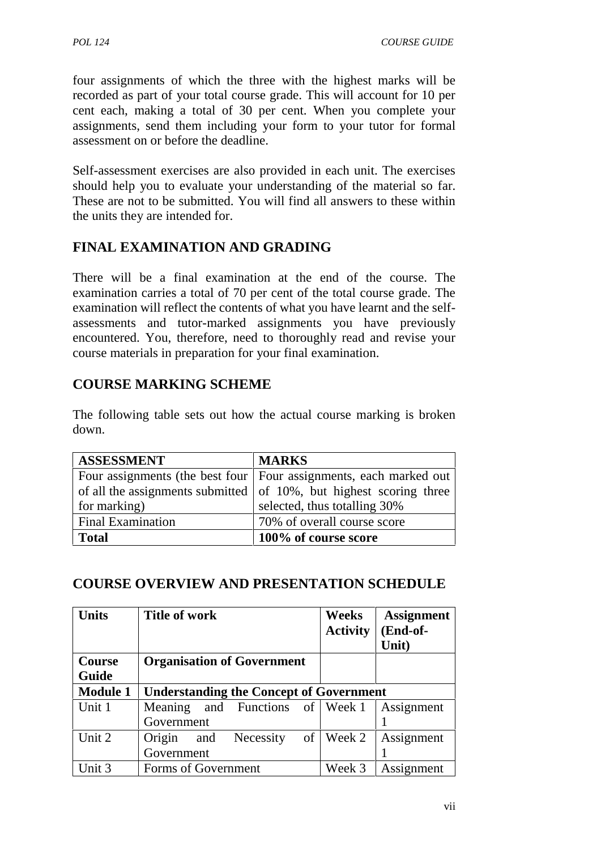four assignments of which the three with the highest marks will be recorded as part of your total course grade. This will account for 10 per cent each, making a total of 30 per cent. When you complete your assignments, send them including your form to your tutor for formal assessment on or before the deadline.

Self-assessment exercises are also provided in each unit. The exercises should help you to evaluate your understanding of the material so far. These are not to be submitted. You will find all answers to these within the units they are intended for.

# **FINAL EXAMINATION AND GRADING**

There will be a final examination at the end of the course. The examination carries a total of 70 per cent of the total course grade. The examination will reflect the contents of what you have learnt and the self assessments and tutor-marked assignments you have previously encountered. You, therefore, need to thoroughly read and revise your course materials in preparation for your final examination.

# **COURSE MARKING SCHEME**

The following table sets out how the actual course marking is broken down.

| <b>ASSESSMENT</b>        | <b>MARKS</b>                                                               |
|--------------------------|----------------------------------------------------------------------------|
|                          | Four assignments (the best four   Four assignments, each marked out        |
|                          | of all the assignments submitted $\vert$ of 10%, but highest scoring three |
| for marking)             | selected, thus totalling 30%                                               |
| <b>Final Examination</b> | 70% of overall course score                                                |
| <b>Total</b>             | 100% of course score                                                       |

# **COURSE OVERVIEW AND PRESENTATION SCHEDULE**

| Units           | <b>Title of work</b>                             | <b>Weeks</b><br><b>Activity</b> | <b>Assignment</b><br>(End-of-<br>Unit) |
|-----------------|--------------------------------------------------|---------------------------------|----------------------------------------|
| Course<br>Guide | <b>Organisation of Government</b>                |                                 |                                        |
| <b>Module 1</b> | <b>Understanding the Concept of Government</b>   |                                 |                                        |
| Unit 1          | and Functions of Week 1<br>Meaning<br>Government |                                 | Assignment                             |
| Unit 2          | of<br>Origin<br>Necessity<br>and<br>Government   | Week 2                          | Assignment                             |
| Unit 3          | Forms of Government                              | Week 3                          | Assignment                             |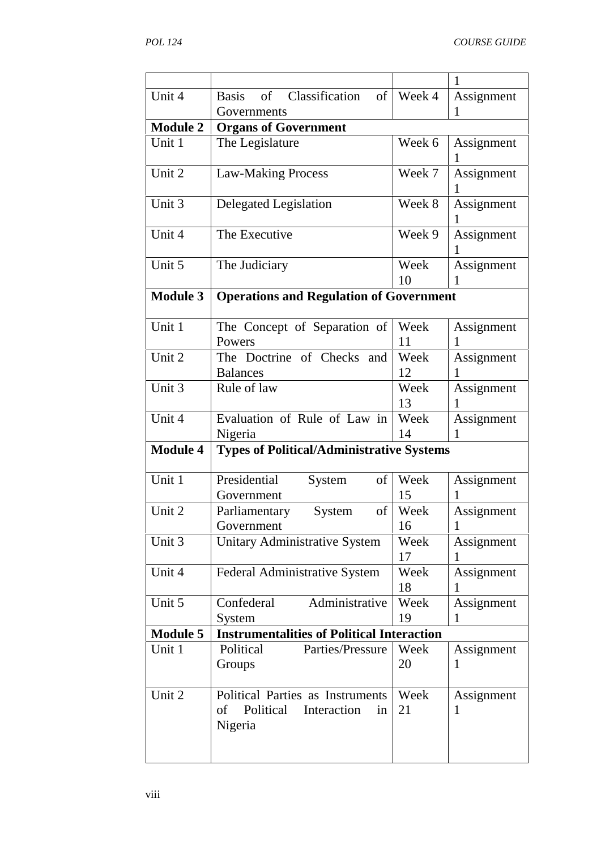|                 |                                                   |            | 1               |
|-----------------|---------------------------------------------------|------------|-----------------|
| Unit 4          | Classification<br>of<br><b>Basis</b><br>of        | Week 4     | Assignment      |
|                 | Governments                                       |            | 1               |
| <b>Module 2</b> | <b>Organs of Government</b>                       |            |                 |
| Unit 1          | The Legislature                                   | Week 6     | Assignment      |
| Unit 2          | <b>Law-Making Process</b>                         | Week 7     | Assignment      |
| Unit 3          | Delegated Legislation                             | Week 8     | Assignment<br>T |
| Unit 4          | The Executive                                     | Week 9     | Assignment      |
| Unit 5          | The Judiciary                                     | Week<br>10 | Assignment<br>1 |
| <b>Module 3</b> | <b>Operations and Regulation of Government</b>    |            |                 |
|                 |                                                   |            |                 |
| Unit 1          | The Concept of Separation of                      | Week       | Assignment      |
|                 | Powers                                            | 11         | 1               |
| Unit 2          | The Doctrine of Checks and                        | Week       | Assignment      |
|                 | <b>Balances</b>                                   | 12         | 1               |
| Unit 3          | Rule of law                                       | Week       | Assignment      |
|                 |                                                   | 13         | 1               |
| Unit 4          | Evaluation of Rule of Law in                      | Week       | Assignment      |
|                 | Nigeria                                           | 14         | 1               |
| <b>Module 4</b> | <b>Types of Political/Administrative Systems</b>  |            |                 |
|                 |                                                   |            |                 |
| Unit 1          | Presidential<br>System<br>of                      | Week       | Assignment      |
|                 | Government                                        | 15         | 1               |
| Unit 2          | Parliamentary<br>System<br>of                     | Week       | Assignment      |
|                 | Government                                        | 16         | 1               |
| Unit 3          | Unitary Administrative System                     | Week       | Assignment      |
|                 |                                                   | 17         | 1               |
| Unit 4          | Federal Administrative System                     | Week       | Assignment      |
|                 |                                                   | 18         | 1               |
| Unit 5          | Confederal<br>Administrative                      | Week       | Assignment      |
|                 | System                                            | 19         |                 |
| <b>Module 5</b> | <b>Instrumentalities of Political Interaction</b> |            |                 |
| Unit 1          | Political<br>Parties/Pressure                     | Week       | Assignment      |
|                 | Groups                                            | 20         | 1               |
| Unit 2          | Political Parties as Instruments                  | Week       | Assignment      |
|                 | Political<br>of<br>Interaction<br>in<br>Nigeria   | 21         | 1               |
|                 |                                                   |            |                 |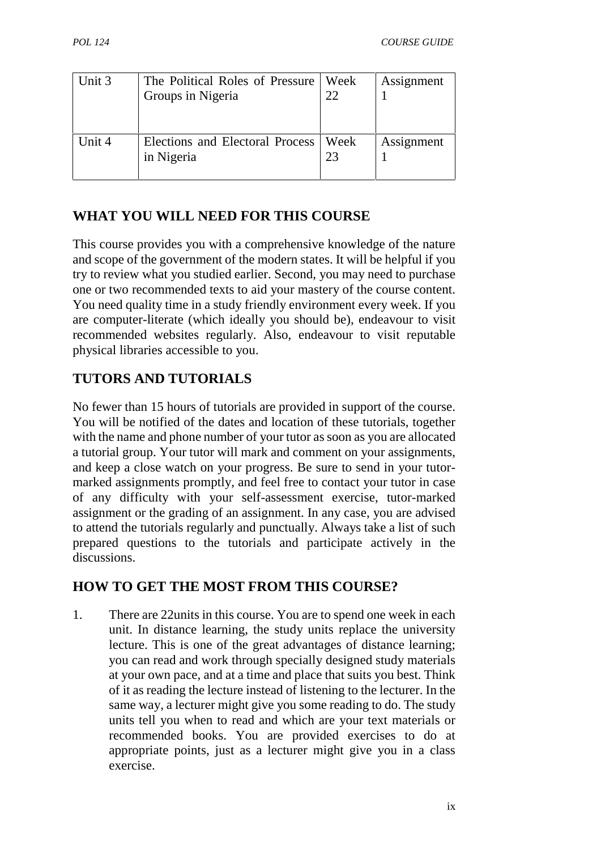| Unit 3 | The Political Roles of Pressure<br>Groups in Nigeria | ∣ Week<br>22 | Assignment |
|--------|------------------------------------------------------|--------------|------------|
| Unit 4 | Elections and Electoral Process<br>in Nigeria        | Week<br>23   | Assignment |

# **WHAT YOU WILL NEED FOR THIS COURSE**

This course provides you with a comprehensive knowledge of the nature and scope of the government of the modern states. It will be helpful if you try to review what you studied earlier. Second, you may need to purchase one or two recommended texts to aid your mastery of the course content. You need quality time in a study friendly environment every week. If you are computer-literate (which ideally you should be), endeavour to visit recommended websites regularly. Also, endeavour to visit reputable physical libraries accessible to you.

# **TUTORS AND TUTORIALS**

No fewer than 15 hours of tutorials are provided in support of the course. You will be notified of the dates and location of these tutorials, together with the name and phone number of your tutor as soon as you are allocated a tutorial group. Your tutor will mark and comment on your assignments, and keep a close watch on your progress. Be sure to send in your tutor marked assignments promptly, and feel free to contact your tutor in case of any difficulty with your self-assessment exercise, tutor-marked assignment or the grading of an assignment. In any case, you are advised to attend the tutorials regularly and punctually. Always take a list of such prepared questions to the tutorials and participate actively in the discussions.

# **HOW TO GET THE MOST FROM THIS COURSE?**

1. There are 22units in this course. You are to spend one week in each unit. In distance learning, the study units replace the university lecture. This is one of the great advantages of distance learning; you can read and work through specially designed study materials at your own pace, and at a time and place that suits you best. Think of it as reading the lecture instead of listening to the lecturer. In the same way, a lecturer might give you some reading to do. The study units tell you when to read and which are your text materials or recommended books. You are provided exercises to do at appropriate points, just as a lecturer might give you in a class exercise.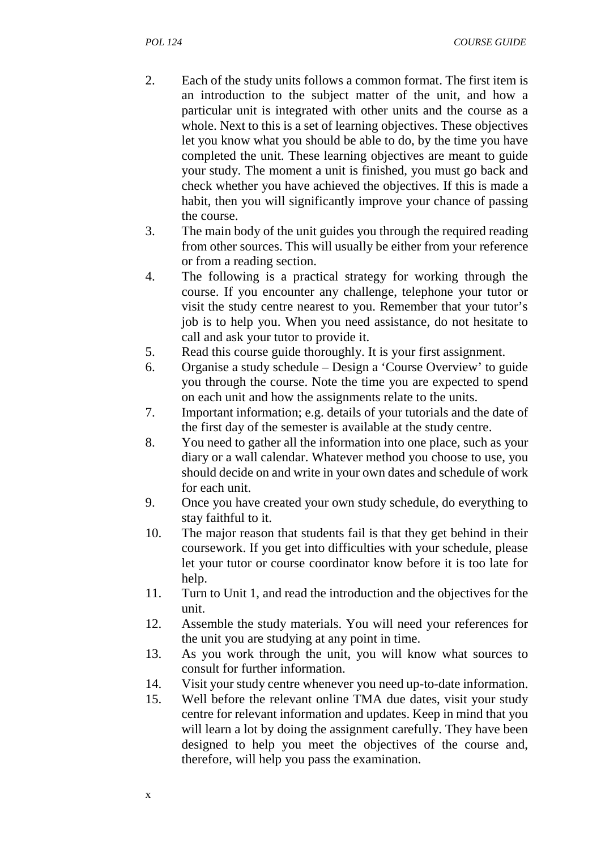- 2. Each of the study units follows a common format. The first item is an introduction to the subject matter of the unit, and how a particular unit is integrated with other units and the course as a whole. Next to this is a set of learning objectives. These objectives let you know what you should be able to do, by the time you have completed the unit. These learning objectives are meant to guide your study. The moment a unit is finished, you must go back and check whether you have achieved the objectives. If this is made a habit, then you will significantly improve your chance of passing the course.
- 3. The main body of the unit guides you through the required reading from other sources. This will usually be either from your reference or from a reading section.
- 4. The following is a practical strategy for working through the course. If you encounter any challenge, telephone your tutor or visit the study centre nearest to you. Remember that your tutor's job is to help you. When you need assistance, do not hesitate to call and ask your tutor to provide it.
- 5. Read this course guide thoroughly. It is your first assignment.
- 6. Organise a study schedule Design a 'Course Overview' to guide you through the course. Note the time you are expected to spend on each unit and how the assignments relate to the units.
- 7. Important information; e.g. details of your tutorials and the date of the first day of the semester is available at the study centre.
- 8. You need to gather all the information into one place, such as your diary or a wall calendar. Whatever method you choose to use, you should decide on and write in your own dates and schedule of work for each unit.
- 9. Once you have created your own study schedule, do everything to stay faithful to it.
- 10. The major reason that students fail is that they get behind in their coursework. If you get into difficulties with your schedule, please let your tutor or course coordinator know before it is too late for help.
- 11. Turn to Unit 1, and read the introduction and the objectives for the unit.
- 12. Assemble the study materials. You will need your references for the unit you are studying at any point in time.
- 13. As you work through the unit, you will know what sources to consult for further information.
- 14. Visit your study centre whenever you need up-to-date information.
- 15. Well before the relevant online TMA due dates, visit your study centre for relevant information and updates. Keep in mind that you will learn a lot by doing the assignment carefully. They have been designed to help you meet the objectives of the course and, therefore, will help you pass the examination.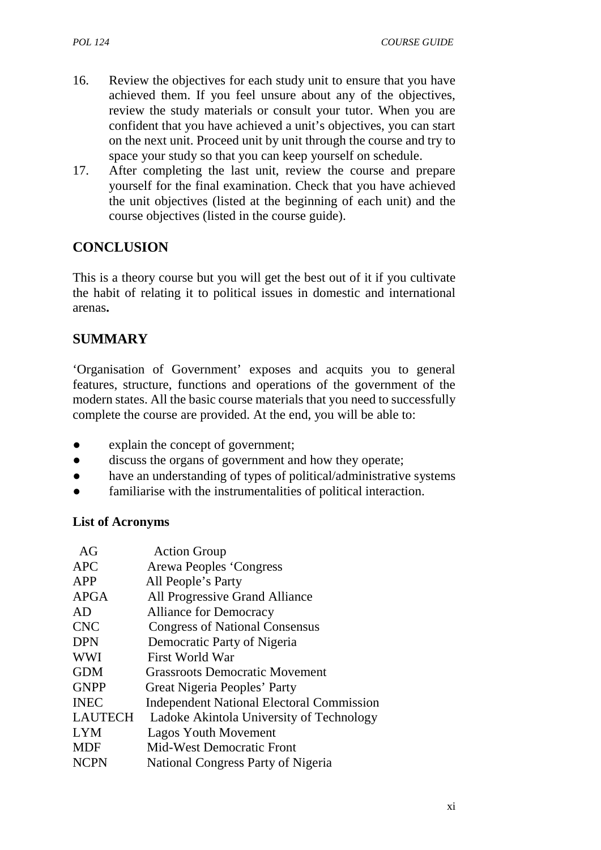- 16. Review the objectives for each study unit to ensure that you have achieved them. If you feel unsure about any of the objectives, review the study materials or consult your tutor. When you are confident that you have achieved a unit's objectives, you can start on the next unit. Proceed unit by unit through the course and try to space your study so that you can keep yourself on schedule.
- 17. After completing the last unit, review the course and prepare yourself for the final examination. Check that you have achieved the unit objectives (listed at the beginning of each unit) and the course objectives (listed in the course guide).

# **CONCLUSION**

This is a theory course but you will get the best out of it if you cultivate the habit of relating it to political issues in domestic and international arenas**.**

# **SUMMARY**

'Organisation of Government' exposes and acquits you to general features, structure, functions and operations of the government of the modern states. All the basic course materials that you need to successfully complete the course are provided. At the end, you will be able to:

- explain the concept of government;
- discuss the organs of government and how they operate;
- have an understanding of types of political/administrative systems
- familiarise with the instrumentalities of political interaction.

#### **List of Acronyms**

| AG             | <b>Action Group</b>                              |
|----------------|--------------------------------------------------|
| <b>APC</b>     | Arewa Peoples 'Congress                          |
| APP            | All People's Party                               |
| <b>APGA</b>    | All Progressive Grand Alliance                   |
| AD             | <b>Alliance for Democracy</b>                    |
| <b>CNC</b>     | <b>Congress of National Consensus</b>            |
| <b>DPN</b>     | Democratic Party of Nigeria                      |
| <b>WWI</b>     | First World War                                  |
| <b>GDM</b>     | <b>Grassroots Democratic Movement</b>            |
| <b>GNPP</b>    | Great Nigeria Peoples' Party                     |
| <b>INEC</b>    | <b>Independent National Electoral Commission</b> |
| <b>LAUTECH</b> | Ladoke Akintola University of Technology         |
| <b>LYM</b>     | <b>Lagos Youth Movement</b>                      |
| <b>MDF</b>     | <b>Mid-West Democratic Front</b>                 |
| <b>NCPN</b>    | National Congress Party of Nigeria               |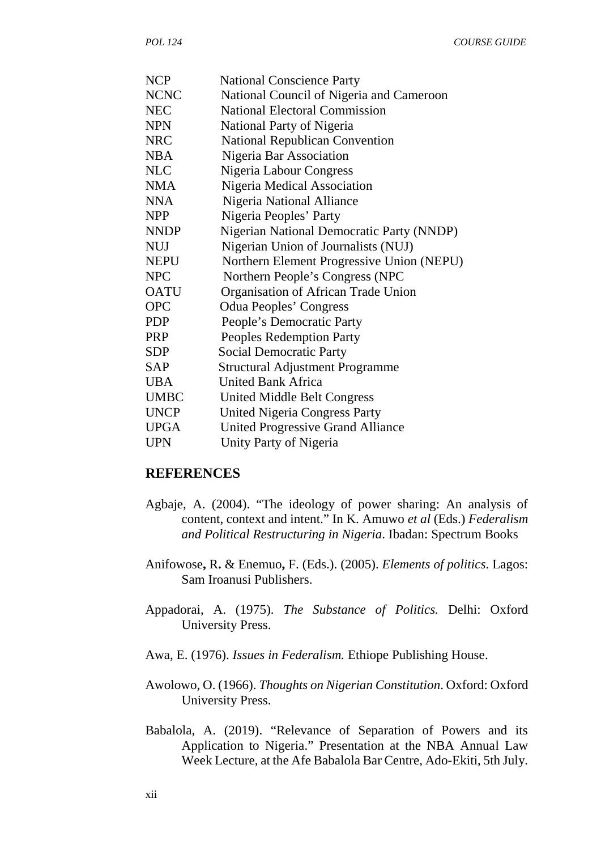| <b>National Conscience Party</b>          |
|-------------------------------------------|
| National Council of Nigeria and Cameroon  |
| <b>National Electoral Commission</b>      |
| National Party of Nigeria                 |
| <b>National Republican Convention</b>     |
| Nigeria Bar Association                   |
| Nigeria Labour Congress                   |
| Nigeria Medical Association               |
| Nigeria National Alliance                 |
| Nigeria Peoples' Party                    |
| Nigerian National Democratic Party (NNDP) |
| Nigerian Union of Journalists (NUJ)       |
| Northern Element Progressive Union (NEPU) |
| Northern People's Congress (NPC           |
| Organisation of African Trade Union       |
| <b>Odua Peoples' Congress</b>             |
| People's Democratic Party                 |
| Peoples Redemption Party                  |
| <b>Social Democratic Party</b>            |
| <b>Structural Adjustment Programme</b>    |
| <b>United Bank Africa</b>                 |
| <b>United Middle Belt Congress</b>        |
| <b>United Nigeria Congress Party</b>      |
| <b>United Progressive Grand Alliance</b>  |
| Unity Party of Nigeria                    |
|                                           |

#### **REFERENCES**

- Agbaje, A. (2004). "The ideology of power sharing: An analysis of content, context and intent." In K. Amuwo *et al* (Eds.) *Federalism and Political Restructuring in Nigeria*. Ibadan: Spectrum Books
- Anifowose**,** R**.** & Enemuo**,** F. (Eds.). (2005). *Elements of politics*. Lagos: Sam Iroanusi Publishers.
- Appadorai, A. (1975). *The Substance of Politics.* Delhi: Oxford University Press.
- Awa, E. (1976). *Issues in Federalism.* Ethiope Publishing House.
- Awolowo, O. (1966). *Thoughts on Nigerian Constitution*. Oxford: Oxford University Press.
- Babalola, A. (2019). "Relevance of Separation of Powers and its Application to Nigeria." Presentation at the NBA Annual Law Week Lecture, at the Afe Babalola Bar Centre, Ado-Ekiti, 5th July.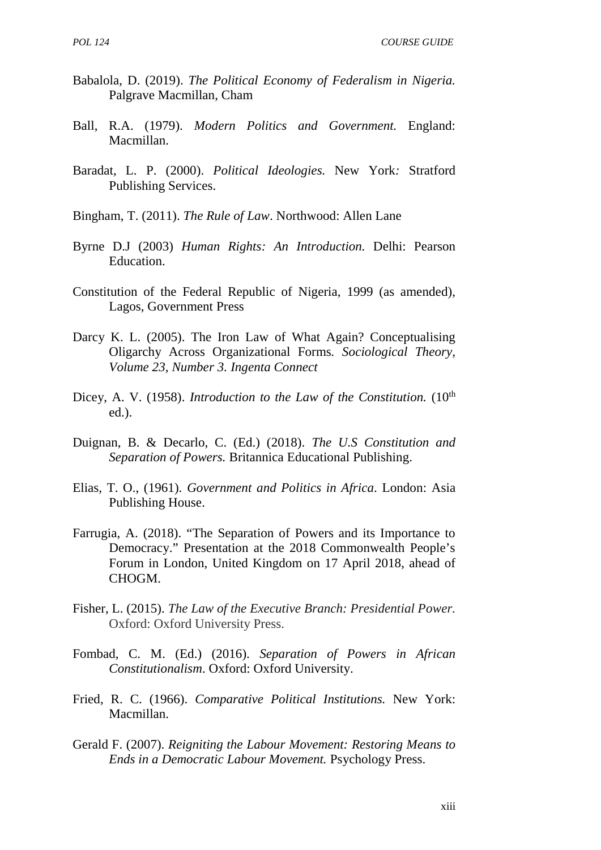- Babalola, D. (2019). *The Political Economy of Federalism in Nigeria.* Palgrave Macmillan, Cham
- Ball, R.A. (1979). *Modern Politics and Government.* England: Macmillan.
- Baradat, L. P. (2000). *Political Ideologies.* New York*:* Stratford Publishing Services.
- Bingham, T. (2011). *The Rule of Law*. Northwood: Allen Lane
- Byrne D.J (2003) *Human Rights: An Introduction.* Delhi: Pearson Education.
- Constitution of the Federal Republic of Nigeria, 1999 (as amended), Lagos, Government Press
- Darcy K. L. (2005). The Iron Law of What Again? Conceptualising Oligarchy Across Organizational Forms*. Sociological Theory, Volume 23, Number 3. Ingenta Connect*
- Dicey, A. V. (1958). *Introduction to the Law of the Constitution*. (10<sup>th</sup> ed.).
- Duignan, B. & Decarlo, C. (Ed.) (2018). *The U.S Constitution and Separation of Powers.* Britannica Educational Publishing.
- Elias, T. O., (1961). *Government and Politics in Africa*. London: Asia Publishing House.
- Farrugia, A. (2018). "The Separation of Powers and its Importance to Democracy." Presentation at the 2018 Commonwealth People's Forum in London, United Kingdom on 17 April 2018, ahead of CHOGM.
- Fisher, L. (2015). *The Law of the Executive Branch: Presidential Power.* Oxford: Oxford University Press.
- Fombad, C. M. (Ed.) (2016). *Separation of Powers in African Constitutionalism*. Oxford: Oxford University.
- Fried, R. C. (1966). *Comparative Political Institutions.* New York: Macmillan.
- Gerald F. (2007). *Reigniting the Labour Movement: Restoring Means to Ends in a Democratic Labour Movement.* Psychology Press.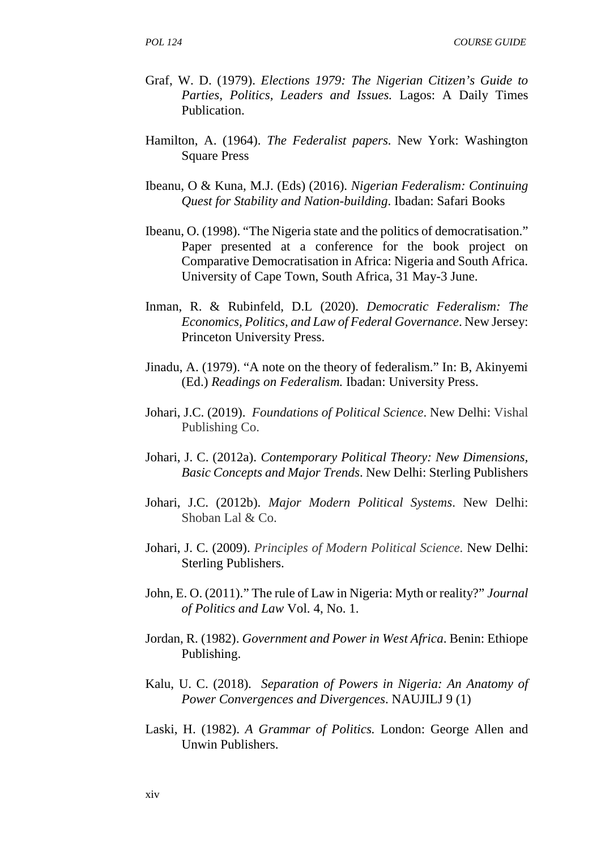*POL 124 COURSE GUIDE*

- Graf, W. D. (1979). *Elections 1979: The Nigerian Citizen's Guide to Parties, Politics, Leaders and Issues.* Lagos: A Daily Times Publication.
- Hamilton, A. (1964). *The Federalist papers.* New York: Washington Square Press
- Ibeanu, O & Kuna, M.J. (Eds) (2016). *Nigerian Federalism: Continuing Quest for Stability and Nation-building*. Ibadan: Safari Books
- Ibeanu, O. (1998). "The Nigeria state and the politics of democratisation." Paper presented at a conference for the book project on Comparative Democratisation in Africa: Nigeria and South Africa. University of Cape Town, South Africa, 31 May-3 June.
- Inman, R. & Rubinfeld, D.L (2020). *Democratic Federalism: The Economics, Politics, and Law of Federal Governance*. New Jersey: Princeton University Press.
- Jinadu, A. (1979). "A note on the theory of federalism." In: B, Akinyemi (Ed.) *Readings on Federalism.* Ibadan: University Press.
- Johari, J.C. (2019). *Foundations of Political Science*. New Delhi: Vishal Publishing Co.
- Johari, J. C. (2012a). *Contemporary Political Theory: New Dimensions, Basic Concepts and Major Trends*. New Delhi: Sterling Publishers
- Johari, J.C. (2012b). *Major Modern Political Systems*. New Delhi: Shoban Lal & Co.
- Johari, J. C. (2009). *Principles of Modern Political Science.* New Delhi: Sterling Publishers.
- John, E. O. (2011)." The rule of Law in Nigeria: Myth or reality?" *Journal of Politics and Law* Vol. 4, No. 1.
- Jordan, R. (1982). *Government and Power in West Africa*. Benin: Ethiope Publishing.
- Kalu, U. C. (2018). *Separation of Powers in Nigeria: An Anatomy of Power Convergences and Divergences*. NAUJILJ 9 (1)
- Laski, H. (1982). *A Grammar of Politics.* London: George Allen and Unwin Publishers.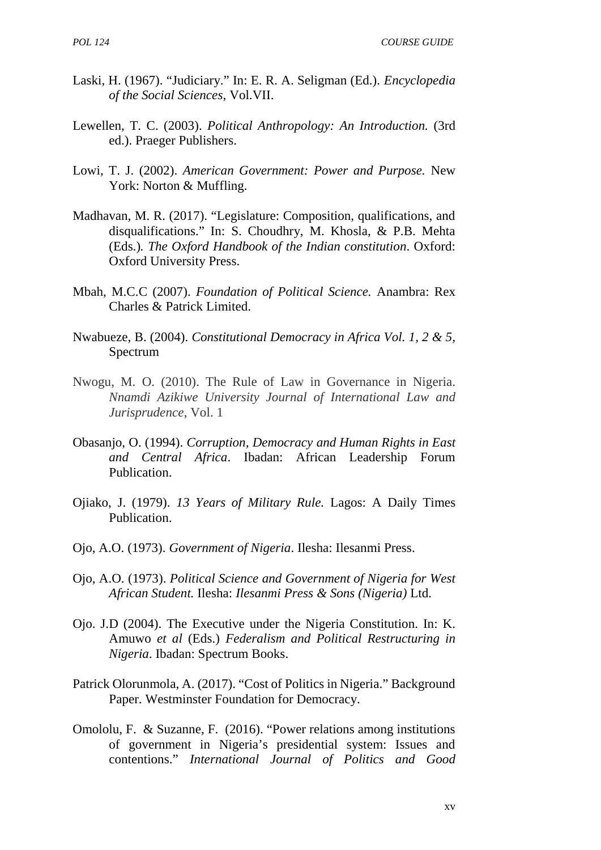- Laski, H. (1967). "Judiciary." In: E. R. A. Seligman (Ed.). *Encyclopedia of the Social Sciences*, Vol.VII.
- Lewellen, T. C. (2003). *Political Anthropology: An Introduction.* (3rd ed.). Praeger Publishers.
- Lowi, T. J. (2002). *American Government: Power and Purpose.* New York: Norton & Muffling.
- Madhavan, M. R. (2017). "Legislature: Composition, qualifications, and disqualifications." In: S. Choudhry, M. Khosla, & P.B. Mehta (Eds.)*. The Oxford Handbook of the Indian constitution*. Oxford: Oxford University Press.
- Mbah, M.C.C (2007). *Foundation of Political Science.* Anambra: Rex Charles & Patrick Limited.
- Nwabueze, B. (2004). *Constitutional Democracy in Africa Vol. 1, 2 & 5,* Spectrum
- Nwogu, M. O. (2010). The Rule of Law in Governance in Nigeria. *Nnamdi Azikiwe University Journal of International Law and Jurisprudence*, Vol. 1
- Obasanjo, O. (1994). *Corruption, Democracy and Human Rights in East and Central Africa*. Ibadan: African Leadership Forum Publication.
- Ojiako, J. (1979). *13 Years of Military Rule.* Lagos: A Daily Times Publication.
- Ojo, A.O. (1973). *Government of Nigeria*. Ilesha: Ilesanmi Press.
- Ojo, A.O. (1973). *Political Science and Government of Nigeria for West African Student.* Ilesha: *Ilesanmi Press & Sons (Nigeria)* Ltd.
- Ojo. J.D (2004). The Executive under the Nigeria Constitution. In: K. Amuwo *et al* (Eds.) *Federalism and Political Restructuring in Nigeria*. Ibadan: Spectrum Books.
- Patrick Olorunmola, A. (2017). "Cost of Politics in Nigeria." Background Paper. Westminster Foundation for Democracy.
- Omololu, F. & Suzanne, F. (2016). "Power relations among institutions of government in Nigeria's presidential system: Issues and contentions." *International Journal of Politics and Good*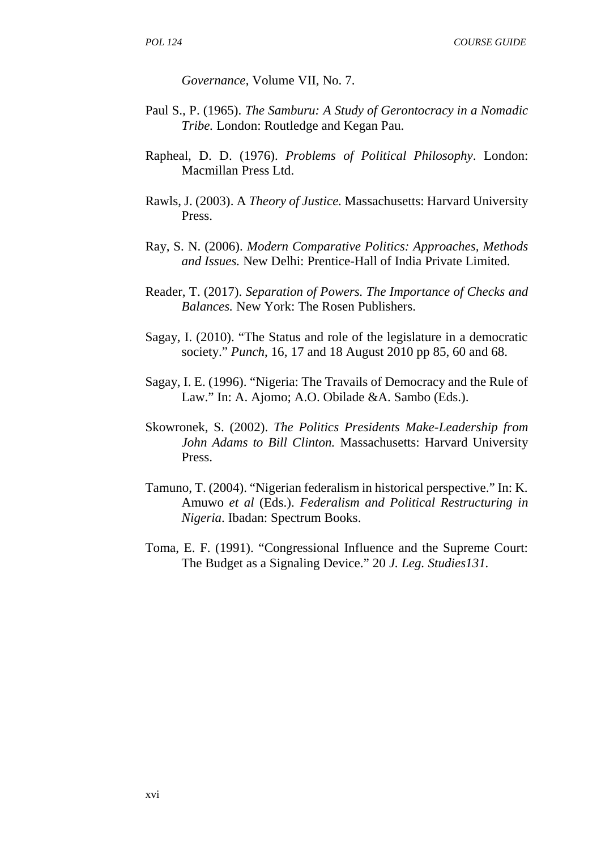*Governance*, Volume VII, No. 7.

- Paul S., P. (1965). *The Samburu: A Study of Gerontocracy in a Nomadic Tribe.* London: Routledge and Kegan Pau.
- Rapheal, D. D. (1976). *Problems of Political Philosophy*. London: Macmillan Press Ltd.
- Rawls, J. (2003). A *Theory of Justice.* Massachusetts: Harvard University Press.
- Ray, S. N. (2006). *Modern Comparative Politics: Approaches, Methods and Issues.* New Delhi: Prentice-Hall of India Private Limited.
- Reader, T. (2017). *Separation of Powers. The Importance of Checks and Balances.* New York: The Rosen Publishers.
- Sagay, I. (2010). "The Status and role of the legislature in a democratic society." *Punch*, 16, 17 and 18 August 2010 pp 85, 60 and 68.
- Sagay, I. E. (1996). "Nigeria: The Travails of Democracy and the Rule of Law." In: A. Ajomo; A.O. Obilade &A. Sambo (Eds.).
- Skowronek, S. (2002). *The Politics Presidents Make-Leadership from John Adams to Bill Clinton.* Massachusetts: Harvard University Press.
- Tamuno, T. (2004). "Nigerian federalism in historical perspective." In: K. Amuwo *et al* (Eds.). *Federalism and Political Restructuring in Nigeria*. Ibadan: Spectrum Books.
- Toma, E. F. (1991). "Congressional Influence and the Supreme Court: The Budget as a Signaling Device." 20 *J. Leg. Studies131.*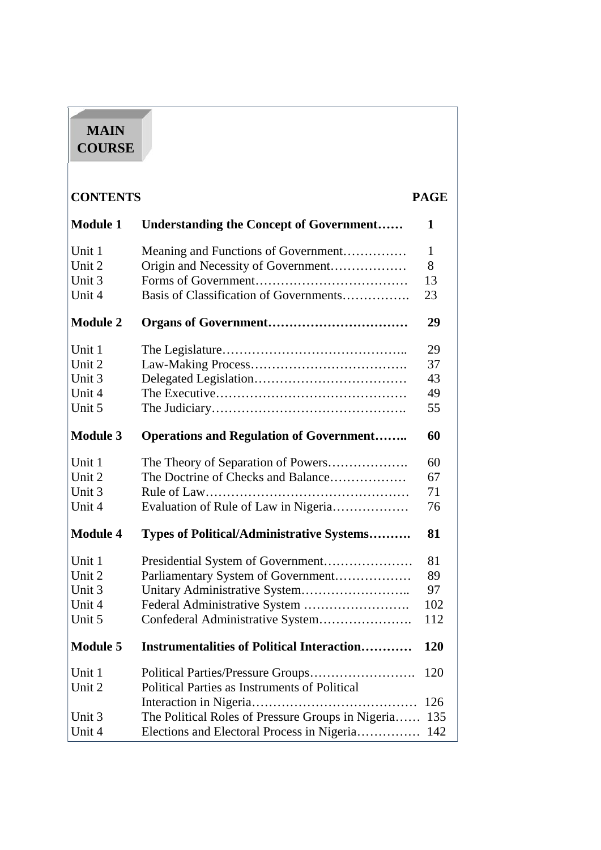# **MAIN COURSE**

| <b>CONTENTS</b> |                                                       | <b>PAGE</b> |
|-----------------|-------------------------------------------------------|-------------|
| <b>Module 1</b> | <b>Understanding the Concept of Government</b>        | 1           |
| Unit 1          | Meaning and Functions of Government                   | 1           |
| Unit 2          | Origin and Necessity of Government                    | 8           |
| Unit 3          |                                                       | 13          |
| Unit 4          | Basis of Classification of Governments                | 23          |
| <b>Module 2</b> |                                                       | 29          |
| Unit 1          |                                                       | 29          |
| Unit 2          |                                                       | 37          |
| Unit 3          |                                                       | 43          |
| Unit 4          |                                                       | 49          |
| Unit 5          |                                                       | 55          |
| <b>Module 3</b> | <b>Operations and Regulation of Government</b>        | 60          |
| Unit 1          |                                                       | 60          |
| Unit 2          | The Doctrine of Checks and Balance                    | 67          |
| Unit 3          |                                                       | 71          |
| Unit 4          | Evaluation of Rule of Law in Nigeria                  | 76          |
| <b>Module 4</b> | <b>Types of Political/Administrative Systems</b>      | 81          |
| Unit 1          |                                                       | 81          |
| Unit 2          | Parliamentary System of Government                    | 89          |
| Unit 3          | Unitary Administrative System                         | 97          |
| Unit 4          |                                                       | 102         |
| Unit 5          | Confederal Administrative System                      | 112         |
| <b>Module 5</b> | <b>Instrumentalities of Political Interaction</b>     | <b>120</b>  |
| Unit 1          |                                                       | 120         |
| Unit 2          | Political Parties as Instruments of Political         |             |
|                 |                                                       | 126         |
| Unit 3          | The Political Roles of Pressure Groups in Nigeria 135 |             |
| Unit 4          | Elections and Electoral Process in Nigeria 142        |             |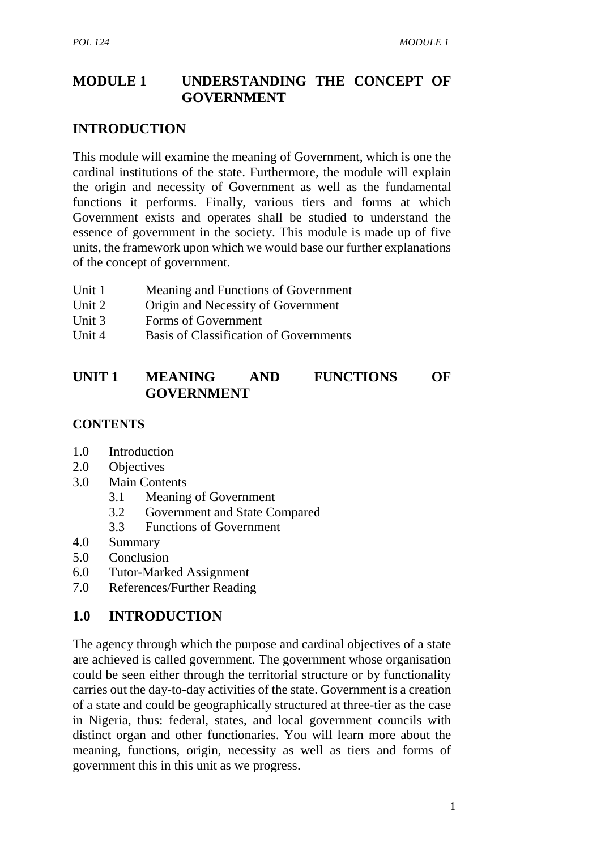# **MODULE 1 UNDERSTANDING THE CONCEPT OF GOVERNMENT**

# **INTRODUCTION**

This module will examine the meaning of Government, which is one the cardinal institutions of the state. Furthermore, the module will explain the origin and necessity of Government as well as the fundamental functions it performs. Finally, various tiers and forms at which Government exists and operates shall be studied to understand the essence of government in the society. This module is made up of five units, the framework upon which we would base our further explanations of the concept of government.

- Unit 1 Meaning and Functions of Government
- Unit 2 Origin and Necessity of Government
- Unit 3 Forms of Government
- Unit 4 Basis of Classification of Governments

# **UNIT 1 MEANING AND FUNCTIONS OF GOVERNMENT**

#### **CONTENTS**

- 1.0 Introduction
- 2.0 Objectives
- 3.0 Main Contents
	- 3.1 Meaning of Government
	- 3.2 Government and State Compared
	- 3.3 Functions of Government
- 4.0 Summary
- 5.0 Conclusion
- 6.0 Tutor-Marked Assignment
- 7.0 References/Further Reading

# **1.0 INTRODUCTION**

The agency through which the purpose and cardinal objectives of a state are achieved is called government. The government whose organisation could be seen either through the territorial structure or by functionality carries out the day-to-day activities of the state. Government is a creation of a state and could be geographically structured at three-tier as the case in Nigeria, thus: federal, states, and local government councils with distinct organ and other functionaries. You will learn more about the meaning, functions, origin, necessity as well as tiers and forms of government this in this unit as we progress.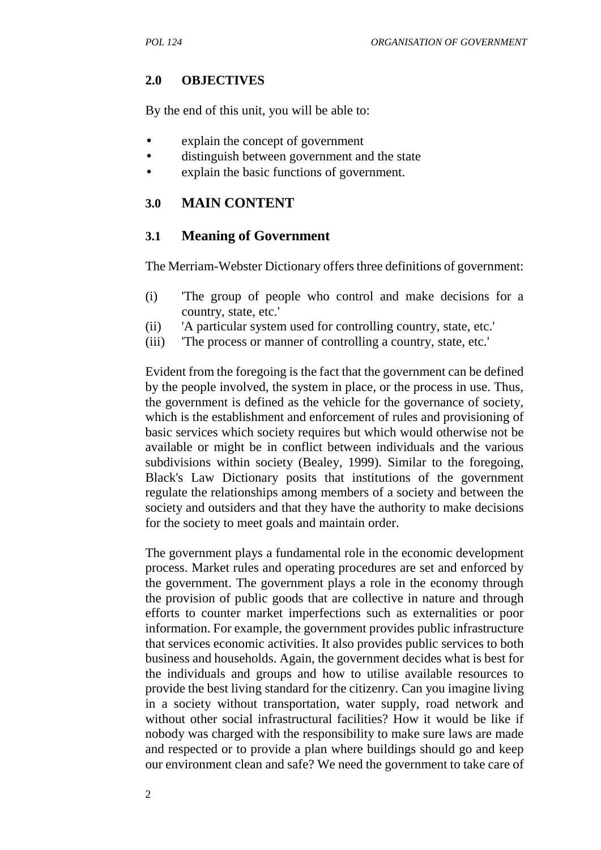# **2.0 OBJECTIVES**

By the end of this unit, you will be able to:

- explain the concept of government
- distinguish between government and the state
- explain the basic functions of government.

# **3.0 MAIN CONTENT**

## **3.1 Meaning of Government**

The Merriam-Webster Dictionary offers three definitions of government:

- (i) 'The group of people who control and make decisions for a country, state, etc.'
- (ii) 'A particular system used for controlling country, state, etc.'
- (iii) 'The process or manner of controlling a country, state, etc.'

Evident from the foregoing is the fact that the government can be defined by the people involved, the system in place, or the process in use. Thus, the government is defined as the vehicle for the governance of society, which is the establishment and enforcement of rules and provisioning of basic services which society requires but which would otherwise not be available or might be in conflict between individuals and the various subdivisions within society (Bealey, 1999). Similar to the foregoing, Black's Law Dictionary posits that institutions of the government regulate the relationships among members of a society and between the society and outsiders and that they have the authority to make decisions for the society to meet goals and maintain order.

The government plays a fundamental role in the economic development process. Market rules and operating procedures are set and enforced by the government. The government plays a role in the economy through the provision of public goods that are collective in nature and through efforts to counter market imperfections such as externalities or poor information. For example, the government provides public infrastructure that services economic activities. It also provides public services to both business and households. Again, the government decides what is best for the individuals and groups and how to utilise available resources to provide the best living standard for the citizenry. Can you imagine living in a society without transportation, water supply, road network and without other social infrastructural facilities? How it would be like if nobody was charged with the responsibility to make sure laws are made and respected or to provide a plan where buildings should go and keep our environment clean and safe? We need the government to take care of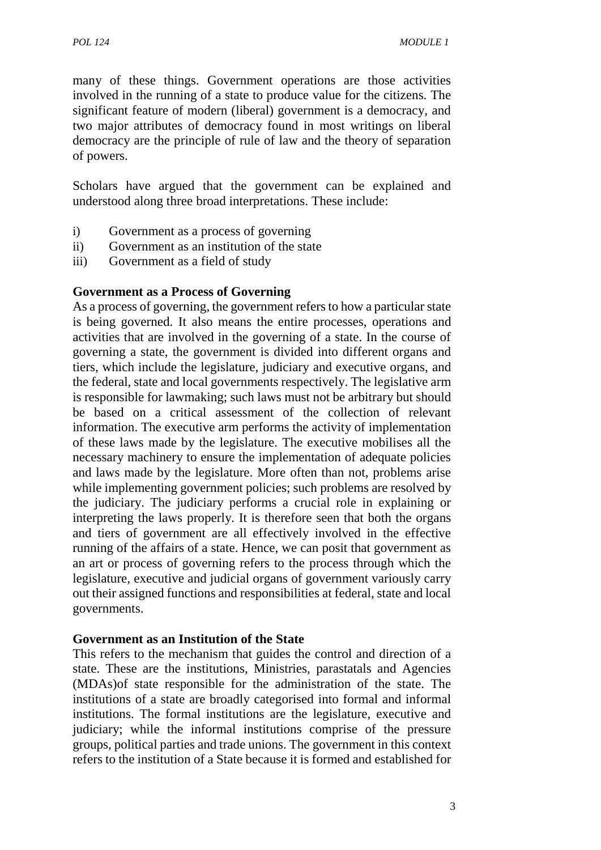many of these things. Government operations are those activities involved in the running of a state to produce value for the citizens. The significant feature of modern (liberal) government is a democracy, and two major attributes of democracy found in most writings on liberal democracy are the principle of rule of law and the theory of separation of powers.

Scholars have argued that the government can be explained and understood along three broad interpretations. These include:

- i) Government as a process of governing
- ii) Government as an institution of the state
- iii) Government as a field of study

#### **Government as a Process of Governing**

As a process of governing, the government refers to how a particular state is being governed. It also means the entire processes, operations and activities that are involved in the governing of a state. In the course of governing a state, the government is divided into different organs and tiers, which include the legislature, judiciary and executive organs, and the federal, state and local governments respectively. The legislative arm is responsible for lawmaking; such laws must not be arbitrary but should be based on a critical assessment of the collection of relevant information. The executive arm performs the activity of implementation of these laws made by the legislature. The executive mobilises all the necessary machinery to ensure the implementation of adequate policies and laws made by the legislature. More often than not, problems arise while implementing government policies; such problems are resolved by the judiciary. The judiciary performs a crucial role in explaining or interpreting the laws properly. It is therefore seen that both the organs and tiers of government are all effectively involved in the effective running of the affairs of a state. Hence, we can posit that government as an art or process of governing refers to the process through which the legislature, executive and judicial organs of government variously carry out their assigned functions and responsibilities at federal, state and local governments.

#### **Government as an Institution of the State**

This refers to the mechanism that guides the control and direction of a state. These are the institutions, Ministries, parastatals and Agencies (MDAs)of state responsible for the administration of the state. The institutions of a state are broadly categorised into formal and informal institutions. The formal institutions are the legislature, executive and judiciary; while the informal institutions comprise of the pressure groups, political parties and trade unions. The government in this context refers to the institution of a State because it is formed and established for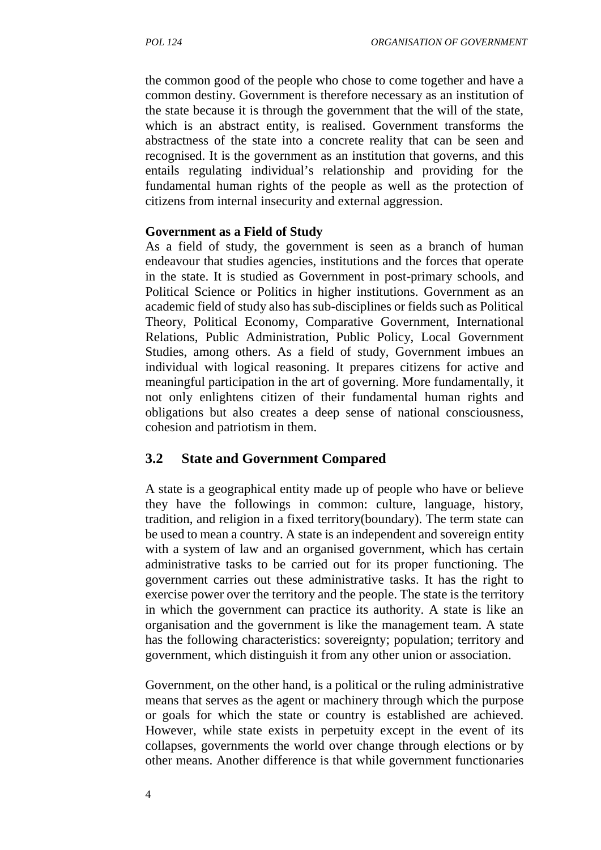the common good of the people who chose to come together and have a common destiny. Government is therefore necessary as an institution of the state because it is through the government that the will of the state, which is an abstract entity, is realised. Government transforms the abstractness of the state into a concrete reality that can be seen and recognised. It is the government as an institution that governs, and this entails regulating individual's relationship and providing for the fundamental human rights of the people as well as the protection of citizens from internal insecurity and external aggression.

#### **Government as a Field of Study**

As a field of study, the government is seen as a branch of human endeavour that studies agencies, institutions and the forces that operate in the state. It is studied as Government in post-primary schools, and Political Science or Politics in higher institutions. Government as an academic field of study also has sub-disciplines or fields such as Political Theory, Political Economy, Comparative Government, International Relations, Public Administration, Public Policy, Local Government Studies, among others. As a field of study, Government imbues an individual with logical reasoning. It prepares citizens for active and meaningful participation in the art of governing. More fundamentally, it not only enlightens citizen of their fundamental human rights and obligations but also creates a deep sense of national consciousness, cohesion and patriotism in them.

## **3.2 State and Government Compared**

A state is a geographical entity made up of people who have or believe they have the followings in common: culture, language, history, tradition, and religion in a fixed territory(boundary). The term state can be used to mean a country. A state is an independent and sovereign entity with a system of law and an organised government, which has certain administrative tasks to be carried out for its proper functioning. The government carries out these administrative tasks. It has the right to exercise power over the territory and the people. The state is the territory in which the government can practice its authority. A state is like an organisation and the government is like the management team. A state has the following characteristics: sovereignty; population; territory and government, which distinguish it from any other union or association.

Government, on the other hand, is a political or the ruling administrative means that serves as the agent or machinery through which the purpose or goals for which the state or country is established are achieved. However, while state exists in perpetuity except in the event of its collapses, governments the world over change through elections or by other means. Another difference is that while government functionaries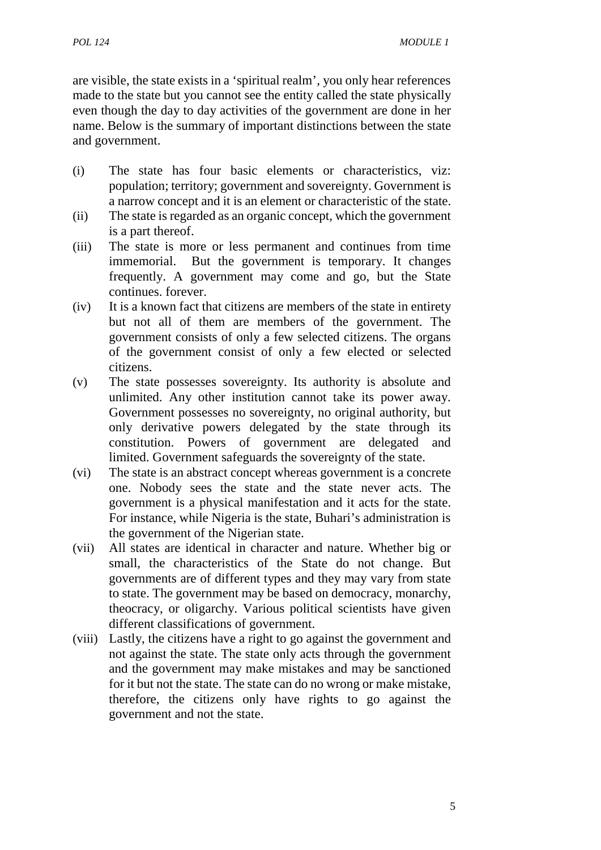are visible, the state exists in a 'spiritual realm', you only hear references made to the state but you cannot see the entity called the state physically even though the day to day activities of the government are done in her name. Below is the summary of important distinctions between the state and government.

- (i) The state has four basic elements or characteristics, viz: population; territory; government and sovereignty. Government is a narrow concept and it is an element or characteristic of the state.
- (ii) The state is regarded as an organic concept, which the government is a part thereof.
- (iii) The state is more or less permanent and continues from time immemorial. But the government is temporary. It changes frequently. A government may come and go, but the State continues. forever.
- (iv) It is a known fact that citizens are members of the state in entirety but not all of them are members of the government. The government consists of only a few selected citizens. The organs of the government consist of only a few elected or selected citizens.
- (v) The state possesses sovereignty. Its authority is absolute and unlimited. Any other institution cannot take its power away. Government possesses no sovereignty, no original authority, but only derivative powers delegated by the state through its constitution. Powers of government are delegated and limited. Government safeguards the sovereignty of the state.
- (vi) The state is an abstract concept whereas government is a concrete one. Nobody sees the state and the state never acts. The government is a physical manifestation and it acts for the state. For instance, while Nigeria is the state, Buhari's administration is the government of the Nigerian state.
- (vii) All states are identical in character and nature. Whether big or small, the characteristics of the State do not change. But governments are of different types and they may vary from state to state. The government may be based on democracy, monarchy, theocracy, or oligarchy. Various political scientists have given different classifications of government.
- (viii) Lastly, the citizens have a right to go against the government and not against the state. The state only acts through the government and the government may make mistakes and may be sanctioned for it but not the state. The state can do no wrong or make mistake, therefore, the citizens only have rights to go against the government and not the state.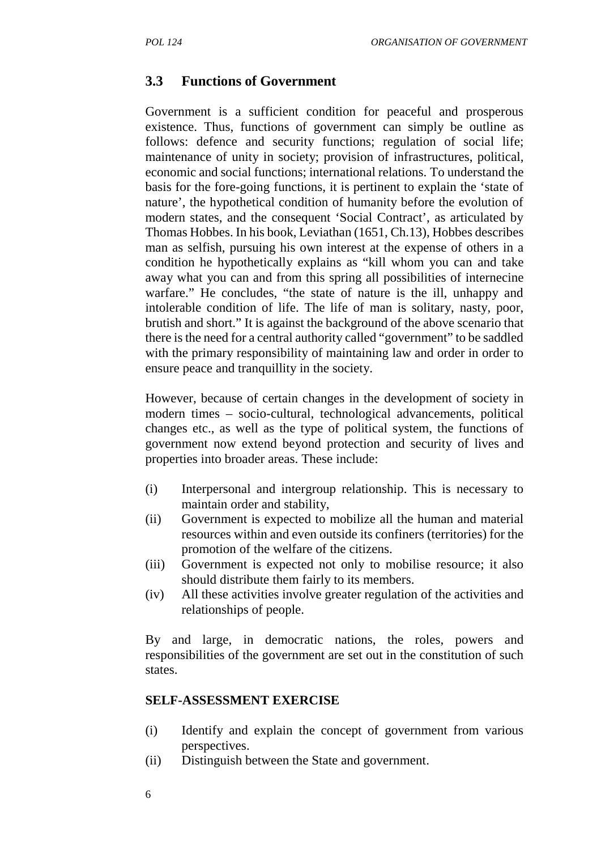#### **3.3 Functions of Government**

Government is a sufficient condition for peaceful and prosperous existence. Thus, functions of government can simply be outline as follows: defence and security functions; regulation of social life; maintenance of unity in society; provision of infrastructures, political, economic and social functions; international relations. To understand the basis for the fore-going functions, it is pertinent to explain the 'state of nature', the hypothetical condition of humanity before the evolution of modern states, and the consequent 'Social Contract', as articulated by Thomas Hobbes. In his book, Leviathan (1651, Ch.13), Hobbes describes man as selfish, pursuing his own interest at the expense of others in a condition he hypothetically explains as "kill whom you can and take away what you can and from this spring all possibilities of internecine warfare." He concludes, "the state of nature is the ill, unhappy and intolerable condition of life. The life of man is solitary, nasty, poor, brutish and short." It is against the background of the above scenario that there is the need for a central authority called "government" to be saddled with the primary responsibility of maintaining law and order in order to ensure peace and tranquillity in the society.

However, because of certain changes in the development of society in modern times – socio-cultural, technological advancements, political changes etc., as well as the type of political system, the functions of government now extend beyond protection and security of lives and properties into broader areas. These include:

- (i) Interpersonal and intergroup relationship. This is necessary to maintain order and stability,
- (ii) Government is expected to mobilize all the human and material resources within and even outside its confiners (territories) for the promotion of the welfare of the citizens.
- (iii) Government is expected not only to mobilise resource; it also should distribute them fairly to its members.
- (iv) All these activities involve greater regulation of the activities and relationships of people.

By and large, in democratic nations, the roles, powers and responsibilities of the government are set out in the constitution of such states.

#### **SELF-ASSESSMENT EXERCISE**

- (i) Identify and explain the concept of government from various perspectives.
- (ii) Distinguish between the State and government.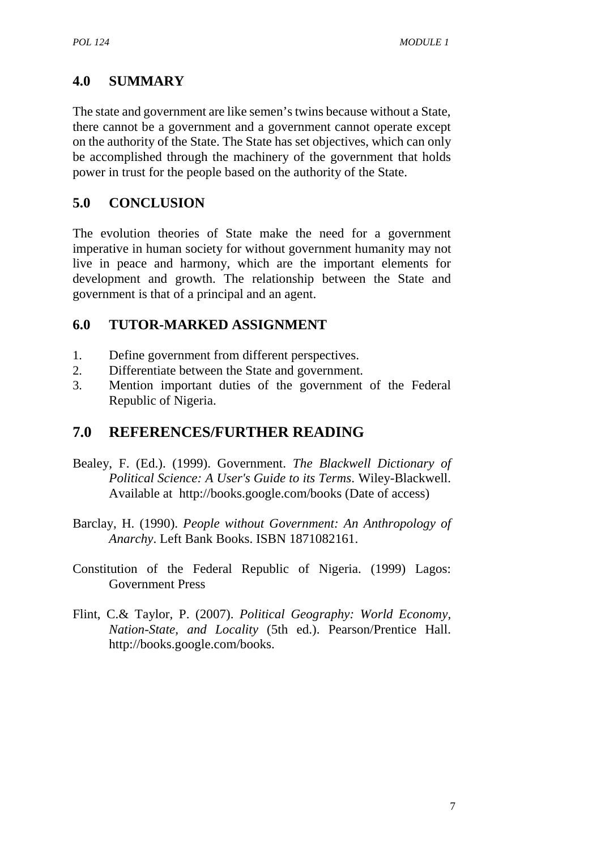# **4.0 SUMMARY**

The state and government are like semen's twins because without a State, there cannot be a government and a government cannot operate except on the authority of the State. The State has set objectives, which can only be accomplished through the machinery of the government that holds power in trust for the people based on the authority of the State.

# **5.0 CONCLUSION**

The evolution theories of State make the need for a government imperative in human society for without government humanity may not live in peace and harmony, which are the important elements for development and growth. The relationship between the State and government is that of a principal and an agent.

# **6.0 TUTOR-MARKED ASSIGNMENT**

- 1. Define government from different perspectives.
- 2. Differentiate between the State and government.
- 3. Mention important duties of the government of the Federal Republic of Nigeria.

# **7.0 REFERENCES/FURTHER READING**

- Bealey, F. (Ed.). (1999). Government. *The Blackwell Dictionary of Political Science: A User's Guide to its Terms*. Wiley-Blackwell. Available at http://books.google.com/books (Date of access)
- Barclay, H. (1990). *People without Government: An Anthropology of Anarchy*. Left Bank Books. ISBN 1871082161.
- Constitution of the Federal Republic of Nigeria. (1999) Lagos: Government Press
- Flint, C.& Taylor, P. (2007). *Political Geography: World Economy, Nation-State, and Locality* (5th ed.). Pearson/Prentice Hall. http://books.google.com/books.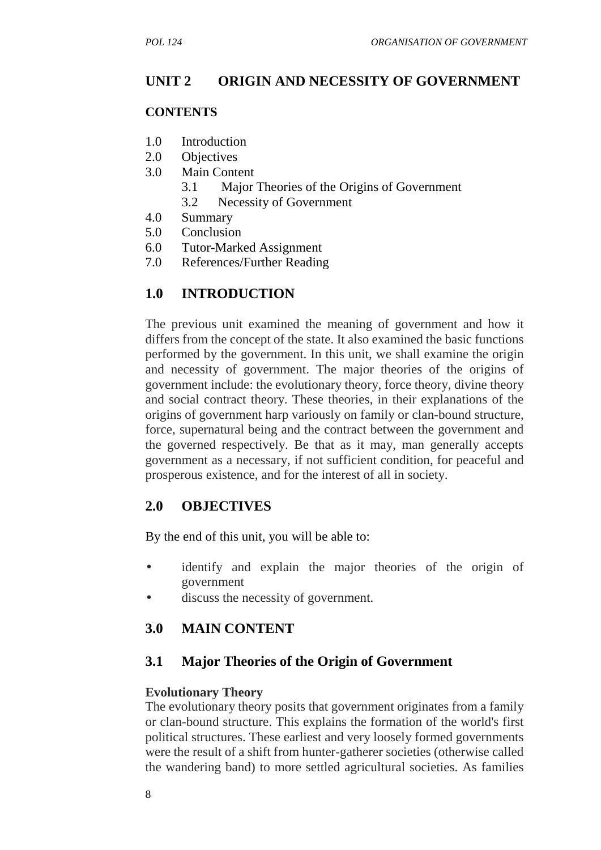## **UNIT 2 ORIGIN AND NECESSITY OF GOVERNMENT**

#### **CONTENTS**

- 1.0 Introduction
- 2.0 Objectives
- 3.0 Main Content
	- 3.1 Major Theories of the Origins of Government
	- 3.2 Necessity of Government
- 4.0 Summary
- 5.0 Conclusion
- 6.0 Tutor-Marked Assignment
- 7.0 References/Further Reading

#### **1.0 INTRODUCTION**

The previous unit examined the meaning of government and how it differs from the concept of the state. It also examined the basic functions performed by the government. In this unit, we shall examine the origin and necessity of government. The major theories of the origins of government include: the evolutionary theory, force theory, divine theory and social contract theory. These theories, in their explanations of the origins of government harp variously on family or clan-bound structure, force, supernatural being and the contract between the government and the governed respectively. Be that as it may, man generally accepts government as a necessary, if not sufficient condition, for peaceful and prosperous existence, and for the interest of all in society.

## **2.0 OBJECTIVES**

By the end of this unit, you will be able to:

- identify and explain the major theories of the origin of government
- discuss the necessity of government.

#### **3.0 MAIN CONTENT**

#### **3.1 Major Theories of the Origin of Government**

#### **Evolutionary Theory**

The evolutionary theory posits that government originates from a family or clan-bound structure. This explains the formation of the world's first political structures. These earliest and very loosely formed governments were the result of a shift from hunter-gatherer societies (otherwise called the wandering band) to more settled agricultural societies. As families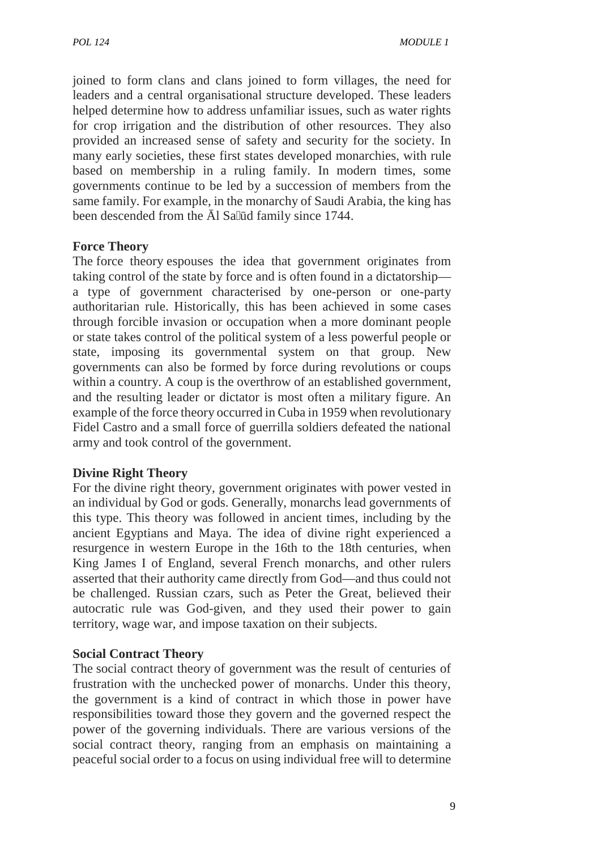joined to form clans and clans joined to form villages, the need for leaders and a central organisational structure developed. These leaders helped determine how to address unfamiliar issues, such as water rights for crop irrigation and the distribution of other resources. They also provided an increased sense of safety and security for the society. In many early societies, these first states developed monarchies, with rule based on membership in a ruling family. In modern times, some governments continue to be led by a succession of members from the same family. For example, in the monarchy of Saudi Arabia, the king has been descended from the 1 Sa d family since 1744.

## **Force Theory**

The force theory espouses the idea that government originates from taking control of the state by force and is often found in a dictatorship a type of government characterised by one-person or one-party authoritarian rule. Historically, this has been achieved in some cases through forcible invasion or occupation when a more dominant people or state takes control of the political system of a less powerful people or state, imposing its governmental system on that group. New governments can also be formed by force during revolutions or coups within a country. A coup is the overthrow of an established government, and the resulting leader or dictator is most often a military figure. An example of the force theory occurred in Cuba in 1959 when revolutionary Fidel Castro and a small force of guerrilla soldiers defeated the national army and took control of the government.

#### **Divine Right Theory**

For the divine right theory, government originates with power vested in an individual by God or gods. Generally, monarchs lead governments of this type. This theory was followed in ancient times, including by the ancient Egyptians and Maya. The idea of divine right experienced a resurgence in western Europe in the 16th to the 18th centuries, when King James I of England, several French monarchs, and other rulers asserted that their authority came directly from God—and thus could not be challenged. Russian czars, such as Peter the Great, believed their autocratic rule was God-given, and they used their power to gain territory, wage war, and impose taxation on their subjects.

#### **Social Contract Theory**

The social contract theory of government was the result of centuries of frustration with the unchecked power of monarchs. Under this theory, the government is a kind of contract in which those in power have responsibilities toward those they govern and the governed respect the power of the governing individuals. There are various versions of the social contract theory, ranging from an emphasis on maintaining a peaceful social order to a focus on using individual free will to determine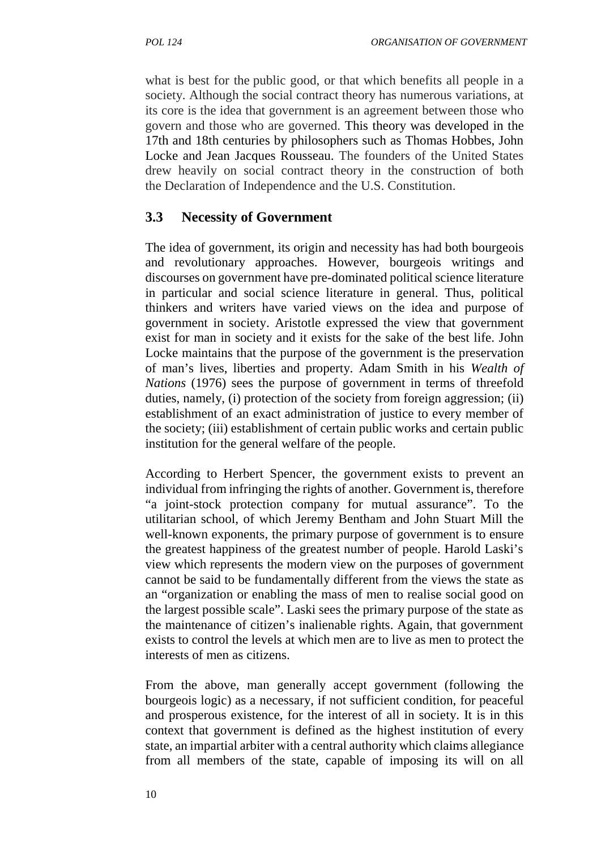what is best for the public good, or that which benefits all people in a society. Although the social contract theory has numerous variations, at its core is the idea that government is an agreement between those who govern and those who are governed. This theory was developed in the 17th and 18th centuries by philosophers such as Thomas Hobbes, John Locke and Jean Jacques Rousseau. The founders of the United States drew heavily on social contract theory in the construction of both the Declaration of Independence and the U.S. Constitution.

# **3.3 Necessity of Government**

The idea of government, its origin and necessity has had both bourgeois and revolutionary approaches. However, bourgeois writings and discourses on government have pre-dominated political science literature in particular and social science literature in general. Thus, political thinkers and writers have varied views on the idea and purpose of government in society. Aristotle expressed the view that government exist for man in society and it exists for the sake of the best life. John Locke maintains that the purpose of the government is the preservation of man's lives, liberties and property. Adam Smith in his *Wealth of Nations* (1976) sees the purpose of government in terms of threefold duties, namely, (i) protection of the society from foreign aggression; (ii) establishment of an exact administration of justice to every member of the society; (iii) establishment of certain public works and certain public institution for the general welfare of the people.

According to Herbert Spencer, the government exists to prevent an individual from infringing the rights of another. Government is, therefore "a joint-stock protection company for mutual assurance". To the utilitarian school, of which Jeremy Bentham and John Stuart Mill the well-known exponents, the primary purpose of government is to ensure the greatest happiness of the greatest number of people. Harold Laski's view which represents the modern view on the purposes of government cannot be said to be fundamentally different from the views the state as an "organization or enabling the mass of men to realise social good on the largest possible scale". Laski sees the primary purpose of the state as the maintenance of citizen's inalienable rights. Again, that government exists to control the levels at which men are to live as men to protect the interests of men as citizens.

From the above, man generally accept government (following the bourgeois logic) as a necessary, if not sufficient condition, for peaceful and prosperous existence, for the interest of all in society. It is in this context that government is defined as the highest institution of every state, an impartial arbiter with a central authority which claims allegiance from all members of the state, capable of imposing its will on all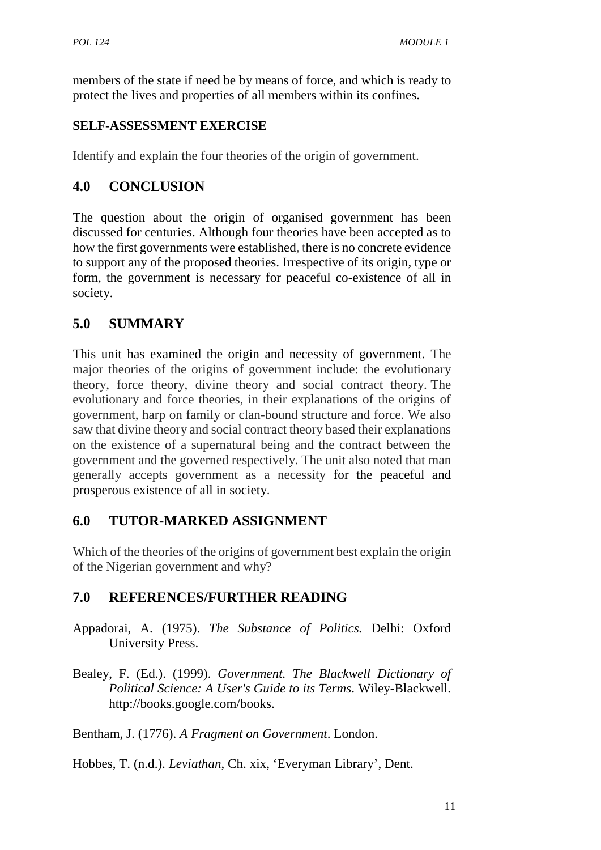members of the state if need be by means of force, and which is ready to protect the lives and properties of all members within its confines.

# **SELF-ASSESSMENT EXERCISE**

Identify and explain the four theories of the origin of government.

# **4.0 CONCLUSION**

The question about the origin of organised government has been discussed for centuries. Although four theories have been accepted as to how the first governments were established, there is no concrete evidence to support any of the proposed theories. Irrespective of its origin, type or form, the government is necessary for peaceful co-existence of all in society.

# **5.0 SUMMARY**

This unit has examined the origin and necessity of government. The major theories of the origins of government include: the evolutionary theory, force theory, divine theory and social contract theory. The evolutionary and force theories, in their explanations of the origins of government, harp on family or clan-bound structure and force. We also saw that divine theory and social contract theory based their explanations on the existence of a supernatural being and the contract between the government and the governed respectively. The unit also noted that man generally accepts government as a necessity for the peaceful and prosperous existence of all in society.

# **6.0 TUTOR-MARKED ASSIGNMENT**

Which of the theories of the origins of government best explain the origin of the Nigerian government and why?

# **7.0 REFERENCES/FURTHER READING**

- Appadorai, A. (1975). *The Substance of Politics.* Delhi: Oxford University Press.
- Bealey, F. (Ed.). (1999). *Government. The Blackwell Dictionary of Political Science: A User's Guide to its Terms*. Wiley-Blackwell. http://books.google.com/books.

Bentham, J. (1776). *A Fragment on Government*. London.

Hobbes, T. (n.d.). *Leviathan*, Ch. xix, 'Everyman Library', Dent.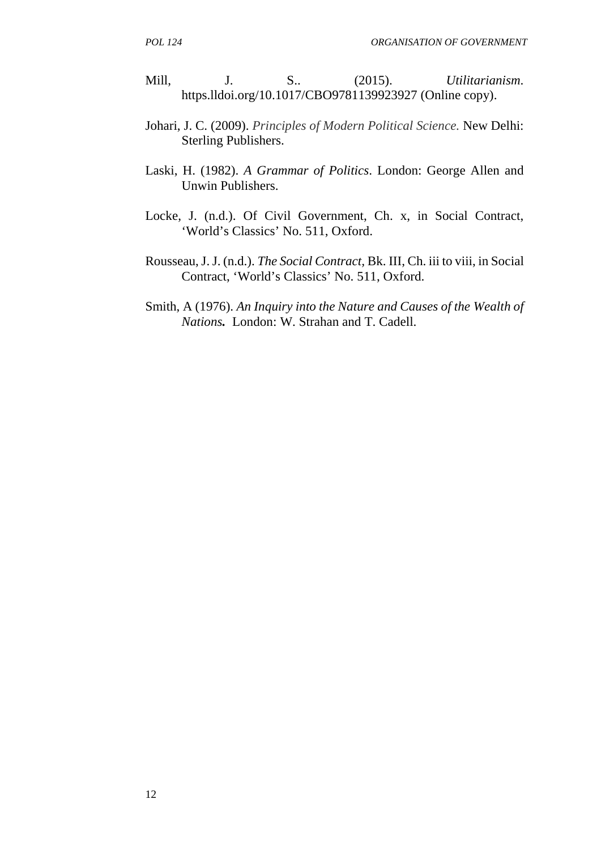- Mill, J. S.. (2015). *Utilitarianism*. https.lldoi.org/10.1017/CBO9781139923927 (Online copy).
- Johari, J. C. (2009). *Principles of Modern Political Science.* New Delhi: Sterling Publishers.
- Laski, H. (1982). *A Grammar of Politics*. London: George Allen and Unwin Publishers.
- Locke, J. (n.d.). Of Civil Government, Ch. x, in Social Contract, 'World's Classics' No. 511, Oxford.
- Rousseau, J. J. (n.d.). *The Social Contract,* Bk. III, Ch. iii to viii, in Social Contract, 'World's Classics' No. 511, Oxford.
- Smith, A (1976). *An Inquiry into the Nature and Causes of the Wealth of Nations.* London: W. Strahan and T. Cadell.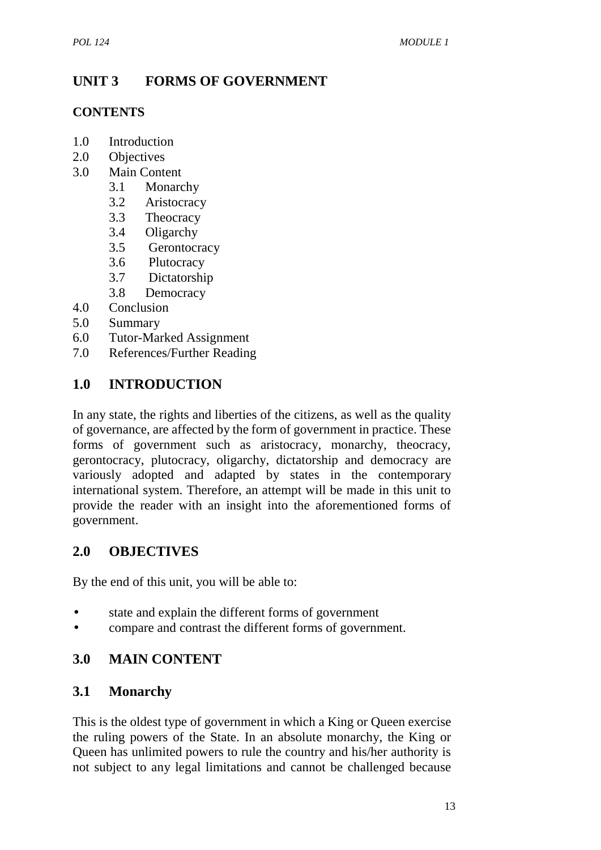# **UNIT 3 FORMS OF GOVERNMENT**

# **CONTENTS**

- 1.0 Introduction
- 2.0 Objectives
- 3.0 Main Content
	- 3.1 Monarchy
	- 3.2 Aristocracy
	- 3.3 Theocracy
	- 3.4 Oligarchy
	- 3.5 Gerontocracy
	- 3.6 Plutocracy
	- 3.7 Dictatorship
	- 3.8 Democracy
- 4.0 Conclusion
- 5.0 Summary
- 6.0 Tutor-Marked Assignment
- 7.0 References/Further Reading

# **1.0 INTRODUCTION**

In any state, the rights and liberties of the citizens, as well as the quality of governance, are affected by the form of government in practice. These forms of government such as aristocracy, monarchy, theocracy, gerontocracy, plutocracy, oligarchy, dictatorship and democracy are variously adopted and adapted by states in the contemporary international system. Therefore, an attempt will be made in this unit to provide the reader with an insight into the aforementioned forms of government.

# **2.0 OBJECTIVES**

By the end of this unit, you will be able to:

- state and explain the different forms of government
- compare and contrast the different forms of government.

# **3.0 MAIN CONTENT**

# **3.1 Monarchy**

This is the oldest type of government in which a King or Queen exercise the ruling powers of the State. In an absolute monarchy, the King or Queen has unlimited powers to rule the country and his/her authority is not subject to any legal limitations and cannot be challenged because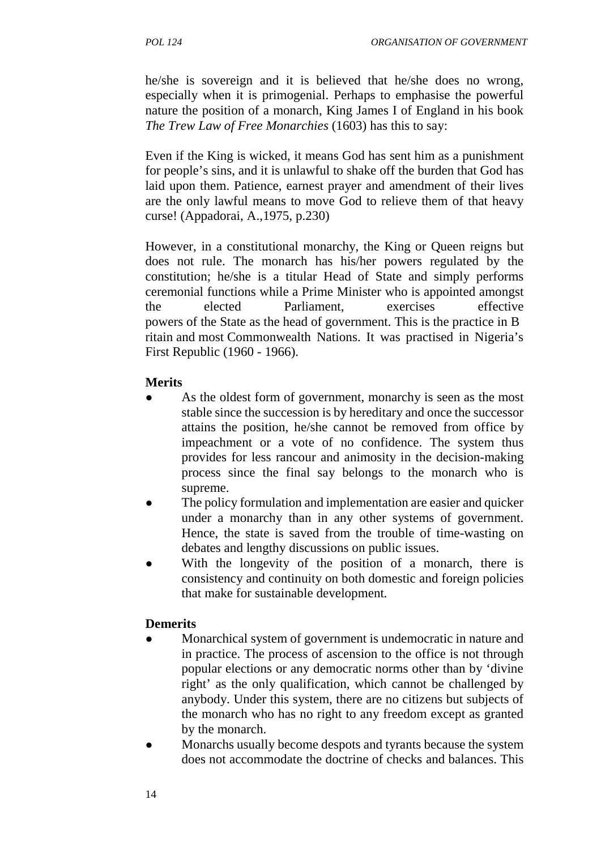he/she is sovereign and it is believed that he/she does no wrong, especially when it is primogenial. Perhaps to emphasise the powerful nature the position of a monarch, King James I of England in his book *The Trew Law of Free Monarchies* (1603) has this to say:

Even if the King is wicked, it means God has sent him as a punishment for people's sins, and it is unlawful to shake off the burden that God has laid upon them. Patience, earnest prayer and amendment of their lives are the only lawful means to move God to relieve them of that heavy curse! (Appadorai, A.,1975, p.230)

However, in a constitutional monarchy, the King or Queen reigns but does not rule. The monarch has his/her powers regulated by the constitution; he/she is a titular Head of State and simply performs ceremonial functions while a Prime Minister who is appointed amongst the elected Parliament, exercises effective powers of the State as the head of government. This is the practice in B ritain and most Commonwealth Nations. It was practised in Nigeria's First Republic (1960 - 1966).

## **Merits**

- As the oldest form of government, monarchy is seen as the most stable since the succession is by hereditary and once the successor attains the position, he/she cannot be removed from office by impeachment or a vote of no confidence. The system thus provides for less rancour and animosity in the decision-making process since the final say belongs to the monarch who is supreme.
- The policy formulation and implementation are easier and quicker under a monarchy than in any other systems of government. Hence, the state is saved from the trouble of time-wasting on debates and lengthy discussions on public issues.
- With the longevity of the position of a monarch, there is consistency and continuity on both domestic and foreign policies that make for sustainable development*.*

#### **Demerits**

- Monarchical system of government is undemocratic in nature and in practice. The process of ascension to the office is not through popular elections or any democratic norms other than by 'divine right' as the only qualification, which cannot be challenged by anybody. Under this system, there are no citizens but subjects of the monarch who has no right to any freedom except as granted by the monarch.
- Monarchs usually become despots and tyrants because the system does not accommodate the doctrine of checks and balances. This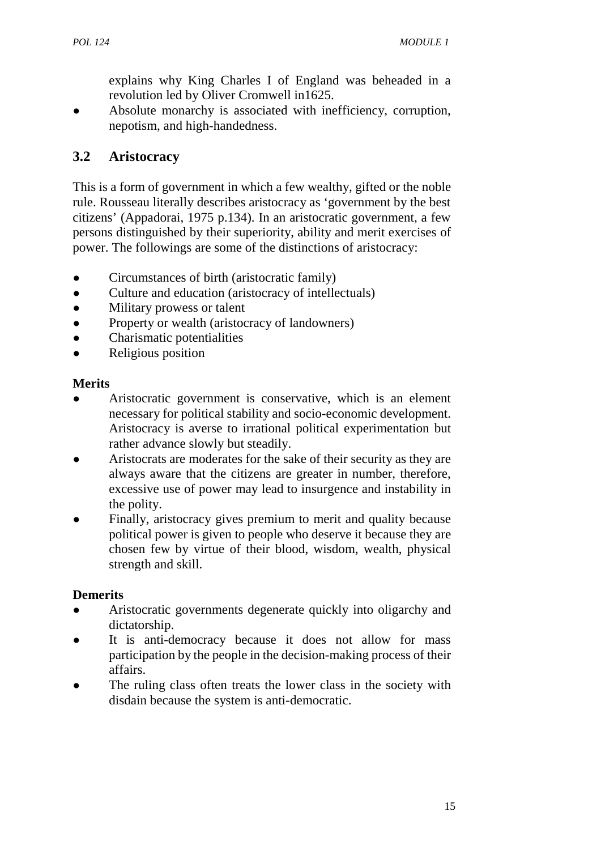explains why King Charles I of England was beheaded in a revolution led by Oliver Cromwell in1625.

Absolute monarchy is associated with inefficiency, corruption, nepotism, and high-handedness.

# **3.2 Aristocracy**

This is a form of government in which a few wealthy, gifted or the noble rule. Rousseau literally describes aristocracy as 'government by the best citizens' (Appadorai, 1975 p.134). In an aristocratic government, a few persons distinguished by their superiority, ability and merit exercises of power. The followings are some of the distinctions of aristocracy:

- Circumstances of birth (aristocratic family)
- Culture and education (aristocracy of intellectuals)
- Military prowess or talent
- Property or wealth (aristocracy of landowners)
- Charismatic potentialities
- Religious position

#### **Merits**

- Aristocratic government is conservative, which is an element necessary for political stability and socio-economic development. Aristocracy is averse to irrational political experimentation but rather advance slowly but steadily.
- Aristocrats are moderates for the sake of their security as they are always aware that the citizens are greater in number, therefore, excessive use of power may lead to insurgence and instability in the polity.
- Finally, aristocracy gives premium to merit and quality because political power is given to people who deserve it because they are chosen few by virtue of their blood, wisdom, wealth, physical strength and skill.

# **Demerits**

- Aristocratic governments degenerate quickly into oligarchy and dictatorship.
- It is anti-democracy because it does not allow for mass participation by the people in the decision-making process of their affairs.
- The ruling class often treats the lower class in the society with disdain because the system is anti-democratic.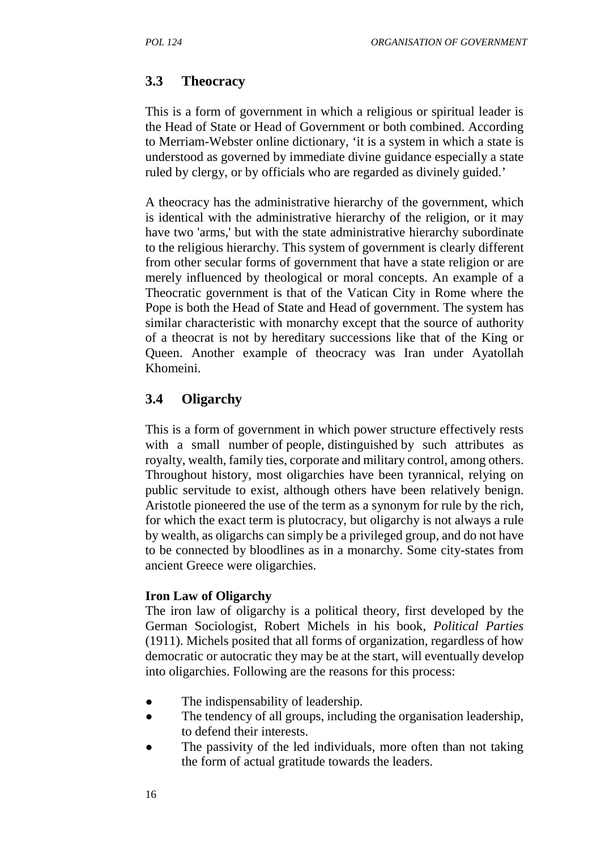## **3.3 Theocracy**

This is a form of government in which a religious or spiritual leader is the Head of State or Head of Government or both combined. According to Merriam-Webster online dictionary, 'it is a system in which a state is understood as governed by immediate divine guidance especially a state ruled by clergy, or by officials who are regarded as divinely guided.'

A theocracy has the administrative hierarchy of the government, which is identical with the administrative hierarchy of the religion, or it may have two 'arms,' but with the state administrative hierarchy subordinate to the religious hierarchy. This system of government is clearly different from other secular forms of government that have a state religion or are merely influenced by theological or moral concepts. An example of a Theocratic government is that of the Vatican City in Rome where the Pope is both the Head of State and Head of government. The system has similar characteristic with monarchy except that the source of authority of a theocrat is not by hereditary successions like that of the King or Queen. Another example of theocracy was Iran under Ayatollah Khomeini.

# **3.4 Oligarchy**

This is a form of government in which power structure effectively rests with a small number of people, distinguished by such attributes as royalty, wealth, family ties, corporate and military control, among others. Throughout history, most oligarchies have been tyrannical, relying on public servitude to exist, although others have been relatively benign. Aristotle pioneered the use of the term as a synonym for rule by the rich, for which the exact term is plutocracy, but oligarchy is not always a rule by wealth, as oligarchs can simply be a privileged group, and do not have to be connected by bloodlines as in a monarchy. Some city-states from ancient Greece were oligarchies.

#### **Iron Law of Oligarchy**

The iron law of oligarchy is a political theory, first developed by the German Sociologist, Robert Michels in his book, *Political Parties* (1911). Michels posited that all forms of organization, regardless of how democratic or autocratic they may be at the start, will eventually develop into oligarchies. Following are the reasons for this process:

- The indispensability of leadership.
- The tendency of all groups, including the organisation leadership, to defend their interests.
- The passivity of the led individuals, more often than not taking the form of actual gratitude towards the leaders.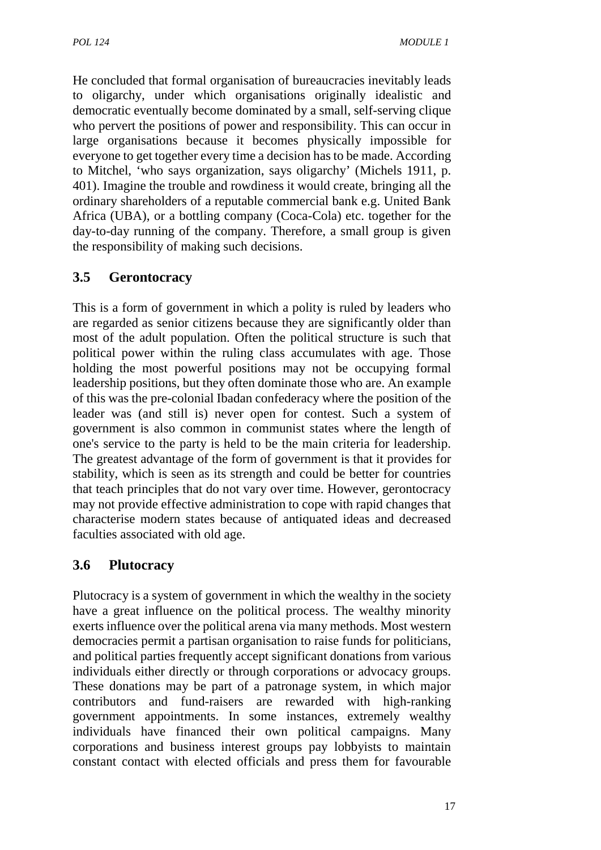He concluded that formal organisation of bureaucracies inevitably leads to oligarchy, under which organisations originally idealistic and democratic eventually become dominated by a small, self-serving clique who pervert the positions of power and responsibility. This can occur in large organisations because it becomes physically impossible for everyone to get together every time a decision has to be made. According to Mitchel, 'who says organization, says oligarchy' (Michels 1911, p. 401). Imagine the trouble and rowdiness it would create, bringing all the ordinary shareholders of a reputable commercial bank e.g. United Bank Africa (UBA), or a bottling company (Coca-Cola) etc. together for the day-to-day running of the company. Therefore, a small group is given the responsibility of making such decisions.

# **3.5 Gerontocracy**

This is a form of government in which a polity is ruled by leaders who are regarded as senior citizens because they are significantly older than most of the adult population. Often the political structure is such that political power within the ruling class accumulates with age. Those holding the most powerful positions may not be occupying formal leadership positions, but they often dominate those who are. An example of this was the pre-colonial Ibadan confederacy where the position of the leader was (and still is) never open for contest. Such a system of government is also common in communist states where the length of one's service to the party is held to be the main criteria for leadership. The greatest advantage of the form of government is that it provides for stability, which is seen as its strength and could be better for countries that teach principles that do not vary over time. However, gerontocracy may not provide effective administration to cope with rapid changes that characterise modern states because of antiquated ideas and decreased faculties associated with old age.

# **3.6 Plutocracy**

Plutocracy is a system of government in which the wealthy in the society have a great influence on the political process. The wealthy minority exerts influence over the political arena via many methods. Most western democracies permit a partisan organisation to raise funds for politicians, and political parties frequently accept significant donations from various individuals either directly or through corporations or advocacy groups. These donations may be part of a patronage system, in which major contributors and fund-raisers are rewarded with high-ranking government appointments. In some instances, extremely wealthy individuals have financed their own political campaigns. Many corporations and business interest groups pay lobbyists to maintain constant contact with elected officials and press them for favourable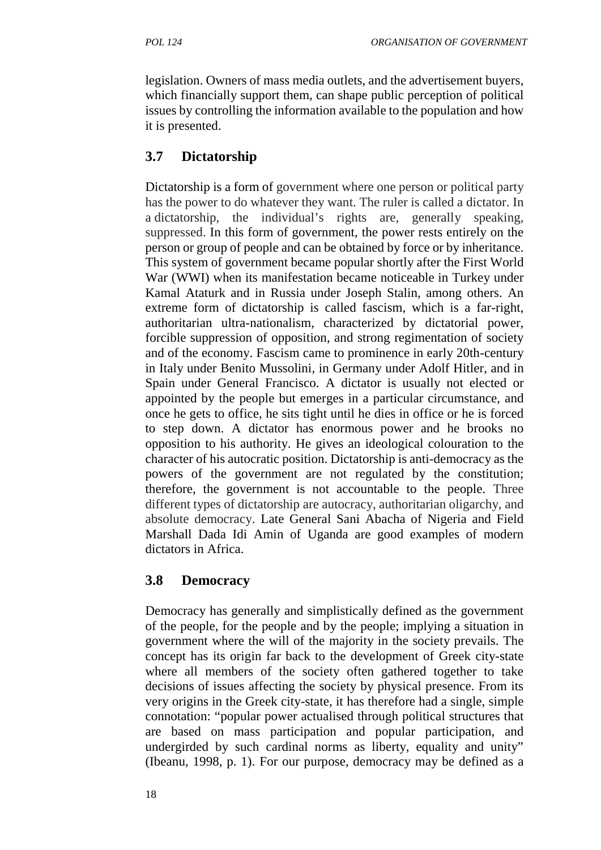legislation. Owners of mass media outlets, and the advertisement buyers, which financially support them, can shape public perception of political issues by controlling the information available to the population and how it is presented.

# **3.7 Dictatorship**

Dictatorship is a form of government where one person or political party has the power to do whatever they want. The ruler is called a dictator. In a dictatorship, the individual's rights are, generally speaking, suppressed. In this form of government, the power rests entirely on the person or group of people and can be obtained by force or by inheritance. This system of government became popular shortly after the First World War (WWI) when its manifestation became noticeable in Turkey under Kamal Ataturk and in Russia under Joseph Stalin, among others. An extreme form of dictatorship is called fascism, which is a far-right, authoritarian ultra-nationalism, characterized by dictatorial power, forcible suppression of opposition, and strong regimentation of society and of the economy. Fascism came to prominence in early 20th-century in Italy under Benito Mussolini, in Germany under Adolf Hitler, and in Spain under General Francisco. A dictator is usually not elected or appointed by the people but emerges in a particular circumstance, and once he gets to office, he sits tight until he dies in office or he is forced to step down. A dictator has enormous power and he brooks no opposition to his authority. He gives an ideological colouration to the character of his autocratic position. Dictatorship is anti-democracy as the powers of the government are not regulated by the constitution; therefore, the government is not accountable to the people. Three different types of dictatorship are autocracy, authoritarian oligarchy, and absolute democracy. Late General Sani Abacha of Nigeria and Field Marshall Dada Idi Amin of Uganda are good examples of modern dictators in Africa.

# **3.8 Democracy**

Democracy has generally and simplistically defined as the government of the people, for the people and by the people; implying a situation in government where the will of the majority in the society prevails. The concept has its origin far back to the development of Greek city-state where all members of the society often gathered together to take decisions of issues affecting the society by physical presence. From its very origins in the Greek city-state, it has therefore had a single, simple connotation: "popular power actualised through political structures that are based on mass participation and popular participation, and undergirded by such cardinal norms as liberty, equality and unity" (Ibeanu, 1998, p. 1). For our purpose, democracy may be defined as a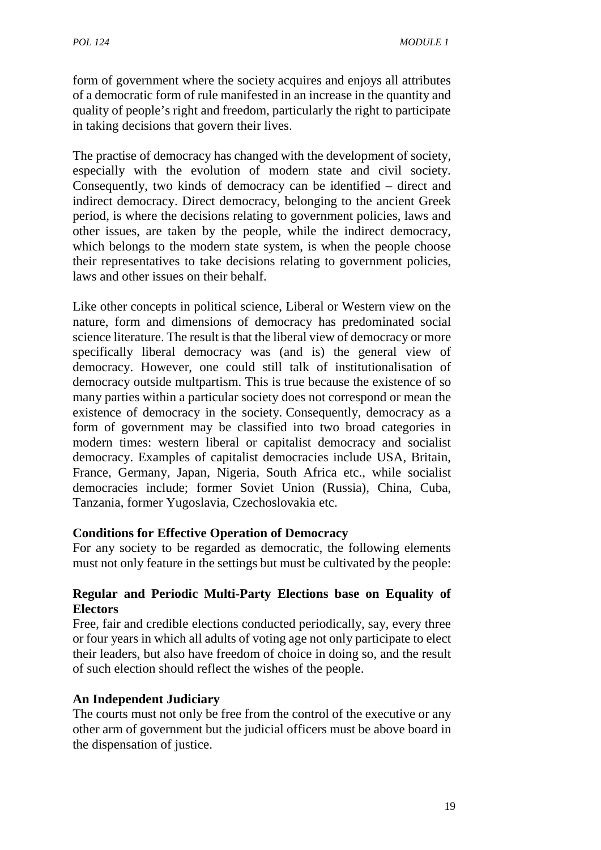form of government where the society acquires and enjoys all attributes of a democratic form of rule manifested in an increase in the quantity and quality of people's right and freedom, particularly the right to participate in taking decisions that govern their lives.

The practise of democracy has changed with the development of society, especially with the evolution of modern state and civil society. Consequently, two kinds of democracy can be identified – direct and indirect democracy. Direct democracy, belonging to the ancient Greek period, is where the decisions relating to government policies, laws and other issues, are taken by the people, while the indirect democracy, which belongs to the modern state system, is when the people choose their representatives to take decisions relating to government policies, laws and other issues on their behalf.

Like other concepts in political science, Liberal or Western view on the nature, form and dimensions of democracy has predominated social science literature. The result is that the liberal view of democracy or more specifically liberal democracy was (and is) the general view of democracy. However, one could still talk of institutionalisation of democracy outside multpartism. This is true because the existence of so many parties within a particular society does not correspond or mean the existence of democracy in the society. Consequently, democracy as a form of government may be classified into two broad categories in modern times: western liberal or capitalist democracy and socialist democracy. Examples of capitalist democracies include USA, Britain, France, Germany, Japan, Nigeria, South Africa etc., while socialist democracies include; former Soviet Union (Russia), China, Cuba, Tanzania, former Yugoslavia, Czechoslovakia etc.

#### **Conditions for Effective Operation of Democracy**

For any society to be regarded as democratic, the following elements must not only feature in the settings but must be cultivated by the people:

## **Regular and Periodic Multi-Party Elections base on Equality of Electors**

Free, fair and credible elections conducted periodically, say, every three or four years in which all adults of voting age not only participate to elect their leaders, but also have freedom of choice in doing so, and the result of such election should reflect the wishes of the people.

# **An Independent Judiciary**

The courts must not only be free from the control of the executive or any other arm of government but the judicial officers must be above board in the dispensation of justice.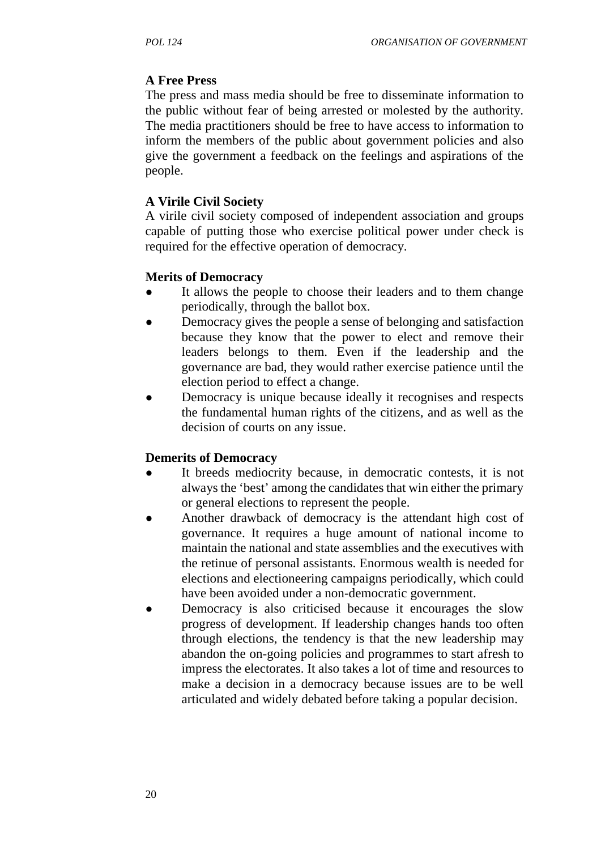# **A Free Press**

The press and mass media should be free to disseminate information to the public without fear of being arrested or molested by the authority. The media practitioners should be free to have access to information to inform the members of the public about government policies and also give the government a feedback on the feelings and aspirations of the people.

### **A Virile Civil Society**

A virile civil society composed of independent association and groups capable of putting those who exercise political power under check is required for the effective operation of democracy.

### **Merits of Democracy**

- It allows the people to choose their leaders and to them change periodically, through the ballot box.
- Democracy gives the people a sense of belonging and satisfaction because they know that the power to elect and remove their leaders belongs to them. Even if the leadership and the governance are bad, they would rather exercise patience until the election period to effect a change.
- Democracy is unique because ideally it recognises and respects the fundamental human rights of the citizens, and as well as the decision of courts on any issue.

## **Demerits of Democracy**

- It breeds mediocrity because, in democratic contests, it is not always the 'best' among the candidates that win either the primary or general elections to represent the people.
- Another drawback of democracy is the attendant high cost of governance. It requires a huge amount of national income to maintain the national and state assemblies and the executives with the retinue of personal assistants. Enormous wealth is needed for elections and electioneering campaigns periodically, which could have been avoided under a non-democratic government.
- Democracy is also criticised because it encourages the slow progress of development. If leadership changes hands too often through elections, the tendency is that the new leadership may abandon the on-going policies and programmes to start afresh to impress the electorates. It also takes a lot of time and resources to make a decision in a democracy because issues are to be well articulated and widely debated before taking a popular decision.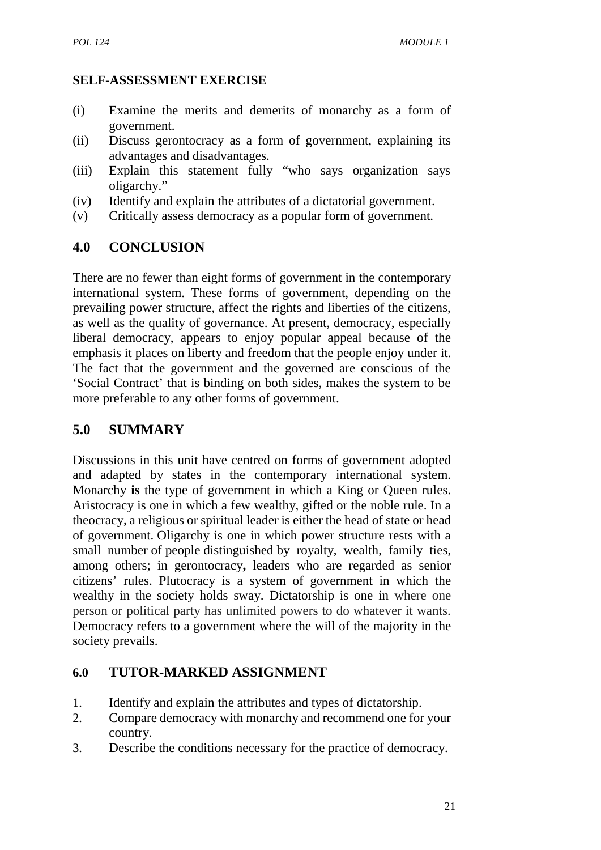### **SELF-ASSESSMENT EXERCISE**

- (i) Examine the merits and demerits of monarchy as a form of government.
- (ii) Discuss gerontocracy as a form of government, explaining its advantages and disadvantages.
- (iii) Explain this statement fully "who says organization says oligarchy."
- (iv) Identify and explain the attributes of a dictatorial government.
- (v) Critically assess democracy as a popular form of government.

# **4.0 CONCLUSION**

There are no fewer than eight forms of government in the contemporary international system. These forms of government, depending on the prevailing power structure, affect the rights and liberties of the citizens, as well as the quality of governance. At present, democracy, especially liberal democracy, appears to enjoy popular appeal because of the emphasis it places on liberty and freedom that the people enjoy under it. The fact that the government and the governed are conscious of the 'Social Contract' that is binding on both sides, makes the system to be more preferable to any other forms of government.

# **5.0 SUMMARY**

Discussions in this unit have centred on forms of government adopted and adapted by states in the contemporary international system. Monarchy **is** the type of government in which a King or Queen rules. Aristocracy is one in which a few wealthy, gifted or the noble rule. In a theocracy, a religious or spiritual leader is either the head of state or head of government. Oligarchy is one in which power structure rests with a small number of people distinguished by royalty, wealth, family ties, among others; in gerontocracy**,** leaders who are regarded as senior citizens' rules. Plutocracy is a system of government in which the wealthy in the society holds sway. Dictatorship is one in where one person or political party has unlimited powers to do whatever it wants. Democracy refers to a government where the will of the majority in the society prevails.

## **6.0 TUTOR-MARKED ASSIGNMENT**

- 1. Identify and explain the attributes and types of dictatorship.
- 2. Compare democracy with monarchy and recommend one for your country.
- 3. Describe the conditions necessary for the practice of democracy.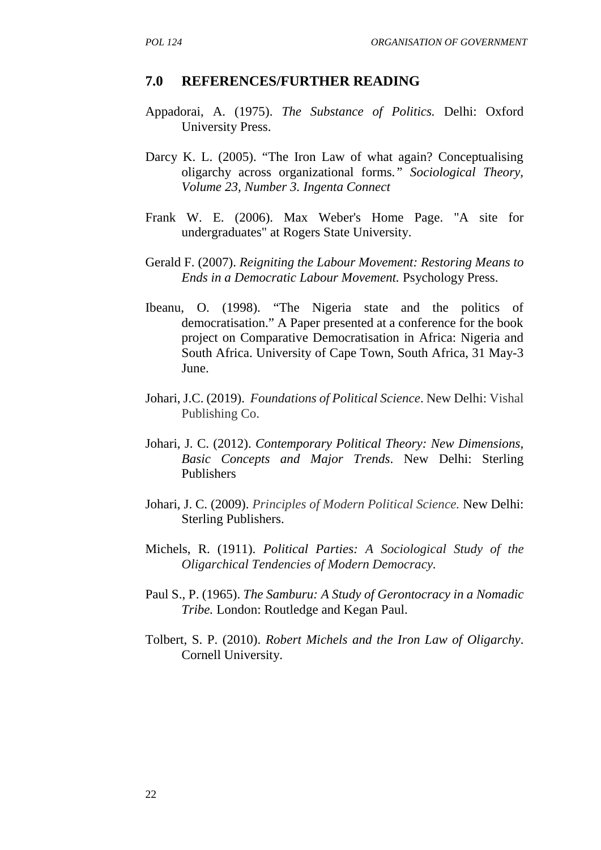#### **7.0 REFERENCES/FURTHER READING**

- Appadorai, A. (1975). *The Substance of Politics.* Delhi: Oxford University Press.
- Darcy K. L. (2005). "The Iron Law of what again? Conceptualising oligarchy across organizational forms*." Sociological Theory, Volume 23, Number 3. Ingenta Connect*
- Frank W. E. (2006). Max Weber's Home Page. "A site for undergraduates" at Rogers State University.
- Gerald F. (2007). *Reigniting the Labour Movement: Restoring Means to Ends in a Democratic Labour Movement.* Psychology Press.
- Ibeanu, O. (1998). "The Nigeria state and the politics of democratisation." A Paper presented at a conference for the book project on Comparative Democratisation in Africa: Nigeria and South Africa. University of Cape Town, South Africa, 31 May-3 June.
- Johari, J.C. (2019). *Foundations of Political Science*. New Delhi: Vishal Publishing Co.
- Johari, J. C. (2012). *Contemporary Political Theory: New Dimensions, Basic Concepts and Major Trends*. New Delhi: Sterling Publishers
- Johari, J. C. (2009). *Principles of Modern Political Science.* New Delhi: Sterling Publishers.
- Michels, R. (1911). *Political Parties: A Sociological Study of the Oligarchical Tendencies of Modern Democracy.*
- Paul S., P. (1965). *The Samburu: A Study of Gerontocracy in a Nomadic Tribe.* London: Routledge and Kegan Paul.
- Tolbert, S. P. (2010). *Robert Michels and the Iron Law of Oligarchy*. Cornell University.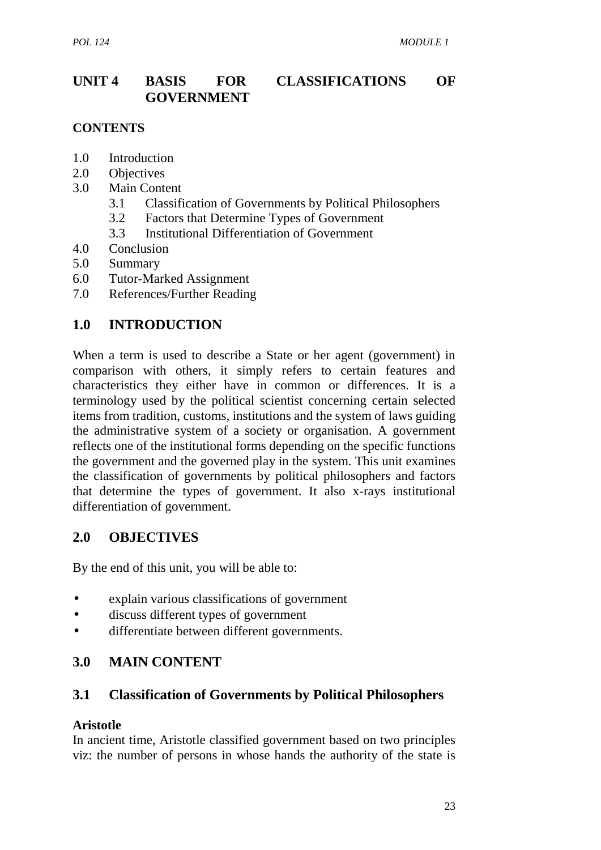# **UNIT 4 BASIS FOR CLASSIFICATIONS OF GOVERNMENT**

### **CONTENTS**

- 1.0 Introduction
- 2.0 Objectives
- 3.0 Main Content
	- 3.1 Classification of Governments by Political Philosophers
	- 3.2 Factors that Determine Types of Government
	- 3.3 Institutional Differentiation of Government
- 4.0 Conclusion
- 5.0 Summary
- 6.0 Tutor-Marked Assignment
- 7.0 References/Further Reading

# **1.0 INTRODUCTION**

When a term is used to describe a State or her agent (government) in comparison with others, it simply refers to certain features and characteristics they either have in common or differences. It is a terminology used by the political scientist concerning certain selected items from tradition, customs, institutions and the system of laws guiding the administrative system of a society or organisation. A government reflects one of the institutional forms depending on the specific functions the government and the governed play in the system. This unit examines the classification of governments by political philosophers and factors that determine the types of government. It also x-rays institutional differentiation of government.

# **2.0 OBJECTIVES**

By the end of this unit, you will be able to:

- explain various classifications of government
- discuss different types of government
- differentiate between different governments.

# **3.0 MAIN CONTENT**

## **3.1 Classification of Governments by Political Philosophers**

### **Aristotle**

In ancient time, Aristotle classified government based on two principles viz: the number of persons in whose hands the authority of the state is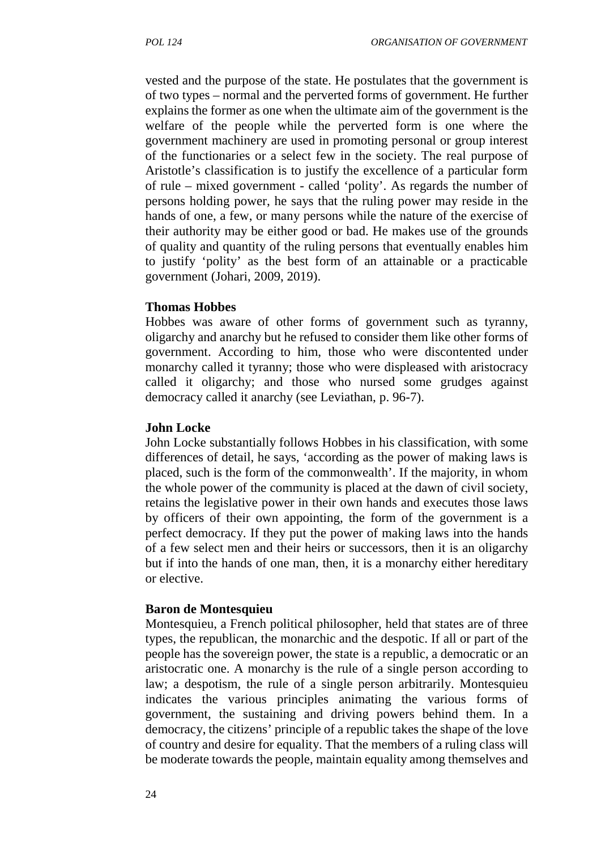vested and the purpose of the state. He postulates that the government is of two types – normal and the perverted forms of government. He further explains the former as one when the ultimate aim of the government is the welfare of the people while the perverted form is one where the government machinery are used in promoting personal or group interest of the functionaries or a select few in the society. The real purpose of Aristotle's classification is to justify the excellence of a particular form of rule – mixed government - called 'polity'. As regards the number of persons holding power, he says that the ruling power may reside in the hands of one, a few, or many persons while the nature of the exercise of their authority may be either good or bad. He makes use of the grounds of quality and quantity of the ruling persons that eventually enables him to justify 'polity' as the best form of an attainable or a practicable government (Johari, 2009, 2019).

#### **Thomas Hobbes**

Hobbes was aware of other forms of government such as tyranny, oligarchy and anarchy but he refused to consider them like other forms of government. According to him, those who were discontented under monarchy called it tyranny; those who were displeased with aristocracy called it oligarchy; and those who nursed some grudges against democracy called it anarchy (see Leviathan, p. 96-7).

#### **John Locke**

John Locke substantially follows Hobbes in his classification, with some differences of detail, he says, 'according as the power of making laws is placed, such is the form of the commonwealth'. If the majority, in whom the whole power of the community is placed at the dawn of civil society, retains the legislative power in their own hands and executes those laws by officers of their own appointing, the form of the government is a perfect democracy. If they put the power of making laws into the hands of a few select men and their heirs or successors, then it is an oligarchy but if into the hands of one man, then, it is a monarchy either hereditary or elective.

#### **Baron de Montesquieu**

Montesquieu, a French political philosopher, held that states are of three types, the republican, the monarchic and the despotic. If all or part of the people has the sovereign power, the state is a republic, a democratic or an aristocratic one. A monarchy is the rule of a single person according to law; a despotism, the rule of a single person arbitrarily. Montesquieu indicates the various principles animating the various forms of government, the sustaining and driving powers behind them. In a democracy, the citizens' principle of a republic takes the shape of the love of country and desire for equality. That the members of a ruling class will be moderate towards the people, maintain equality among themselves and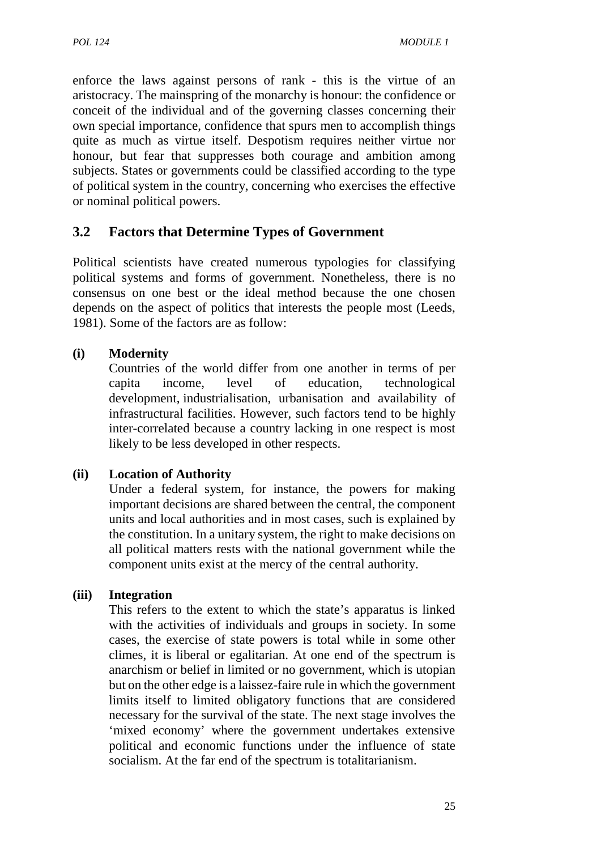enforce the laws against persons of rank - this is the virtue of an aristocracy. The mainspring of the monarchy is honour: the confidence or conceit of the individual and of the governing classes concerning their own special importance, confidence that spurs men to accomplish things quite as much as virtue itself. Despotism requires neither virtue nor honour, but fear that suppresses both courage and ambition among subjects. States or governments could be classified according to the type of political system in the country, concerning who exercises the effective or nominal political powers.

# **3.2 Factors that Determine Types of Government**

Political scientists have created numerous typologies for classifying political systems and forms of government. Nonetheless, there is no consensus on one best or the ideal method because the one chosen depends on the aspect of politics that interests the people most (Leeds, 1981). Some of the factors are as follow:

## **(i) Modernity**

Countries of the world differ from one another in terms of per capita income, level of education, technological development, industrialisation, urbanisation and availability of infrastructural facilities. However, such factors tend to be highly inter-correlated because a country lacking in one respect is most likely to be less developed in other respects.

## **(ii) Location of Authority**

Under a federal system, for instance, the powers for making important decisions are shared between the central, the component units and local authorities and in most cases, such is explained by the constitution. In a unitary system, the right to make decisions on all political matters rests with the national government while the component units exist at the mercy of the central authority.

### **(iii) Integration**

This refers to the extent to which the state's apparatus is linked with the activities of individuals and groups in society. In some cases, the exercise of state powers is total while in some other climes, it is liberal or egalitarian. At one end of the spectrum is anarchism or belief in limited or no government, which is utopian but on the other edge is a laissez-faire rule in which the government limits itself to limited obligatory functions that are considered necessary for the survival of the state. The next stage involves the 'mixed economy' where the government undertakes extensive political and economic functions under the influence of state socialism. At the far end of the spectrum is totalitarianism.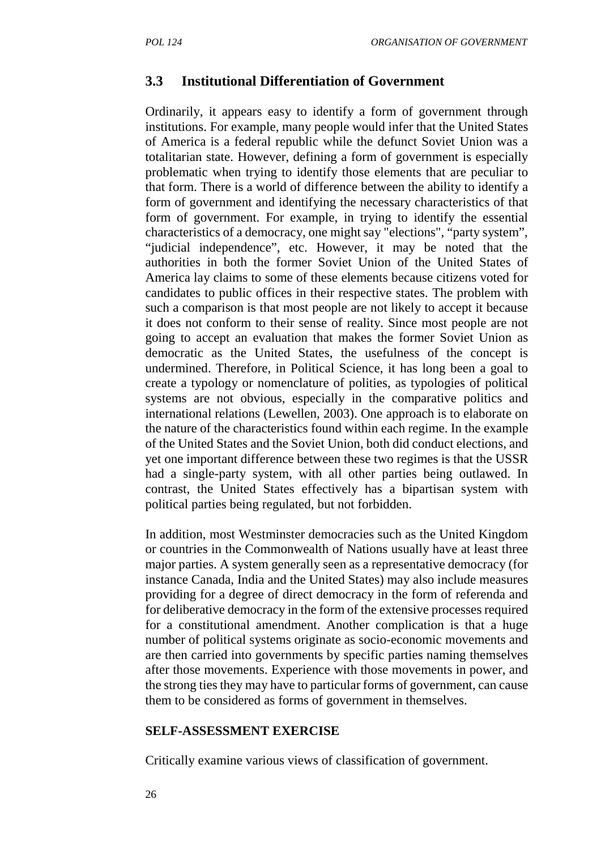#### **3.3 Institutional Differentiation of Government**

Ordinarily, it appears easy to identify a form of government through institutions. For example, many people would infer that the United States of America is a federal republic while the defunct Soviet Union was a totalitarian state. However, defining a form of government is especially problematic when trying to identify those elements that are peculiar to that form. There is a world of difference between the ability to identify a form of government and identifying the necessary characteristics of that form of government. For example, in trying to identify the essential characteristics of a democracy, one might say "elections", "party system", "judicial independence", etc. However, it may be noted that the authorities in both the former Soviet Union of the United States of America lay claims to some of these elements because citizens voted for candidates to public offices in their respective states. The problem with such a comparison is that most people are not likely to accept it because it does not conform to their sense of reality. Since most people are not going to accept an evaluation that makes the former Soviet Union as democratic as the United States, the usefulness of the concept is undermined. Therefore, in Political Science, it has long been a goal to create a typology or nomenclature of polities, as typologies of political systems are not obvious, especially in the comparative politics and international relations (Lewellen, 2003). One approach is to elaborate on the nature of the characteristics found within each regime. In the example of the United States and the Soviet Union, both did conduct elections, and yet one important difference between these two regimes is that the USSR had a single-party system, with all other parties being outlawed. In contrast, the United States effectively has a bipartisan system with political parties being regulated, but not forbidden.

In addition, most Westminster democracies such as the United Kingdom or countries in the Commonwealth of Nations usually have at least three major parties. A system generally seen as a representative democracy (for instance Canada, India and the United States) may also include measures providing for a degree of direct democracy in the form of referenda and for deliberative democracy in the form of the extensive processes required for a constitutional amendment. Another complication is that a huge number of political systems originate as socio-economic movements and are then carried into governments by specific parties naming themselves after those movements. Experience with those movements in power, and the strong ties they may have to particular forms of government, can cause them to be considered as forms of government in themselves.

#### **SELF-ASSESSMENT EXERCISE**

Critically examine various views of classification of government.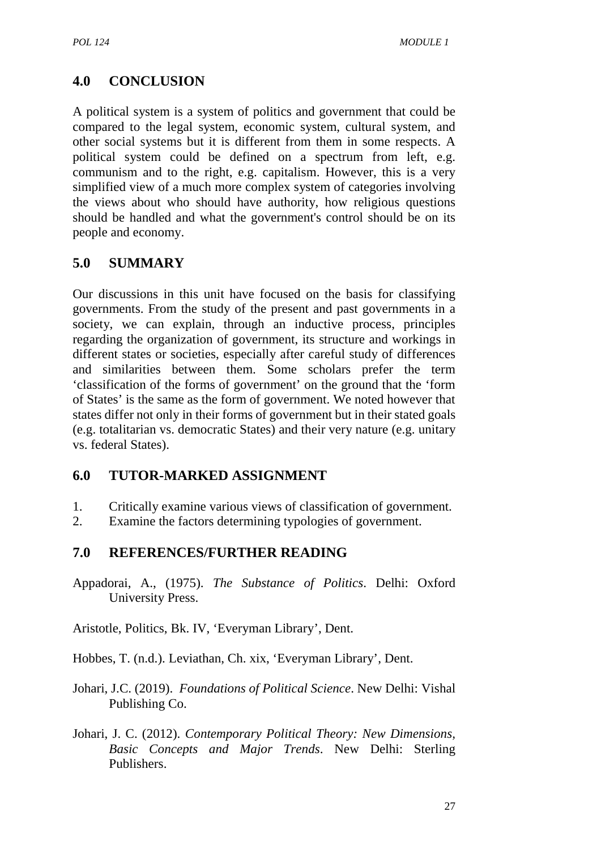# **4.0 CONCLUSION**

A political system is a system of politics and government that could be compared to the legal system, economic system, cultural system, and other social systems but it is different from them in some respects. A political system could be defined on a spectrum from left, e.g. communism and to the right, e.g. capitalism. However, this is a very simplified view of a much more complex system of categories involving the views about who should have authority, how religious questions should be handled and what the government's control should be on its people and economy.

# **5.0 SUMMARY**

Our discussions in this unit have focused on the basis for classifying governments. From the study of the present and past governments in a society, we can explain, through an inductive process, principles regarding the organization of government, its structure and workings in different states or societies, especially after careful study of differences and similarities between them. Some scholars prefer the term 'classification of the forms of government' on the ground that the 'form of States' is the same as the form of government. We noted however that states differ not only in their forms of government but in their stated goals (e.g. totalitarian vs. democratic States) and their very nature (e.g. unitary vs. federal States).

## **6.0 TUTOR-MARKED ASSIGNMENT**

- 1. Critically examine various views of classification of government.
- 2. Examine the factors determining typologies of government.

## **7.0 REFERENCES/FURTHER READING**

Appadorai, A., (1975). *The Substance of Politics*. Delhi: Oxford University Press.

Aristotle, Politics, Bk. IV, 'Everyman Library', Dent.

Hobbes, T. (n.d.). Leviathan, Ch. xix, 'Everyman Library', Dent.

- Johari, J.C. (2019). *Foundations of Political Science*. New Delhi: Vishal Publishing Co.
- Johari, J. C. (2012). *Contemporary Political Theory: New Dimensions, Basic Concepts and Major Trends*. New Delhi: Sterling Publishers.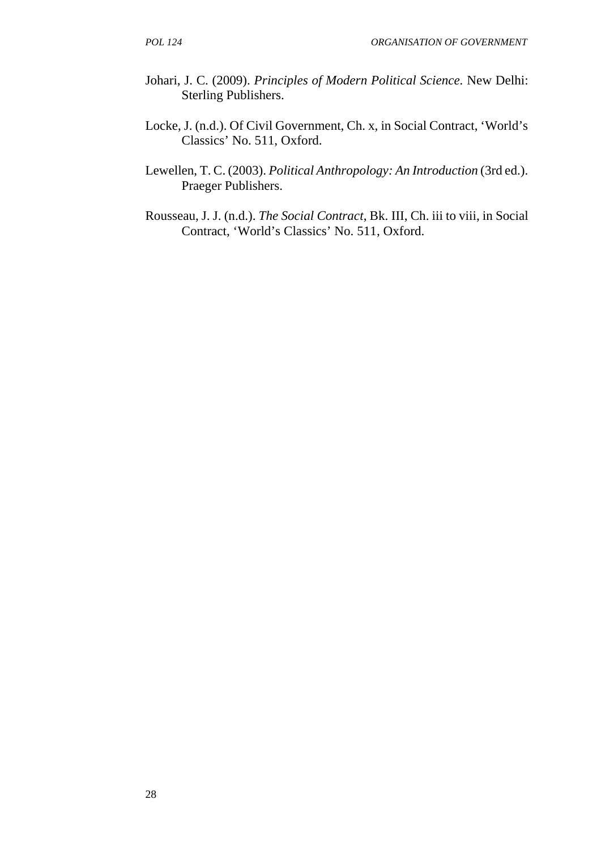- Johari, J. C. (2009). *Principles of Modern Political Science.* New Delhi: Sterling Publishers.
- Locke, J. (n.d.). Of Civil Government, Ch. x, in Social Contract, 'World's Classics' No. 511, Oxford.
- Lewellen, T. C. (2003). *Political Anthropology: An Introduction* (3rd ed.). Praeger Publishers.
- Rousseau, J. J. (n.d.). *The Social Contract*, Bk. III, Ch. iii to viii, in Social Contract, 'World's Classics' No. 511, Oxford.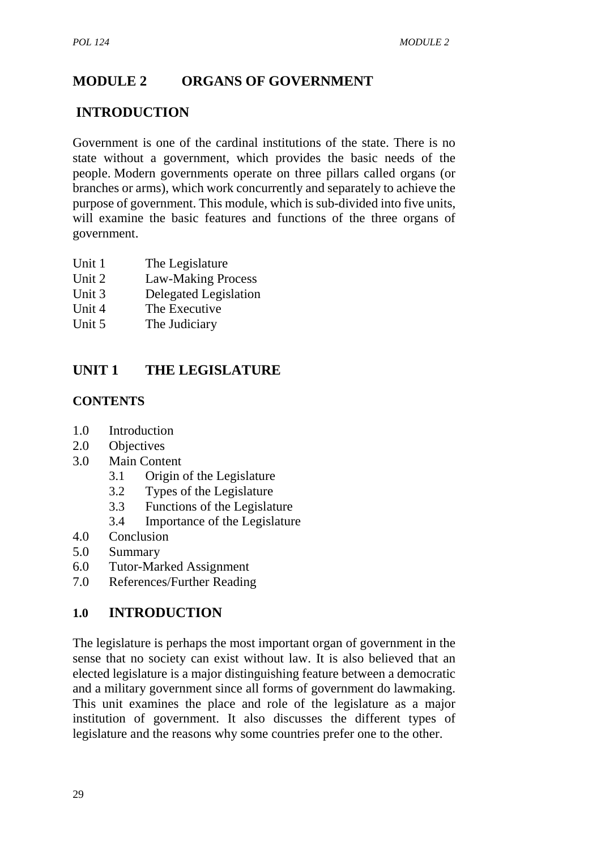# **MODULE 2 ORGANS OF GOVERNMENT**

# **INTRODUCTION**

Government is one of the cardinal institutions of the state. There is no state without a government, which provides the basic needs of the people. Modern governments operate on three pillars called organs (or branches or arms), which work concurrently and separately to achieve the purpose of government. This module, which is sub-divided into five units, will examine the basic features and functions of the three organs of government.

- Unit 1 The Legislature
- Unit 2 Law-Making Process
- Unit 3 Delegated Legislation
- Unit 4 The Executive
- Unit 5 The Judiciary

# **UNIT 1 THE LEGISLATURE**

## **CONTENTS**

- 1.0 Introduction
- 2.0 Objectives
- 3.0 Main Content
	- 3.1 Origin of the Legislature
	- 3.2 Types of the Legislature
	- 3.3 Functions of the Legislature
	- 3.4 Importance of the Legislature
- 4.0 Conclusion
- 5.0 Summary
- 6.0 Tutor-Marked Assignment
- 7.0 References/Further Reading

## **1.0 INTRODUCTION**

The legislature is perhaps the most important organ of government in the sense that no society can exist without law. It is also believed that an elected legislature is a major distinguishing feature between a democratic and a military government since all forms of government do lawmaking. This unit examines the place and role of the legislature as a major institution of government. It also discusses the different types of legislature and the reasons why some countries prefer one to the other.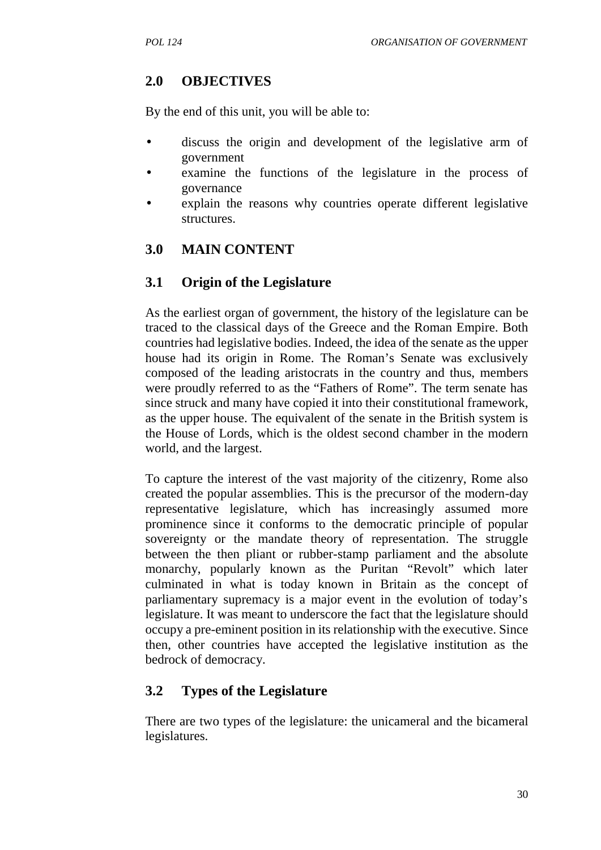## **2.0 OBJECTIVES**

By the end of this unit, you will be able to:

- discuss the origin and development of the legislative arm of government
- examine the functions of the legislature in the process of governance
- explain the reasons why countries operate different legislative structures.

# **3.0 MAIN CONTENT**

# **3.1 Origin of the Legislature**

As the earliest organ of government, the history of the legislature can be traced to the classical days of the Greece and the Roman Empire. Both countries had legislative bodies. Indeed, the idea of the senate as the upper house had its origin in Rome. The Roman's Senate was exclusively composed of the leading aristocrats in the country and thus, members were proudly referred to as the "Fathers of Rome". The term senate has since struck and many have copied it into their constitutional framework, as the upper house. The equivalent of the senate in the British system is the House of Lords, which is the oldest second chamber in the modern world, and the largest.

To capture the interest of the vast majority of the citizenry, Rome also created the popular assemblies. This is the precursor of the modern-day representative legislature, which has increasingly assumed more prominence since it conforms to the democratic principle of popular sovereignty or the mandate theory of representation. The struggle between the then pliant or rubber-stamp parliament and the absolute monarchy, popularly known as the Puritan "Revolt" which later culminated in what is today known in Britain as the concept of parliamentary supremacy is a major event in the evolution of today's legislature. It was meant to underscore the fact that the legislature should occupy a pre-eminent position in its relationship with the executive. Since then, other countries have accepted the legislative institution as the bedrock of democracy.

# **3.2 Types of the Legislature**

There are two types of the legislature: the unicameral and the bicameral legislatures.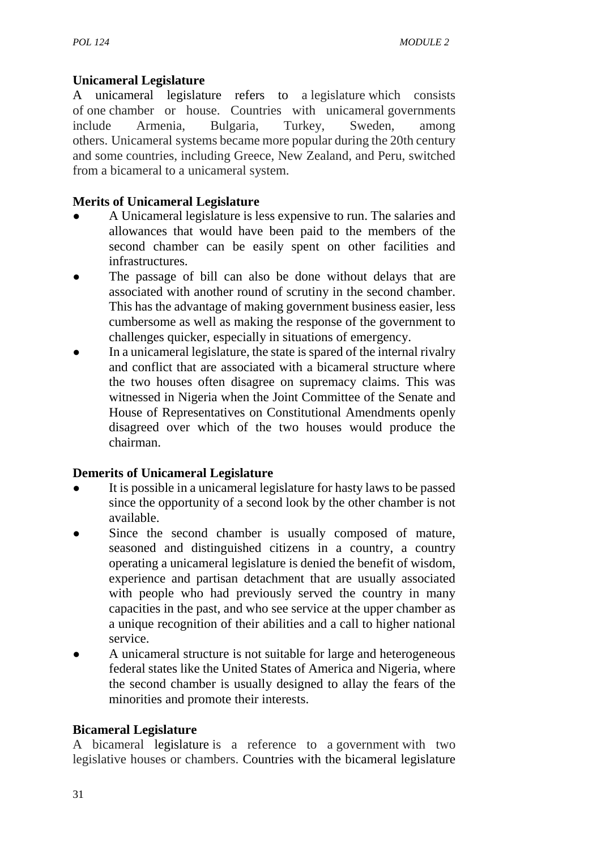## **Unicameral Legislature**

A unicameral legislature refers to a legislature which consists of one chamber or house. Countries with unicameral governments include Armenia, Bulgaria, Turkey, Sweden, among others. Unicameral systems became more popular during the 20th century and some countries, including Greece, New Zealand, and Peru, switched from a bicameral to a unicameral system.

## **Merits of Unicameral Legislature**

- A Unicameral legislature is less expensive to run. The salaries and allowances that would have been paid to the members of the second chamber can be easily spent on other facilities and infrastructures.
- The passage of bill can also be done without delays that are associated with another round of scrutiny in the second chamber. This has the advantage of making government business easier, less cumbersome as well as making the response of the government to challenges quicker, especially in situations of emergency.
- In a unicameral legislature, the state is spared of the internal rivalry and conflict that are associated with a bicameral structure where the two houses often disagree on supremacy claims. This was witnessed in Nigeria when the Joint Committee of the Senate and House of Representatives on Constitutional Amendments openly disagreed over which of the two houses would produce the chairman.

## **Demerits of Unicameral Legislature**

- It is possible in a unicameral legislature for hasty laws to be passed since the opportunity of a second look by the other chamber is not available.
- Since the second chamber is usually composed of mature, seasoned and distinguished citizens in a country, a country operating a unicameral legislature is denied the benefit of wisdom, experience and partisan detachment that are usually associated with people who had previously served the country in many capacities in the past, and who see service at the upper chamber as a unique recognition of their abilities and a call to higher national service.
- A unicameral structure is not suitable for large and heterogeneous federal states like the United States of America and Nigeria, where the second chamber is usually designed to allay the fears of the minorities and promote their interests.

### **Bicameral Legislature**

A bicameral legislature is a reference to a government with two legislative houses or chambers. Countries with the bicameral legislature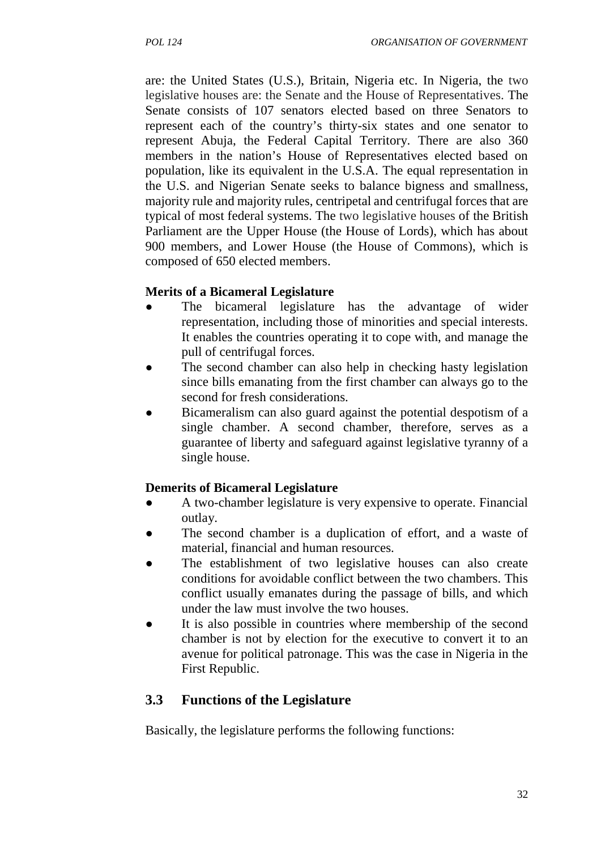are: the United States (U.S.), Britain, Nigeria etc. In Nigeria, the two legislative houses are: the Senate and the House of Representatives. The Senate consists of 107 senators elected based on three Senators to represent each of the country's thirty-six states and one senator to represent Abuja, the Federal Capital Territory. There are also 360 members in the nation's House of Representatives elected based on population, like its equivalent in the U.S.A. The equal representation in the U.S. and Nigerian Senate seeks to balance bigness and smallness, majority rule and majority rules, centripetal and centrifugal forces that are typical of most federal systems. The two legislative houses of the British Parliament are the Upper House (the House of Lords), which has about 900 members, and Lower House (the House of Commons), which is composed of 650 elected members.

## **Merits of a Bicameral Legislature**

- The bicameral legislature has the advantage of wider representation, including those of minorities and special interests. It enables the countries operating it to cope with, and manage the pull of centrifugal forces.
- The second chamber can also help in checking hasty legislation since bills emanating from the first chamber can always go to the second for fresh considerations.
- Bicameralism can also guard against the potential despotism of a single chamber. A second chamber, therefore, serves as a guarantee of liberty and safeguard against legislative tyranny of a single house.

### **Demerits of Bicameral Legislature**

- A two-chamber legislature is very expensive to operate. Financial outlay.
- The second chamber is a duplication of effort, and a waste of material, financial and human resources.
- The establishment of two legislative houses can also create conditions for avoidable conflict between the two chambers. This conflict usually emanates during the passage of bills, and which under the law must involve the two houses.
- It is also possible in countries where membership of the second chamber is not by election for the executive to convert it to an avenue for political patronage. This was the case in Nigeria in the First Republic.

# **3.3 Functions of the Legislature**

Basically, the legislature performs the following functions: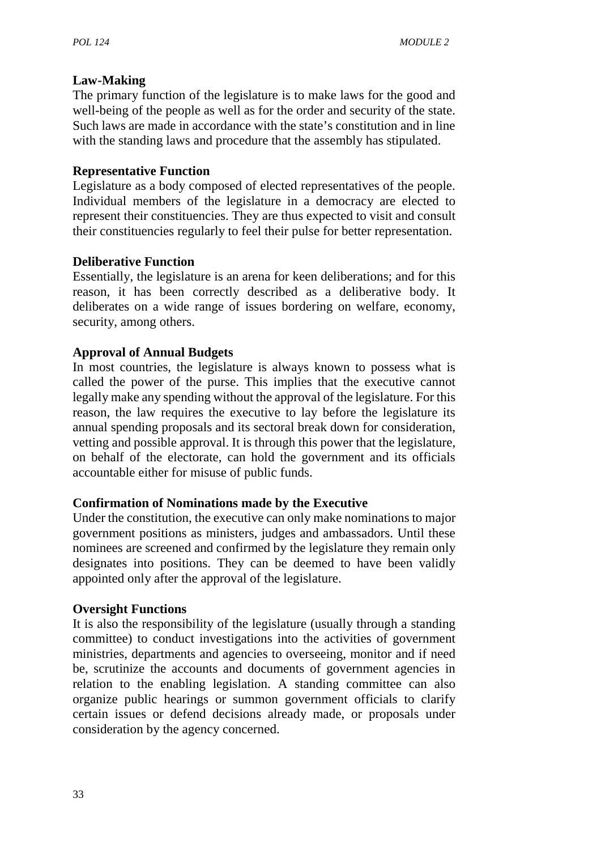### **Law-Making**

The primary function of the legislature is to make laws for the good and well-being of the people as well as for the order and security of the state. Such laws are made in accordance with the state's constitution and in line with the standing laws and procedure that the assembly has stipulated.

### **Representative Function**

Legislature as a body composed of elected representatives of the people. Individual members of the legislature in a democracy are elected to represent their constituencies. They are thus expected to visit and consult their constituencies regularly to feel their pulse for better representation.

### **Deliberative Function**

Essentially, the legislature is an arena for keen deliberations; and for this reason, it has been correctly described as a deliberative body. It deliberates on a wide range of issues bordering on welfare, economy, security, among others.

### **Approval of Annual Budgets**

In most countries, the legislature is always known to possess what is called the power of the purse. This implies that the executive cannot legally make any spending without the approval of the legislature. For this reason, the law requires the executive to lay before the legislature its annual spending proposals and its sectoral break down for consideration, vetting and possible approval. It is through this power that the legislature, on behalf of the electorate, can hold the government and its officials accountable either for misuse of public funds.

### **Confirmation of Nominations made by the Executive**

Under the constitution, the executive can only make nominations to major government positions as ministers, judges and ambassadors. Until these nominees are screened and confirmed by the legislature they remain only designates into positions. They can be deemed to have been validly appointed only after the approval of the legislature.

### **Oversight Functions**

It is also the responsibility of the legislature (usually through a standing committee) to conduct investigations into the activities of government ministries, departments and agencies to overseeing, monitor and if need be, scrutinize the accounts and documents of government agencies in relation to the enabling legislation. A standing committee can also organize public hearings or summon government officials to clarify certain issues or defend decisions already made, or proposals under consideration by the agency concerned.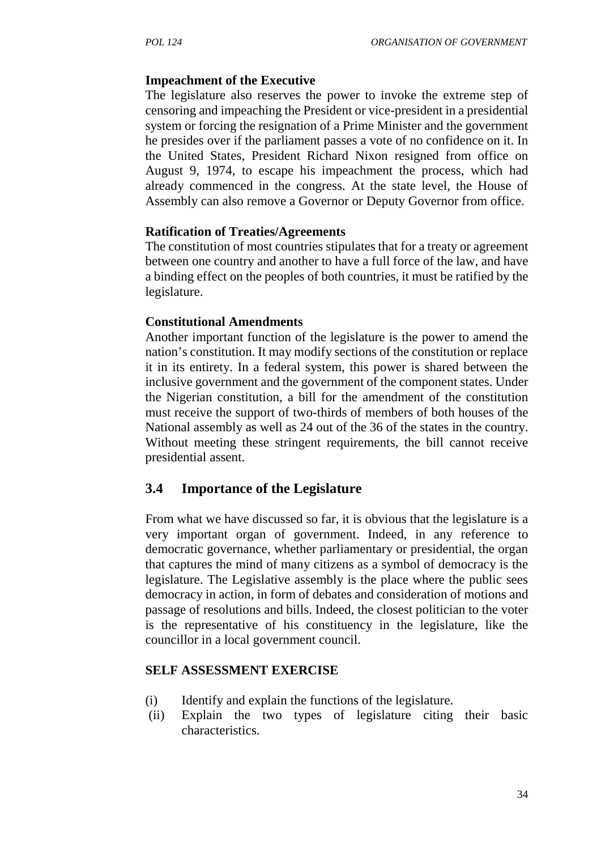#### **Impeachment of the Executive**

The legislature also reserves the power to invoke the extreme step of censoring and impeaching the President or vice-president in a presidential system or forcing the resignation of a Prime Minister and the government he presides over if the parliament passes a vote of no confidence on it. In the United States, President Richard Nixon resigned from office on August 9, 1974, to escape his impeachment the process, which had already commenced in the congress. At the state level, the House of Assembly can also remove a Governor or Deputy Governor from office.

#### **Ratification of Treaties/Agreements**

The constitution of most countries stipulates that for a treaty or agreement between one country and another to have a full force of the law, and have a binding effect on the peoples of both countries, it must be ratified by the legislature.

#### **Constitutional Amendments**

Another important function of the legislature is the power to amend the nation's constitution. It may modify sections of the constitution or replace it in its entirety. In a federal system, this power is shared between the inclusive government and the government of the component states. Under the Nigerian constitution, a bill for the amendment of the constitution must receive the support of two-thirds of members of both houses of the National assembly as well as 24 out of the 36 of the states in the country. Without meeting these stringent requirements, the bill cannot receive presidential assent.

### **3.4 Importance of the Legislature**

From what we have discussed so far, it is obvious that the legislature is a very important organ of government. Indeed, in any reference to democratic governance, whether parliamentary or presidential, the organ that captures the mind of many citizens as a symbol of democracy is the legislature. The Legislative assembly is the place where the public sees democracy in action, in form of debates and consideration of motions and passage of resolutions and bills. Indeed, the closest politician to the voter is the representative of his constituency in the legislature, like the councillor in a local government council.

#### **SELF ASSESSMENT EXERCISE**

- (i) Identify and explain the functions of the legislature.
- (ii) Explain the two types of legislature citing their basic characteristics.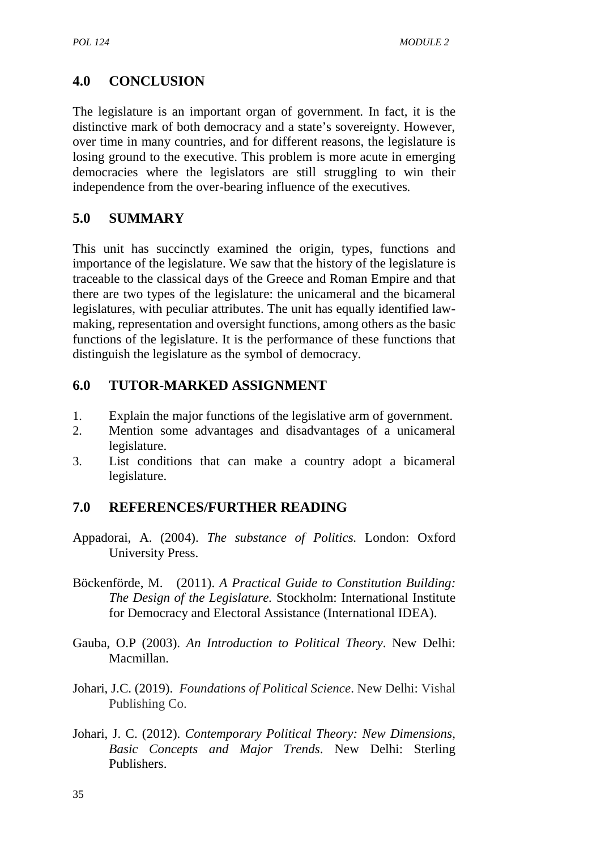# **4.0 CONCLUSION**

The legislature is an important organ of government. In fact, it is the distinctive mark of both democracy and a state's sovereignty. However, over time in many countries, and for different reasons, the legislature is losing ground to the executive. This problem is more acute in emerging democracies where the legislators are still struggling to win their independence from the over-bearing influence of the executives*.*

# **5.0 SUMMARY**

This unit has succinctly examined the origin, types, functions and importance of the legislature. We saw that the history of the legislature is traceable to the classical days of the Greece and Roman Empire and that there are two types of the legislature: the unicameral and the bicameral legislatures, with peculiar attributes. The unit has equally identified law making, representation and oversight functions, among others as the basic functions of the legislature. It is the performance of these functions that distinguish the legislature as the symbol of democracy.

# **6.0 TUTOR-MARKED ASSIGNMENT**

- 1. Explain the major functions of the legislative arm of government.
- 2. Mention some advantages and disadvantages of a unicameral legislature.
- 3. List conditions that can make a country adopt a bicameral legislature.

# **7.0 REFERENCES/FURTHER READING**

- Appadorai, A. (2004). *The substance of Politics.* London: Oxford University Press.
- Böckenförde, M. (2011). *A Practical Guide to Constitution Building: The Design of the Legislature.* Stockholm: International Institute for Democracy and Electoral Assistance (International IDEA).
- Gauba, O.P (2003). *An Introduction to Political Theory*. New Delhi: Macmillan.
- Johari, J.C. (2019). *Foundations of Political Science*. New Delhi: Vishal Publishing Co.
- Johari, J. C. (2012). *Contemporary Political Theory: New Dimensions, Basic Concepts and Major Trends*. New Delhi: Sterling Publishers.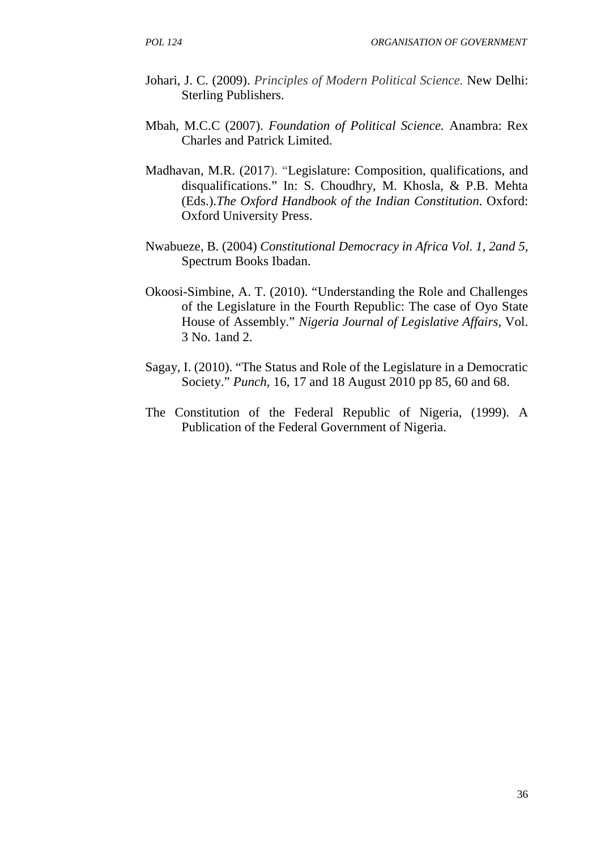- Johari, J. C. (2009). *Principles of Modern Political Science.* New Delhi: Sterling Publishers.
- Mbah, M.C.C (2007). *Foundation of Political Science.* Anambra: Rex Charles and Patrick Limited.
- Madhavan, M.R. (2017). "Legislature: Composition, qualifications, and disqualifications." In: S. Choudhry, M. Khosla, & P.B. Mehta (Eds.).*The Oxford Handbook of the Indian Constitution*. Oxford: Oxford University Press.
- Nwabueze, B. (2004) *Constitutional Democracy in Africa Vol. 1, 2and 5,* Spectrum Books Ibadan.
- Okoosi-Simbine, A. T. (2010). "Understanding the Role and Challenges of the Legislature in the Fourth Republic: The case of Oyo State House of Assembly." *Nigeria Journal of Legislative Affairs,* Vol. 3 No. 1and 2.
- Sagay, I. (2010). "The Status and Role of the Legislature in a Democratic Society." *Punch*, 16, 17 and 18 August 2010 pp 85, 60 and 68.
- The Constitution of the Federal Republic of Nigeria, (1999). A Publication of the Federal Government of Nigeria.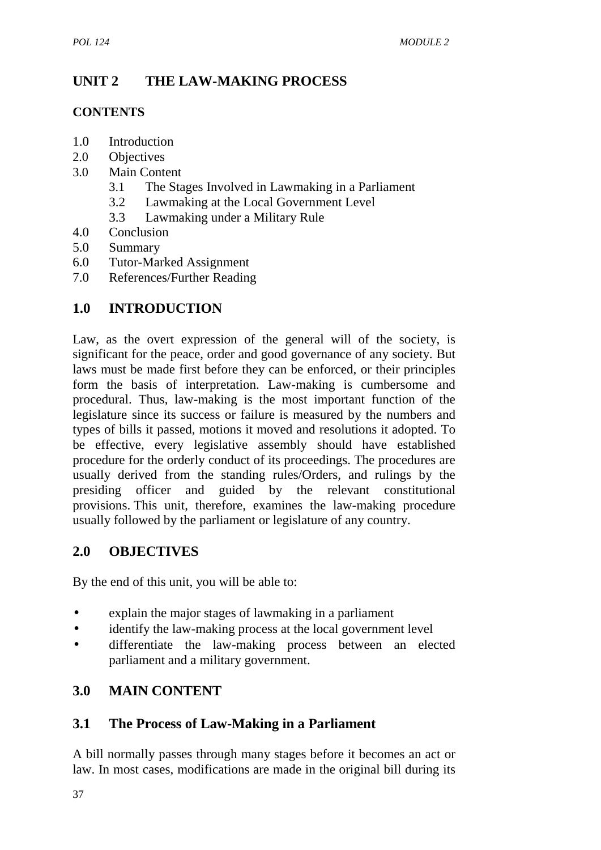# **UNIT 2 THE LAW-MAKING PROCESS**

### **CONTENTS**

- 1.0 Introduction
- 2.0 Objectives
- 3.0 Main Content
	- 3.1 The Stages Involved in Lawmaking in a Parliament
	- 3.2 Lawmaking at the Local Government Level
	- 3.3 Lawmaking under a Military Rule
- 4.0 Conclusion
- 5.0 Summary
- 6.0 Tutor-Marked Assignment
- 7.0 References/Further Reading

## **1.0 INTRODUCTION**

Law, as the overt expression of the general will of the society, is significant for the peace, order and good governance of any society. But laws must be made first before they can be enforced, or their principles form the basis of interpretation. Law-making is cumbersome and procedural. Thus, law-making is the most important function of the legislature since its success or failure is measured by the numbers and types of bills it passed, motions it moved and resolutions it adopted. To be effective, every legislative assembly should have established procedure for the orderly conduct of its proceedings. The procedures are usually derived from the standing rules/Orders, and rulings by the presiding officer and guided by the relevant constitutional provisions. This unit, therefore, examines the law-making procedure usually followed by the parliament or legislature of any country.

## **2.0 OBJECTIVES**

By the end of this unit, you will be able to:

- explain the major stages of lawmaking in a parliament
- identify the law-making process at the local government level
- differentiate the law-making process between an elected parliament and a military government.

## **3.0 MAIN CONTENT**

## **3.1 The Process of Law-Making in a Parliament**

A bill normally passes through many stages before it becomes an act or law. In most cases, modifications are made in the original bill during its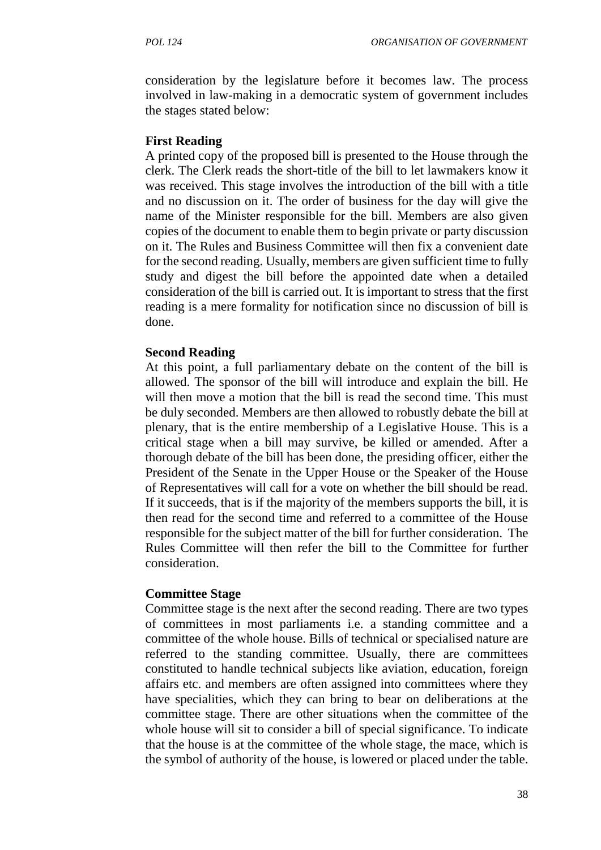consideration by the legislature before it becomes law. The process involved in law-making in a democratic system of government includes the stages stated below:

#### **First Reading**

A printed copy of the proposed bill is presented to the House through the clerk. The Clerk reads the short-title of the bill to let lawmakers know it was received. This stage involves the introduction of the bill with a title and no discussion on it. The order of business for the day will give the name of the Minister responsible for the bill. Members are also given copies of the document to enable them to begin private or party discussion on it. The Rules and Business Committee will then fix a convenient date for the second reading. Usually, members are given sufficient time to fully study and digest the bill before the appointed date when a detailed consideration of the bill is carried out. It is important to stress that the first reading is a mere formality for notification since no discussion of bill is done.

#### **Second Reading**

At this point, a full parliamentary debate on the content of the bill is allowed. The sponsor of the bill will introduce and explain the bill. He will then move a motion that the bill is read the second time. This must be duly seconded. Members are then allowed to robustly debate the bill at plenary, that is the entire membership of a Legislative House. This is a critical stage when a bill may survive, be killed or amended. After a thorough debate of the bill has been done, the presiding officer, either the President of the Senate in the Upper House or the Speaker of the House of Representatives will call for a vote on whether the bill should be read. If it succeeds, that is if the majority of the members supports the bill, it is then read for the second time and referred to a committee of the House responsible for the subject matter of the bill for further consideration. The Rules Committee will then refer the bill to the Committee for further consideration.

#### **Committee Stage**

Committee stage is the next after the second reading. There are two types of committees in most parliaments i.e. a standing committee and a committee of the whole house. Bills of technical or specialised nature are referred to the standing committee. Usually, there are committees constituted to handle technical subjects like aviation, education, foreign affairs etc. and members are often assigned into committees where they have specialities, which they can bring to bear on deliberations at the committee stage. There are other situations when the committee of the whole house will sit to consider a bill of special significance. To indicate that the house is at the committee of the whole stage, the mace, which is the symbol of authority of the house, is lowered or placed under the table.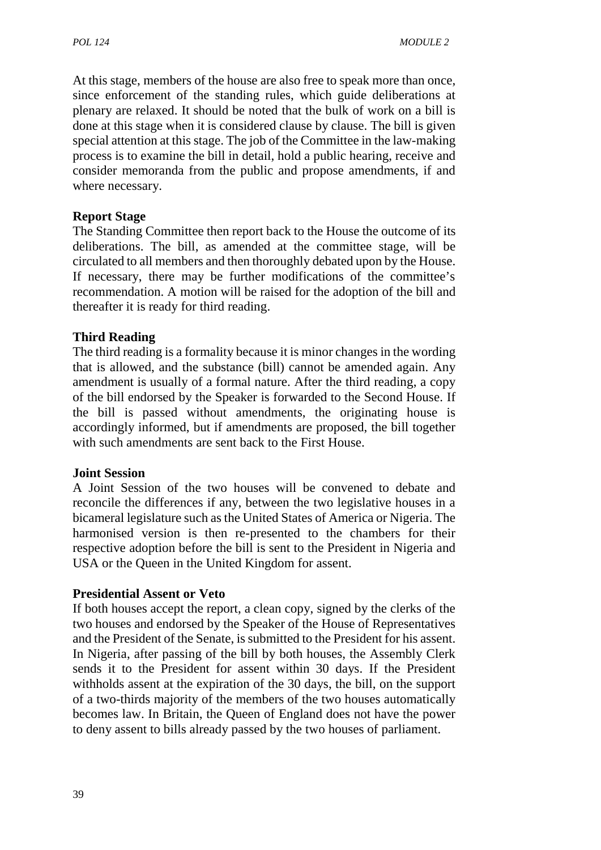At this stage, members of the house are also free to speak more than once, since enforcement of the standing rules, which guide deliberations at plenary are relaxed. It should be noted that the bulk of work on a bill is done at this stage when it is considered clause by clause. The bill is given special attention at this stage. The job of the Committee in the law-making process is to examine the bill in detail, hold a public hearing, receive and consider memoranda from the public and propose amendments, if and where necessary.

### **Report Stage**

The Standing Committee then report back to the House the outcome of its deliberations. The bill, as amended at the committee stage, will be circulated to all members and then thoroughly debated upon by the House. If necessary, there may be further modifications of the committee's recommendation. A motion will be raised for the adoption of the bill and thereafter it is ready for third reading.

### **Third Reading**

The third reading is a formality because it is minor changes in the wording that is allowed, and the substance (bill) cannot be amended again. Any amendment is usually of a formal nature. After the third reading, a copy of the bill endorsed by the Speaker is forwarded to the Second House. If the bill is passed without amendments, the originating house is accordingly informed, but if amendments are proposed, the bill together with such amendments are sent back to the First House.

### **Joint Session**

A Joint Session of the two houses will be convened to debate and reconcile the differences if any, between the two legislative houses in a bicameral legislature such as the United States of America or Nigeria. The harmonised version is then re-presented to the chambers for their respective adoption before the bill is sent to the President in Nigeria and USA or the Queen in the United Kingdom for assent.

### **Presidential Assent or Veto**

If both houses accept the report, a clean copy, signed by the clerks of the two houses and endorsed by the Speaker of the House of Representatives and the President of the Senate, is submitted to the President for his assent. In Nigeria, after passing of the bill by both houses, the Assembly Clerk sends it to the President for assent within 30 days. If the President withholds assent at the expiration of the 30 days, the bill, on the support of a two-thirds majority of the members of the two houses automatically becomes law. In Britain, the Queen of England does not have the power to deny assent to bills already passed by the two houses of parliament.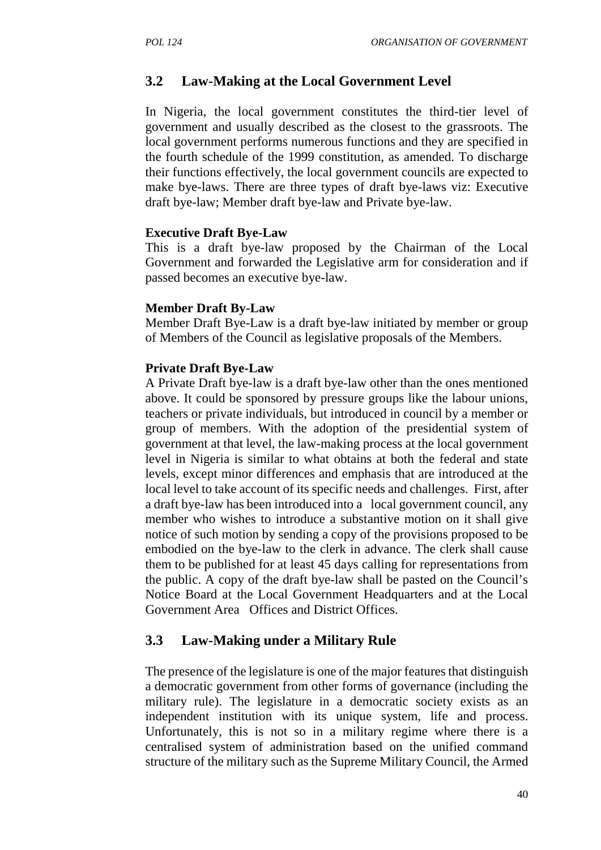### **3.2 Law-Making at the Local Government Level**

In Nigeria, the local government constitutes the third-tier level of government and usually described as the closest to the grassroots. The local government performs numerous functions and they are specified in the fourth schedule of the 1999 constitution, as amended. To discharge their functions effectively, the local government councils are expected to make bye-laws. There are three types of draft bye-laws viz: Executive draft bye-law; Member draft bye-law and Private bye-law.

#### **Executive Draft Bye-Law**

This is a draft bye-law proposed by the Chairman of the Local Government and forwarded the Legislative arm for consideration and if passed becomes an executive bye-law.

#### **Member Draft By-Law**

Member Draft Bye-Law is a draft bye-law initiated by member or group of Members of the Council as legislative proposals of the Members.

#### **Private Draft Bye-Law**

A Private Draft bye-law is a draft bye-law other than the ones mentioned above. It could be sponsored by pressure groups like the labour unions, teachers or private individuals, but introduced in council by a member or group of members. With the adoption of the presidential system of government at that level, the law-making process at the local government level in Nigeria is similar to what obtains at both the federal and state levels, except minor differences and emphasis that are introduced at the local level to take account of its specific needs and challenges. First, after a draft bye-law has been introduced into a local government council, any member who wishes to introduce a substantive motion on it shall give notice of such motion by sending a copy of the provisions proposed to be embodied on the bye-law to the clerk in advance. The clerk shall cause them to be published for at least 45 days calling for representations from the public. A copy of the draft bye-law shall be pasted on the Council's Notice Board at the Local Government Headquarters and at the Local Government Area Offices and District Offices.

### **3.3 Law-Making under a Military Rule**

The presence of the legislature is one of the major features that distinguish a democratic government from other forms of governance (including the military rule). The legislature in a democratic society exists as an independent institution with its unique system, life and process. Unfortunately, this is not so in a military regime where there is a centralised system of administration based on the unified command structure of the military such as the Supreme Military Council, the Armed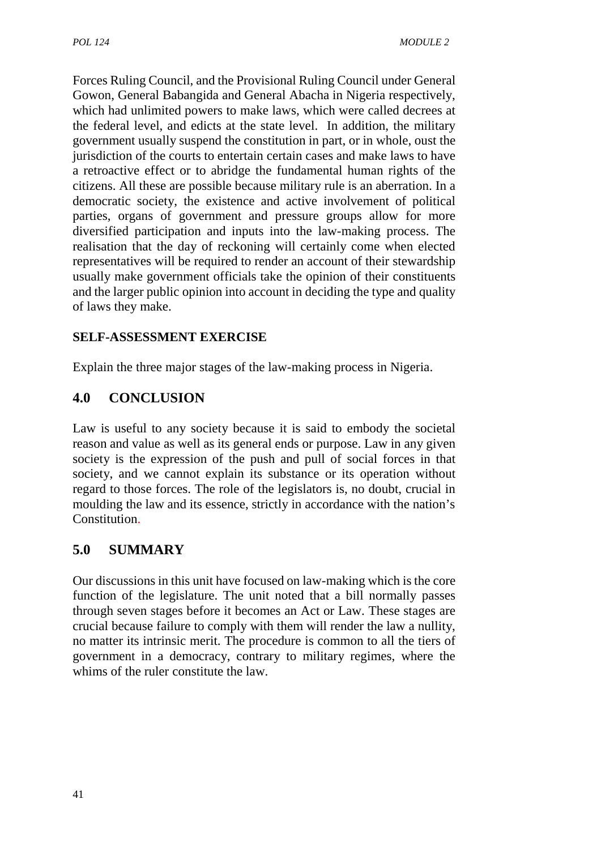Forces Ruling Council, and the Provisional Ruling Council under General Gowon, General Babangida and General Abacha in Nigeria respectively, which had unlimited powers to make laws, which were called decrees at the federal level, and edicts at the state level. In addition, the military government usually suspend the constitution in part, or in whole, oust the jurisdiction of the courts to entertain certain cases and make laws to have a retroactive effect or to abridge the fundamental human rights of the citizens. All these are possible because military rule is an aberration. In a democratic society, the existence and active involvement of political parties, organs of government and pressure groups allow for more diversified participation and inputs into the law-making process. The realisation that the day of reckoning will certainly come when elected representatives will be required to render an account of their stewardship usually make government officials take the opinion of their constituents and the larger public opinion into account in deciding the type and quality of laws they make.

# **SELF-ASSESSMENT EXERCISE**

Explain the three major stages of the law-making process in Nigeria.

# **4.0 CONCLUSION**

Law is useful to any society because it is said to embody the societal reason and value as well as its general ends or purpose. Law in any given society is the expression of the push and pull of social forces in that society, and we cannot explain its substance or its operation without regard to those forces. The role of the legislators is, no doubt, crucial in moulding the law and its essence, strictly in accordance with the nation's **Constitution** 

# **5.0 SUMMARY**

Our discussions in this unit have focused on law-making which is the core function of the legislature. The unit noted that a bill normally passes through seven stages before it becomes an Act or Law. These stages are crucial because failure to comply with them will render the law a nullity, no matter its intrinsic merit. The procedure is common to all the tiers of government in a democracy, contrary to military regimes, where the whims of the ruler constitute the law.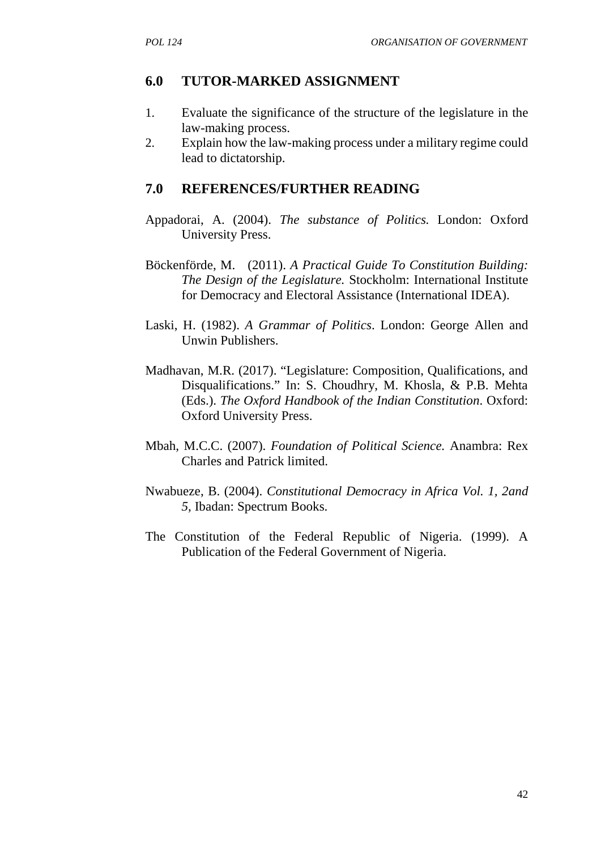# **6.0 TUTOR-MARKED ASSIGNMENT**

- 1. Evaluate the significance of the structure of the legislature in the law-making process.
- 2. Explain how the law-making process under a military regime could lead to dictatorship.

# **7.0 REFERENCES/FURTHER READING**

- Appadorai, A. (2004). *The substance of Politics.* London: Oxford University Press.
- Böckenförde, M. (2011). *A Practical Guide To Constitution Building: The Design of the Legislature.* Stockholm: International Institute for Democracy and Electoral Assistance (International IDEA).
- Laski, H. (1982). *A Grammar of Politics*. London: George Allen and Unwin Publishers.
- Madhavan, M.R. (2017). "Legislature: Composition, Qualifications, and Disqualifications." In: S. Choudhry, M. Khosla, & P.B. Mehta (Eds.). *The Oxford Handbook of the Indian Constitution*. Oxford: Oxford University Press.
- Mbah, M.C.C. (2007). *Foundation of Political Science.* Anambra: Rex Charles and Patrick limited.
- Nwabueze, B. (2004). *Constitutional Democracy in Africa Vol. 1, 2and 5,* Ibadan: Spectrum Books.
- The Constitution of the Federal Republic of Nigeria. (1999). A Publication of the Federal Government of Nigeria.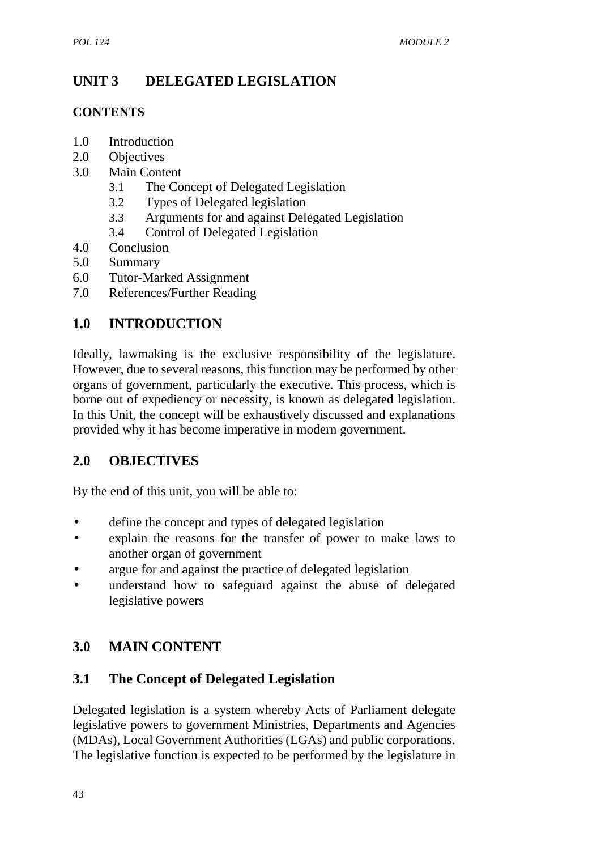# **UNIT 3 DELEGATED LEGISLATION**

## **CONTENTS**

- 1.0 Introduction
- 2.0 Objectives
- 3.0 Main Content
	- 3.1 The Concept of Delegated Legislation
	- 3.2 Types of Delegated legislation
	- 3.3 Arguments for and against Delegated Legislation
	- 3.4 Control of Delegated Legislation
- 4.0 Conclusion
- 5.0 Summary
- 6.0 Tutor-Marked Assignment
- 7.0 References/Further Reading

# **1.0 INTRODUCTION**

Ideally, lawmaking is the exclusive responsibility of the legislature. However, due to several reasons, this function may be performed by other organs of government, particularly the executive. This process, which is borne out of expediency or necessity, is known as delegated legislation. In this Unit, the concept will be exhaustively discussed and explanations provided why it has become imperative in modern government.

# **2.0 OBJECTIVES**

By the end of this unit, you will be able to:

- define the concept and types of delegated legislation
- explain the reasons for the transfer of power to make laws to another organ of government
- argue for and against the practice of delegated legislation
- understand how to safeguard against the abuse of delegated legislative powers

# **3.0 MAIN CONTENT**

# **3.1 The Concept of Delegated Legislation**

Delegated legislation is a system whereby Acts of Parliament delegate legislative powers to government Ministries, Departments and Agencies (MDAs), Local Government Authorities (LGAs) and public corporations. The legislative function is expected to be performed by the legislature in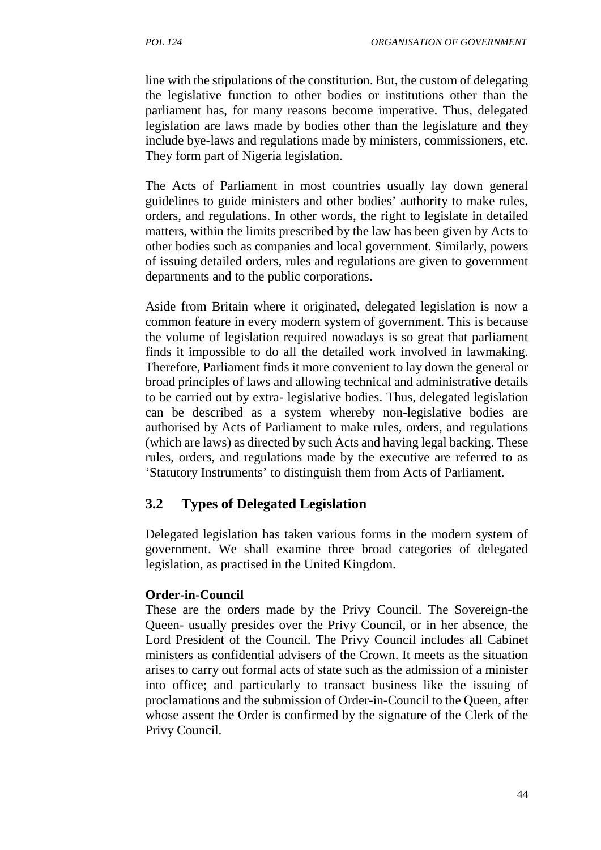line with the stipulations of the constitution. But, the custom of delegating the legislative function to other bodies or institutions other than the parliament has, for many reasons become imperative. Thus, delegated legislation are laws made by bodies other than the legislature and they include bye-laws and regulations made by ministers, commissioners, etc. They form part of Nigeria legislation.

The Acts of Parliament in most countries usually lay down general guidelines to guide ministers and other bodies' authority to make rules, orders, and regulations. In other words, the right to legislate in detailed matters, within the limits prescribed by the law has been given by Acts to other bodies such as companies and local government. Similarly, powers of issuing detailed orders, rules and regulations are given to government departments and to the public corporations.

Aside from Britain where it originated, delegated legislation is now a common feature in every modern system of government. This is because the volume of legislation required nowadays is so great that parliament finds it impossible to do all the detailed work involved in lawmaking. Therefore, Parliament finds it more convenient to lay down the general or broad principles of laws and allowing technical and administrative details to be carried out by extra- legislative bodies. Thus, delegated legislation can be described as a system whereby non-legislative bodies are authorised by Acts of Parliament to make rules, orders, and regulations (which are laws) as directed by such Acts and having legal backing. These rules, orders, and regulations made by the executive are referred to as 'Statutory Instruments' to distinguish them from Acts of Parliament.

## **3.2 Types of Delegated Legislation**

Delegated legislation has taken various forms in the modern system of government. We shall examine three broad categories of delegated legislation, as practised in the United Kingdom.

#### **Order-in-Council**

These are the orders made by the Privy Council. The Sovereign-the Queen- usually presides over the Privy Council, or in her absence, the Lord President of the Council. The Privy Council includes all Cabinet ministers as confidential advisers of the Crown. It meets as the situation arises to carry out formal acts of state such as the admission of a minister into office; and particularly to transact business like the issuing of proclamations and the submission of Order-in-Council to the Queen, after whose assent the Order is confirmed by the signature of the Clerk of the Privy Council.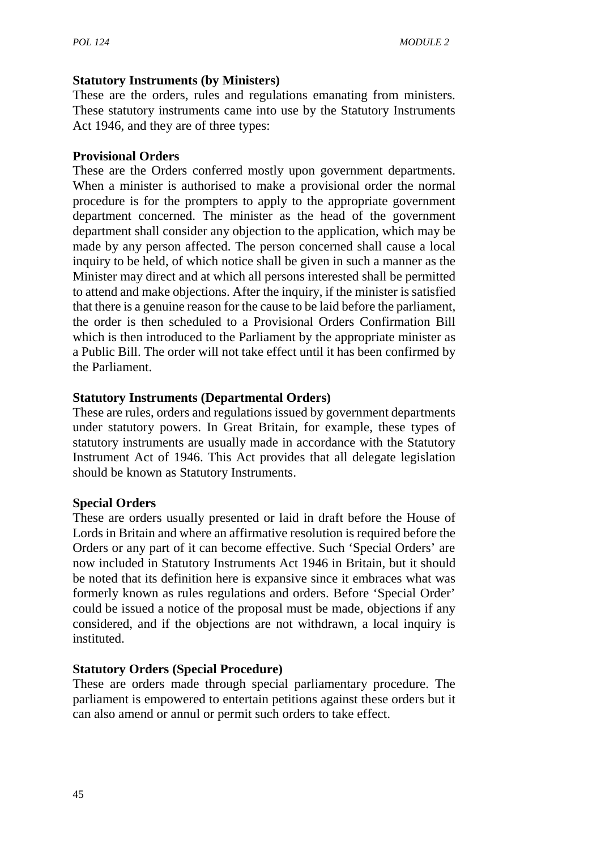### **Statutory Instruments (by Ministers)**

These are the orders, rules and regulations emanating from ministers. These statutory instruments came into use by the Statutory Instruments Act 1946, and they are of three types:

### **Provisional Orders**

These are the Orders conferred mostly upon government departments. When a minister is authorised to make a provisional order the normal procedure is for the prompters to apply to the appropriate government department concerned. The minister as the head of the government department shall consider any objection to the application, which may be made by any person affected. The person concerned shall cause a local inquiry to be held, of which notice shall be given in such a manner as the Minister may direct and at which all persons interested shall be permitted to attend and make objections. After the inquiry, if the minister is satisfied that there is a genuine reason for the cause to be laid before the parliament, the order is then scheduled to a Provisional Orders Confirmation Bill which is then introduced to the Parliament by the appropriate minister as a Public Bill. The order will not take effect until it has been confirmed by the Parliament.

### **Statutory Instruments (Departmental Orders)**

These are rules, orders and regulations issued by government departments under statutory powers. In Great Britain, for example, these types of statutory instruments are usually made in accordance with the Statutory Instrument Act of 1946. This Act provides that all delegate legislation should be known as Statutory Instruments.

### **Special Orders**

These are orders usually presented or laid in draft before the House of Lords in Britain and where an affirmative resolution is required before the Orders or any part of it can become effective. Such 'Special Orders' are now included in Statutory Instruments Act 1946 in Britain, but it should be noted that its definition here is expansive since it embraces what was formerly known as rules regulations and orders. Before 'Special Order' could be issued a notice of the proposal must be made, objections if any considered, and if the objections are not withdrawn, a local inquiry is instituted.

### **Statutory Orders (Special Procedure)**

These are orders made through special parliamentary procedure. The parliament is empowered to entertain petitions against these orders but it can also amend or annul or permit such orders to take effect.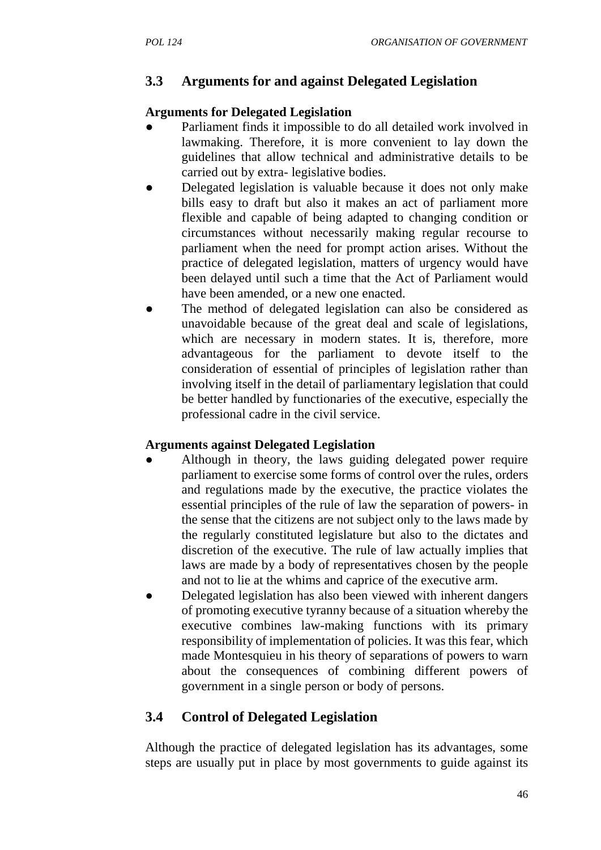# **3.3 Arguments for and against Delegated Legislation**

### **Arguments for Delegated Legislation**

- Parliament finds it impossible to do all detailed work involved in lawmaking. Therefore, it is more convenient to lay down the guidelines that allow technical and administrative details to be carried out by extra- legislative bodies.
- Delegated legislation is valuable because it does not only make bills easy to draft but also it makes an act of parliament more flexible and capable of being adapted to changing condition or circumstances without necessarily making regular recourse to parliament when the need for prompt action arises. Without the practice of delegated legislation, matters of urgency would have been delayed until such a time that the Act of Parliament would have been amended, or a new one enacted.
- The method of delegated legislation can also be considered as unavoidable because of the great deal and scale of legislations, which are necessary in modern states. It is, therefore, more advantageous for the parliament to devote itself to the consideration of essential of principles of legislation rather than involving itself in the detail of parliamentary legislation that could be better handled by functionaries of the executive, especially the professional cadre in the civil service.

## **Arguments against Delegated Legislation**

- Although in theory, the laws guiding delegated power require parliament to exercise some forms of control over the rules, orders and regulations made by the executive, the practice violates the essential principles of the rule of law the separation of powers- in the sense that the citizens are not subject only to the laws made by the regularly constituted legislature but also to the dictates and discretion of the executive. The rule of law actually implies that laws are made by a body of representatives chosen by the people and not to lie at the whims and caprice of the executive arm.
- Delegated legislation has also been viewed with inherent dangers of promoting executive tyranny because of a situation whereby the executive combines law-making functions with its primary responsibility of implementation of policies. It was this fear, which made Montesquieu in his theory of separations of powers to warn about the consequences of combining different powers of government in a single person or body of persons.

# **3.4 Control of Delegated Legislation**

Although the practice of delegated legislation has its advantages, some steps are usually put in place by most governments to guide against its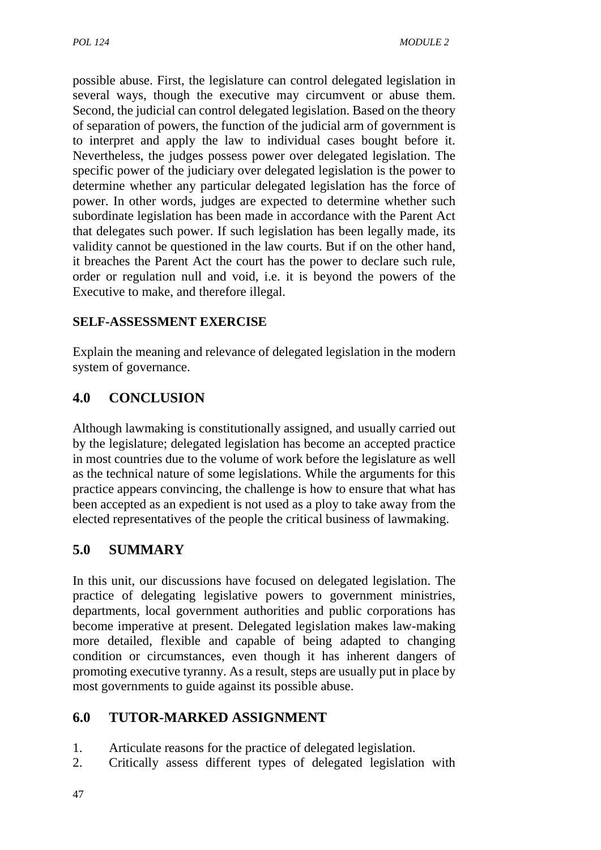possible abuse. First, the legislature can control delegated legislation in several ways, though the executive may circumvent or abuse them. Second, the judicial can control delegated legislation. Based on the theory of separation of powers, the function of the judicial arm of government is to interpret and apply the law to individual cases bought before it. Nevertheless, the judges possess power over delegated legislation. The specific power of the judiciary over delegated legislation is the power to determine whether any particular delegated legislation has the force of power. In other words, judges are expected to determine whether such subordinate legislation has been made in accordance with the Parent Act that delegates such power. If such legislation has been legally made, its validity cannot be questioned in the law courts. But if on the other hand, it breaches the Parent Act the court has the power to declare such rule, order or regulation null and void, i.e. it is beyond the powers of the Executive to make, and therefore illegal.

# **SELF-ASSESSMENT EXERCISE**

Explain the meaning and relevance of delegated legislation in the modern system of governance.

# **4.0 CONCLUSION**

Although lawmaking is constitutionally assigned, and usually carried out by the legislature; delegated legislation has become an accepted practice in most countries due to the volume of work before the legislature as well as the technical nature of some legislations. While the arguments for this practice appears convincing, the challenge is how to ensure that what has been accepted as an expedient is not used as a ploy to take away from the elected representatives of the people the critical business of lawmaking.

# **5.0 SUMMARY**

In this unit, our discussions have focused on delegated legislation. The practice of delegating legislative powers to government ministries, departments, local government authorities and public corporations has become imperative at present. Delegated legislation makes law-making more detailed, flexible and capable of being adapted to changing condition or circumstances, even though it has inherent dangers of promoting executive tyranny. As a result, steps are usually put in place by most governments to guide against its possible abuse.

# **6.0 TUTOR-MARKED ASSIGNMENT**

- 1. Articulate reasons for the practice of delegated legislation.
- 2. Critically assess different types of delegated legislation with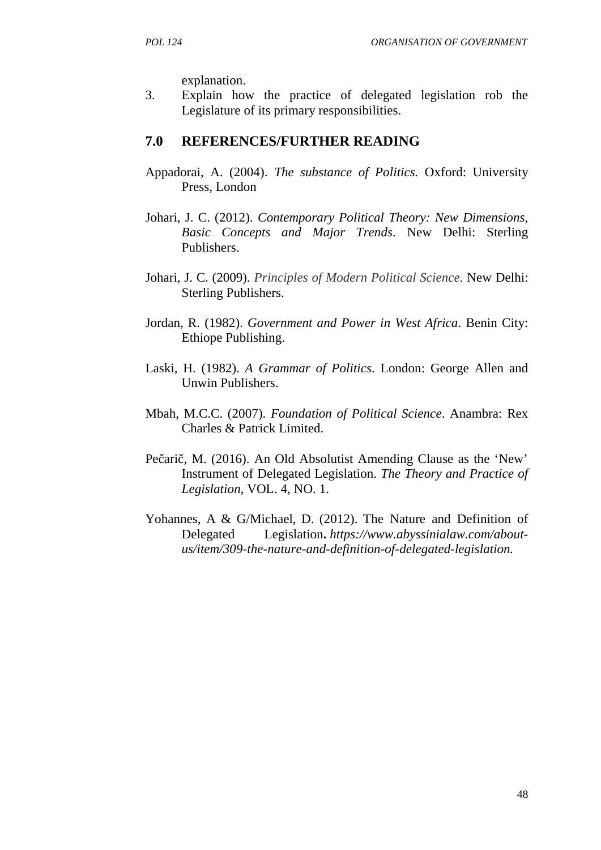explanation.

3. Explain how the practice of delegated legislation rob the Legislature of its primary responsibilities.

# **7.0 REFERENCES/FURTHER READING**

- Appadorai, A. (2004). *The substance of Politics.* Oxford: University Press, London
- Johari, J. C. (2012). *Contemporary Political Theory: New Dimensions, Basic Concepts and Major Trends*. New Delhi: Sterling Publishers.
- Johari, J. C. (2009). *Principles of Modern Political Science.* New Delhi: Sterling Publishers.
- Jordan, R. (1982). *Government and Power in West Africa*. Benin City: Ethiope Publishing.
- Laski, H. (1982). *A Grammar of Politics*. London: George Allen and Unwin Publishers.
- Mbah, M.C.C. (2007). *Foundation of Political Science*. Anambra: Rex Charles & Patrick Limited.
- Pe ari, M. (2016). An Old Absolutist Amending Clause as the 'New' Instrument of Delegated Legislation. *The Theory and Practice of Legislation*, VOL. 4, NO. 1.
- Yohannes, A & G/Michael, D. (2012). The Nature and Definition of Delegated Legislation**.** *https://www.abyssinialaw.com/about us/item/309-the-nature-and-definition-of-delegated-legislation.*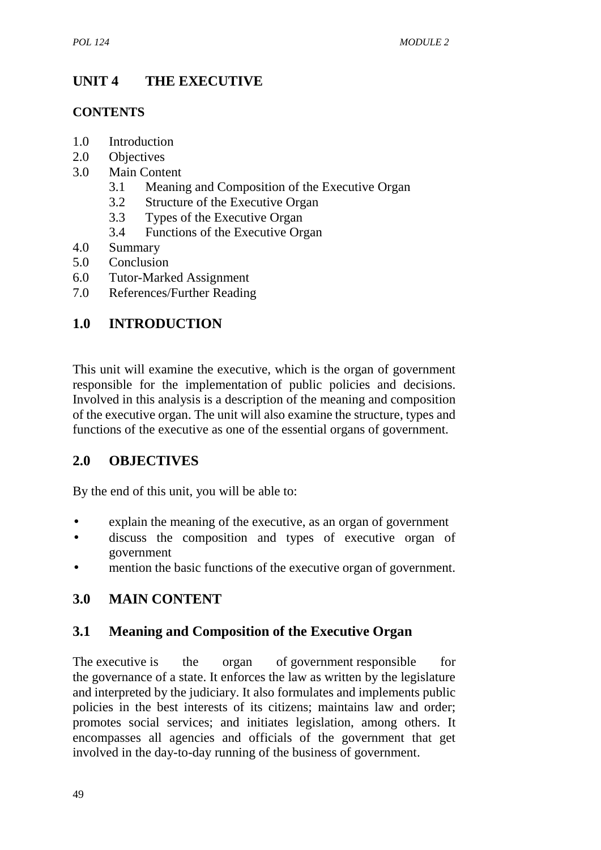# **UNIT 4 THE EXECUTIVE**

### **CONTENTS**

- 1.0 Introduction
- 2.0 Objectives
- 3.0 Main Content
	- 3.1 Meaning and Composition of the Executive Organ
	- 3.2 Structure of the Executive Organ
	- 3.3 Types of the Executive Organ
	- 3.4 Functions of the Executive Organ
- 4.0 Summary
- 5.0 Conclusion
- 6.0 Tutor-Marked Assignment
- 7.0 References/Further Reading

# **1.0 INTRODUCTION**

This unit will examine the executive, which is the organ of government responsible for the implementation of public policies and decisions. Involved in this analysis is a description of the meaning and composition of the executive organ. The unit will also examine the structure, types and functions of the executive as one of the essential organs of government.

# **2.0 OBJECTIVES**

By the end of this unit, you will be able to:

- explain the meaning of the executive, as an organ of government
- discuss the composition and types of executive organ of government
- mention the basic functions of the executive organ of government.

# **3.0 MAIN CONTENT**

## **3.1 Meaning and Composition of the Executive Organ**

The executive is the organ of government responsible for the governance of a state. It enforces the law as written by the legislature and interpreted by the judiciary. It also formulates and implements public policies in the best interests of its citizens; maintains law and order; promotes social services; and initiates legislation, among others. It encompasses all agencies and officials of the government that get involved in the day-to-day running of the business of government.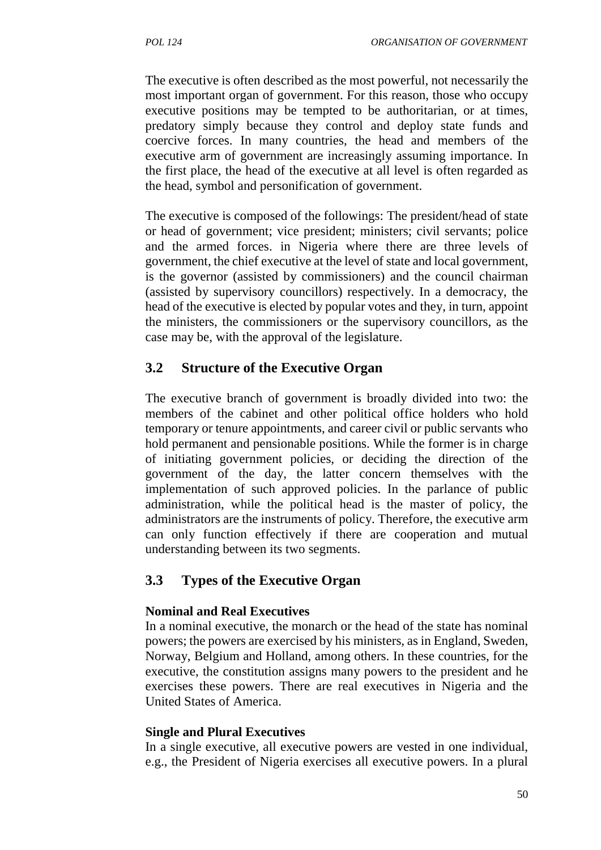The executive is often described as the most powerful, not necessarily the most important organ of government. For this reason, those who occupy executive positions may be tempted to be authoritarian, or at times, predatory simply because they control and deploy state funds and coercive forces. In many countries, the head and members of the executive arm of government are increasingly assuming importance. In the first place, the head of the executive at all level is often regarded as the head, symbol and personification of government.

The executive is composed of the followings: The president/head of state or head of government; vice president; ministers; civil servants; police and the armed forces. in Nigeria where there are three levels of government, the chief executive at the level of state and local government, is the governor (assisted by commissioners) and the council chairman (assisted by supervisory councillors) respectively. In a democracy, the head of the executive is elected by popular votes and they, in turn, appoint the ministers, the commissioners or the supervisory councillors, as the case may be, with the approval of the legislature.

## **3.2 Structure of the Executive Organ**

The executive branch of government is broadly divided into two: the members of the cabinet and other political office holders who hold temporary or tenure appointments, and career civil or public servants who hold permanent and pensionable positions. While the former is in charge of initiating government policies, or deciding the direction of the government of the day, the latter concern themselves with the implementation of such approved policies. In the parlance of public administration, while the political head is the master of policy, the administrators are the instruments of policy. Therefore, the executive arm can only function effectively if there are cooperation and mutual understanding between its two segments.

## **3.3 Types of the Executive Organ**

#### **Nominal and Real Executives**

In a nominal executive, the monarch or the head of the state has nominal powers; the powers are exercised by his ministers, as in England, Sweden, Norway, Belgium and Holland, among others. In these countries, for the executive, the constitution assigns many powers to the president and he exercises these powers. There are real executives in Nigeria and the United States of America.

#### **Single and Plural Executives**

In a single executive, all executive powers are vested in one individual, e.g., the President of Nigeria exercises all executive powers. In a plural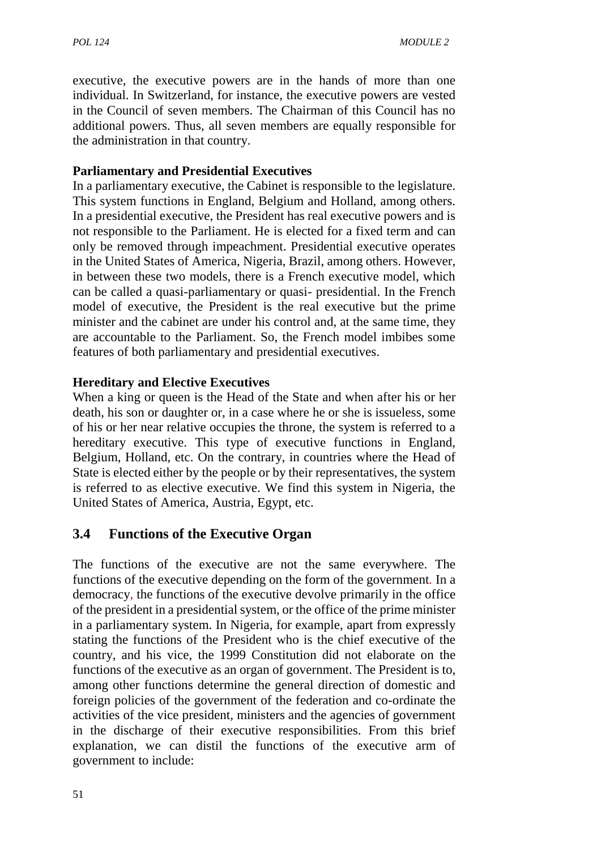executive, the executive powers are in the hands of more than one individual. In Switzerland, for instance, the executive powers are vested in the Council of seven members. The Chairman of this Council has no additional powers. Thus, all seven members are equally responsible for the administration in that country.

### **Parliamentary and Presidential Executives**

In a parliamentary executive, the Cabinet is responsible to the legislature. This system functions in England, Belgium and Holland, among others. In a presidential executive, the President has real executive powers and is not responsible to the Parliament. He is elected for a fixed term and can only be removed through impeachment. Presidential executive operates in the United States of America, Nigeria, Brazil, among others. However, in between these two models, there is a French executive model, which can be called a quasi-parliamentary or quasi- presidential. In the French model of executive, the President is the real executive but the prime minister and the cabinet are under his control and, at the same time, they are accountable to the Parliament. So, the French model imbibes some features of both parliamentary and presidential executives.

### **Hereditary and Elective Executives**

When a king or queen is the Head of the State and when after his or her death, his son or daughter or, in a case where he or she is issueless, some of his or her near relative occupies the throne, the system is referred to a hereditary executive. This type of executive functions in England, Belgium, Holland, etc. On the contrary, in countries where the Head of State is elected either by the people or by their representatives, the system is referred to as elective executive. We find this system in Nigeria, the United States of America, Austria, Egypt, etc.

## **3.4 Functions of the Executive Organ**

The functions of the executive are not the same everywhere. The functions of the executive depending on the form of the government*.* In a democracy*,* the functions of the executive devolve primarily in the office of the president in a presidential system, or the office of the prime minister in a parliamentary system. In Nigeria, for example, apart from expressly stating the functions of the President who is the chief executive of the country, and his vice, the 1999 Constitution did not elaborate on the functions of the executive as an organ of government. The President is to, among other functions determine the general direction of domestic and foreign policies of the government of the federation and co-ordinate the activities of the vice president, ministers and the agencies of government in the discharge of their executive responsibilities. From this brief explanation, we can distil the functions of the executive arm of government to include: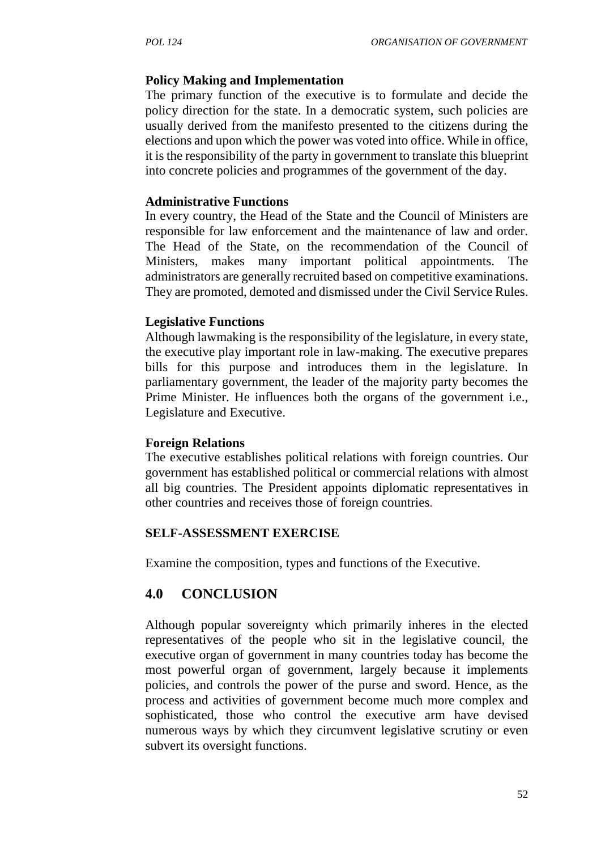#### **Policy Making and Implementation**

The primary function of the executive is to formulate and decide the policy direction for the state. In a democratic system, such policies are usually derived from the manifesto presented to the citizens during the elections and upon which the power was voted into office. While in office, it is the responsibility of the party in government to translate this blueprint into concrete policies and programmes of the government of the day.

#### **Administrative Functions**

In every country, the Head of the State and the Council of Ministers are responsible for law enforcement and the maintenance of law and order. The Head of the State, on the recommendation of the Council of Ministers, makes many important political appointments. The administrators are generally recruited based on competitive examinations. They are promoted, demoted and dismissed under the Civil Service Rules.

#### **Legislative Functions**

Although lawmaking is the responsibility of the legislature, in every state, the executive play important role in law-making. The executive prepares bills for this purpose and introduces them in the legislature. In parliamentary government, the leader of the majority party becomes the Prime Minister. He influences both the organs of the government i.e., Legislature and Executive.

#### **Foreign Relations**

The executive establishes political relations with foreign countries. Our government has established political or commercial relations with almost all big countries. The President appoints diplomatic representatives in other countries and receives those of foreign countries*.*

#### **SELF-ASSESSMENT EXERCISE**

Examine the composition, types and functions of the Executive.

#### **4.0 CONCLUSION**

Although popular sovereignty which primarily inheres in the elected representatives of the people who sit in the legislative council, the executive organ of government in many countries today has become the most powerful organ of government, largely because it implements policies, and controls the power of the purse and sword. Hence, as the process and activities of government become much more complex and sophisticated, those who control the executive arm have devised numerous ways by which they circumvent legislative scrutiny or even subvert its oversight functions.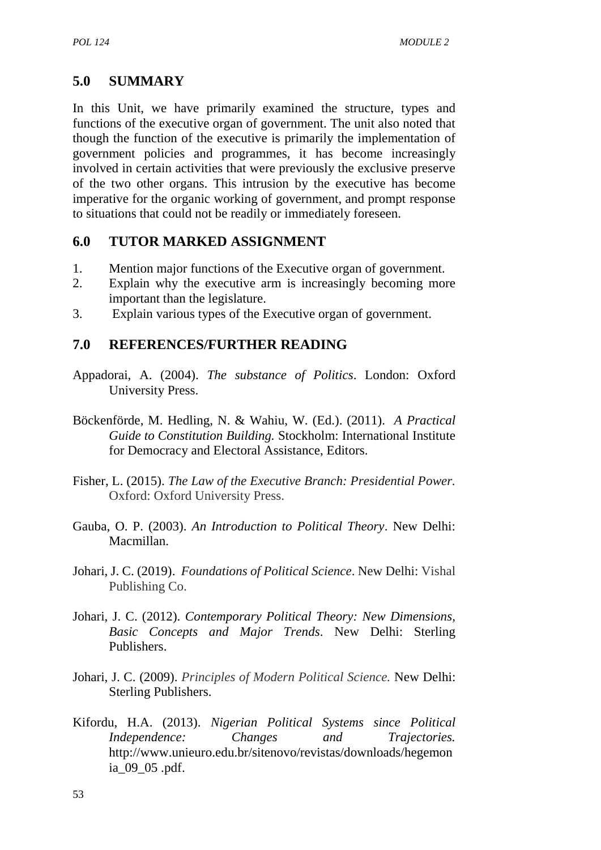# **5.0 SUMMARY**

In this Unit, we have primarily examined the structure, types and functions of the executive organ of government. The unit also noted that though the function of the executive is primarily the implementation of government policies and programmes, it has become increasingly involved in certain activities that were previously the exclusive preserve of the two other organs. This intrusion by the executive has become imperative for the organic working of government, and prompt response to situations that could not be readily or immediately foreseen.

# **6.0 TUTOR MARKED ASSIGNMENT**

- 1. Mention major functions of the Executive organ of government.
- 2. Explain why the executive arm is increasingly becoming more important than the legislature.
- 3. Explain various types of the Executive organ of government.

## **7.0 REFERENCES/FURTHER READING**

- Appadorai, A. (2004). *The substance of Politics*. London: Oxford University Press.
- Böckenförde, M. Hedling, N. & Wahiu, W. (Ed.). (2011). *A Practical Guide to Constitution Building.* Stockholm: International Institute for Democracy and Electoral Assistance, Editors.
- Fisher, L. (2015). *The Law of the Executive Branch: Presidential Power.* Oxford: Oxford University Press.
- Gauba, O. P. (2003). *An Introduction to Political Theory*. New Delhi: Macmillan.
- Johari, J. C. (2019). *Foundations of Political Science*. New Delhi: Vishal Publishing Co.
- Johari, J. C. (2012). *Contemporary Political Theory: New Dimensions, Basic Concepts and Major Trends*. New Delhi: Sterling Publishers.
- Johari, J. C. (2009). *Principles of Modern Political Science.* New Delhi: Sterling Publishers.
- Kifordu, H.A. (2013). *Nigerian Political Systems since Political Independence: Changes and Trajectories.* http://www.unieuro.edu.br/sitenovo/revistas/downloads/hegemon ia\_09\_05 .pdf.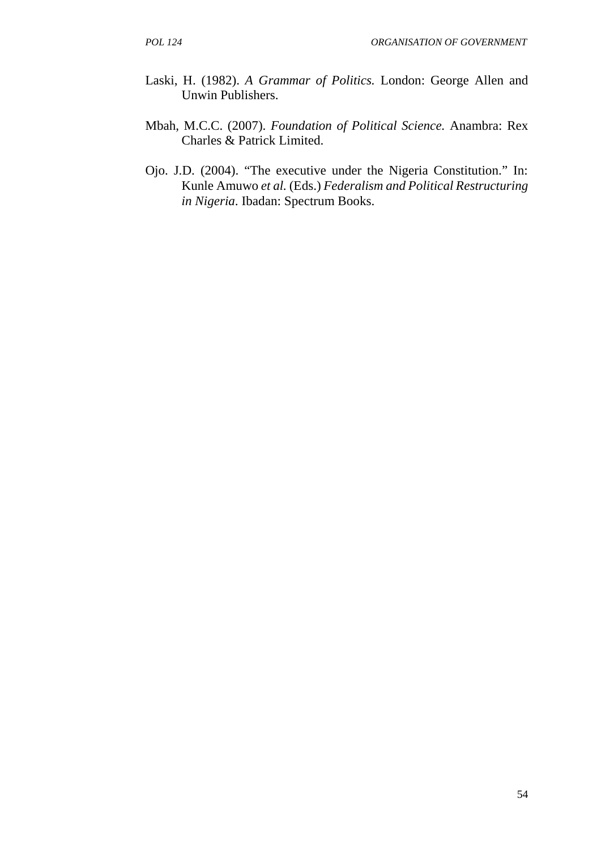- Laski, H. (1982). *A Grammar of Politics.* London: George Allen and Unwin Publishers.
- Mbah, M.C.C. (2007). *Foundation of Political Science.* Anambra: Rex Charles & Patrick Limited.
- Ojo. J.D. (2004). "The executive under the Nigeria Constitution." In: Kunle Amuwo *et al.* (Eds.) *Federalism and Political Restructuring in Nigeria*. Ibadan: Spectrum Books.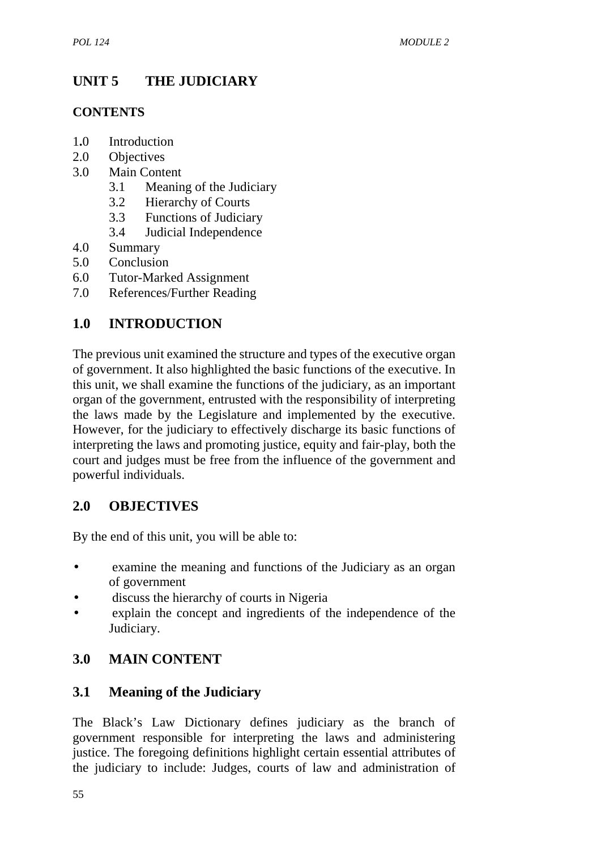# **UNIT 5 THE JUDICIARY**

## **CONTENTS**

- 1**.**0 Introduction
- 2.0 Objectives
- 3.0 Main Content
	- 3.1 Meaning of the Judiciary
	- 3.2 Hierarchy of Courts
	- 3.3 Functions of Judiciary
	- 3.4 Judicial Independence
- 4.0 Summary
- 5.0 Conclusion
- 6.0 Tutor-Marked Assignment
- 7.0 References/Further Reading

# **1.0 INTRODUCTION**

The previous unit examined the structure and types of the executive organ of government. It also highlighted the basic functions of the executive. In this unit, we shall examine the functions of the judiciary, as an important organ of the government, entrusted with the responsibility of interpreting the laws made by the Legislature and implemented by the executive. However, for the judiciary to effectively discharge its basic functions of interpreting the laws and promoting justice, equity and fair-play, both the court and judges must be free from the influence of the government and powerful individuals.

## **2.0 OBJECTIVES**

By the end of this unit, you will be able to:

- examine the meaning and functions of the Judiciary as an organ of government
- discuss the hierarchy of courts in Nigeria
- explain the concept and ingredients of the independence of the Judiciary.

# **3.0 MAIN CONTENT**

## **3.1 Meaning of the Judiciary**

The Black's Law Dictionary defines judiciary as the branch of government responsible for interpreting the laws and administering justice. The foregoing definitions highlight certain essential attributes of the judiciary to include: Judges, courts of law and administration of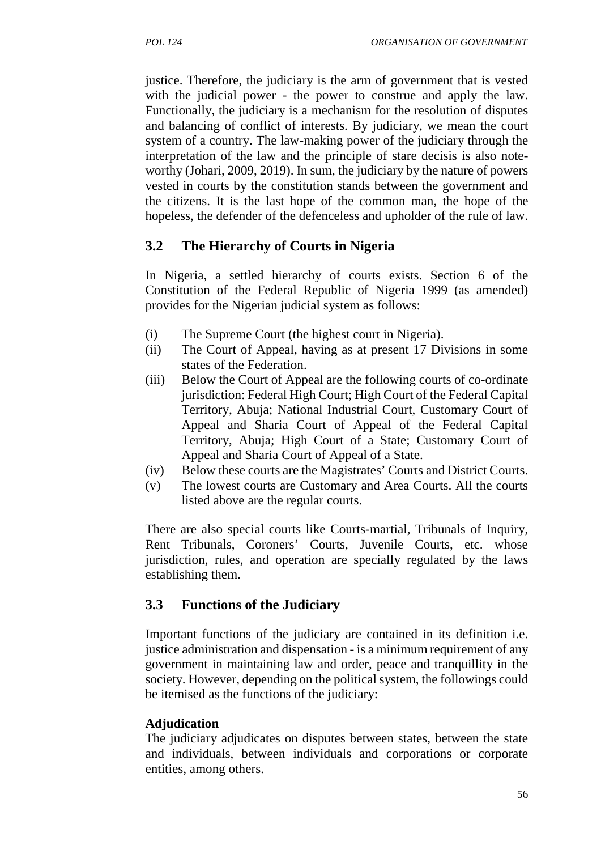justice. Therefore, the judiciary is the arm of government that is vested with the judicial power - the power to construe and apply the law. Functionally, the judiciary is a mechanism for the resolution of disputes and balancing of conflict of interests. By judiciary, we mean the court system of a country. The law-making power of the judiciary through the interpretation of the law and the principle of stare decisis is also note worthy (Johari, 2009, 2019). In sum, the judiciary by the nature of powers vested in courts by the constitution stands between the government and the citizens. It is the last hope of the common man, the hope of the hopeless, the defender of the defenceless and upholder of the rule of law.

#### **3.2 The Hierarchy of Courts in Nigeria**

In Nigeria, a settled hierarchy of courts exists. Section 6 of the Constitution of the Federal Republic of Nigeria 1999 (as amended) provides for the Nigerian judicial system as follows:

- (i) The Supreme Court (the highest court in Nigeria).
- (ii) The Court of Appeal, having as at present 17 Divisions in some states of the Federation.
- (iii) Below the Court of Appeal are the following courts of co-ordinate jurisdiction: Federal High Court; High Court of the Federal Capital Territory, Abuja; National Industrial Court, Customary Court of Appeal and Sharia Court of Appeal of the Federal Capital Territory, Abuja; High Court of a State; Customary Court of Appeal and Sharia Court of Appeal of a State.
- (iv) Below these courts are the Magistrates' Courts and District Courts.
- (v) The lowest courts are Customary and Area Courts. All the courts listed above are the regular courts.

There are also special courts like Courts-martial, Tribunals of Inquiry, Rent Tribunals, Coroners' Courts, Juvenile Courts, etc. whose jurisdiction, rules, and operation are specially regulated by the laws establishing them.

#### **3.3 Functions of the Judiciary**

Important functions of the judiciary are contained in its definition i.e. justice administration and dispensation - is a minimum requirement of any government in maintaining law and order, peace and tranquillity in the society. However, depending on the political system, the followings could be itemised as the functions of the judiciary:

#### **Adjudication**

The judiciary adjudicates on disputes between states, between the state and individuals, between individuals and corporations or corporate entities, among others.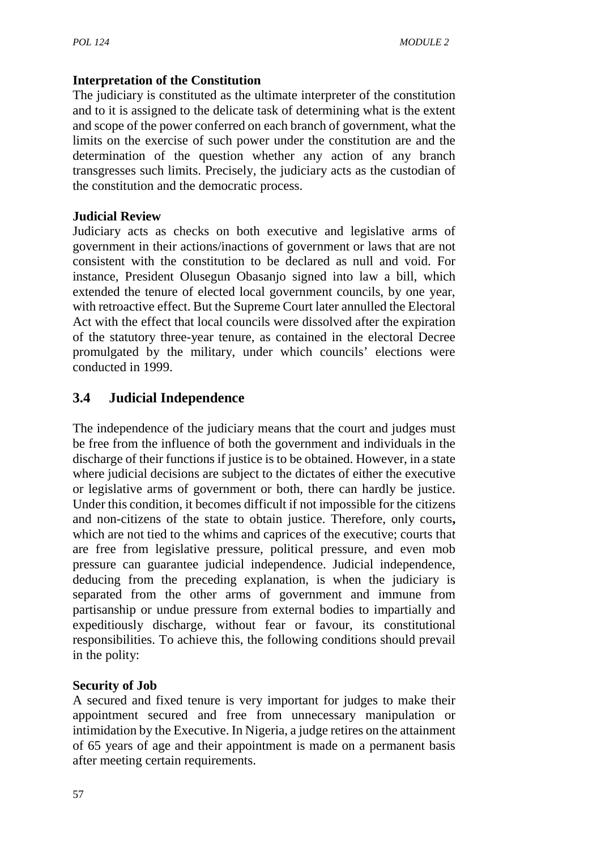## **Interpretation of the Constitution**

The judiciary is constituted as the ultimate interpreter of the constitution and to it is assigned to the delicate task of determining what is the extent and scope of the power conferred on each branch of government, what the limits on the exercise of such power under the constitution are and the determination of the question whether any action of any branch transgresses such limits. Precisely, the judiciary acts as the custodian of the constitution and the democratic process.

#### **Judicial Review**

Judiciary acts as checks on both executive and legislative arms of government in their actions/inactions of government or laws that are not consistent with the constitution to be declared as null and void. For instance, President Olusegun Obasanjo signed into law a bill, which extended the tenure of elected local government councils, by one year, with retroactive effect. But the Supreme Court later annulled the Electoral Act with the effect that local councils were dissolved after the expiration of the statutory three-year tenure, as contained in the electoral Decree promulgated by the military, under which councils' elections were conducted in 1999.

# **3.4 Judicial Independence**

The independence of the judiciary means that the court and judges must be free from the influence of both the government and individuals in the discharge of their functions if justice is to be obtained. However, in a state where judicial decisions are subject to the dictates of either the executive or legislative arms of government or both, there can hardly be justice. Under this condition, it becomes difficult if not impossible for the citizens and non-citizens of the state to obtain justice. Therefore, only courts**,** which are not tied to the whims and caprices of the executive; courts that are free from legislative pressure, political pressure, and even mob pressure can guarantee judicial independence. Judicial independence, deducing from the preceding explanation, is when the judiciary is separated from the other arms of government and immune from partisanship or undue pressure from external bodies to impartially and expeditiously discharge, without fear or favour, its constitutional responsibilities. To achieve this, the following conditions should prevail in the polity:

#### **Security of Job**

A secured and fixed tenure is very important for judges to make their appointment secured and free from unnecessary manipulation or intimidation by the Executive. In Nigeria, a judge retires on the attainment of 65 years of age and their appointment is made on a permanent basis after meeting certain requirements.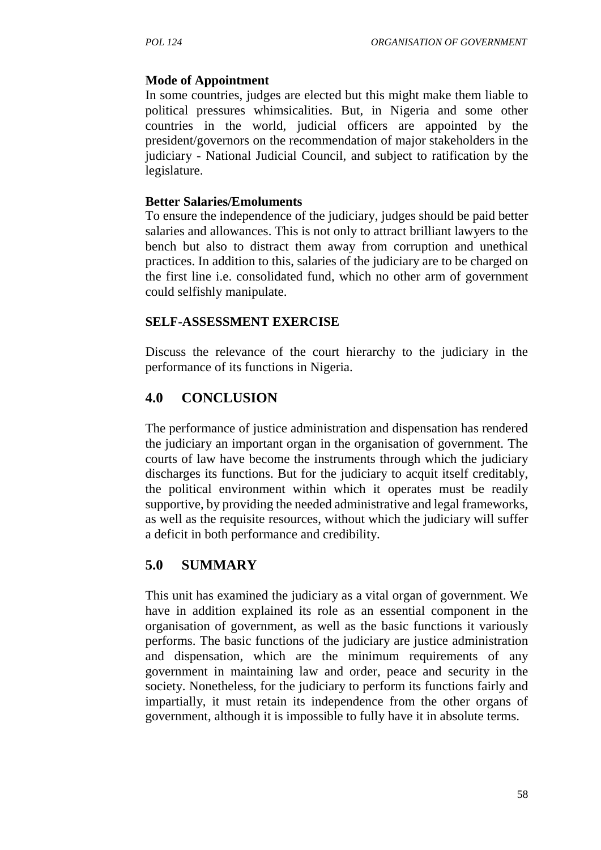## **Mode of Appointment**

In some countries, judges are elected but this might make them liable to political pressures whimsicalities. But, in Nigeria and some other countries in the world, judicial officers are appointed by the president/governors on the recommendation of major stakeholders in the judiciary - National Judicial Council, and subject to ratification by the legislature.

#### **Better Salaries/Emoluments**

To ensure the independence of the judiciary, judges should be paid better salaries and allowances. This is not only to attract brilliant lawyers to the bench but also to distract them away from corruption and unethical practices. In addition to this, salaries of the judiciary are to be charged on the first line i.e. consolidated fund, which no other arm of government could selfishly manipulate.

#### **SELF-ASSESSMENT EXERCISE**

Discuss the relevance of the court hierarchy to the judiciary in the performance of its functions in Nigeria.

# **4.0 CONCLUSION**

The performance of justice administration and dispensation has rendered the judiciary an important organ in the organisation of government. The courts of law have become the instruments through which the judiciary discharges its functions. But for the judiciary to acquit itself creditably, the political environment within which it operates must be readily supportive, by providing the needed administrative and legal frameworks, as well as the requisite resources, without which the judiciary will suffer a deficit in both performance and credibility.

# **5.0 SUMMARY**

This unit has examined the judiciary as a vital organ of government. We have in addition explained its role as an essential component in the organisation of government, as well as the basic functions it variously performs. The basic functions of the judiciary are justice administration and dispensation, which are the minimum requirements of any government in maintaining law and order, peace and security in the society. Nonetheless, for the judiciary to perform its functions fairly and impartially, it must retain its independence from the other organs of government, although it is impossible to fully have it in absolute terms.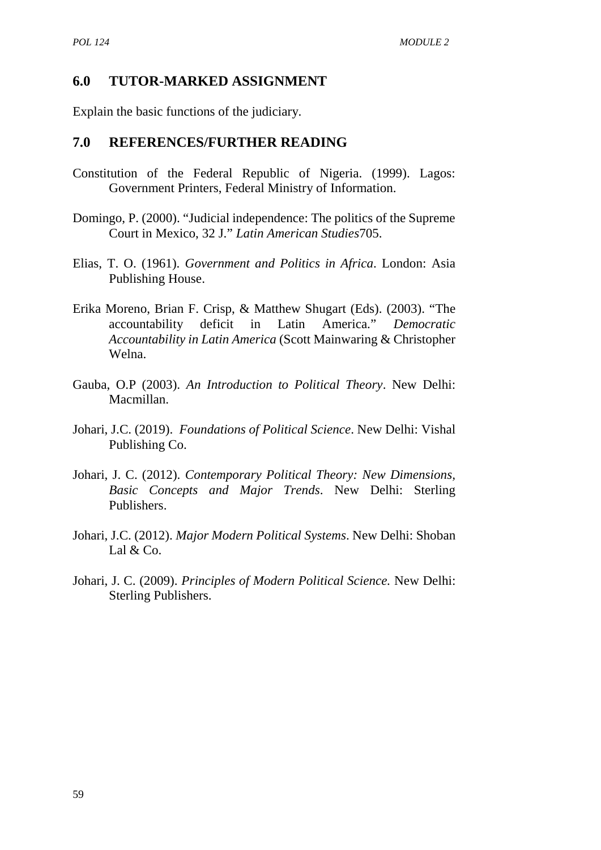#### **6.0 TUTOR-MARKED ASSIGNMENT**

Explain the basic functions of the judiciary.

#### **7.0 REFERENCES/FURTHER READING**

- Constitution of the Federal Republic of Nigeria. (1999). Lagos: Government Printers, Federal Ministry of Information.
- Domingo, P. (2000). "Judicial independence: The politics of the Supreme Court in Mexico, 32 J." *Latin American Studies*705.
- Elias, T. O. (1961). *Government and Politics in Africa*. London: Asia Publishing House.
- Erika Moreno, Brian F. Crisp, & Matthew Shugart (Eds). (2003). "The accountability deficit in Latin America." *Democratic Accountability in Latin America* (Scott Mainwaring & Christopher Welna.
- Gauba, O.P (2003). *An Introduction to Political Theory*. New Delhi: Macmillan.
- Johari, J.C. (2019). *Foundations of Political Science*. New Delhi: Vishal Publishing Co.
- Johari, J. C. (2012). *Contemporary Political Theory: New Dimensions, Basic Concepts and Major Trends*. New Delhi: Sterling Publishers.
- Johari, J.C. (2012). *Major Modern Political Systems*. New Delhi: Shoban Lal & Co.
- Johari, J. C. (2009). *Principles of Modern Political Science.* New Delhi: Sterling Publishers.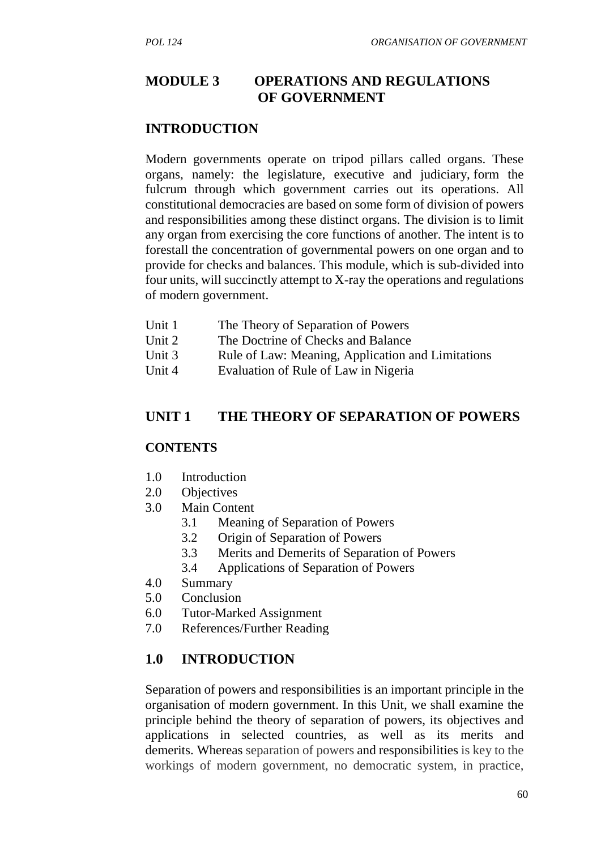# **MODULE 3 OPERATIONS AND REGULATIONS OF GOVERNMENT**

#### **INTRODUCTION**

Modern governments operate on tripod pillars called organs. These organs, namely: the legislature, executive and judiciary, form the fulcrum through which government carries out its operations. All constitutional democracies are based on some form of division of powers and responsibilities among these distinct organs. The division is to limit any organ from exercising the core functions of another. The intent is to forestall the concentration of governmental powers on one organ and to provide for checks and balances. This module, which is sub-divided into four units, will succinctly attempt to X-ray the operations and regulations of modern government.

- Unit 1 The Theory of Separation of Powers
- Unit 2 The Doctrine of Checks and Balance
- Unit 3 Rule of Law: Meaning, Application and Limitations
- Unit 4 Evaluation of Rule of Law in Nigeria

#### **UNIT 1 THE THEORY OF SEPARATION OF POWERS**

#### **CONTENTS**

- 1.0 Introduction
- 2.0 Objectives
- 3.0 Main Content
	- 3.1 Meaning of Separation of Powers
	- 3.2 Origin of Separation of Powers
	- 3.3 Merits and Demerits of Separation of Powers
	- 3.4 Applications of Separation of Powers
- 4.0 Summary
- 5.0 Conclusion
- 6.0 Tutor-Marked Assignment
- 7.0 References/Further Reading

## **1.0 INTRODUCTION**

Separation of powers and responsibilities is an important principle in the organisation of modern government. In this Unit, we shall examine the principle behind the theory of separation of powers, its objectives and applications in selected countries, as well as its merits and demerits. Whereas separation of powers and responsibilities is key to the workings of modern government, no democratic system, in practice,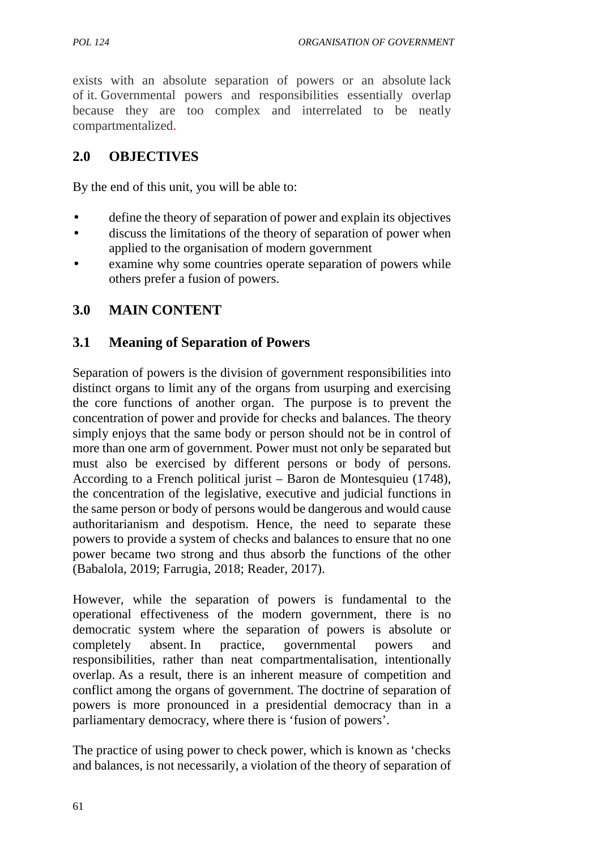exists with an absolute separation of powers or an absolute lack of it. Governmental powers and responsibilities essentially overlap because they are too complex and interrelated to be neatly compartmentalized.

## **2.0 OBJECTIVES**

By the end of this unit, you will be able to:

- define the theory of separation of power and explain its objectives
- discuss the limitations of the theory of separation of power when applied to the organisation of modern government
- examine why some countries operate separation of powers while others prefer a fusion of powers.

## **3.0 MAIN CONTENT**

#### **3.1 Meaning of Separation of Powers**

Separation of powers is the division of government responsibilities into distinct organs to limit any of the organs from usurping and exercising the core functions of another organ. The purpose is to prevent the concentration of power and provide for checks and balances. The theory simply enjoys that the same body or person should not be in control of more than one arm of government. Power must not only be separated but must also be exercised by different persons or body of persons. According to a French political jurist – Baron de Montesquieu (1748), the concentration of the legislative, executive and judicial functions in the same person or body of persons would be dangerous and would cause authoritarianism and despotism. Hence, the need to separate these powers to provide a system of checks and balances to ensure that no one power became two strong and thus absorb the functions of the other (Babalola, 2019; Farrugia, 2018; Reader, 2017).

However, while the separation of powers is fundamental to the operational effectiveness of the modern government, there is no democratic system where the separation of powers is absolute or completely absent. In practice, governmental powers and responsibilities, rather than neat compartmentalisation, intentionally overlap. As a result, there is an inherent measure of competition and conflict among the organs of government. The doctrine of separation of powers is more pronounced in a presidential democracy than in a parliamentary democracy, where there is 'fusion of powers'.

The practice of using power to check power, which is known as 'checks and balances, is not necessarily, a violation of the theory of separation of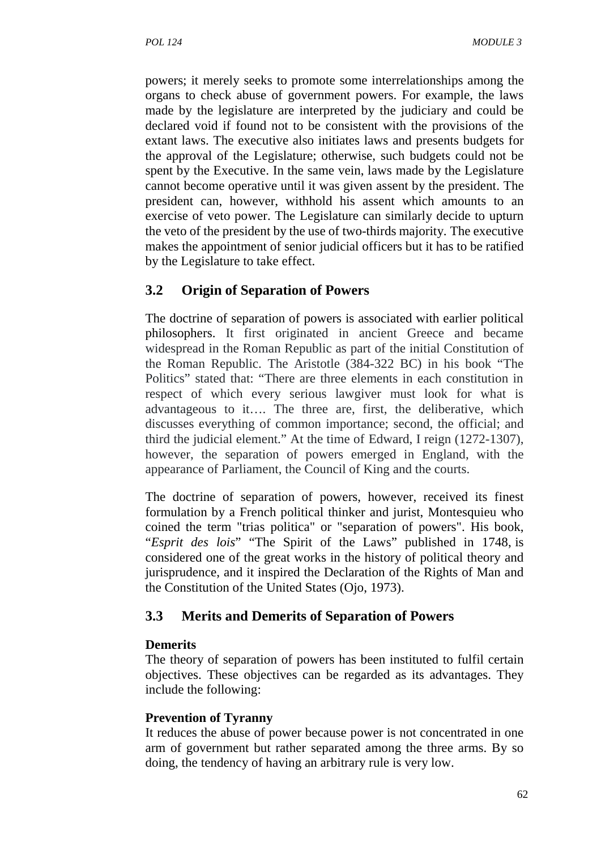powers; it merely seeks to promote some interrelationships among the organs to check abuse of government powers. For example, the laws made by the legislature are interpreted by the judiciary and could be declared void if found not to be consistent with the provisions of the extant laws. The executive also initiates laws and presents budgets for the approval of the Legislature; otherwise, such budgets could not be spent by the Executive. In the same vein, laws made by the Legislature cannot become operative until it was given assent by the president. The president can, however, withhold his assent which amounts to an exercise of veto power. The Legislature can similarly decide to upturn the veto of the president by the use of two-thirds majority. The executive makes the appointment of senior judicial officers but it has to be ratified by the Legislature to take effect.

## **3.2 Origin of Separation of Powers**

The doctrine of separation of powers is associated with earlier political philosophers. It first originated in ancient Greece and became widespread in the Roman Republic as part of the initial Constitution of the Roman Republic. The Aristotle (384-322 BC) in his book "The Politics" stated that: "There are three elements in each constitution in respect of which every serious lawgiver must look for what is advantageous to it…. The three are, first, the deliberative, which discusses everything of common importance; second, the official; and third the judicial element." At the time of Edward, I reign (1272-1307), however, the separation of powers emerged in England, with the appearance of Parliament, the Council of King and the courts.

The doctrine of separation of powers, however, received its finest formulation by a French political thinker and jurist, Montesquieu who coined the term "trias politica" or "separation of powers". His book, "*Esprit des lois*" "The Spirit of the Laws" published in 1748, is considered one of the great works in the history of political theory and jurisprudence, and it inspired the Declaration of the Rights of Man and the Constitution of the United States (Ojo, 1973).

## **3.3 Merits and Demerits of Separation of Powers**

#### **Demerits**

The theory of separation of powers has been instituted to fulfil certain objectives. These objectives can be regarded as its advantages. They include the following:

#### **Prevention of Tyranny**

It reduces the abuse of power because power is not concentrated in one arm of government but rather separated among the three arms. By so doing, the tendency of having an arbitrary rule is very low.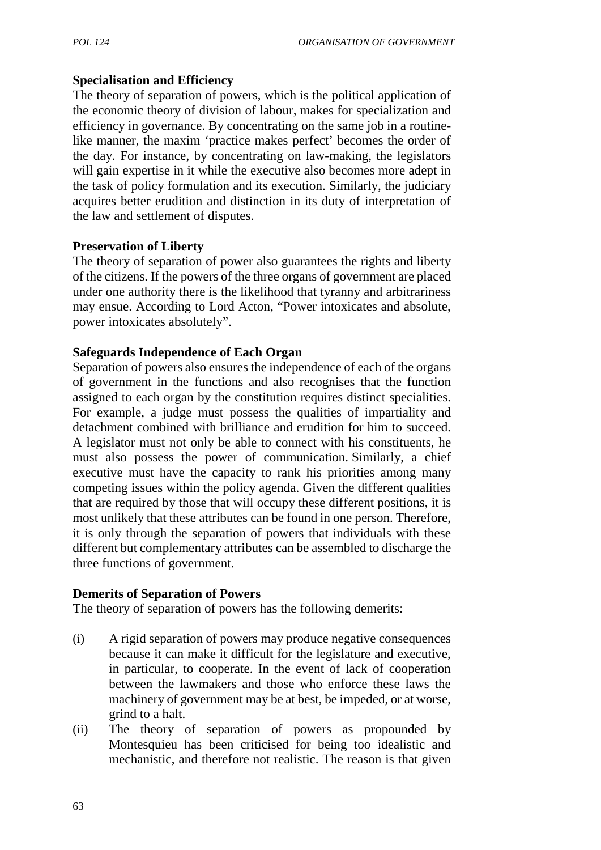#### **Specialisation and Efficiency**

The theory of separation of powers, which is the political application of the economic theory of division of labour, makes for specialization and efficiency in governance. By concentrating on the same job in a routinelike manner, the maxim 'practice makes perfect' becomes the order of the day. For instance, by concentrating on law-making, the legislators will gain expertise in it while the executive also becomes more adept in the task of policy formulation and its execution. Similarly, the judiciary acquires better erudition and distinction in its duty of interpretation of the law and settlement of disputes.

#### **Preservation of Liberty**

The theory of separation of power also guarantees the rights and liberty of the citizens. If the powers of the three organs of government are placed under one authority there is the likelihood that tyranny and arbitrariness may ensue. According to Lord Acton, "Power intoxicates and absolute, power intoxicates absolutely".

#### **Safeguards Independence of Each Organ**

Separation of powers also ensures the independence of each of the organs of government in the functions and also recognises that the function assigned to each organ by the constitution requires distinct specialities. For example, a judge must possess the qualities of impartiality and detachment combined with brilliance and erudition for him to succeed. A legislator must not only be able to connect with his constituents, he must also possess the power of communication. Similarly, a chief executive must have the capacity to rank his priorities among many competing issues within the policy agenda. Given the different qualities that are required by those that will occupy these different positions, it is most unlikely that these attributes can be found in one person. Therefore, it is only through the separation of powers that individuals with these different but complementary attributes can be assembled to discharge the three functions of government.

#### **Demerits of Separation of Powers**

The theory of separation of powers has the following demerits:

- (i) A rigid separation of powers may produce negative consequences because it can make it difficult for the legislature and executive, in particular, to cooperate. In the event of lack of cooperation between the lawmakers and those who enforce these laws the machinery of government may be at best, be impeded, or at worse, grind to a halt.
- (ii) The theory of separation of powers as propounded by Montesquieu has been criticised for being too idealistic and mechanistic, and therefore not realistic. The reason is that given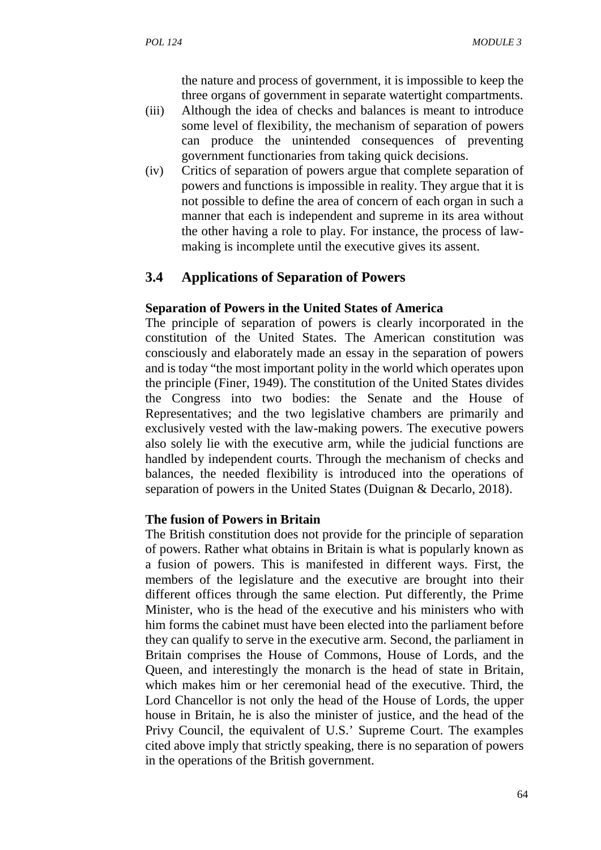the nature and process of government, it is impossible to keep the three organs of government in separate watertight compartments.

- (iii) Although the idea of checks and balances is meant to introduce some level of flexibility, the mechanism of separation of powers can produce the unintended consequences of preventing government functionaries from taking quick decisions.
- (iv) Critics of separation of powers argue that complete separation of powers and functions is impossible in reality. They argue that it is not possible to define the area of concern of each organ in such a manner that each is independent and supreme in its area without the other having a role to play. For instance, the process of law making is incomplete until the executive gives its assent.

#### **3.4 Applications of Separation of Powers**

#### **Separation of Powers in the United States of America**

The principle of separation of powers is clearly incorporated in the constitution of the United States. The American constitution was consciously and elaborately made an essay in the separation of powers and is today "the most important polity in the world which operates upon the principle (Finer, 1949). The constitution of the United States divides the Congress into two bodies: the Senate and the House of Representatives; and the two legislative chambers are primarily and exclusively vested with the law-making powers. The executive powers also solely lie with the executive arm, while the judicial functions are handled by independent courts. Through the mechanism of checks and balances, the needed flexibility is introduced into the operations of separation of powers in the United States (Duignan & Decarlo, 2018).

#### **The fusion of Powers in Britain**

The British constitution does not provide for the principle of separation of powers. Rather what obtains in Britain is what is popularly known as a fusion of powers. This is manifested in different ways. First, the members of the legislature and the executive are brought into their different offices through the same election. Put differently, the Prime Minister, who is the head of the executive and his ministers who with him forms the cabinet must have been elected into the parliament before they can qualify to serve in the executive arm. Second, the parliament in Britain comprises the House of Commons, House of Lords, and the Queen, and interestingly the monarch is the head of state in Britain, which makes him or her ceremonial head of the executive. Third, the Lord Chancellor is not only the head of the House of Lords, the upper house in Britain, he is also the minister of justice, and the head of the Privy Council, the equivalent of U.S.' Supreme Court. The examples cited above imply that strictly speaking, there is no separation of powers in the operations of the British government.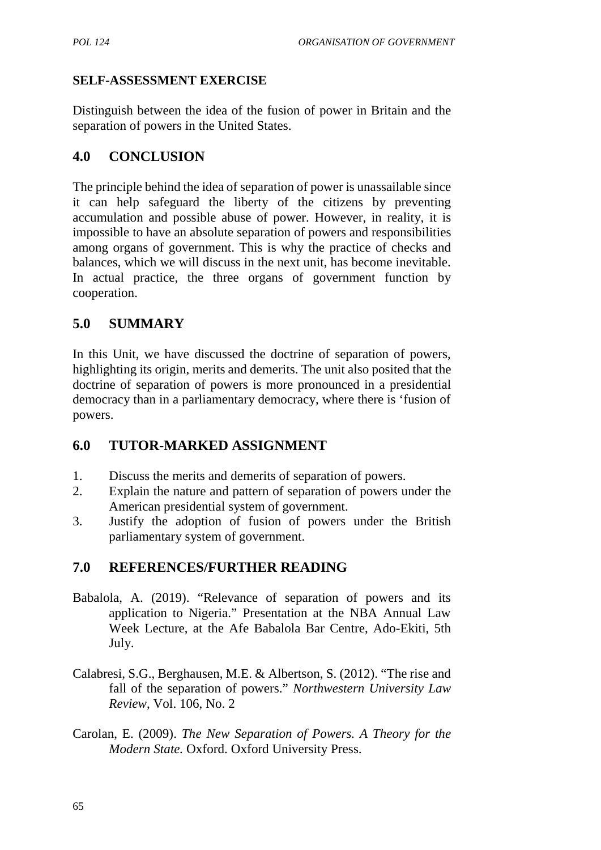## **SELF-ASSESSMENT EXERCISE**

Distinguish between the idea of the fusion of power in Britain and the separation of powers in the United States.

## **4.0 CONCLUSION**

The principle behind the idea of separation of power is unassailable since it can help safeguard the liberty of the citizens by preventing accumulation and possible abuse of power. However, in reality, it is impossible to have an absolute separation of powers and responsibilities among organs of government. This is why the practice of checks and balances, which we will discuss in the next unit, has become inevitable. In actual practice, the three organs of government function by cooperation.

## **5.0 SUMMARY**

In this Unit, we have discussed the doctrine of separation of powers, highlighting its origin, merits and demerits. The unit also posited that the doctrine of separation of powers is more pronounced in a presidential democracy than in a parliamentary democracy, where there is 'fusion of powers.

## **6.0 TUTOR-MARKED ASSIGNMENT**

- 1. Discuss the merits and demerits of separation of powers.
- 2. Explain the nature and pattern of separation of powers under the American presidential system of government.
- 3. Justify the adoption of fusion of powers under the British parliamentary system of government.

# **7.0 REFERENCES/FURTHER READING**

- Babalola, A. (2019). "Relevance of separation of powers and its application to Nigeria." Presentation at the NBA Annual Law Week Lecture, at the Afe Babalola Bar Centre, Ado-Ekiti, 5th July.
- Calabresi, S.G., Berghausen, M.E. & Albertson, S. (2012). "The rise and fall of the separation of powers." *Northwestern University Law Review*, Vol. 106, No. 2
- Carolan, E. (2009). *The New Separation of Powers. A Theory for the Modern State.* Oxford. Oxford University Press.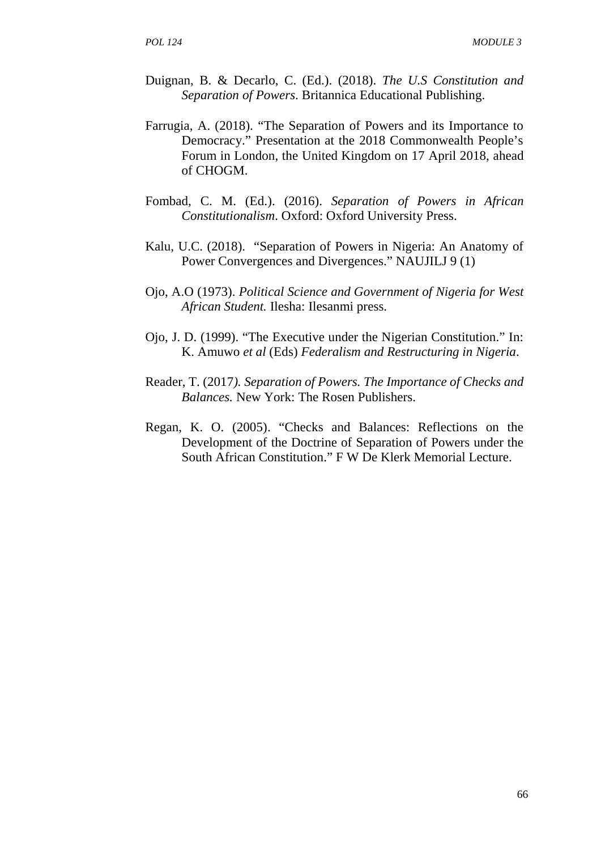- Duignan, B. & Decarlo, C. (Ed.). (2018). *The U.S Constitution and Separation of Powers*. Britannica Educational Publishing.
- Farrugia, A. (2018). "The Separation of Powers and its Importance to Democracy." Presentation at the 2018 Commonwealth People's Forum in London, the United Kingdom on 17 April 2018, ahead of CHOGM.
- Fombad, C. M. (Ed.). (2016). *Separation of Powers in African Constitutionalism*. Oxford: Oxford University Press.
- Kalu, U.C. (2018). "Separation of Powers in Nigeria: An Anatomy of Power Convergences and Divergences." NAUJILJ 9 (1)
- Ojo, A.O (1973). *Political Science and Government of Nigeria for West African Student.* Ilesha: Ilesanmi press.
- Ojo, J. D. (1999). "The Executive under the Nigerian Constitution." In: K. Amuwo *et al* (Eds) *Federalism and Restructuring in Nigeria*.
- Reader, T. (2017*). Separation of Powers. The Importance of Checks and Balances.* New York: The Rosen Publishers.
- Regan, K. O. (2005). "Checks and Balances: Reflections on the Development of the Doctrine of Separation of Powers under the South African Constitution." F W De Klerk Memorial Lecture.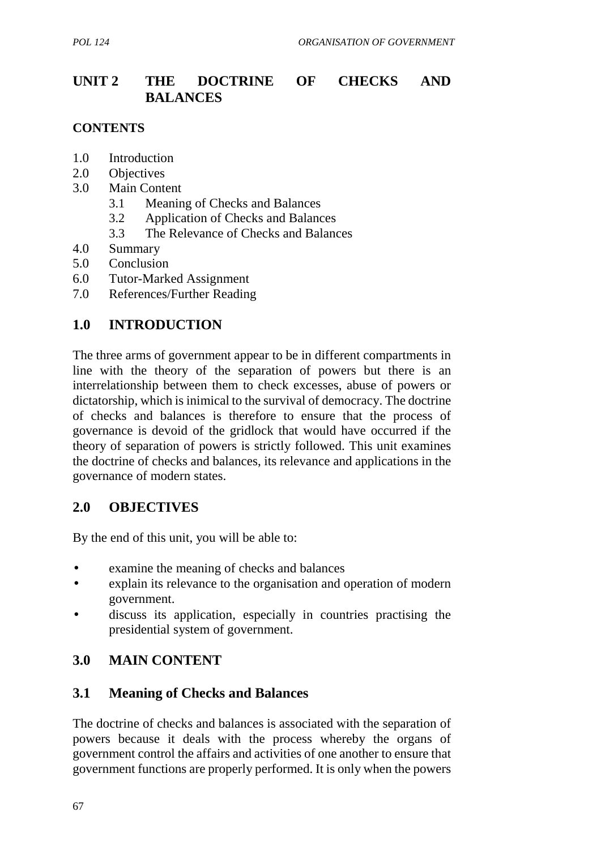# **UNIT 2 THE DOCTRINE OF CHECKS AND BALANCES**

#### **CONTENTS**

- 1.0 Introduction
- 2.0 Objectives
- 3.0 Main Content
	- 3.1 Meaning of Checks and Balances
	- 3.2 Application of Checks and Balances
	- 3.3 The Relevance of Checks and Balances
- 4.0 Summary
- 5.0 Conclusion
- 6.0 Tutor-Marked Assignment
- 7.0 References/Further Reading

## **1.0 INTRODUCTION**

The three arms of government appear to be in different compartments in line with the theory of the separation of powers but there is an interrelationship between them to check excesses, abuse of powers or dictatorship, which is inimical to the survival of democracy. The doctrine of checks and balances is therefore to ensure that the process of governance is devoid of the gridlock that would have occurred if the theory of separation of powers is strictly followed. This unit examines the doctrine of checks and balances, its relevance and applications in the governance of modern states.

## **2.0 OBJECTIVES**

By the end of this unit, you will be able to:

- examine the meaning of checks and balances
- explain its relevance to the organisation and operation of modern government.
- discuss its application, especially in countries practising the presidential system of government.

## **3.0 MAIN CONTENT**

## **3.1 Meaning of Checks and Balances**

The doctrine of checks and balances is associated with the separation of powers because it deals with the process whereby the organs of government control the affairs and activities of one another to ensure that government functions are properly performed. It is only when the powers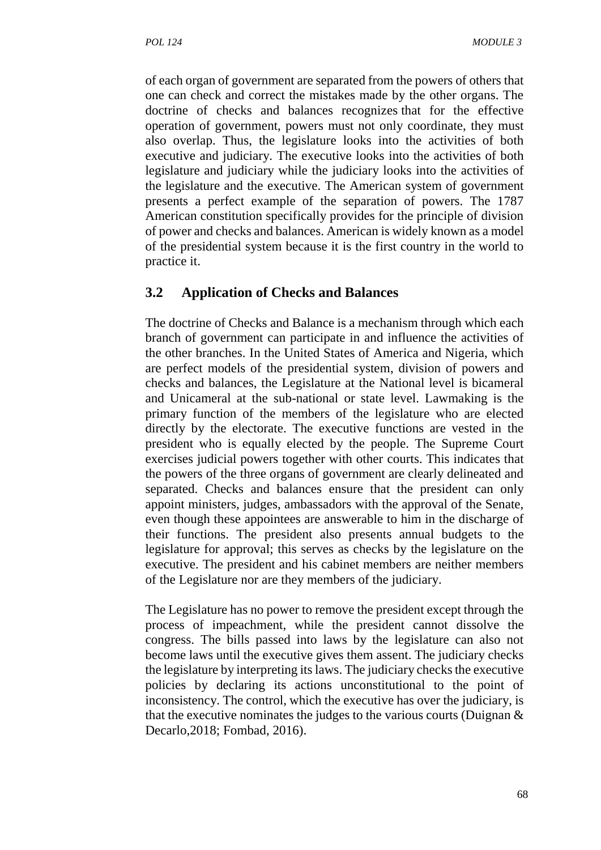of each organ of government are separated from the powers of others that one can check and correct the mistakes made by the other organs. The doctrine of checks and balances recognizes that for the effective operation of government, powers must not only coordinate, they must also overlap. Thus, the legislature looks into the activities of both executive and judiciary. The executive looks into the activities of both legislature and judiciary while the judiciary looks into the activities of the legislature and the executive. The American system of government presents a perfect example of the separation of powers. The 1787 American constitution specifically provides for the principle of division of power and checks and balances. American is widely known as a model of the presidential system because it is the first country in the world to practice it.

## **3.2 Application of Checks and Balances**

The doctrine of Checks and Balance is a mechanism through which each branch of government can participate in and influence the activities of the other branches. In the United States of America and Nigeria, which are perfect models of the presidential system, division of powers and checks and balances, the Legislature at the National level is bicameral and Unicameral at the sub-national or state level. Lawmaking is the primary function of the members of the legislature who are elected directly by the electorate. The executive functions are vested in the president who is equally elected by the people. The Supreme Court exercises judicial powers together with other courts. This indicates that the powers of the three organs of government are clearly delineated and separated. Checks and balances ensure that the president can only appoint ministers, judges, ambassadors with the approval of the Senate, even though these appointees are answerable to him in the discharge of their functions. The president also presents annual budgets to the legislature for approval; this serves as checks by the legislature on the executive. The president and his cabinet members are neither members of the Legislature nor are they members of the judiciary.

The Legislature has no power to remove the president except through the process of impeachment, while the president cannot dissolve the congress. The bills passed into laws by the legislature can also not become laws until the executive gives them assent. The judiciary checks the legislature by interpreting its laws. The judiciary checks the executive policies by declaring its actions unconstitutional to the point of inconsistency. The control, which the executive has over the judiciary, is that the executive nominates the judges to the various courts (Duignan  $\&$ Decarlo,2018; Fombad, 2016).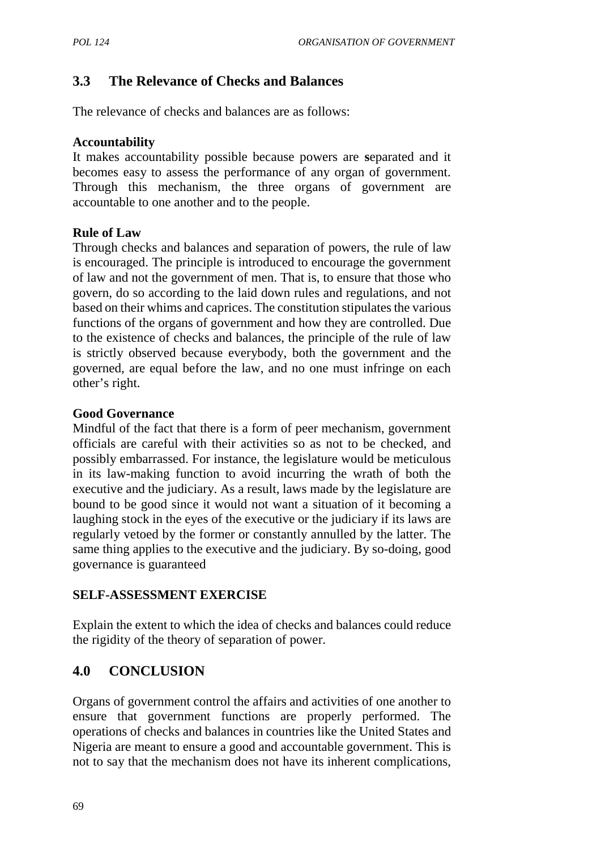# **3.3 The Relevance of Checks and Balances**

The relevance of checks and balances are as follows:

#### **Accountability**

It makes accountability possible because powers are **s**eparated and it becomes easy to assess the performance of any organ of government. Through this mechanism, the three organs of government are accountable to one another and to the people.

#### **Rule of Law**

Through checks and balances and separation of powers, the rule of law is encouraged. The principle is introduced to encourage the government of law and not the government of men. That is, to ensure that those who govern, do so according to the laid down rules and regulations, and not based on their whims and caprices. The constitution stipulates the various functions of the organs of government and how they are controlled. Due to the existence of checks and balances, the principle of the rule of law is strictly observed because everybody, both the government and the governed, are equal before the law, and no one must infringe on each other's right.

#### **Good Governance**

Mindful of the fact that there is a form of peer mechanism, government officials are careful with their activities so as not to be checked, and possibly embarrassed. For instance, the legislature would be meticulous in its law-making function to avoid incurring the wrath of both the executive and the judiciary. As a result, laws made by the legislature are bound to be good since it would not want a situation of it becoming a laughing stock in the eyes of the executive or the judiciary if its laws are regularly vetoed by the former or constantly annulled by the latter. The same thing applies to the executive and the judiciary. By so-doing, good governance is guaranteed

## **SELF-ASSESSMENT EXERCISE**

Explain the extent to which the idea of checks and balances could reduce the rigidity of the theory of separation of power.

# **4.0 CONCLUSION**

Organs of government control the affairs and activities of one another to ensure that government functions are properly performed. The operations of checks and balances in countries like the United States and Nigeria are meant to ensure a good and accountable government. This is not to say that the mechanism does not have its inherent complications,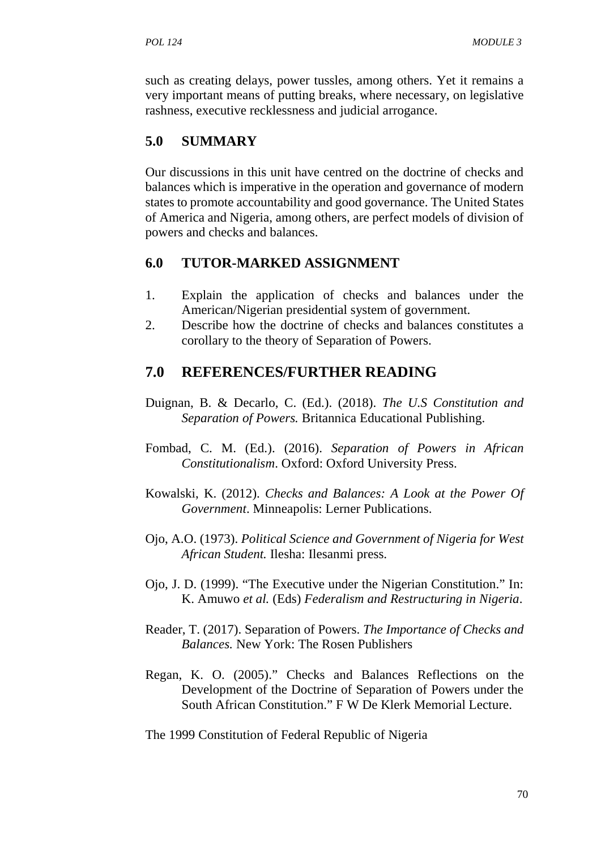such as creating delays, power tussles, among others. Yet it remains a very important means of putting breaks, where necessary, on legislative rashness, executive recklessness and judicial arrogance.

## **5.0 SUMMARY**

Our discussions in this unit have centred on the doctrine of checks and balances which is imperative in the operation and governance of modern states to promote accountability and good governance. The United States of America and Nigeria, among others, are perfect models of division of powers and checks and balances.

#### **6.0 TUTOR-MARKED ASSIGNMENT**

- 1. Explain the application of checks and balances under the American/Nigerian presidential system of government.
- 2. Describe how the doctrine of checks and balances constitutes a corollary to the theory of Separation of Powers.

## **7.0 REFERENCES/FURTHER READING**

- Duignan, B. & Decarlo, C. (Ed.). (2018). *The U.S Constitution and Separation of Powers.* Britannica Educational Publishing.
- Fombad, C. M. (Ed.). (2016). *Separation of Powers in African Constitutionalism*. Oxford: Oxford University Press.
- Kowalski, K. (2012). *Checks and Balances: A Look at the Power Of Government*. Minneapolis: Lerner Publications.
- Ojo, A.O. (1973). *Political Science and Government of Nigeria for West African Student.* Ilesha: Ilesanmi press.
- Ojo, J. D. (1999). "The Executive under the Nigerian Constitution." In: K. Amuwo *et al.* (Eds) *Federalism and Restructuring in Nigeria*.
- Reader, T. (2017). Separation of Powers. *The Importance of Checks and Balances.* New York: The Rosen Publishers
- Regan, K. O. (2005)." Checks and Balances Reflections on the Development of the Doctrine of Separation of Powers under the South African Constitution." F W De Klerk Memorial Lecture.

The 1999 Constitution of Federal Republic of Nigeria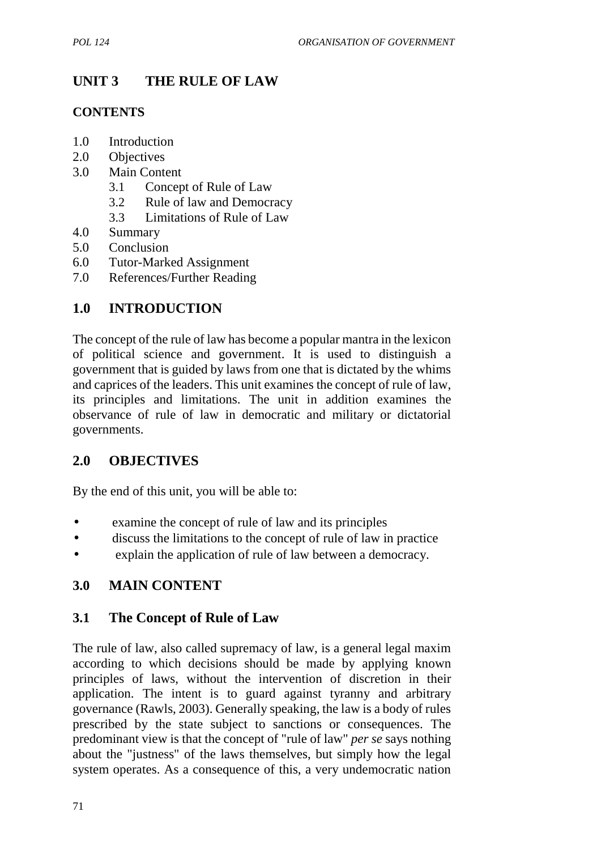# **UNIT 3 THE RULE OF LAW**

## **CONTENTS**

- 1.0 Introduction
- 2.0 Objectives
- 3.0 Main Content
	- 3.1 Concept of Rule of Law
	- 3.2 Rule of law and Democracy
	- 3.3 Limitations of Rule of Law
- 4.0 Summary
- 5.0 Conclusion
- 6.0 Tutor-Marked Assignment
- 7.0 References/Further Reading

## **1.0 INTRODUCTION**

The concept of the rule of law has become a popular mantra in the lexicon of political science and government. It is used to distinguish a government that is guided by laws from one that is dictated by the whims and caprices of the leaders. This unit examines the concept of rule of law, its principles and limitations. The unit in addition examines the observance of rule of law in democratic and military or dictatorial governments.

# **2.0 OBJECTIVES**

By the end of this unit, you will be able to:

- examine the concept of rule of law and its principles
- discuss the limitations to the concept of rule of law in practice
- explain the application of rule of law between a democracy.

# **3.0 MAIN CONTENT**

## **3.1 The Concept of Rule of Law**

The rule of law, also called supremacy of law, is a general legal maxim according to which decisions should be made by applying known principles of laws, without the intervention of discretion in their application. The intent is to guard against tyranny and arbitrary governance (Rawls, 2003). Generally speaking, the law is a body of rules prescribed by the state subject to sanctions or consequences. The predominant view is that the concept of "rule of law" *per se* says nothing about the "justness" of the laws themselves, but simply how the legal system operates. As a consequence of this, a very undemocratic nation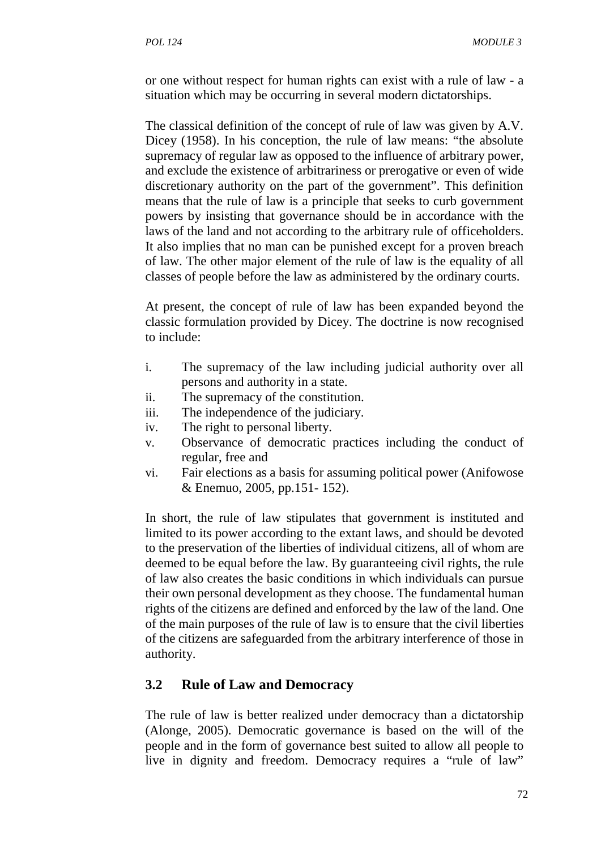or one without respect for human rights can exist with a rule of law - a situation which may be occurring in several modern dictatorships.

The classical definition of the concept of rule of law was given by A.V. Dicey (1958). In his conception, the rule of law means: "the absolute supremacy of regular law as opposed to the influence of arbitrary power, and exclude the existence of arbitrariness or prerogative or even of wide discretionary authority on the part of the government". This definition means that the rule of law is a principle that seeks to curb government powers by insisting that governance should be in accordance with the laws of the land and not according to the arbitrary rule of officeholders. It also implies that no man can be punished except for a proven breach of law. The other major element of the rule of law is the equality of all classes of people before the law as administered by the ordinary courts.

At present, the concept of rule of law has been expanded beyond the classic formulation provided by Dicey. The doctrine is now recognised to include:

- i. The supremacy of the law including judicial authority over all persons and authority in a state.
- ii. The supremacy of the constitution.
- iii. The independence of the judiciary.
- iv. The right to personal liberty.
- v. Observance of democratic practices including the conduct of regular, free and
- vi. Fair elections as a basis for assuming political power (Anifowose & Enemuo, 2005, pp.151- 152).

In short, the rule of law stipulates that government is instituted and limited to its power according to the extant laws, and should be devoted to the preservation of the liberties of individual citizens, all of whom are deemed to be equal before the law. By guaranteeing civil rights, the rule of law also creates the basic conditions in which individuals can pursue their own personal development as they choose. The fundamental human rights of the citizens are defined and enforced by the law of the land. One of the main purposes of the rule of law is to ensure that the civil liberties of the citizens are safeguarded from the arbitrary interference of those in authority.

#### **3.2 Rule of Law and Democracy**

The rule of law is better realized under democracy than a dictatorship (Alonge, 2005). Democratic governance is based on the will of the people and in the form of governance best suited to allow all people to live in dignity and freedom. Democracy requires a "rule of law"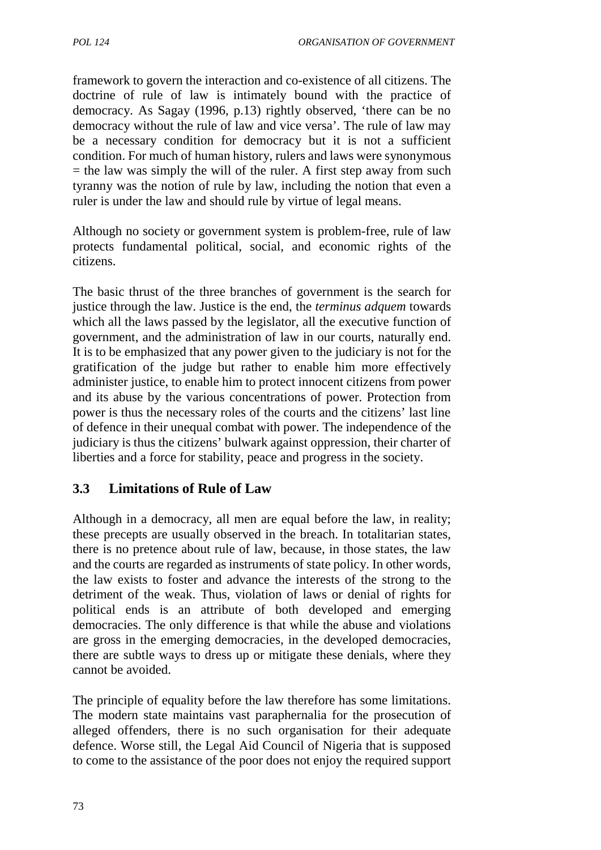framework to govern the interaction and co-existence of all citizens. The doctrine of rule of law is intimately bound with the practice of democracy. As Sagay (1996, p.13) rightly observed, 'there can be no democracy without the rule of law and vice versa'. The rule of law may be a necessary condition for democracy but it is not a sufficient condition. For much of human history, rulers and laws were synonymous  $=$  the law was simply the will of the ruler. A first step away from such tyranny was the notion of rule by law, including the notion that even a ruler is under the law and should rule by virtue of legal means.

Although no society or government system is problem-free, rule of law protects fundamental political, social, and economic rights of the citizens.

The basic thrust of the three branches of government is the search for justice through the law. Justice is the end, the *terminus adquem* towards which all the laws passed by the legislator, all the executive function of government, and the administration of law in our courts, naturally end. It is to be emphasized that any power given to the judiciary is not for the gratification of the judge but rather to enable him more effectively administer justice, to enable him to protect innocent citizens from power and its abuse by the various concentrations of power. Protection from power is thus the necessary roles of the courts and the citizens' last line of defence in their unequal combat with power. The independence of the judiciary is thus the citizens' bulwark against oppression, their charter of liberties and a force for stability, peace and progress in the society.

## **3.3 Limitations of Rule of Law**

Although in a democracy, all men are equal before the law, in reality; these precepts are usually observed in the breach. In totalitarian states, there is no pretence about rule of law, because, in those states, the law and the courts are regarded as instruments of state policy. In other words, the law exists to foster and advance the interests of the strong to the detriment of the weak. Thus, violation of laws or denial of rights for political ends is an attribute of both developed and emerging democracies. The only difference is that while the abuse and violations are gross in the emerging democracies, in the developed democracies, there are subtle ways to dress up or mitigate these denials, where they cannot be avoided.

The principle of equality before the law therefore has some limitations. The modern state maintains vast paraphernalia for the prosecution of alleged offenders, there is no such organisation for their adequate defence. Worse still, the Legal Aid Council of Nigeria that is supposed to come to the assistance of the poor does not enjoy the required support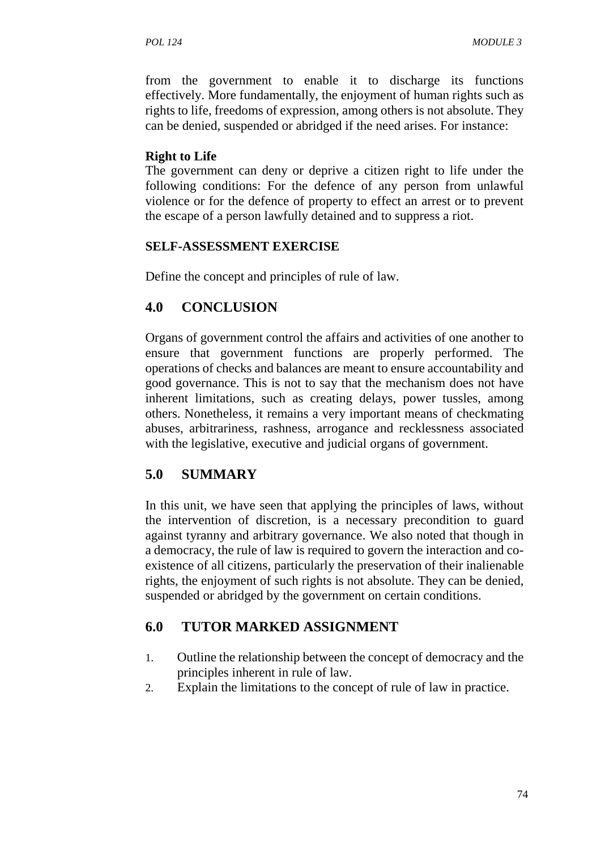from the government to enable it to discharge its functions effectively. More fundamentally, the enjoyment of human rights such as rights to life, freedoms of expression, among others is not absolute. They can be denied, suspended or abridged if the need arises. For instance:

#### **Right to Life**

The government can deny or deprive a citizen right to life under the following conditions: For the defence of any person from unlawful violence or for the defence of property to effect an arrest or to prevent the escape of a person lawfully detained and to suppress a riot.

#### **SELF-ASSESSMENT EXERCISE**

Define the concept and principles of rule of law.

## **4.0 CONCLUSION**

Organs of government control the affairs and activities of one another to ensure that government functions are properly performed. The operations of checks and balances are meant to ensure accountability and good governance. This is not to say that the mechanism does not have inherent limitations, such as creating delays, power tussles, among others. Nonetheless, it remains a very important means of checkmating abuses, arbitrariness, rashness, arrogance and recklessness associated with the legislative, executive and judicial organs of government.

## **5.0 SUMMARY**

In this unit, we have seen that applying the principles of laws, without the intervention of discretion, is a necessary precondition to guard against tyranny and arbitrary governance. We also noted that though in a democracy, the rule of law is required to govern the interaction and co existence of all citizens, particularly the preservation of their inalienable rights, the enjoyment of such rights is not absolute. They can be denied, suspended or abridged by the government on certain conditions.

# **6.0 TUTOR MARKED ASSIGNMENT**

- 1. Outline the relationship between the concept of democracy and the principles inherent in rule of law.
- 2. Explain the limitations to the concept of rule of law in practice.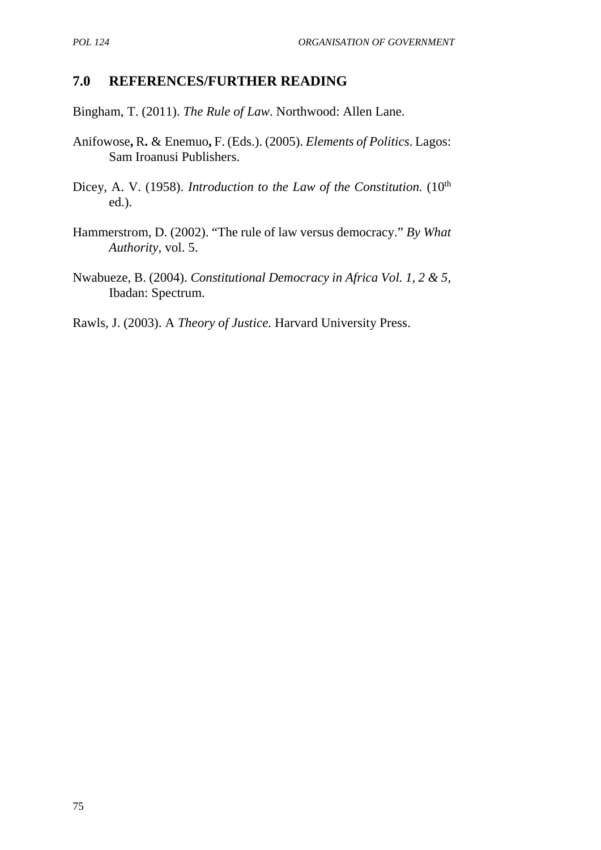#### **7.0 REFERENCES/FURTHER READING**

Bingham, T. (2011). *The Rule of Law*. Northwood: Allen Lane.

- Anifowose**,** R**.** & Enemuo**,**F. (Eds.). (2005). *Elements of Politics*. Lagos: Sam Iroanusi Publishers.
- Dicey, A. V. (1958). *Introduction to the Law of the Constitution*. (10<sup>th</sup> ed.).
- Hammerstrom, D. (2002). "The rule of law versus democracy." *By What Authority,* vol. 5.
- Nwabueze, B. (2004). *Constitutional Democracy in Africa Vol. 1, 2 & 5,* Ibadan: Spectrum.

Rawls, J. (2003). A *Theory of Justice.* Harvard University Press.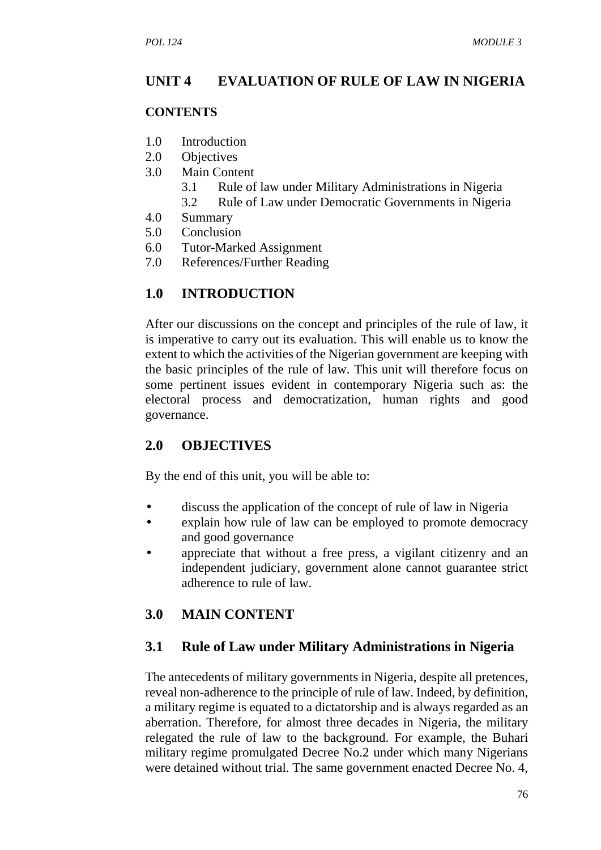#### **UNIT 4 EVALUATION OF RULE OF LAW IN NIGERIA**

#### **CONTENTS**

- 1.0 Introduction
- 2.0 Objectives
- 3.0 Main Content
	- 3.1 Rule of law under Military Administrations in Nigeria
	- 3.2 Rule of Law under Democratic Governments in Nigeria
- 4.0 Summary
- 5.0 Conclusion
- 6.0 Tutor-Marked Assignment
- 7.0 References/Further Reading

## **1.0 INTRODUCTION**

After our discussions on the concept and principles of the rule of law, it is imperative to carry out its evaluation. This will enable us to know the extent to which the activities of the Nigerian government are keeping with the basic principles of the rule of law. This unit will therefore focus on some pertinent issues evident in contemporary Nigeria such as: the electoral process and democratization, human rights and good governance.

## **2.0 OBJECTIVES**

By the end of this unit, you will be able to:

- discuss the application of the concept of rule of law in Nigeria
- explain how rule of law can be employed to promote democracy and good governance
- appreciate that without a free press, a vigilant citizenry and an independent judiciary, government alone cannot guarantee strict adherence to rule of law.

## **3.0 MAIN CONTENT**

## **3.1 Rule of Law under Military Administrations in Nigeria**

The antecedents of military governments in Nigeria, despite all pretences, reveal non-adherence to the principle of rule of law. Indeed, by definition, a military regime is equated to a dictatorship and is always regarded as an aberration. Therefore, for almost three decades in Nigeria, the military relegated the rule of law to the background. For example, the Buhari military regime promulgated Decree No.2 under which many Nigerians were detained without trial. The same government enacted Decree No. 4,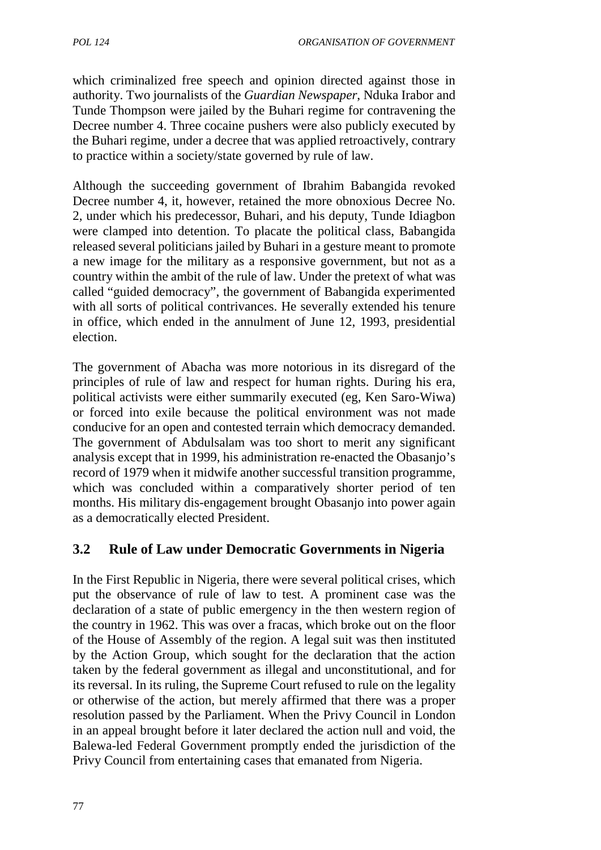which criminalized free speech and opinion directed against those in authority. Two journalists of the *Guardian Newspaper*, Nduka Irabor and Tunde Thompson were jailed by the Buhari regime for contravening the Decree number 4. Three cocaine pushers were also publicly executed by the Buhari regime, under a decree that was applied retroactively, contrary to practice within a society/state governed by rule of law.

Although the succeeding government of Ibrahim Babangida revoked Decree number 4, it, however, retained the more obnoxious Decree No. 2, under which his predecessor, Buhari, and his deputy, Tunde Idiagbon were clamped into detention. To placate the political class, Babangida released several politicians jailed by Buhari in a gesture meant to promote a new image for the military as a responsive government, but not as a country within the ambit of the rule of law. Under the pretext of what was called "guided democracy", the government of Babangida experimented with all sorts of political contrivances. He severally extended his tenure in office, which ended in the annulment of June 12, 1993, presidential election.

The government of Abacha was more notorious in its disregard of the principles of rule of law and respect for human rights. During his era, political activists were either summarily executed (eg, Ken Saro-Wiwa) or forced into exile because the political environment was not made conducive for an open and contested terrain which democracy demanded. The government of Abdulsalam was too short to merit any significant analysis except that in 1999, his administration re-enacted the Obasanjo's record of 1979 when it midwife another successful transition programme, which was concluded within a comparatively shorter period of ten months. His military dis-engagement brought Obasanjo into power again as a democratically elected President.

# **3.2 Rule of Law under Democratic Governments in Nigeria**

In the First Republic in Nigeria, there were several political crises, which put the observance of rule of law to test. A prominent case was the declaration of a state of public emergency in the then western region of the country in 1962. This was over a fracas, which broke out on the floor of the House of Assembly of the region. A legal suit was then instituted by the Action Group, which sought for the declaration that the action taken by the federal government as illegal and unconstitutional, and for its reversal. In its ruling, the Supreme Court refused to rule on the legality or otherwise of the action, but merely affirmed that there was a proper resolution passed by the Parliament. When the Privy Council in London in an appeal brought before it later declared the action null and void, the Balewa-led Federal Government promptly ended the jurisdiction of the Privy Council from entertaining cases that emanated from Nigeria.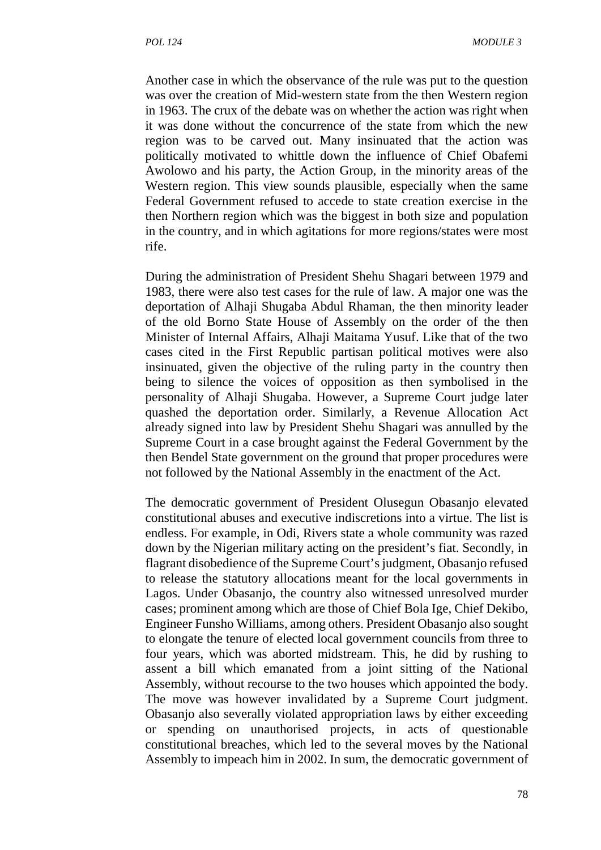Another case in which the observance of the rule was put to the question was over the creation of Mid-western state from the then Western region in 1963. The crux of the debate was on whether the action was right when it was done without the concurrence of the state from which the new region was to be carved out. Many insinuated that the action was politically motivated to whittle down the influence of Chief Obafemi Awolowo and his party, the Action Group, in the minority areas of the Western region. This view sounds plausible, especially when the same Federal Government refused to accede to state creation exercise in the then Northern region which was the biggest in both size and population in the country, and in which agitations for more regions/states were most rife.

During the administration of President Shehu Shagari between 1979 and 1983, there were also test cases for the rule of law. A major one was the deportation of Alhaji Shugaba Abdul Rhaman, the then minority leader of the old Borno State House of Assembly on the order of the then Minister of Internal Affairs, Alhaji Maitama Yusuf. Like that of the two cases cited in the First Republic partisan political motives were also insinuated, given the objective of the ruling party in the country then being to silence the voices of opposition as then symbolised in the personality of Alhaji Shugaba. However, a Supreme Court judge later quashed the deportation order. Similarly, a Revenue Allocation Act already signed into law by President Shehu Shagari was annulled by the Supreme Court in a case brought against the Federal Government by the then Bendel State government on the ground that proper procedures were not followed by the National Assembly in the enactment of the Act.

The democratic government of President Olusegun Obasanjo elevated constitutional abuses and executive indiscretions into a virtue. The list is endless. For example, in Odi, Rivers state a whole community was razed down by the Nigerian military acting on the president's fiat. Secondly, in flagrant disobedience of the Supreme Court's judgment, Obasanjo refused to release the statutory allocations meant for the local governments in Lagos. Under Obasanjo, the country also witnessed unresolved murder cases; prominent among which are those of Chief Bola Ige, Chief Dekibo, Engineer Funsho Williams, among others. President Obasanjo also sought to elongate the tenure of elected local government councils from three to four years, which was aborted midstream. This, he did by rushing to assent a bill which emanated from a joint sitting of the National Assembly, without recourse to the two houses which appointed the body. The move was however invalidated by a Supreme Court judgment. Obasanjo also severally violated appropriation laws by either exceeding or spending on unauthorised projects, in acts of questionable constitutional breaches, which led to the several moves by the National Assembly to impeach him in 2002. In sum, the democratic government of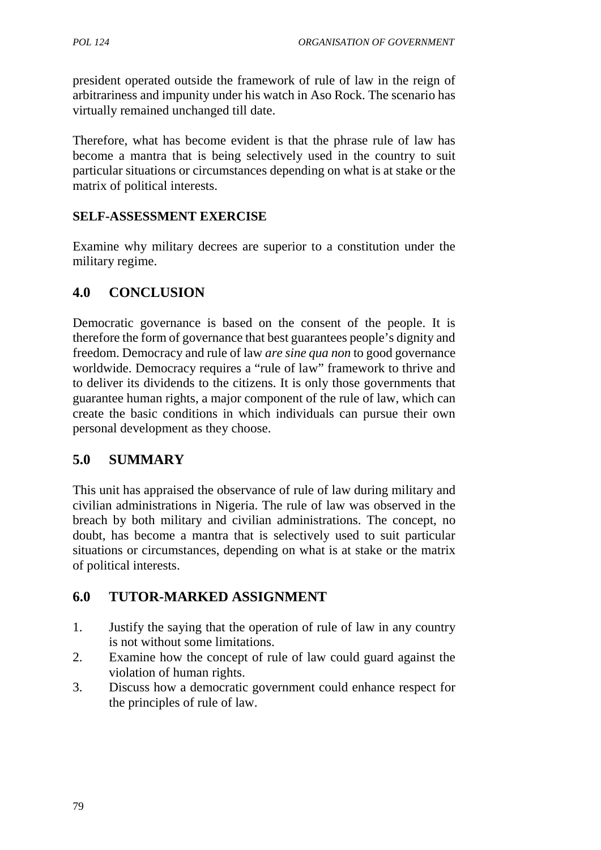president operated outside the framework of rule of law in the reign of arbitrariness and impunity under his watch in Aso Rock. The scenario has virtually remained unchanged till date.

Therefore, what has become evident is that the phrase rule of law has become a mantra that is being selectively used in the country to suit particular situations or circumstances depending on what is at stake or the matrix of political interests.

#### **SELF-ASSESSMENT EXERCISE**

Examine why military decrees are superior to a constitution under the military regime.

## **4.0 CONCLUSION**

Democratic governance is based on the consent of the people. It is therefore the form of governance that best guarantees people's dignity and freedom. Democracy and rule of law *are sine qua non* to good governance worldwide. Democracy requires a "rule of law" framework to thrive and to deliver its dividends to the citizens. It is only those governments that guarantee human rights, a major component of the rule of law, which can create the basic conditions in which individuals can pursue their own personal development as they choose.

# **5.0 SUMMARY**

This unit has appraised the observance of rule of law during military and civilian administrations in Nigeria. The rule of law was observed in the breach by both military and civilian administrations. The concept, no doubt, has become a mantra that is selectively used to suit particular situations or circumstances, depending on what is at stake or the matrix of political interests.

# **6.0 TUTOR-MARKED ASSIGNMENT**

- 1. Justify the saying that the operation of rule of law in any country is not without some limitations.
- 2. Examine how the concept of rule of law could guard against the violation of human rights.
- 3. Discuss how a democratic government could enhance respect for the principles of rule of law.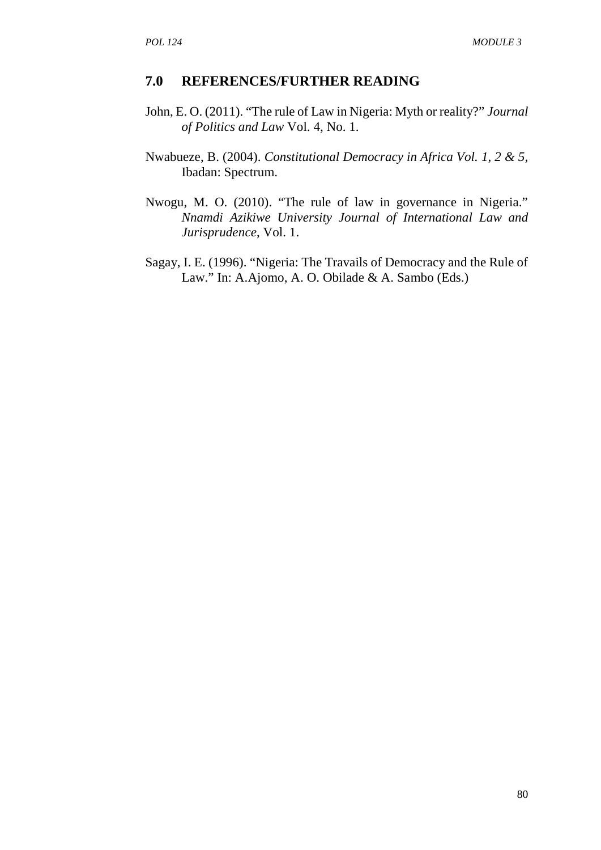#### **7.0 REFERENCES/FURTHER READING**

- John, E. O. (2011). "The rule of Law in Nigeria: Myth or reality?" *Journal of Politics and Law* Vol. 4, No. 1.
- Nwabueze, B. (2004). *Constitutional Democracy in Africa Vol. 1, 2 & 5,* Ibadan: Spectrum.
- Nwogu, M. O. (2010). "The rule of law in governance in Nigeria." *Nnamdi Azikiwe University Journal of International Law and Jurisprudence*, Vol. 1.
- Sagay, I. E. (1996). "Nigeria: The Travails of Democracy and the Rule of Law." In: A.Ajomo, A. O. Obilade & A. Sambo (Eds.)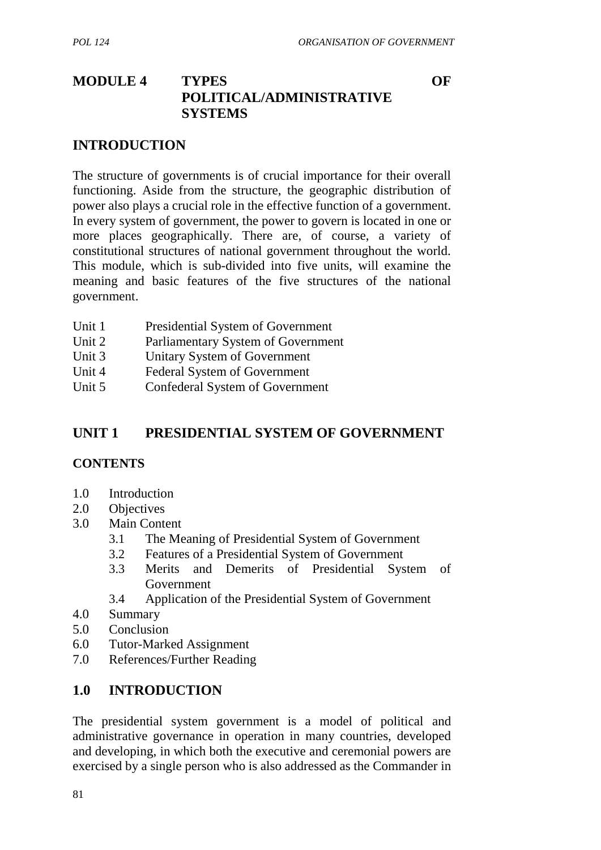# **MODULE 4 TYPES OF POLITICAL/ADMINISTRATIVE SYSTEMS**

#### **INTRODUCTION**

The structure of governments is of crucial importance for their overall functioning. Aside from the structure, the geographic distribution of power also plays a crucial role in the effective function of a government. In every system of government, the power to govern is located in one or more places geographically. There are, of course, a variety of constitutional structures of national government throughout the world. This module, which is sub-divided into five units, will examine the meaning and basic features of the five structures of the national government.

| Unit 1 | Presidential System of Government   |
|--------|-------------------------------------|
| Unit 2 | Parliamentary System of Government  |
| Unit 3 | Unitary System of Government        |
| Unit 4 | <b>Federal System of Government</b> |
| Unit 5 | Confederal System of Government     |

## **UNIT 1 PRESIDENTIAL SYSTEM OF GOVERNMENT**

#### **CONTENTS**

- 1.0 Introduction
- 2.0 Objectives
- 3.0 Main Content
	- 3.1 The Meaning of Presidential System of Government
	- 3.2 Features of a Presidential System of Government
	- 3.3 Merits and Demerits of Presidential System of Government
	- 3.4 Application of the Presidential System of Government
- 4.0 Summary
- 5.0 Conclusion
- 6.0 Tutor-Marked Assignment
- 7.0 References/Further Reading

## **1.0 INTRODUCTION**

The presidential system government is a model of political and administrative governance in operation in many countries, developed and developing, in which both the executive and ceremonial powers are exercised by a single person who is also addressed as the Commander in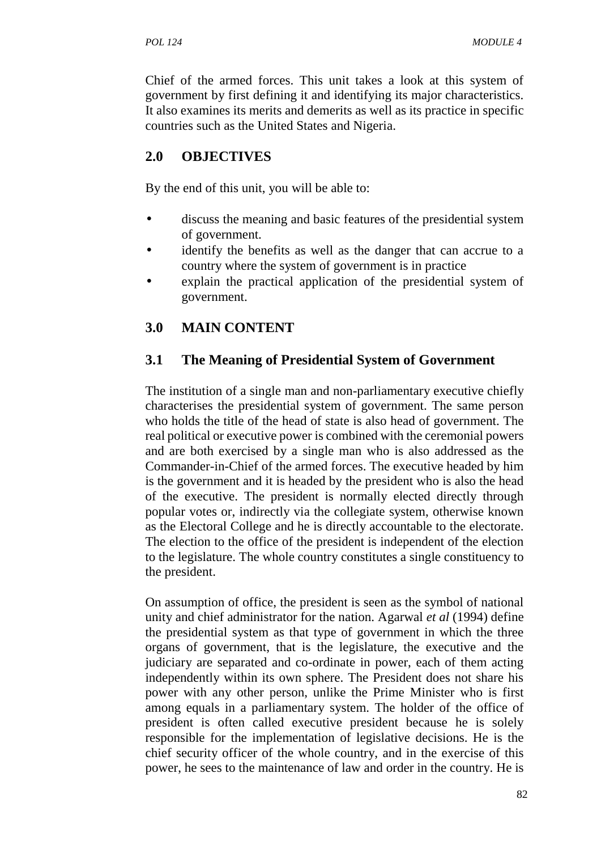Chief of the armed forces. This unit takes a look at this system of government by first defining it and identifying its major characteristics. It also examines its merits and demerits as well as its practice in specific countries such as the United States and Nigeria.

# **2.0 OBJECTIVES**

By the end of this unit, you will be able to:

- discuss the meaning and basic features of the presidential system of government.
- identify the benefits as well as the danger that can accrue to a country where the system of government is in practice
- explain the practical application of the presidential system of government.

# **3.0 MAIN CONTENT**

# **3.1 The Meaning of Presidential System of Government**

The institution of a single man and non-parliamentary executive chiefly characterises the presidential system of government. The same person who holds the title of the head of state is also head of government. The real political or executive power is combined with the ceremonial powers and are both exercised by a single man who is also addressed as the Commander-in-Chief of the armed forces. The executive headed by him is the government and it is headed by the president who is also the head of the executive. The president is normally elected directly through popular votes or, indirectly via the collegiate system, otherwise known as the Electoral College and he is directly accountable to the electorate. The election to the office of the president is independent of the election to the legislature. The whole country constitutes a single constituency to the president.

On assumption of office, the president is seen as the symbol of national unity and chief administrator for the nation. Agarwal *et al* (1994) define the presidential system as that type of government in which the three organs of government, that is the legislature, the executive and the judiciary are separated and co-ordinate in power, each of them acting independently within its own sphere. The President does not share his power with any other person, unlike the Prime Minister who is first among equals in a parliamentary system. The holder of the office of president is often called executive president because he is solely responsible for the implementation of legislative decisions. He is the chief security officer of the whole country, and in the exercise of this power, he sees to the maintenance of law and order in the country. He is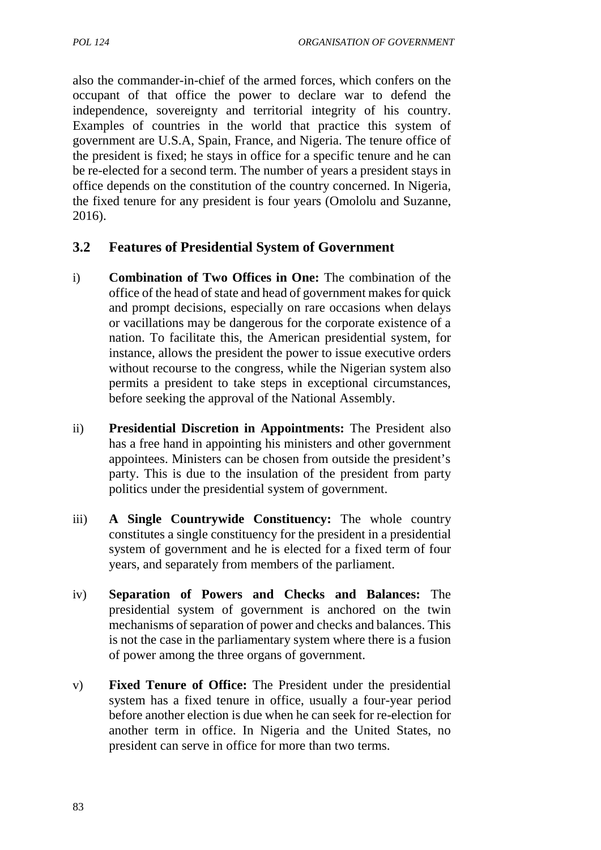also the commander-in-chief of the armed forces, which confers on the occupant of that office the power to declare war to defend the independence, sovereignty and territorial integrity of his country. Examples of countries in the world that practice this system of government are U.S.A, Spain, France, and Nigeria. The tenure office of the president is fixed; he stays in office for a specific tenure and he can be re-elected for a second term. The number of years a president stays in office depends on the constitution of the country concerned. In Nigeria, the fixed tenure for any president is four years (Omololu and Suzanne, 2016).

#### **3.2 Features of Presidential System of Government**

- i) **Combination of Two Offices in One:** The combination of the office of the head of state and head of government makes for quick and prompt decisions, especially on rare occasions when delays or vacillations may be dangerous for the corporate existence of a nation. To facilitate this, the American presidential system, for instance, allows the president the power to issue executive orders without recourse to the congress, while the Nigerian system also permits a president to take steps in exceptional circumstances, before seeking the approval of the National Assembly.
- ii) **Presidential Discretion in Appointments:** The President also has a free hand in appointing his ministers and other government appointees. Ministers can be chosen from outside the president's party. This is due to the insulation of the president from party politics under the presidential system of government.
- iii) **A Single Countrywide Constituency:** The whole country constitutes a single constituency for the president in a presidential system of government and he is elected for a fixed term of four years, and separately from members of the parliament.
- iv) **Separation of Powers and Checks and Balances:** The presidential system of government is anchored on the twin mechanisms of separation of power and checks and balances. This is not the case in the parliamentary system where there is a fusion of power among the three organs of government.
- v) **Fixed Tenure of Office:** The President under the presidential system has a fixed tenure in office, usually a four-year period before another election is due when he can seek for re-election for another term in office. In Nigeria and the United States, no president can serve in office for more than two terms.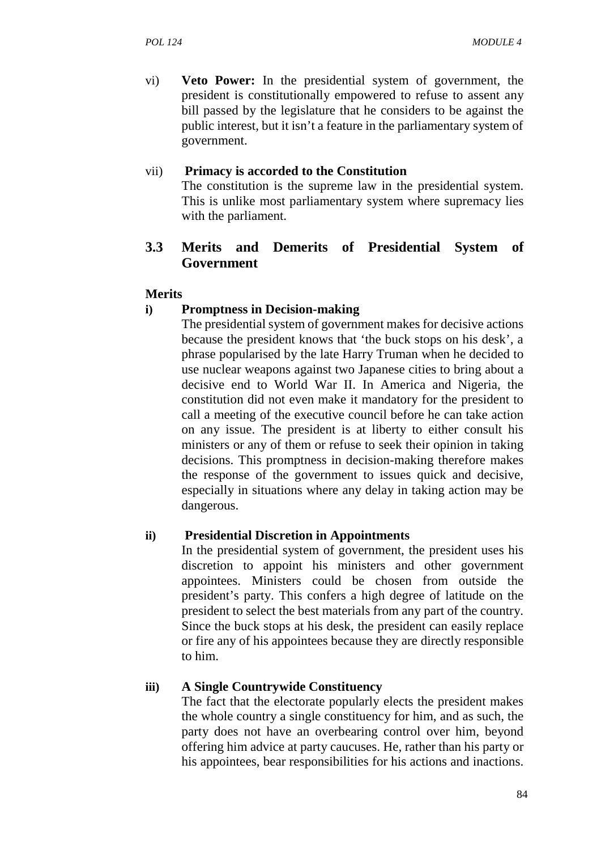vi) **Veto Power:** In the presidential system of government, the president is constitutionally empowered to refuse to assent any bill passed by the legislature that he considers to be against the public interest, but it isn't a feature in the parliamentary system of government.

#### vii) **Primacy is accorded to the Constitution**

The constitution is the supreme law in the presidential system. This is unlike most parliamentary system where supremacy lies with the parliament.

#### **3.3 Merits and Demerits of Presidential System of Government**

#### **Merits**

#### **i) Promptness in Decision-making**

The presidential system of government makes for decisive actions because the president knows that 'the buck stops on his desk', a phrase popularised by the late Harry Truman when he decided to use nuclear weapons against two Japanese cities to bring about a decisive end to World War II. In America and Nigeria, the constitution did not even make it mandatory for the president to call a meeting of the executive council before he can take action on any issue. The president is at liberty to either consult his ministers or any of them or refuse to seek their opinion in taking decisions. This promptness in decision-making therefore makes the response of the government to issues quick and decisive, especially in situations where any delay in taking action may be dangerous.

#### **ii) Presidential Discretion in Appointments**

In the presidential system of government, the president uses his discretion to appoint his ministers and other government appointees. Ministers could be chosen from outside the president's party. This confers a high degree of latitude on the president to select the best materials from any part of the country. Since the buck stops at his desk, the president can easily replace or fire any of his appointees because they are directly responsible to him.

#### **iii) A Single Countrywide Constituency**

The fact that the electorate popularly elects the president makes the whole country a single constituency for him, and as such, the party does not have an overbearing control over him, beyond offering him advice at party caucuses. He, rather than his party or his appointees, bear responsibilities for his actions and inactions.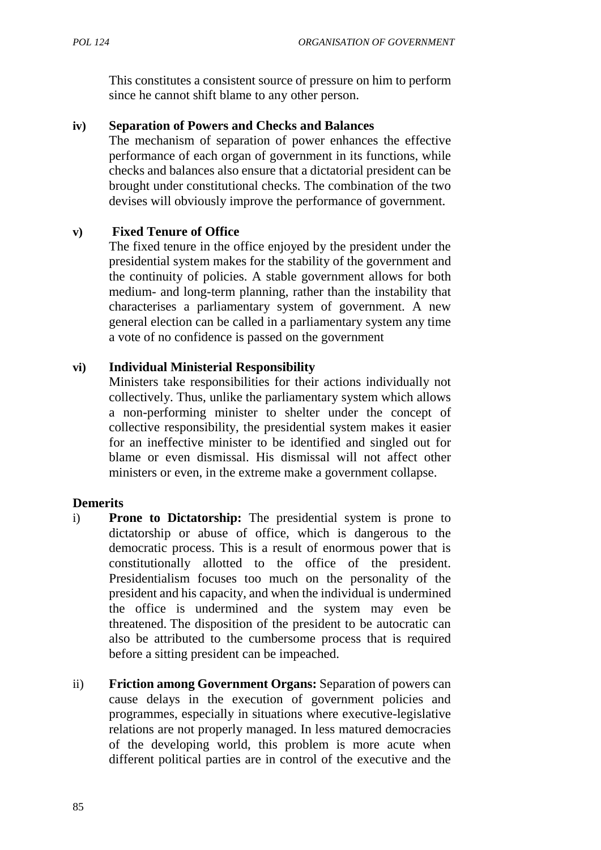This constitutes a consistent source of pressure on him to perform since he cannot shift blame to any other person.

#### **iv) Separation of Powers and Checks and Balances**

The mechanism of separation of power enhances the effective performance of each organ of government in its functions, while checks and balances also ensure that a dictatorial president can be brought under constitutional checks. The combination of the two devises will obviously improve the performance of government.

#### **v) Fixed Tenure of Office**

The fixed tenure in the office enjoyed by the president under the presidential system makes for the stability of the government and the continuity of policies. A stable government allows for both medium- and long-term planning, rather than the instability that characterises a parliamentary system of government. A new general election can be called in a parliamentary system any time a vote of no confidence is passed on the government

#### **vi) Individual Ministerial Responsibility**

Ministers take responsibilities for their actions individually not collectively. Thus, unlike the parliamentary system which allows a non-performing minister to shelter under the concept of collective responsibility, the presidential system makes it easier for an ineffective minister to be identified and singled out for blame or even dismissal. His dismissal will not affect other ministers or even, in the extreme make a government collapse.

#### **Demerits**

- i) **Prone to Dictatorship:** The presidential system is prone to dictatorship or abuse of office, which is dangerous to the democratic process. This is a result of enormous power that is constitutionally allotted to the office of the president. Presidentialism focuses too much on the personality of the president and his capacity, and when the individual is undermined the office is undermined and the system may even be threatened. The disposition of the president to be autocratic can also be attributed to the cumbersome process that is required before a sitting president can be impeached.
- ii) **Friction among Government Organs:** Separation of powers can cause delays in the execution of government policies and programmes, especially in situations where executive-legislative relations are not properly managed. In less matured democracies of the developing world, this problem is more acute when different political parties are in control of the executive and the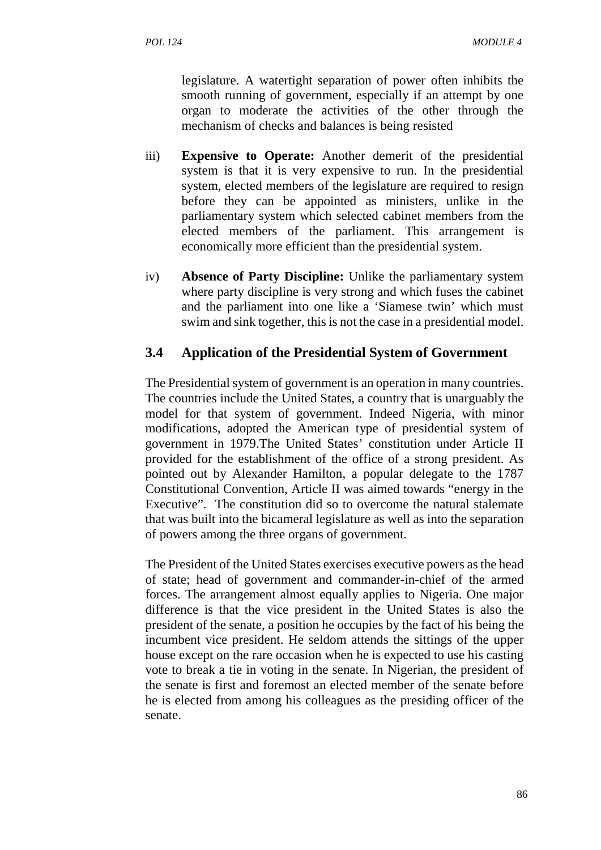legislature. A watertight separation of power often inhibits the smooth running of government, especially if an attempt by one organ to moderate the activities of the other through the mechanism of checks and balances is being resisted

- iii) **Expensive to Operate:** Another demerit of the presidential system is that it is very expensive to run. In the presidential system, elected members of the legislature are required to resign before they can be appointed as ministers, unlike in the parliamentary system which selected cabinet members from the elected members of the parliament. This arrangement is economically more efficient than the presidential system.
- iv) **Absence of Party Discipline:** Unlike the parliamentary system where party discipline is very strong and which fuses the cabinet and the parliament into one like a 'Siamese twin' which must swim and sink together, this is not the case in a presidential model.

#### **3.4 Application of the Presidential System of Government**

The Presidential system of government is an operation in many countries. The countries include the United States, a country that is unarguably the model for that system of government. Indeed Nigeria, with minor modifications, adopted the American type of presidential system of government in 1979.The United States' constitution under Article II provided for the establishment of the office of a strong president. As pointed out by Alexander Hamilton, a popular delegate to the 1787 Constitutional Convention, Article II was aimed towards "energy in the Executive". The constitution did so to overcome the natural stalemate that was built into the bicameral legislature as well as into the separation of powers among the three organs of government.

The President of the United States exercises executive powers as the head of state; head of government and commander-in-chief of the armed forces. The arrangement almost equally applies to Nigeria. One major difference is that the vice president in the United States is also the president of the senate, a position he occupies by the fact of his being the incumbent vice president. He seldom attends the sittings of the upper house except on the rare occasion when he is expected to use his casting vote to break a tie in voting in the senate. In Nigerian, the president of the senate is first and foremost an elected member of the senate before he is elected from among his colleagues as the presiding officer of the senate.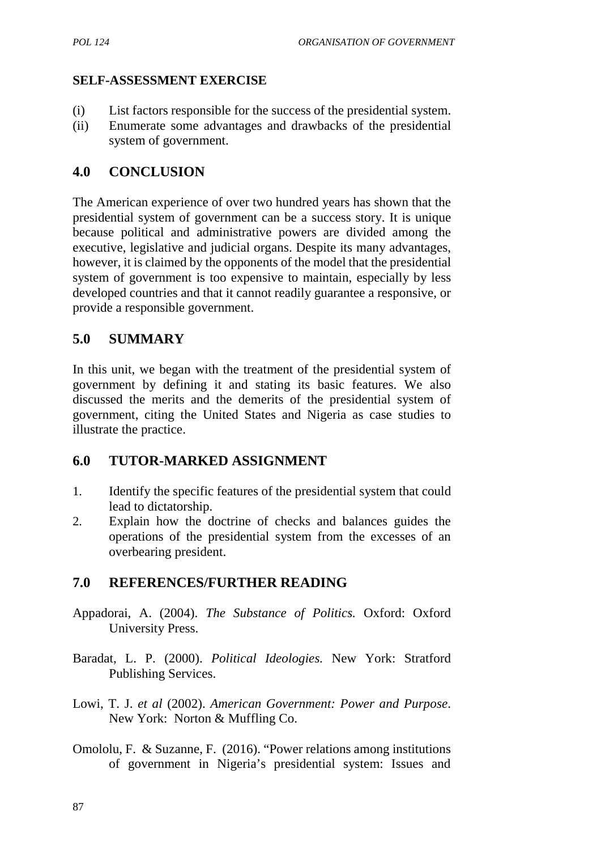#### **SELF-ASSESSMENT EXERCISE**

- (i) List factors responsible for the success of the presidential system.
- (ii) Enumerate some advantages and drawbacks of the presidential system of government.

## **4.0 CONCLUSION**

The American experience of over two hundred years has shown that the presidential system of government can be a success story. It is unique because political and administrative powers are divided among the executive, legislative and judicial organs. Despite its many advantages, however, it is claimed by the opponents of the model that the presidential system of government is too expensive to maintain, especially by less developed countries and that it cannot readily guarantee a responsive, or provide a responsible government.

## **5.0 SUMMARY**

In this unit, we began with the treatment of the presidential system of government by defining it and stating its basic features. We also discussed the merits and the demerits of the presidential system of government, citing the United States and Nigeria as case studies to illustrate the practice.

## **6.0 TUTOR-MARKED ASSIGNMENT**

- 1. Identify the specific features of the presidential system that could lead to dictatorship.
- 2. Explain how the doctrine of checks and balances guides the operations of the presidential system from the excesses of an overbearing president.

## **7.0 REFERENCES/FURTHER READING**

- Appadorai, A. (2004). *The Substance of Politics.* Oxford: Oxford University Press.
- Baradat, L. P. (2000). *Political Ideologies.* New York: Stratford Publishing Services.
- Lowi, T. J. *et al* (2002). *American Government: Power and Purpose*. New York: Norton & Muffling Co.
- Omololu, F. & Suzanne, F. (2016). "Power relations among institutions of government in Nigeria's presidential system: Issues and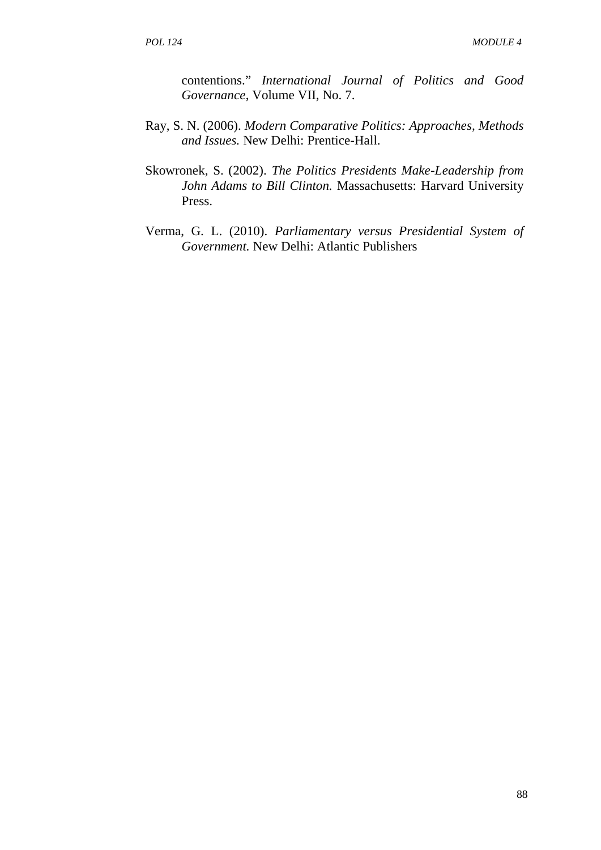contentions." *International Journal of Politics and Good Governance*, Volume VII, No. 7.

- Ray, S. N. (2006). *Modern Comparative Politics: Approaches, Methods and Issues.* New Delhi: Prentice-Hall.
- Skowronek, S. (2002). *The Politics Presidents Make-Leadership from John Adams to Bill Clinton.* Massachusetts: Harvard University Press.
- Verma, G. L. (2010). *Parliamentary versus Presidential System of Government.* New Delhi: Atlantic Publishers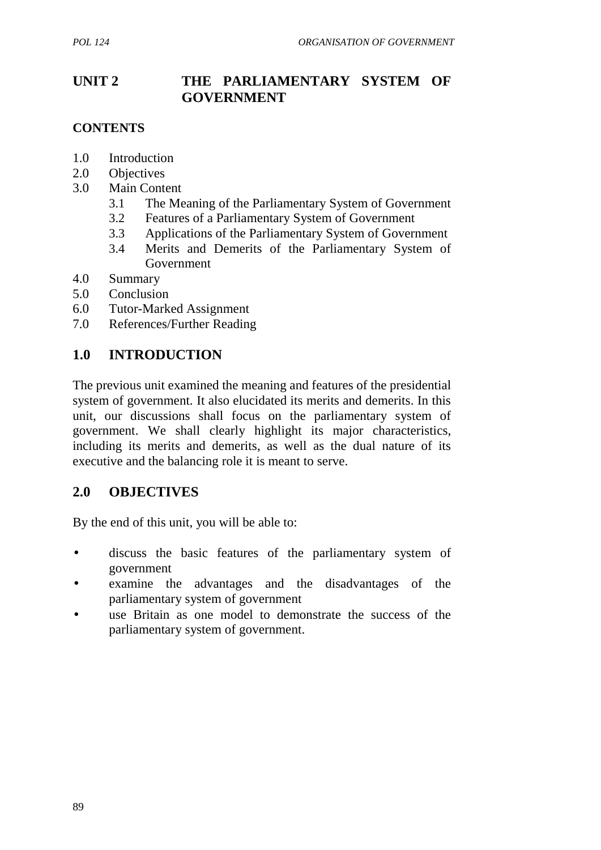## **UNIT 2 THE PARLIAMENTARY SYSTEM OF GOVERNMENT**

## **CONTENTS**

- 1.0 Introduction
- 2.0 Objectives
- 3.0 Main Content
	- 3.1 The Meaning of the Parliamentary System of Government
	- 3.2 Features of a Parliamentary System of Government
	- 3.3 Applications of the Parliamentary System of Government
	- 3.4 Merits and Demerits of the Parliamentary System of Government
- 4.0 Summary
- 5.0 Conclusion
- 6.0 Tutor-Marked Assignment
- 7.0 References/Further Reading

## **1.0 INTRODUCTION**

The previous unit examined the meaning and features of the presidential system of government. It also elucidated its merits and demerits. In this unit, our discussions shall focus on the parliamentary system of government. We shall clearly highlight its major characteristics, including its merits and demerits, as well as the dual nature of its executive and the balancing role it is meant to serve.

## **2.0 OBJECTIVES**

By the end of this unit, you will be able to:

- discuss the basic features of the parliamentary system of government
- examine the advantages and the disadvantages of the parliamentary system of government
- use Britain as one model to demonstrate the success of the parliamentary system of government.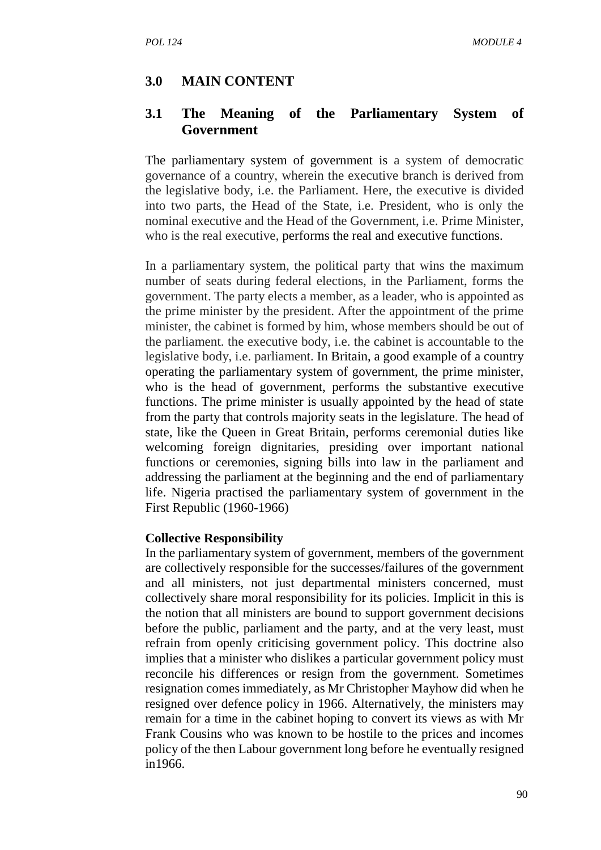#### **3.0 MAIN CONTENT**

#### **3.1 The Meaning of the Parliamentary System of Government**

The parliamentary system of government is a system of democratic governance of a country, wherein the executive branch is derived from the legislative body, i.e. the Parliament. Here, the executive is divided into two parts, the Head of the State, i.e. President, who is only the nominal executive and the Head of the Government, i.e. Prime Minister, who is the real executive, performs the real and executive functions.

In a parliamentary system, the political party that wins the maximum number of seats during federal elections, in the Parliament, forms the government. The party elects a member, as a leader, who is appointed as the prime minister by the president. After the appointment of the prime minister, the cabinet is formed by him, whose members should be out of the parliament. the executive body, i.e. the cabinet is accountable to the legislative body, i.e. parliament. In Britain, a good example of a country operating the parliamentary system of government, the prime minister, who is the head of government, performs the substantive executive functions. The prime minister is usually appointed by the head of state from the party that controls majority seats in the legislature. The head of state, like the Queen in Great Britain, performs ceremonial duties like welcoming foreign dignitaries, presiding over important national functions or ceremonies, signing bills into law in the parliament and addressing the parliament at the beginning and the end of parliamentary life. Nigeria practised the parliamentary system of government in the First Republic (1960-1966)

#### **Collective Responsibility**

In the parliamentary system of government, members of the government are collectively responsible for the successes/failures of the government and all ministers, not just departmental ministers concerned, must collectively share moral responsibility for its policies. Implicit in this is the notion that all ministers are bound to support government decisions before the public, parliament and the party, and at the very least, must refrain from openly criticising government policy. This doctrine also implies that a minister who dislikes a particular government policy must reconcile his differences or resign from the government. Sometimes resignation comes immediately, as Mr Christopher Mayhow did when he resigned over defence policy in 1966. Alternatively, the ministers may remain for a time in the cabinet hoping to convert its views as with Mr Frank Cousins who was known to be hostile to the prices and incomes policy of the then Labour government long before he eventually resigned in1966.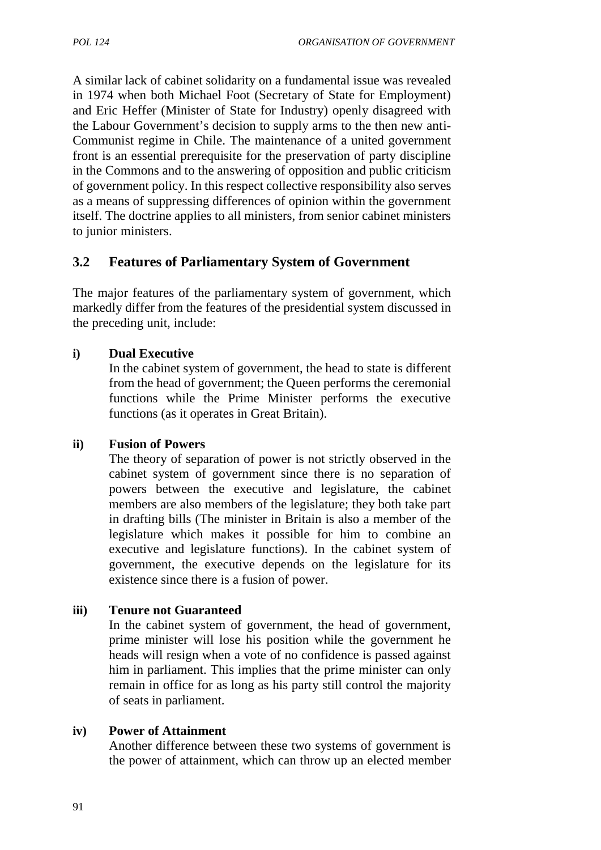A similar lack of cabinet solidarity on a fundamental issue was revealed in 1974 when both Michael Foot (Secretary of State for Employment) and Eric Heffer (Minister of State for Industry) openly disagreed with the Labour Government's decision to supply arms to the then new anti- Communist regime in Chile. The maintenance of a united government front is an essential prerequisite for the preservation of party discipline in the Commons and to the answering of opposition and public criticism of government policy. In this respect collective responsibility also serves as a means of suppressing differences of opinion within the government itself. The doctrine applies to all ministers, from senior cabinet ministers to junior ministers.

## **3.2 Features of Parliamentary System of Government**

The major features of the parliamentary system of government, which markedly differ from the features of the presidential system discussed in the preceding unit, include:

#### **i) Dual Executive**

In the cabinet system of government, the head to state is different from the head of government; the Queen performs the ceremonial functions while the Prime Minister performs the executive functions (as it operates in Great Britain).

#### **ii) Fusion of Powers**

The theory of separation of power is not strictly observed in the cabinet system of government since there is no separation of powers between the executive and legislature, the cabinet members are also members of the legislature; they both take part in drafting bills (The minister in Britain is also a member of the legislature which makes it possible for him to combine an executive and legislature functions). In the cabinet system of government, the executive depends on the legislature for its existence since there is a fusion of power.

#### **iii) Tenure not Guaranteed**

In the cabinet system of government, the head of government, prime minister will lose his position while the government he heads will resign when a vote of no confidence is passed against him in parliament. This implies that the prime minister can only remain in office for as long as his party still control the majority of seats in parliament.

#### **iv) Power of Attainment**

Another difference between these two systems of government is the power of attainment, which can throw up an elected member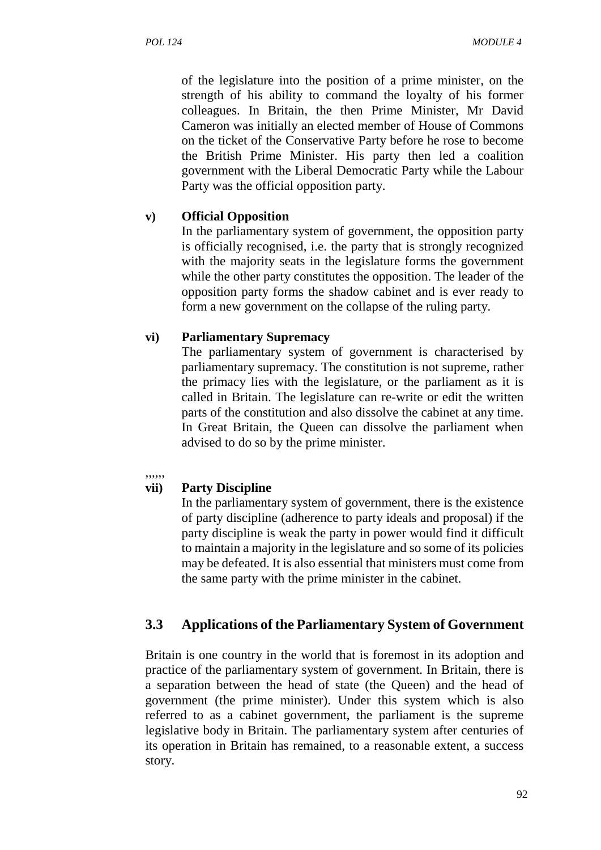of the legislature into the position of a prime minister, on the strength of his ability to command the loyalty of his former colleagues. In Britain, the then Prime Minister, Mr David Cameron was initially an elected member of House of Commons on the ticket of the Conservative Party before he rose to become the British Prime Minister. His party then led a coalition government with the Liberal Democratic Party while the Labour Party was the official opposition party.

### **v) Official Opposition**

In the parliamentary system of government, the opposition party is officially recognised, i.e. the party that is strongly recognized with the majority seats in the legislature forms the government while the other party constitutes the opposition. The leader of the opposition party forms the shadow cabinet and is ever ready to form a new government on the collapse of the ruling party.

### **vi) Parliamentary Supremacy**

The parliamentary system of government is characterised by parliamentary supremacy. The constitution is not supreme, rather the primacy lies with the legislature, or the parliament as it is called in Britain. The legislature can re-write or edit the written parts of the constitution and also dissolve the cabinet at any time. In Great Britain, the Queen can dissolve the parliament when advised to do so by the prime minister.

#### ,,,,,,

### **vii) Party Discipline**

In the parliamentary system of government, there is the existence of party discipline (adherence to party ideals and proposal) if the party discipline is weak the party in power would find it difficult to maintain a majority in the legislature and so some of its policies may be defeated. It is also essential that ministers must come from the same party with the prime minister in the cabinet.

# **3.3 Applications of the Parliamentary System of Government**

Britain is one country in the world that is foremost in its adoption and practice of the parliamentary system of government. In Britain, there is a separation between the head of state (the Queen) and the head of government (the prime minister). Under this system which is also referred to as a cabinet government, the parliament is the supreme legislative body in Britain. The parliamentary system after centuries of its operation in Britain has remained, to a reasonable extent, a success story.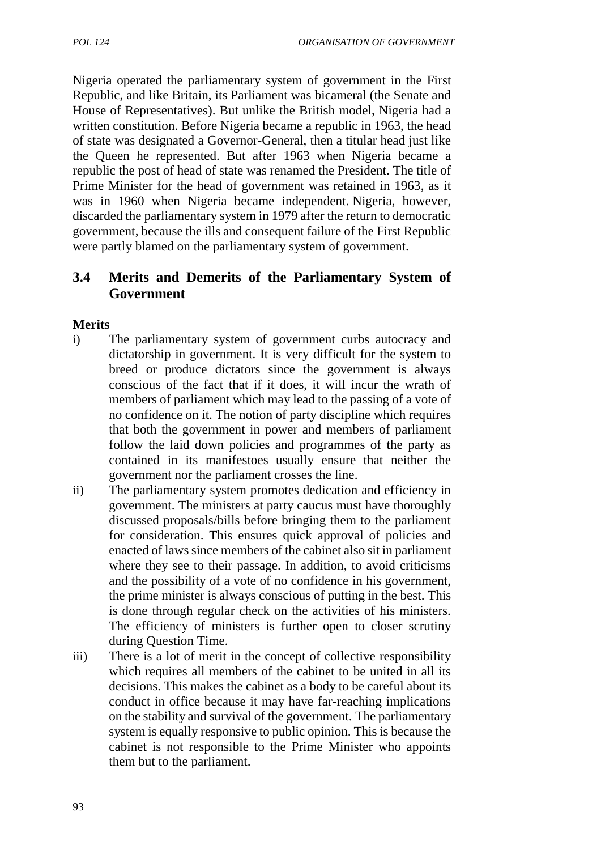Nigeria operated the parliamentary system of government in the First Republic, and like Britain, its Parliament was bicameral (the Senate and House of Representatives). But unlike the British model, Nigeria had a written constitution. Before Nigeria became a republic in 1963, the head of state was designated a Governor-General, then a titular head just like the Queen he represented. But after 1963 when Nigeria became a republic the post of head of state was renamed the President. The title of Prime Minister for the head of government was retained in 1963, as it was in 1960 when Nigeria became independent. Nigeria, however, discarded the parliamentary system in 1979 after the return to democratic government, because the ills and consequent failure of the First Republic were partly blamed on the parliamentary system of government.

# **3.4 Merits and Demerits of the Parliamentary System of Government**

### **Merits**

- i) The parliamentary system of government curbs autocracy and dictatorship in government. It is very difficult for the system to breed or produce dictators since the government is always conscious of the fact that if it does, it will incur the wrath of members of parliament which may lead to the passing of a vote of no confidence on it. The notion of party discipline which requires that both the government in power and members of parliament follow the laid down policies and programmes of the party as contained in its manifestoes usually ensure that neither the government nor the parliament crosses the line.
- ii) The parliamentary system promotes dedication and efficiency in government. The ministers at party caucus must have thoroughly discussed proposals/bills before bringing them to the parliament for consideration. This ensures quick approval of policies and enacted of laws since members of the cabinet also sit in parliament where they see to their passage. In addition, to avoid criticisms and the possibility of a vote of no confidence in his government, the prime minister is always conscious of putting in the best. This is done through regular check on the activities of his ministers. The efficiency of ministers is further open to closer scrutiny during Question Time.
- iii) There is a lot of merit in the concept of collective responsibility which requires all members of the cabinet to be united in all its decisions. This makes the cabinet as a body to be careful about its conduct in office because it may have far-reaching implications on the stability and survival of the government. The parliamentary system is equally responsive to public opinion. This is because the cabinet is not responsible to the Prime Minister who appoints them but to the parliament.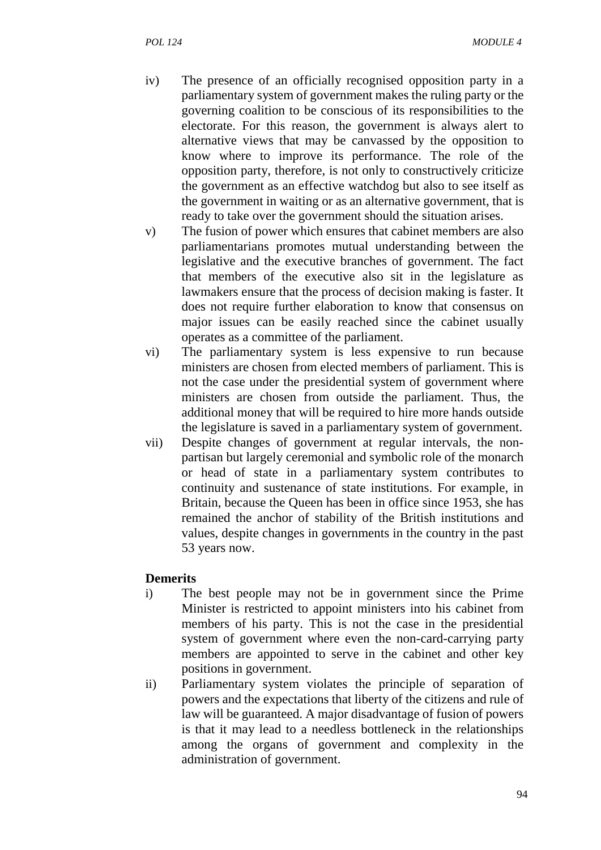- iv) The presence of an officially recognised opposition party in a parliamentary system of government makes the ruling party or the governing coalition to be conscious of its responsibilities to the electorate. For this reason, the government is always alert to alternative views that may be canvassed by the opposition to know where to improve its performance. The role of the opposition party, therefore, is not only to constructively criticize the government as an effective watchdog but also to see itself as the government in waiting or as an alternative government, that is ready to take over the government should the situation arises.
- v) The fusion of power which ensures that cabinet members are also parliamentarians promotes mutual understanding between the legislative and the executive branches of government. The fact that members of the executive also sit in the legislature as lawmakers ensure that the process of decision making is faster. It does not require further elaboration to know that consensus on major issues can be easily reached since the cabinet usually operates as a committee of the parliament.
- vi) The parliamentary system is less expensive to run because ministers are chosen from elected members of parliament. This is not the case under the presidential system of government where ministers are chosen from outside the parliament. Thus, the additional money that will be required to hire more hands outside the legislature is saved in a parliamentary system of government.
- vii) Despite changes of government at regular intervals, the non partisan but largely ceremonial and symbolic role of the monarch or head of state in a parliamentary system contributes to continuity and sustenance of state institutions. For example, in Britain, because the Queen has been in office since 1953, she has remained the anchor of stability of the British institutions and values, despite changes in governments in the country in the past 53 years now.

#### **Demerits**

- i) The best people may not be in government since the Prime Minister is restricted to appoint ministers into his cabinet from members of his party. This is not the case in the presidential system of government where even the non-card-carrying party members are appointed to serve in the cabinet and other key positions in government.
- ii) Parliamentary system violates the principle of separation of powers and the expectations that liberty of the citizens and rule of law will be guaranteed. A major disadvantage of fusion of powers is that it may lead to a needless bottleneck in the relationships among the organs of government and complexity in the administration of government.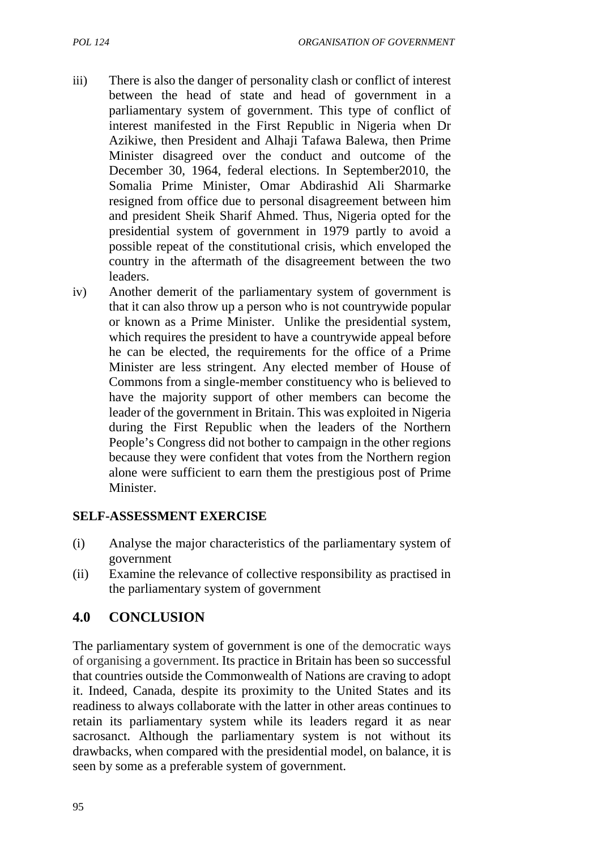- 
- iii) There is also the danger of personality clash or conflict of interest between the head of state and head of government in a parliamentary system of government. This type of conflict of interest manifested in the First Republic in Nigeria when Dr Azikiwe, then President and Alhaji Tafawa Balewa, then Prime Minister disagreed over the conduct and outcome of the December 30, 1964, federal elections. In September2010, the Somalia Prime Minister, Omar Abdirashid Ali Sharmarke resigned from office due to personal disagreement between him and president Sheik Sharif Ahmed. Thus, Nigeria opted for the presidential system of government in 1979 partly to avoid a possible repeat of the constitutional crisis, which enveloped the country in the aftermath of the disagreement between the two leaders.
- iv) Another demerit of the parliamentary system of government is that it can also throw up a person who is not countrywide popular or known as a Prime Minister. Unlike the presidential system, which requires the president to have a countrywide appeal before he can be elected, the requirements for the office of a Prime Minister are less stringent. Any elected member of House of Commons from a single-member constituency who is believed to have the majority support of other members can become the leader of the government in Britain. This was exploited in Nigeria during the First Republic when the leaders of the Northern People's Congress did not bother to campaign in the other regions because they were confident that votes from the Northern region alone were sufficient to earn them the prestigious post of Prime Minister.

### **SELF-ASSESSMENT EXERCISE**

- (i) Analyse the major characteristics of the parliamentary system of government
- (ii) Examine the relevance of collective responsibility as practised in the parliamentary system of government

# **4.0 CONCLUSION**

The parliamentary system of government is one of the democratic ways of organising a government. Its practice in Britain has been so successful that countries outside the Commonwealth of Nations are craving to adopt it. Indeed, Canada, despite its proximity to the United States and its readiness to always collaborate with the latter in other areas continues to retain its parliamentary system while its leaders regard it as near sacrosanct. Although the parliamentary system is not without its drawbacks, when compared with the presidential model, on balance, it is seen by some as a preferable system of government.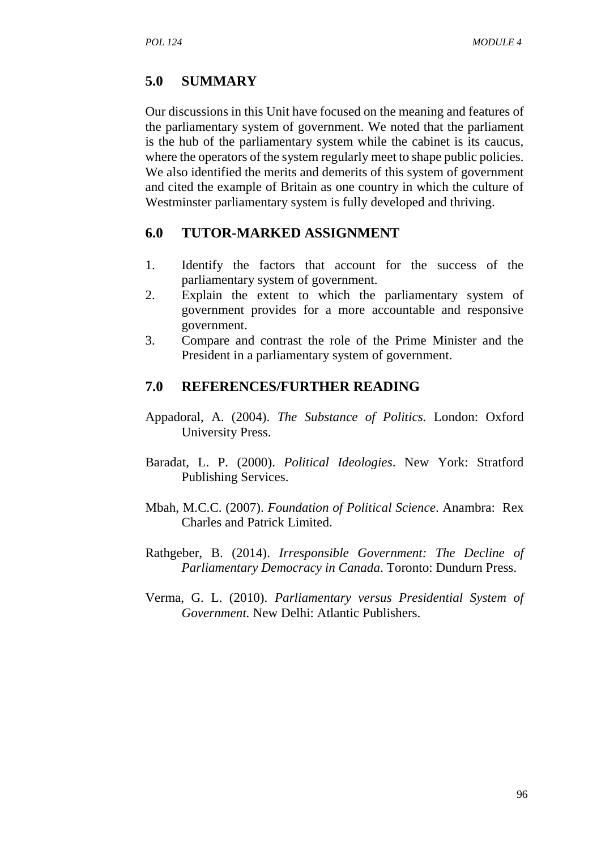# **5.0 SUMMARY**

Our discussions in this Unit have focused on the meaning and features of the parliamentary system of government. We noted that the parliament is the hub of the parliamentary system while the cabinet is its caucus, where the operators of the system regularly meet to shape public policies. We also identified the merits and demerits of this system of government and cited the example of Britain as one country in which the culture of Westminster parliamentary system is fully developed and thriving.

### **6.0 TUTOR-MARKED ASSIGNMENT**

- 1. Identify the factors that account for the success of the parliamentary system of government.
- 2. Explain the extent to which the parliamentary system of government provides for a more accountable and responsive government.
- 3. Compare and contrast the role of the Prime Minister and the President in a parliamentary system of government.

# **7.0 REFERENCES/FURTHER READING**

- Appadoral, A. (2004). *The Substance of Politics.* London: Oxford University Press.
- Baradat, L. P. (2000). *Political Ideologies*. New York: Stratford Publishing Services.
- Mbah, M.C.C. (2007). *Foundation of Political Science*. Anambra: Rex Charles and Patrick Limited.
- Rathgeber, B. (2014). *Irresponsible Government: The Decline of Parliamentary Democracy in Canada*. Toronto: Dundurn Press.
- Verma, G. L. (2010). *Parliamentary versus Presidential System of Government.* New Delhi: Atlantic Publishers.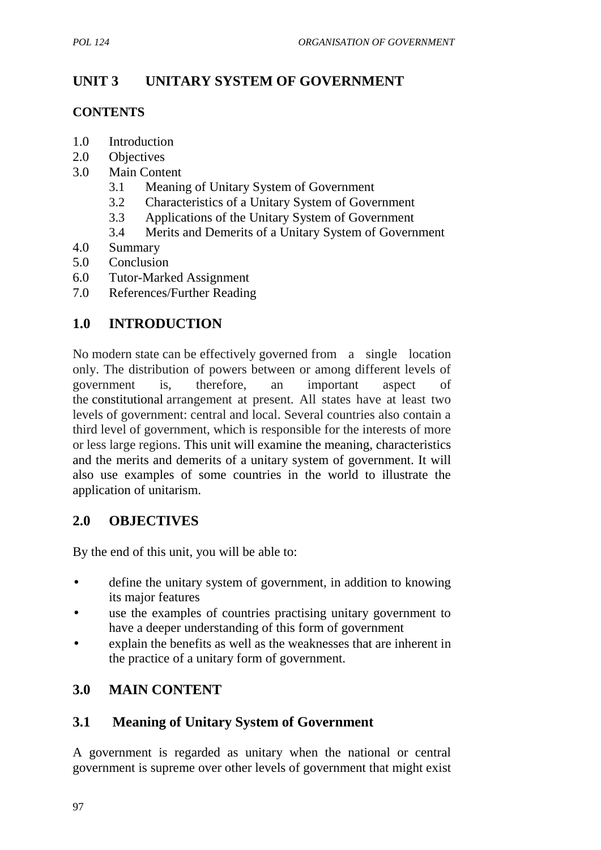# **UNIT 3 UNITARY SYSTEM OF GOVERNMENT**

### **CONTENTS**

- 1.0 Introduction
- 2.0 Objectives
- 3.0 Main Content
	- 3.1 Meaning of Unitary System of Government
	- 3.2 Characteristics of a Unitary System of Government
	- 3.3 Applications of the Unitary System of Government
	- 3.4 Merits and Demerits of a Unitary System of Government
- 4.0 Summary
- 5.0 Conclusion
- 6.0 Tutor-Marked Assignment
- 7.0 References/Further Reading

# **1.0 INTRODUCTION**

No modern state can be effectively governed from a single location only. The distribution of powers between or among different levels of government is, therefore, an important aspect of the constitutional arrangement at present. All states have at least two levels of government: central and local. Several countries also contain a third level of government, which is responsible for the interests of more or less large regions. This unit will examine the meaning, characteristics and the merits and demerits of a unitary system of government. It will also use examples of some countries in the world to illustrate the application of unitarism.

# **2.0 OBJECTIVES**

By the end of this unit, you will be able to:

- define the unitary system of government, in addition to knowing its major features
- use the examples of countries practising unitary government to have a deeper understanding of this form of government
- explain the benefits as well as the weaknesses that are inherent in the practice of a unitary form of government.

# **3.0 MAIN CONTENT**

# **3.1 Meaning of Unitary System of Government**

A government is regarded as unitary when the national or central government is supreme over other levels of government that might exist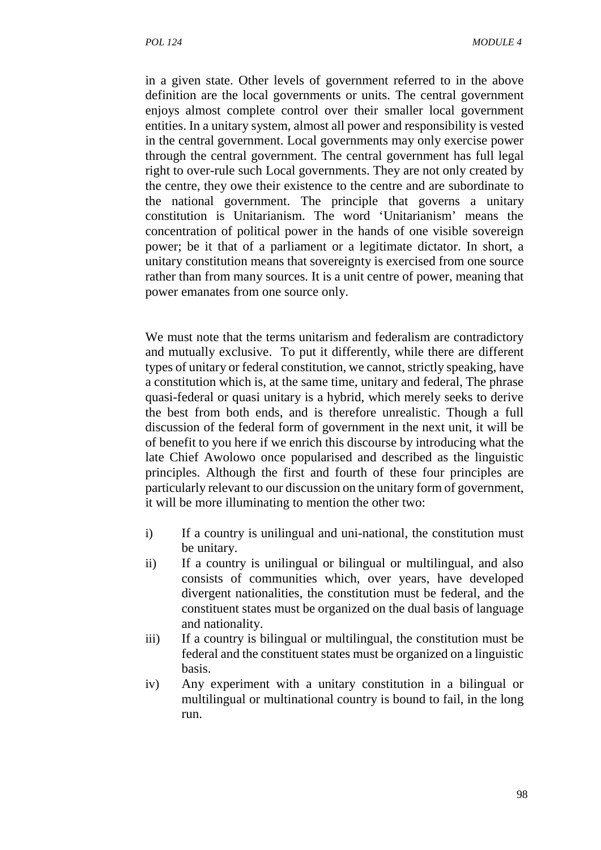in a given state. Other levels of government referred to in the above definition are the local governments or units. The central government enjoys almost complete control over their smaller local government entities. In a unitary system, almost all power and responsibility is vested in the central government. Local governments may only exercise power through the central government. The central government has full legal right to over-rule such Local governments. They are not only created by the centre, they owe their existence to the centre and are subordinate to the national government. The principle that governs a unitary constitution is Unitarianism. The word 'Unitarianism' means the concentration of political power in the hands of one visible sovereign power; be it that of a parliament or a legitimate dictator. In short, a unitary constitution means that sovereignty is exercised from one source rather than from many sources. It is a unit centre of power, meaning that power emanates from one source only.

We must note that the terms unitarism and federalism are contradictory and mutually exclusive. To put it differently, while there are different types of unitary or federal constitution, we cannot, strictly speaking, have a constitution which is, at the same time, unitary and federal, The phrase quasi-federal or quasi unitary is a hybrid, which merely seeks to derive the best from both ends, and is therefore unrealistic. Though a full discussion of the federal form of government in the next unit, it will be of benefit to you here if we enrich this discourse by introducing what the late Chief Awolowo once popularised and described as the linguistic principles. Although the first and fourth of these four principles are particularly relevant to our discussion on the unitary form of government, it will be more illuminating to mention the other two:

- i) If a country is unilingual and uni-national, the constitution must be unitary.
- ii) If a country is unilingual or bilingual or multilingual, and also consists of communities which, over years, have developed divergent nationalities, the constitution must be federal, and the constituent states must be organized on the dual basis of language and nationality.
- iii) If a country is bilingual or multilingual, the constitution must be federal and the constituent states must be organized on a linguistic basis.
- iv) Any experiment with a unitary constitution in a bilingual or multilingual or multinational country is bound to fail, in the long run.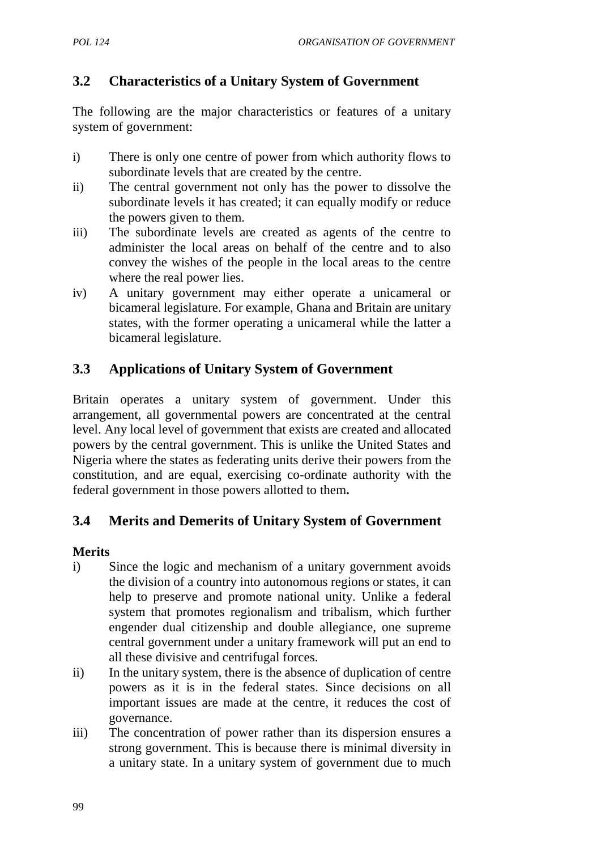# **3.2 Characteristics of a Unitary System of Government**

The following are the major characteristics or features of a unitary system of government:

- i) There is only one centre of power from which authority flows to subordinate levels that are created by the centre.
- ii) The central government not only has the power to dissolve the subordinate levels it has created; it can equally modify or reduce the powers given to them.
- iii) The subordinate levels are created as agents of the centre to administer the local areas on behalf of the centre and to also convey the wishes of the people in the local areas to the centre where the real power lies.
- iv) A unitary government may either operate a unicameral or bicameral legislature. For example, Ghana and Britain are unitary states, with the former operating a unicameral while the latter a bicameral legislature.

# **3.3 Applications of Unitary System of Government**

Britain operates a unitary system of government. Under this arrangement, all governmental powers are concentrated at the central level. Any local level of government that exists are created and allocated powers by the central government. This is unlike the United States and Nigeria where the states as federating units derive their powers from the constitution, and are equal, exercising co-ordinate authority with the federal government in those powers allotted to them**.**

# **3.4 Merits and Demerits of Unitary System of Government**

### **Merits**

- i) Since the logic and mechanism of a unitary government avoids the division of a country into autonomous regions or states, it can help to preserve and promote national unity. Unlike a federal system that promotes regionalism and tribalism, which further engender dual citizenship and double allegiance, one supreme central government under a unitary framework will put an end to all these divisive and centrifugal forces.
- ii) In the unitary system, there is the absence of duplication of centre powers as it is in the federal states. Since decisions on all important issues are made at the centre, it reduces the cost of governance.
- iii) The concentration of power rather than its dispersion ensures a strong government. This is because there is minimal diversity in a unitary state. In a unitary system of government due to much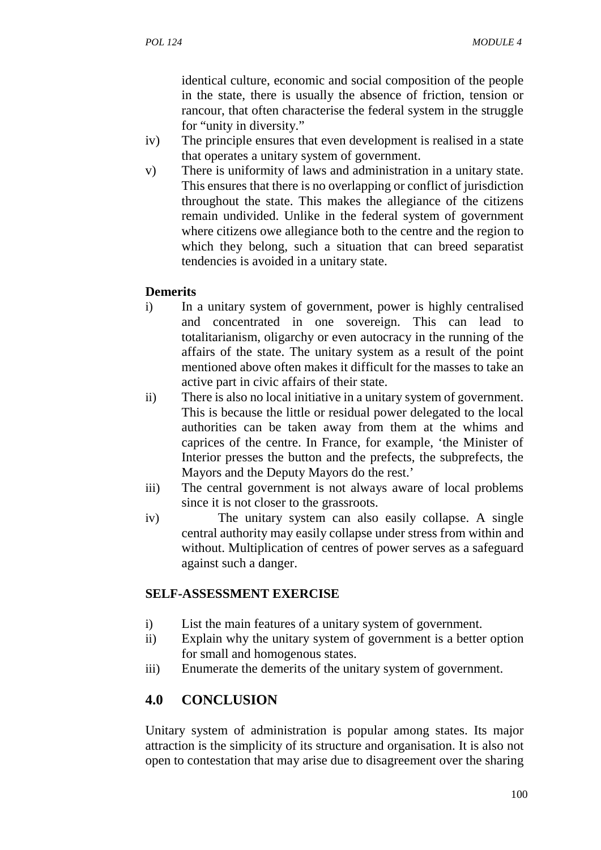identical culture, economic and social composition of the people in the state, there is usually the absence of friction, tension or rancour, that often characterise the federal system in the struggle for "unity in diversity."

- iv) The principle ensures that even development is realised in a state that operates a unitary system of government.
- v) There is uniformity of laws and administration in a unitary state. This ensures that there is no overlapping or conflict of jurisdiction throughout the state. This makes the allegiance of the citizens remain undivided. Unlike in the federal system of government where citizens owe allegiance both to the centre and the region to which they belong, such a situation that can breed separatist tendencies is avoided in a unitary state.

### **Demerits**

- i) In a unitary system of government, power is highly centralised and concentrated in one sovereign. This can lead to totalitarianism, oligarchy or even autocracy in the running of the affairs of the state. The unitary system as a result of the point mentioned above often makes it difficult for the masses to take an active part in civic affairs of their state.
- ii) There is also no local initiative in a unitary system of government. This is because the little or residual power delegated to the local authorities can be taken away from them at the whims and caprices of the centre. In France, for example, 'the Minister of Interior presses the button and the prefects, the subprefects, the Mayors and the Deputy Mayors do the rest.'
- iii) The central government is not always aware of local problems since it is not closer to the grassroots.
- iv) The unitary system can also easily collapse. A single central authority may easily collapse under stress from within and without. Multiplication of centres of power serves as a safeguard against such a danger.

# **SELF-ASSESSMENT EXERCISE**

- i) List the main features of a unitary system of government.
- ii) Explain why the unitary system of government is a better option for small and homogenous states.
- iii) Enumerate the demerits of the unitary system of government.

# **4.0 CONCLUSION**

Unitary system of administration is popular among states. Its major attraction is the simplicity of its structure and organisation. It is also not open to contestation that may arise due to disagreement over the sharing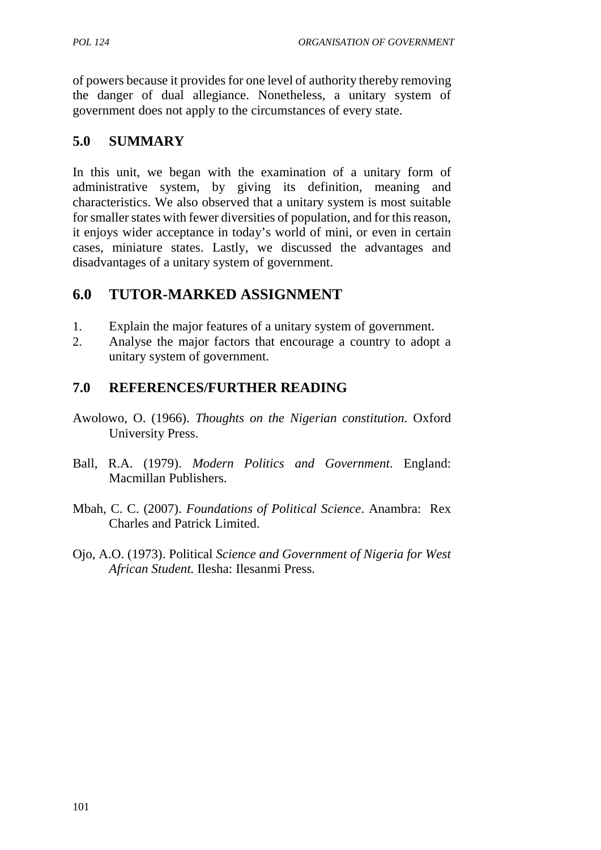of powers because it provides for one level of authority thereby removing the danger of dual allegiance. Nonetheless, a unitary system of government does not apply to the circumstances of every state.

# **5.0 SUMMARY**

In this unit, we began with the examination of a unitary form of administrative system, by giving its definition, meaning and characteristics. We also observed that a unitary system is most suitable for smaller states with fewer diversities of population, and for this reason, it enjoys wider acceptance in today's world of mini, or even in certain cases, miniature states. Lastly, we discussed the advantages and disadvantages of a unitary system of government.

# **6.0 TUTOR-MARKED ASSIGNMENT**

- 1. Explain the major features of a unitary system of government.
- 2. Analyse the major factors that encourage a country to adopt a unitary system of government.

# **7.0 REFERENCES/FURTHER READING**

- Awolowo, O. (1966). *Thoughts on the Nigerian constitution*. Oxford University Press.
- Ball, R.A. (1979). *Modern Politics and Government*. England: Macmillan Publishers.
- Mbah, C. C. (2007). *Foundations of Political Science*. Anambra: Rex Charles and Patrick Limited.
- Ojo, A.O. (1973). Political *Science and Government of Nigeria for West African Student.* Ilesha: Ilesanmi Press.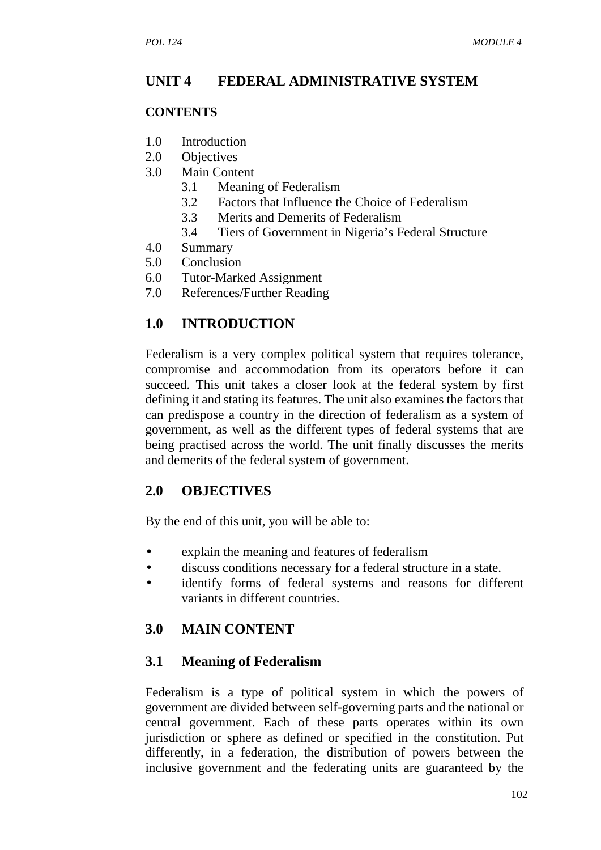### **UNIT 4 FEDERAL ADMINISTRATIVE SYSTEM**

#### **CONTENTS**

- 1.0 Introduction
- 2.0 Objectives
- 3.0 Main Content
	- 3.1 Meaning of Federalism
	- 3.2 Factors that Influence the Choice of Federalism
	- 3.3 Merits and Demerits of Federalism
	- 3.4 Tiers of Government in Nigeria's Federal Structure
- 4.0 Summary
- 5.0 Conclusion
- 6.0 Tutor-Marked Assignment
- 7.0 References/Further Reading

### **1.0 INTRODUCTION**

Federalism is a very complex political system that requires tolerance, compromise and accommodation from its operators before it can succeed. This unit takes a closer look at the federal system by first defining it and stating its features. The unit also examines the factors that can predispose a country in the direction of federalism as a system of government, as well as the different types of federal systems that are being practised across the world. The unit finally discusses the merits and demerits of the federal system of government.

#### **2.0 OBJECTIVES**

By the end of this unit, you will be able to:

- explain the meaning and features of federalism
- discuss conditions necessary for a federal structure in a state.
- identify forms of federal systems and reasons for different variants in different countries.

### **3.0 MAIN CONTENT**

#### **3.1 Meaning of Federalism**

Federalism is a type of political system in which the powers of government are divided between self-governing parts and the national or central government. Each of these parts operates within its own jurisdiction or sphere as defined or specified in the constitution. Put differently, in a federation, the distribution of powers between the inclusive government and the federating units are guaranteed by the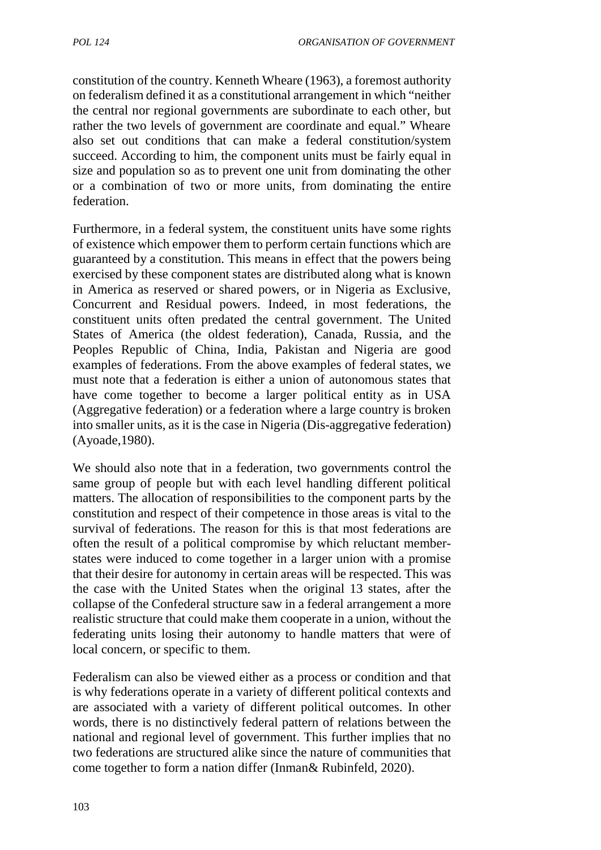constitution of the country. Kenneth Wheare (1963), a foremost authority on federalism defined it as a constitutional arrangement in which "neither the central nor regional governments are subordinate to each other, but rather the two levels of government are coordinate and equal." Wheare also set out conditions that can make a federal constitution/system succeed. According to him, the component units must be fairly equal in size and population so as to prevent one unit from dominating the other or a combination of two or more units, from dominating the entire federation.

Furthermore, in a federal system, the constituent units have some rights of existence which empower them to perform certain functions which are guaranteed by a constitution. This means in effect that the powers being exercised by these component states are distributed along what is known in America as reserved or shared powers, or in Nigeria as Exclusive, Concurrent and Residual powers. Indeed, in most federations, the constituent units often predated the central government. The United States of America (the oldest federation), Canada, Russia, and the Peoples Republic of China, India, Pakistan and Nigeria are good examples of federations. From the above examples of federal states, we must note that a federation is either a union of autonomous states that have come together to become a larger political entity as in USA (Aggregative federation) or a federation where a large country is broken into smaller units, as it is the case in Nigeria (Dis-aggregative federation) (Ayoade,1980).

We should also note that in a federation, two governments control the same group of people but with each level handling different political matters. The allocation of responsibilities to the component parts by the constitution and respect of their competence in those areas is vital to the survival of federations. The reason for this is that most federations are often the result of a political compromise by which reluctant member states were induced to come together in a larger union with a promise that their desire for autonomy in certain areas will be respected. This was the case with the United States when the original 13 states, after the collapse of the Confederal structure saw in a federal arrangement a more realistic structure that could make them cooperate in a union, without the federating units losing their autonomy to handle matters that were of local concern, or specific to them.

Federalism can also be viewed either as a process or condition and that is why federations operate in a variety of different political contexts and are associated with a variety of different political outcomes. In other words, there is no distinctively federal pattern of relations between the national and regional level of government. This further implies that no two federations are structured alike since the nature of communities that come together to form a nation differ (Inman& Rubinfeld, 2020).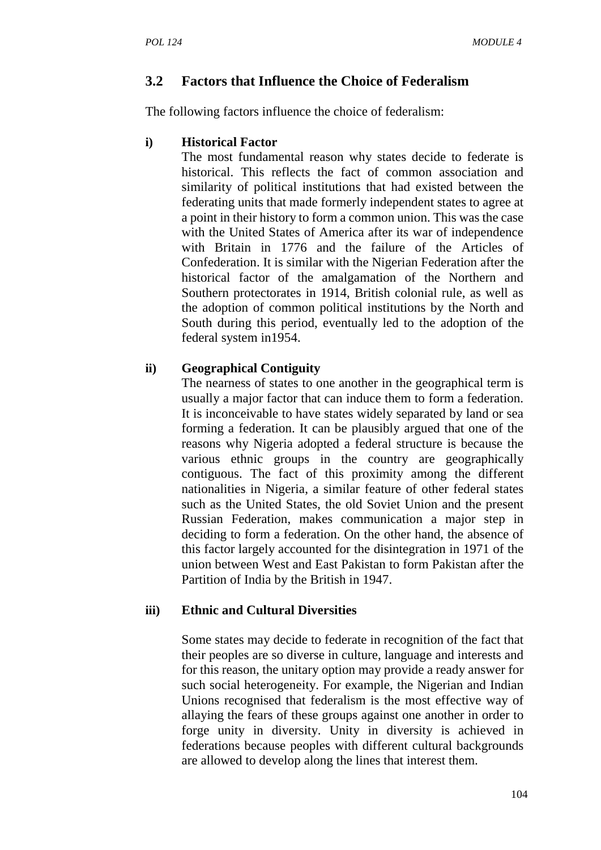# **3.2 Factors that Influence the Choice of Federalism**

The following factors influence the choice of federalism:

### **i) Historical Factor**

The most fundamental reason why states decide to federate is historical. This reflects the fact of common association and similarity of political institutions that had existed between the federating units that made formerly independent states to agree at a point in their history to form a common union. This was the case with the United States of America after its war of independence with Britain in 1776 and the failure of the Articles of Confederation. It is similar with the Nigerian Federation after the historical factor of the amalgamation of the Northern and Southern protectorates in 1914, British colonial rule, as well as the adoption of common political institutions by the North and South during this period, eventually led to the adoption of the federal system in1954.

# **ii) Geographical Contiguity**

The nearness of states to one another in the geographical term is usually a major factor that can induce them to form a federation. It is inconceivable to have states widely separated by land or sea forming a federation. It can be plausibly argued that one of the reasons why Nigeria adopted a federal structure is because the various ethnic groups in the country are geographically contiguous. The fact of this proximity among the different nationalities in Nigeria, a similar feature of other federal states such as the United States, the old Soviet Union and the present Russian Federation, makes communication a major step in deciding to form a federation. On the other hand, the absence of this factor largely accounted for the disintegration in 1971 of the union between West and East Pakistan to form Pakistan after the Partition of India by the British in 1947.

### **iii) Ethnic and Cultural Diversities**

Some states may decide to federate in recognition of the fact that their peoples are so diverse in culture, language and interests and for this reason, the unitary option may provide a ready answer for such social heterogeneity. For example, the Nigerian and Indian Unions recognised that federalism is the most effective way of allaying the fears of these groups against one another in order to forge unity in diversity. Unity in diversity is achieved in federations because peoples with different cultural backgrounds are allowed to develop along the lines that interest them.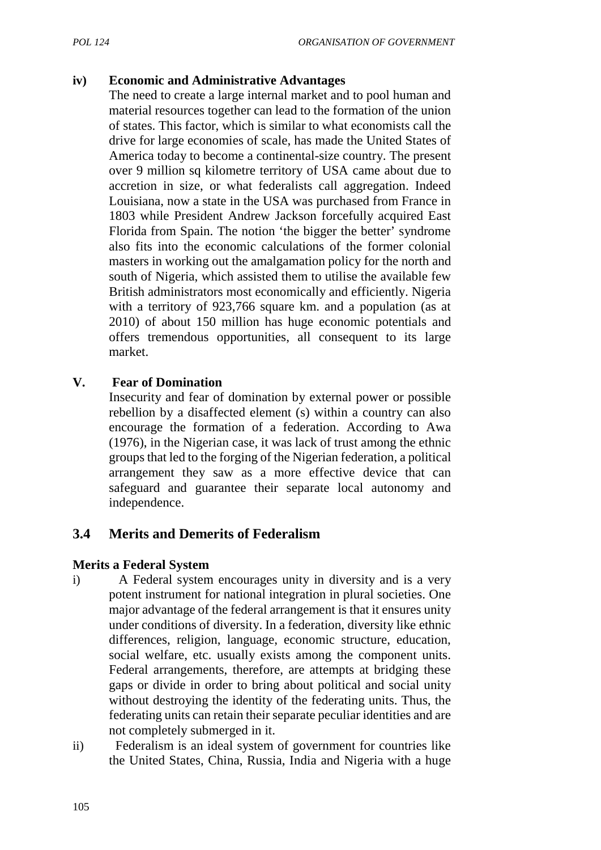### **iv) Economic and Administrative Advantages**

The need to create a large internal market and to pool human and material resources together can lead to the formation of the union of states. This factor, which is similar to what economists call the drive for large economies of scale, has made the United States of America today to become a continental-size country. The present over 9 million sq kilometre territory of USA came about due to accretion in size, or what federalists call aggregation. Indeed Louisiana, now a state in the USA was purchased from France in 1803 while President Andrew Jackson forcefully acquired East Florida from Spain. The notion 'the bigger the better' syndrome also fits into the economic calculations of the former colonial masters in working out the amalgamation policy for the north and south of Nigeria, which assisted them to utilise the available few British administrators most economically and efficiently. Nigeria with a territory of 923,766 square km. and a population (as at 2010) of about 150 million has huge economic potentials and offers tremendous opportunities, all consequent to its large market.

### **V. Fear of Domination**

Insecurity and fear of domination by external power or possible rebellion by a disaffected element (s) within a country can also encourage the formation of a federation. According to Awa (1976), in the Nigerian case, it was lack of trust among the ethnic groups that led to the forging of the Nigerian federation, a political arrangement they saw as a more effective device that can safeguard and guarantee their separate local autonomy and independence.

# **3.4 Merits and Demerits of Federalism**

### **Merits a Federal System**

- i) A Federal system encourages unity in diversity and is a very potent instrument for national integration in plural societies. One major advantage of the federal arrangement is that it ensures unity under conditions of diversity. In a federation, diversity like ethnic differences, religion, language, economic structure, education, social welfare, etc. usually exists among the component units. Federal arrangements, therefore, are attempts at bridging these gaps or divide in order to bring about political and social unity without destroying the identity of the federating units. Thus, the federating units can retain their separate peculiar identities and are not completely submerged in it.
- ii) Federalism is an ideal system of government for countries like the United States, China, Russia, India and Nigeria with a huge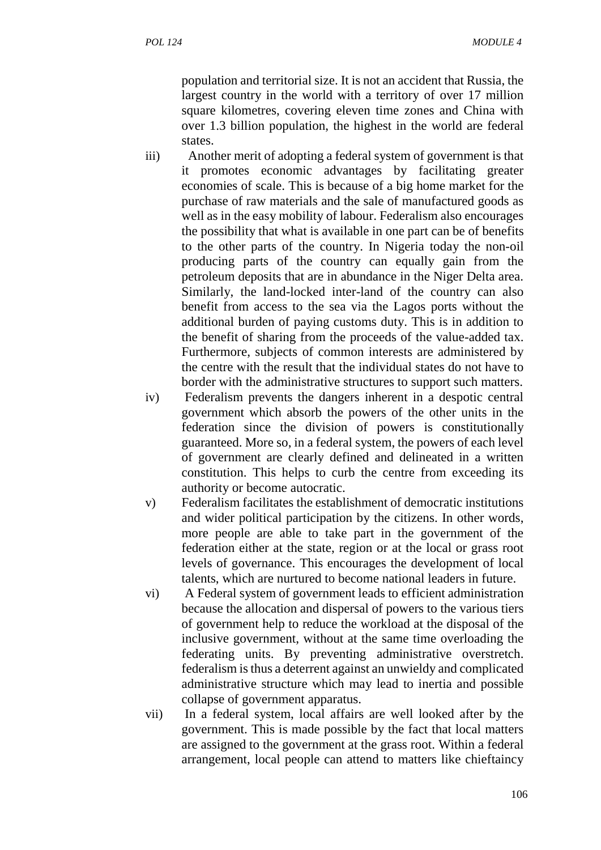population and territorial size. It is not an accident that Russia, the largest country in the world with a territory of over 17 million square kilometres, covering eleven time zones and China with over 1.3 billion population, the highest in the world are federal states.

- iii) Another merit of adopting a federal system of government is that it promotes economic advantages by facilitating greater economies of scale. This is because of a big home market for the purchase of raw materials and the sale of manufactured goods as well as in the easy mobility of labour. Federalism also encourages the possibility that what is available in one part can be of benefits to the other parts of the country. In Nigeria today the non-oil producing parts of the country can equally gain from the petroleum deposits that are in abundance in the Niger Delta area. Similarly, the land-locked inter-land of the country can also benefit from access to the sea via the Lagos ports without the additional burden of paying customs duty. This is in addition to the benefit of sharing from the proceeds of the value-added tax. Furthermore, subjects of common interests are administered by the centre with the result that the individual states do not have to border with the administrative structures to support such matters.
- iv) Federalism prevents the dangers inherent in a despotic central government which absorb the powers of the other units in the federation since the division of powers is constitutionally guaranteed. More so, in a federal system, the powers of each level of government are clearly defined and delineated in a written constitution. This helps to curb the centre from exceeding its authority or become autocratic.
- v) Federalism facilitates the establishment of democratic institutions and wider political participation by the citizens. In other words, more people are able to take part in the government of the federation either at the state, region or at the local or grass root levels of governance. This encourages the development of local talents, which are nurtured to become national leaders in future.
- vi) A Federal system of government leads to efficient administration because the allocation and dispersal of powers to the various tiers of government help to reduce the workload at the disposal of the inclusive government, without at the same time overloading the federating units. By preventing administrative overstretch. federalism is thus a deterrent against an unwieldy and complicated administrative structure which may lead to inertia and possible collapse of government apparatus.
- vii) In a federal system, local affairs are well looked after by the government. This is made possible by the fact that local matters are assigned to the government at the grass root. Within a federal arrangement, local people can attend to matters like chieftaincy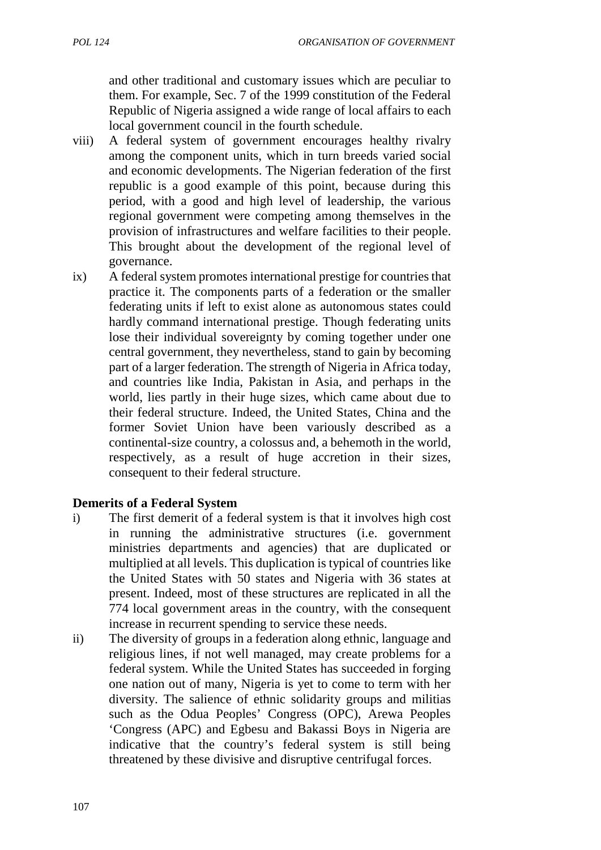and other traditional and customary issues which are peculiar to them. For example, Sec. 7 of the 1999 constitution of the Federal Republic of Nigeria assigned a wide range of local affairs to each local government council in the fourth schedule.

- viii) A federal system of government encourages healthy rivalry among the component units, which in turn breeds varied social and economic developments. The Nigerian federation of the first republic is a good example of this point, because during this period, with a good and high level of leadership, the various regional government were competing among themselves in the provision of infrastructures and welfare facilities to their people. This brought about the development of the regional level of governance.
- ix) A federal system promotes international prestige for countries that practice it. The components parts of a federation or the smaller federating units if left to exist alone as autonomous states could hardly command international prestige. Though federating units lose their individual sovereignty by coming together under one central government, they nevertheless, stand to gain by becoming part of a larger federation. The strength of Nigeria in Africa today, and countries like India, Pakistan in Asia, and perhaps in the world, lies partly in their huge sizes, which came about due to their federal structure. Indeed, the United States, China and the former Soviet Union have been variously described as a continental-size country, a colossus and, a behemoth in the world, respectively, as a result of huge accretion in their sizes, consequent to their federal structure.

### **Demerits of a Federal System**

- i) The first demerit of a federal system is that it involves high cost in running the administrative structures (i.e. government ministries departments and agencies) that are duplicated or multiplied at all levels. This duplication is typical of countries like the United States with 50 states and Nigeria with 36 states at present. Indeed, most of these structures are replicated in all the 774 local government areas in the country, with the consequent increase in recurrent spending to service these needs.
- ii) The diversity of groups in a federation along ethnic, language and religious lines, if not well managed, may create problems for a federal system. While the United States has succeeded in forging one nation out of many, Nigeria is yet to come to term with her diversity. The salience of ethnic solidarity groups and militias such as the Odua Peoples' Congress (OPC), Arewa Peoples 'Congress (APC) and Egbesu and Bakassi Boys in Nigeria are indicative that the country's federal system is still being threatened by these divisive and disruptive centrifugal forces.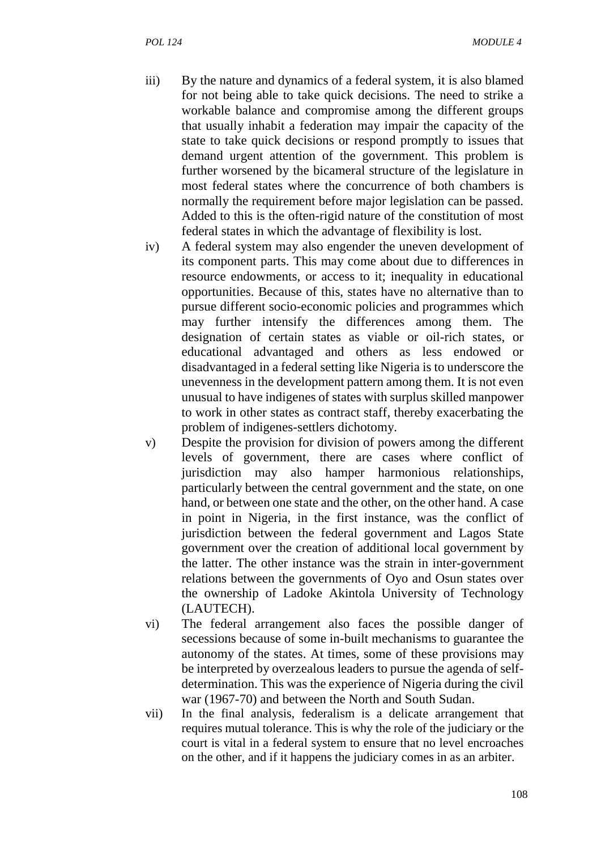- iii) By the nature and dynamics of a federal system, it is also blamed for not being able to take quick decisions. The need to strike a workable balance and compromise among the different groups that usually inhabit a federation may impair the capacity of the state to take quick decisions or respond promptly to issues that demand urgent attention of the government. This problem is further worsened by the bicameral structure of the legislature in most federal states where the concurrence of both chambers is normally the requirement before major legislation can be passed. Added to this is the often-rigid nature of the constitution of most federal states in which the advantage of flexibility is lost.
- iv) A federal system may also engender the uneven development of its component parts. This may come about due to differences in resource endowments, or access to it; inequality in educational opportunities. Because of this, states have no alternative than to pursue different socio-economic policies and programmes which may further intensify the differences among them. The designation of certain states as viable or oil-rich states, or educational advantaged and others as less endowed or disadvantaged in a federal setting like Nigeria is to underscore the unevenness in the development pattern among them. It is not even unusual to have indigenes of states with surplus skilled manpower to work in other states as contract staff, thereby exacerbating the problem of indigenes-settlers dichotomy.
- v) Despite the provision for division of powers among the different levels of government, there are cases where conflict of jurisdiction may also hamper harmonious relationships, particularly between the central government and the state, on one hand, or between one state and the other, on the other hand. A case in point in Nigeria, in the first instance, was the conflict of jurisdiction between the federal government and Lagos State government over the creation of additional local government by the latter. The other instance was the strain in inter-government relations between the governments of Oyo and Osun states over the ownership of Ladoke Akintola University of Technology (LAUTECH).
- vi) The federal arrangement also faces the possible danger of secessions because of some in-built mechanisms to guarantee the autonomy of the states. At times, some of these provisions may be interpreted by overzealous leaders to pursue the agenda of self determination. This was the experience of Nigeria during the civil war (1967-70) and between the North and South Sudan.
- vii) In the final analysis, federalism is a delicate arrangement that requires mutual tolerance. This is why the role of the judiciary or the court is vital in a federal system to ensure that no level encroaches on the other, and if it happens the judiciary comes in as an arbiter.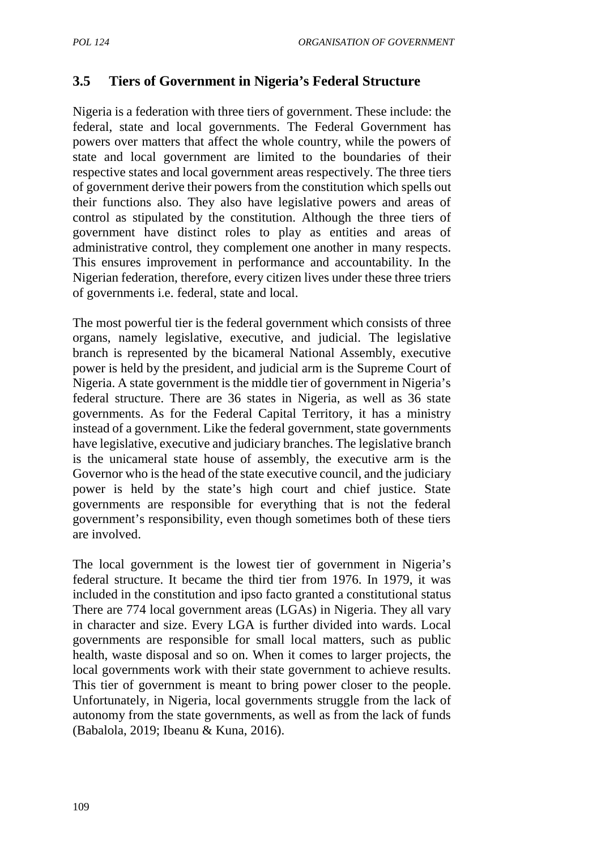# **3.5 Tiers of Government in Nigeria's Federal Structure**

Nigeria is a federation with three tiers of government. These include: the federal, state and local governments. The Federal Government has powers over matters that affect the whole country, while the powers of state and local government are limited to the boundaries of their respective states and local government areas respectively. The three tiers of government derive their powers from the constitution which spells out their functions also. They also have legislative powers and areas of control as stipulated by the constitution. Although the three tiers of government have distinct roles to play as entities and areas of administrative control, they complement one another in many respects. This ensures improvement in performance and accountability. In the Nigerian federation, therefore, every citizen lives under these three triers of governments i.e. federal, state and local.

The most powerful tier is the federal government which consists of three organs, namely legislative, executive, and judicial. The legislative branch is represented by the bicameral National Assembly, executive power is held by the president, and judicial arm is the Supreme Court of Nigeria. A state government is the middle tier of government in Nigeria's federal structure. There are 36 states in Nigeria, as well as 36 state governments. As for the Federal Capital Territory, it has a ministry instead of a government. Like the federal government, state governments have legislative, executive and judiciary branches. The legislative branch is the unicameral state house of assembly, the executive arm is the Governor who is the head of the state executive council, and the judiciary power is held by the state's high court and chief justice. State governments are responsible for everything that is not the federal government's responsibility, even though sometimes both of these tiers are involved.

The local government is the lowest tier of government in Nigeria's federal structure. It became the third tier from 1976. In 1979, it was included in the constitution and ipso facto granted a constitutional status There are 774 local government areas (LGAs) in Nigeria. They all vary in character and size. Every LGA is further divided into wards. Local governments are responsible for small local matters, such as public health, waste disposal and so on. When it comes to larger projects, the local governments work with their state government to achieve results. This tier of government is meant to bring power closer to the people. Unfortunately, in Nigeria, local governments struggle from the lack of autonomy from the state governments, as well as from the lack of funds (Babalola, 2019; Ibeanu & Kuna, 2016).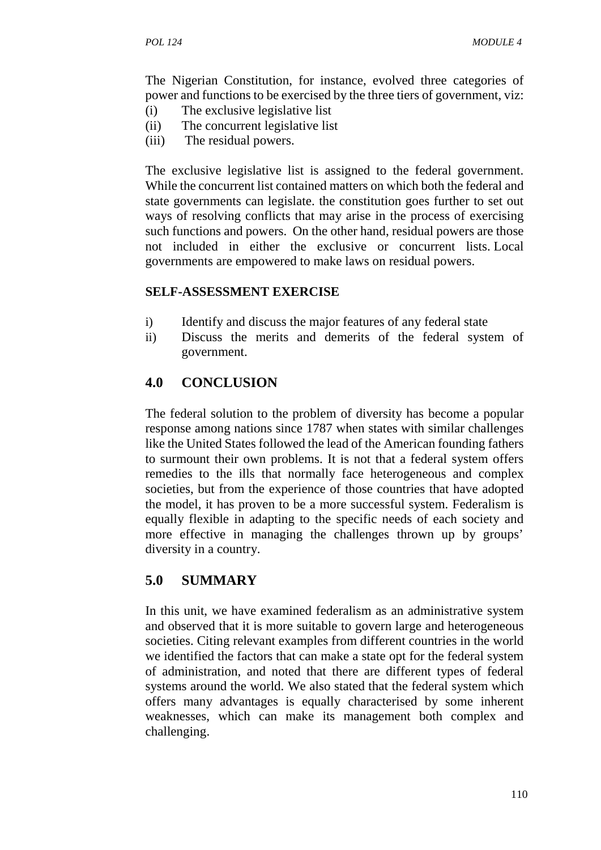The Nigerian Constitution, for instance, evolved three categories of power and functions to be exercised by the three tiers of government, viz:

- (i) The exclusive legislative list
- (ii) The concurrent legislative list
- (iii) The residual powers.

The exclusive legislative list is assigned to the federal government. While the concurrent list contained matters on which both the federal and state governments can legislate. the constitution goes further to set out ways of resolving conflicts that may arise in the process of exercising such functions and powers. On the other hand, residual powers are those not included in either the exclusive or concurrent lists. Local governments are empowered to make laws on residual powers.

### **SELF-ASSESSMENT EXERCISE**

- i) Identify and discuss the major features of any federal state
- ii) Discuss the merits and demerits of the federal system of government.

# **4.0 CONCLUSION**

The federal solution to the problem of diversity has become a popular response among nations since 1787 when states with similar challenges like the United States followed the lead of the American founding fathers to surmount their own problems. It is not that a federal system offers remedies to the ills that normally face heterogeneous and complex societies, but from the experience of those countries that have adopted the model, it has proven to be a more successful system. Federalism is equally flexible in adapting to the specific needs of each society and more effective in managing the challenges thrown up by groups' diversity in a country.

# **5.0 SUMMARY**

In this unit, we have examined federalism as an administrative system and observed that it is more suitable to govern large and heterogeneous societies. Citing relevant examples from different countries in the world we identified the factors that can make a state opt for the federal system of administration, and noted that there are different types of federal systems around the world. We also stated that the federal system which offers many advantages is equally characterised by some inherent weaknesses, which can make its management both complex and challenging.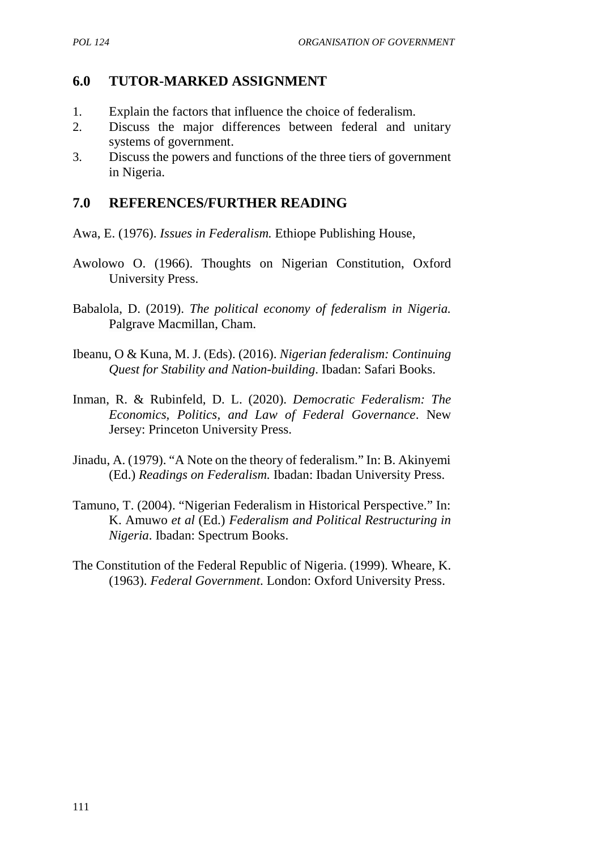# **6.0 TUTOR-MARKED ASSIGNMENT**

- 1. Explain the factors that influence the choice of federalism.
- 2. Discuss the major differences between federal and unitary systems of government.
- 3. Discuss the powers and functions of the three tiers of government in Nigeria.

### **7.0 REFERENCES/FURTHER READING**

- Awa, E. (1976). *Issues in Federalism.* Ethiope Publishing House,
- Awolowo O. (1966). Thoughts on Nigerian Constitution, Oxford University Press.
- Babalola, D. (2019). *The political economy of federalism in Nigeria.* Palgrave Macmillan, Cham.
- Ibeanu, O & Kuna, M. J. (Eds). (2016). *Nigerian federalism: Continuing Quest for Stability and Nation-building*. Ibadan: Safari Books.
- Inman, R. & Rubinfeld, D. L. (2020). *Democratic Federalism: The Economics, Politics, and Law of Federal Governance*. New Jersey: Princeton University Press.
- Jinadu, A. (1979). "A Note on the theory of federalism." In: B. Akinyemi (Ed.) *Readings on Federalism.* Ibadan: Ibadan University Press.
- Tamuno, T. (2004). "Nigerian Federalism in Historical Perspective." In: K. Amuwo *et al* (Ed.) *Federalism and Political Restructuring in Nigeria*. Ibadan: Spectrum Books.
- The Constitution of the Federal Republic of Nigeria. (1999). Wheare, K. (1963). *Federal Government*. London: Oxford University Press.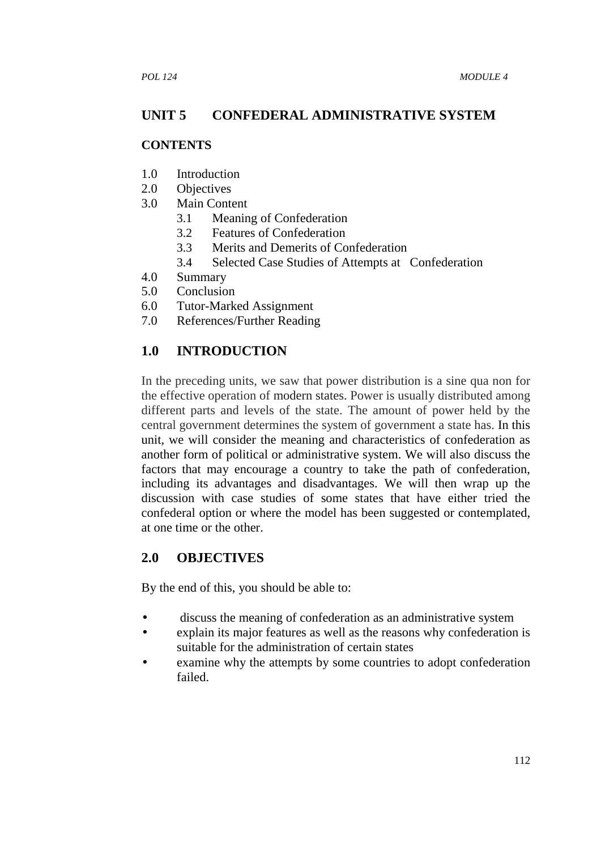# **UNIT 5 CONFEDERAL ADMINISTRATIVE SYSTEM**

#### **CONTENTS**

- 1.0 Introduction
- 2.0 Objectives
- 3.0 Main Content
	- 3.1 Meaning of Confederation
	- 3.2 Features of Confederation
	- 3.3 Merits and Demerits of Confederation
	- 3.4 Selected Case Studies of Attempts at Confederation
- 4.0 Summary
- 5.0 Conclusion
- 6.0 Tutor-Marked Assignment
- 7.0 References/Further Reading

### **1.0 INTRODUCTION**

In the preceding units, we saw that power distribution is a sine qua non for the effective operation of modern states. Power is usually distributed among different parts and levels of the state. The amount of power held by the central government determines the system of government a state has. In this unit, we will consider the meaning and characteristics of confederation as another form of political or administrative system. We will also discuss the factors that may encourage a country to take the path of confederation, including its advantages and disadvantages. We will then wrap up the discussion with case studies of some states that have either tried the confederal option or where the model has been suggested or contemplated, at one time or the other.

### **2.0 OBJECTIVES**

By the end of this, you should be able to:

- discuss the meaning of confederation as an administrative system
- explain its major features as well as the reasons why confederation is suitable for the administration of certain states
- examine why the attempts by some countries to adopt confederation failed.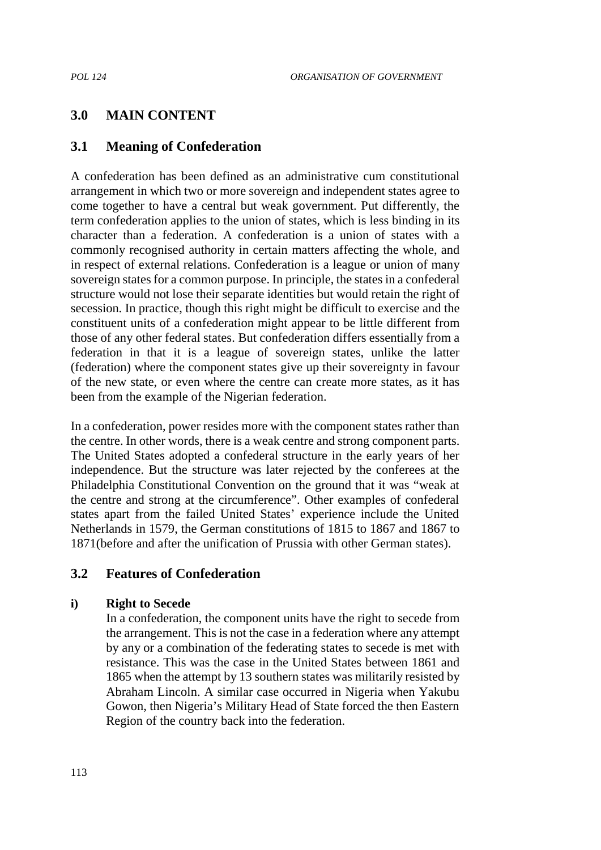# **3.0 MAIN CONTENT**

### **3.1 Meaning of Confederation**

A confederation has been defined as an administrative cum constitutional arrangement in which two or more sovereign and independent states agree to come together to have a central but weak government. Put differently, the term confederation applies to the union of states, which is less binding in its character than a federation. A confederation is a union of states with a commonly recognised authority in certain matters affecting the whole, and in respect of external relations. Confederation is a league or union of many sovereign states for a common purpose. In principle, the states in a confederal structure would not lose their separate identities but would retain the right of secession. In practice, though this right might be difficult to exercise and the constituent units of a confederation might appear to be little different from those of any other federal states. But confederation differs essentially from a federation in that it is a league of sovereign states, unlike the latter (federation) where the component states give up their sovereignty in favour of the new state, or even where the centre can create more states, as it has been from the example of the Nigerian federation.

In a confederation, power resides more with the component states rather than the centre. In other words, there is a weak centre and strong component parts. The United States adopted a confederal structure in the early years of her independence. But the structure was later rejected by the conferees at the Philadelphia Constitutional Convention on the ground that it was "weak at the centre and strong at the circumference". Other examples of confederal states apart from the failed United States' experience include the United Netherlands in 1579, the German constitutions of 1815 to 1867 and 1867 to 1871(before and after the unification of Prussia with other German states).

#### **3.2 Features of Confederation**

#### **i) Right to Secede**

In a confederation, the component units have the right to secede from the arrangement. This is not the case in a federation where any attempt by any or a combination of the federating states to secede is met with resistance. This was the case in the United States between 1861 and 1865 when the attempt by 13 southern states was militarily resisted by Abraham Lincoln. A similar case occurred in Nigeria when Yakubu Gowon, then Nigeria's Military Head of State forced the then Eastern Region of the country back into the federation.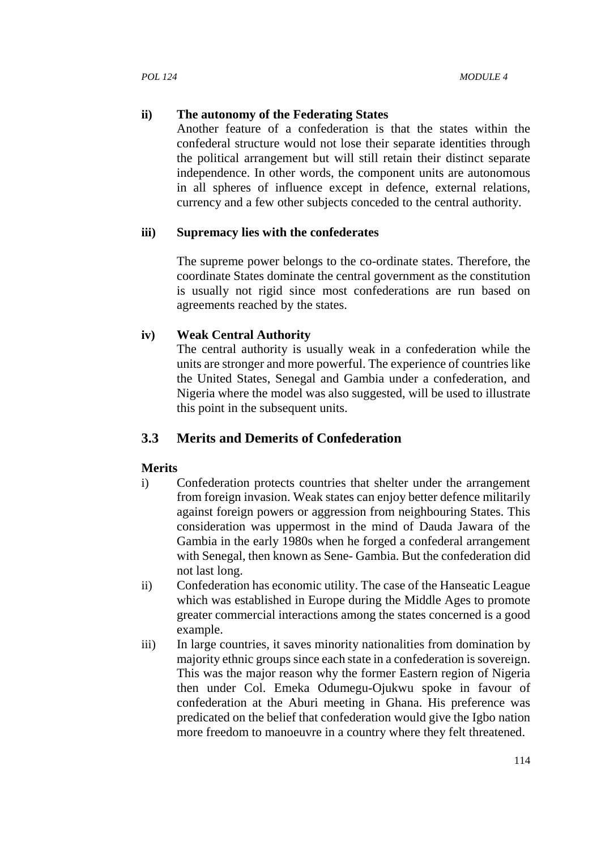#### **ii) The autonomy of the Federating States**

Another feature of a confederation is that the states within the confederal structure would not lose their separate identities through the political arrangement but will still retain their distinct separate independence. In other words, the component units are autonomous in all spheres of influence except in defence, external relations, currency and a few other subjects conceded to the central authority.

#### **iii) Supremacy lies with the confederates**

The supreme power belongs to the co-ordinate states. Therefore, the coordinate States dominate the central government as the constitution is usually not rigid since most confederations are run based on agreements reached by the states.

#### **iv) Weak Central Authority**

The central authority is usually weak in a confederation while the units are stronger and more powerful. The experience of countries like the United States, Senegal and Gambia under a confederation, and Nigeria where the model was also suggested, will be used to illustrate this point in the subsequent units.

### **3.3 Merits and Demerits of Confederation**

#### **Merits**

- i) Confederation protects countries that shelter under the arrangement from foreign invasion. Weak states can enjoy better defence militarily against foreign powers or aggression from neighbouring States. This consideration was uppermost in the mind of Dauda Jawara of the Gambia in the early 1980s when he forged a confederal arrangement with Senegal, then known as Sene- Gambia. But the confederation did not last long.
- ii) Confederation has economic utility. The case of the Hanseatic League which was established in Europe during the Middle Ages to promote greater commercial interactions among the states concerned is a good example.
- iii) In large countries, it saves minority nationalities from domination by majority ethnic groups since each state in a confederation is sovereign. This was the major reason why the former Eastern region of Nigeria then under Col. Emeka Odumegu-Ojukwu spoke in favour of confederation at the Aburi meeting in Ghana. His preference was predicated on the belief that confederation would give the Igbo nation more freedom to manoeuvre in a country where they felt threatened.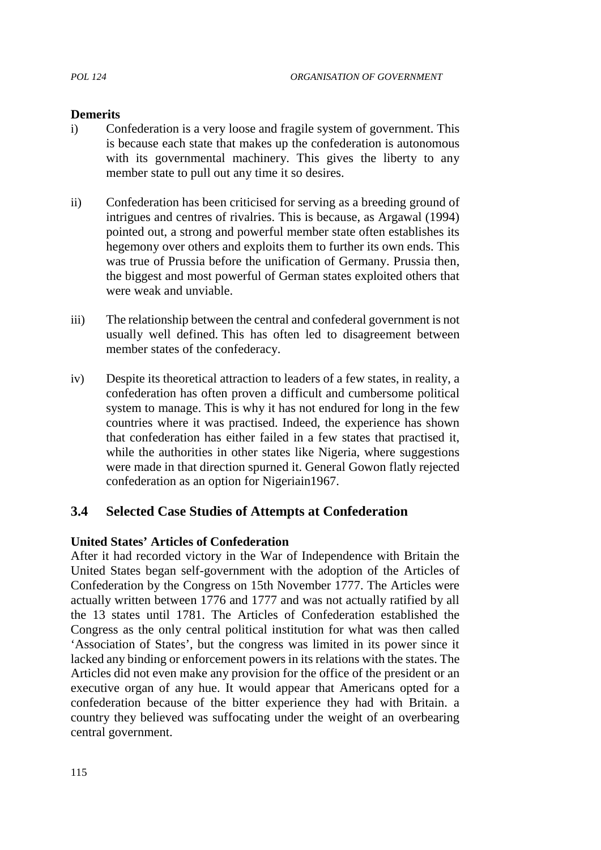#### **Demerits**

- i) Confederation is a very loose and fragile system of government. This is because each state that makes up the confederation is autonomous with its governmental machinery. This gives the liberty to any member state to pull out any time it so desires.
- ii) Confederation has been criticised for serving as a breeding ground of intrigues and centres of rivalries. This is because, as Argawal (1994) pointed out, a strong and powerful member state often establishes its hegemony over others and exploits them to further its own ends. This was true of Prussia before the unification of Germany. Prussia then, the biggest and most powerful of German states exploited others that were weak and unviable.
- iii) The relationship between the central and confederal government is not usually well defined. This has often led to disagreement between member states of the confederacy.
- iv) Despite its theoretical attraction to leaders of a few states, in reality, a confederation has often proven a difficult and cumbersome political system to manage. This is why it has not endured for long in the few countries where it was practised. Indeed, the experience has shown that confederation has either failed in a few states that practised it, while the authorities in other states like Nigeria, where suggestions were made in that direction spurned it. General Gowon flatly rejected confederation as an option for Nigeriain1967.

### **3.4 Selected Case Studies of Attempts at Confederation**

#### **United States' Articles of Confederation**

After it had recorded victory in the War of Independence with Britain the United States began self-government with the adoption of the Articles of Confederation by the Congress on 15th November 1777. The Articles were actually written between 1776 and 1777 and was not actually ratified by all the 13 states until 1781. The Articles of Confederation established the Congress as the only central political institution for what was then called 'Association of States', but the congress was limited in its power since it lacked any binding or enforcement powers in its relations with the states. The Articles did not even make any provision for the office of the president or an executive organ of any hue. It would appear that Americans opted for a confederation because of the bitter experience they had with Britain. a country they believed was suffocating under the weight of an overbearing central government.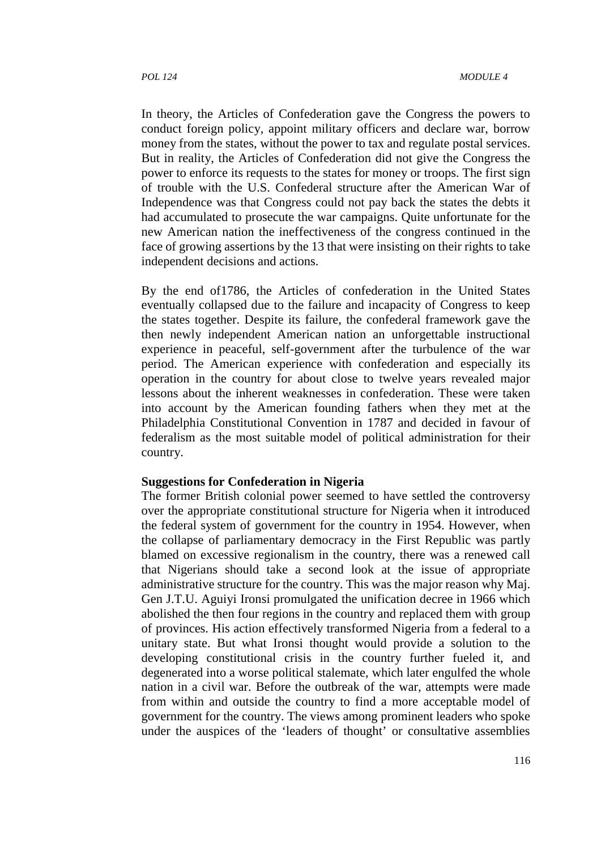In theory, the Articles of Confederation gave the Congress the powers to conduct foreign policy, appoint military officers and declare war, borrow money from the states, without the power to tax and regulate postal services. But in reality, the Articles of Confederation did not give the Congress the power to enforce its requests to the states for money or troops. The first sign of trouble with the U.S. Confederal structure after the American War of Independence was that Congress could not pay back the states the debts it had accumulated to prosecute the war campaigns. Quite unfortunate for the new American nation the ineffectiveness of the congress continued in the face of growing assertions by the 13 that were insisting on their rights to take independent decisions and actions.

By the end of1786, the Articles of confederation in the United States eventually collapsed due to the failure and incapacity of Congress to keep the states together. Despite its failure, the confederal framework gave the then newly independent American nation an unforgettable instructional experience in peaceful, self-government after the turbulence of the war period. The American experience with confederation and especially its operation in the country for about close to twelve years revealed major lessons about the inherent weaknesses in confederation. These were taken into account by the American founding fathers when they met at the Philadelphia Constitutional Convention in 1787 and decided in favour of federalism as the most suitable model of political administration for their country.

#### **Suggestions for Confederation in Nigeria**

The former British colonial power seemed to have settled the controversy over the appropriate constitutional structure for Nigeria when it introduced the federal system of government for the country in 1954. However, when the collapse of parliamentary democracy in the First Republic was partly blamed on excessive regionalism in the country, there was a renewed call that Nigerians should take a second look at the issue of appropriate administrative structure for the country. This was the major reason why Maj. Gen J.T.U. Aguiyi Ironsi promulgated the unification decree in 1966 which abolished the then four regions in the country and replaced them with group of provinces. His action effectively transformed Nigeria from a federal to a unitary state. But what Ironsi thought would provide a solution to the developing constitutional crisis in the country further fueled it, and degenerated into a worse political stalemate, which later engulfed the whole nation in a civil war. Before the outbreak of the war, attempts were made from within and outside the country to find a more acceptable model of government for the country. The views among prominent leaders who spoke under the auspices of the 'leaders of thought' or consultative assemblies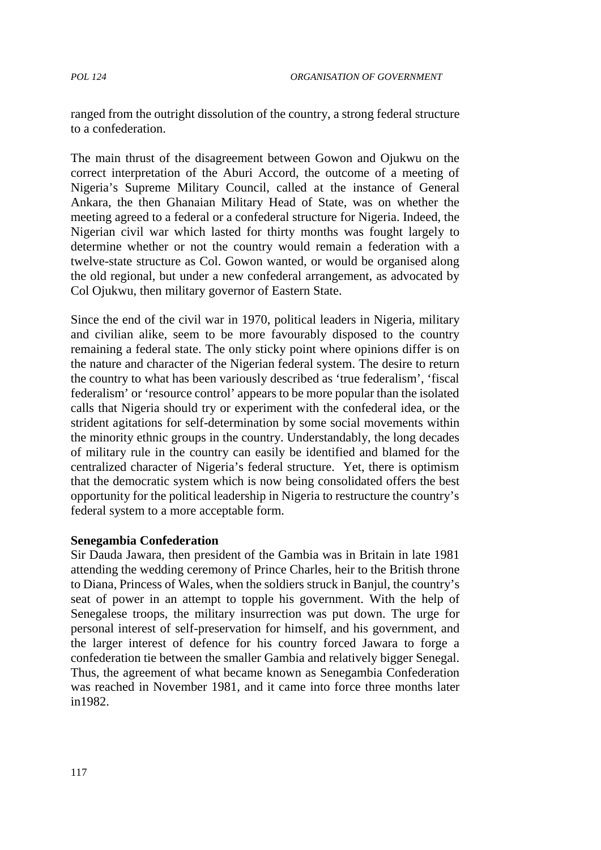ranged from the outright dissolution of the country, a strong federal structure to a confederation.

The main thrust of the disagreement between Gowon and Ojukwu on the correct interpretation of the Aburi Accord, the outcome of a meeting of Nigeria's Supreme Military Council, called at the instance of General Ankara, the then Ghanaian Military Head of State, was on whether the meeting agreed to a federal or a confederal structure for Nigeria. Indeed, the Nigerian civil war which lasted for thirty months was fought largely to determine whether or not the country would remain a federation with a twelve-state structure as Col. Gowon wanted, or would be organised along the old regional, but under a new confederal arrangement, as advocated by Col Ojukwu, then military governor of Eastern State.

Since the end of the civil war in 1970, political leaders in Nigeria, military and civilian alike, seem to be more favourably disposed to the country remaining a federal state. The only sticky point where opinions differ is on the nature and character of the Nigerian federal system. The desire to return the country to what has been variously described as 'true federalism', 'fiscal federalism' or 'resource control' appears to be more popular than the isolated calls that Nigeria should try or experiment with the confederal idea, or the strident agitations for self-determination by some social movements within the minority ethnic groups in the country. Understandably, the long decades of military rule in the country can easily be identified and blamed for the centralized character of Nigeria's federal structure. Yet, there is optimism that the democratic system which is now being consolidated offers the best opportunity for the political leadership in Nigeria to restructure the country's federal system to a more acceptable form.

#### **Senegambia Confederation**

Sir Dauda Jawara, then president of the Gambia was in Britain in late 1981 attending the wedding ceremony of Prince Charles, heir to the British throne to Diana, Princess of Wales, when the soldiers struck in Banjul, the country's seat of power in an attempt to topple his government. With the help of Senegalese troops, the military insurrection was put down. The urge for personal interest of self-preservation for himself, and his government, and the larger interest of defence for his country forced Jawara to forge a confederation tie between the smaller Gambia and relatively bigger Senegal. Thus, the agreement of what became known as Senegambia Confederation was reached in November 1981, and it came into force three months later in1982.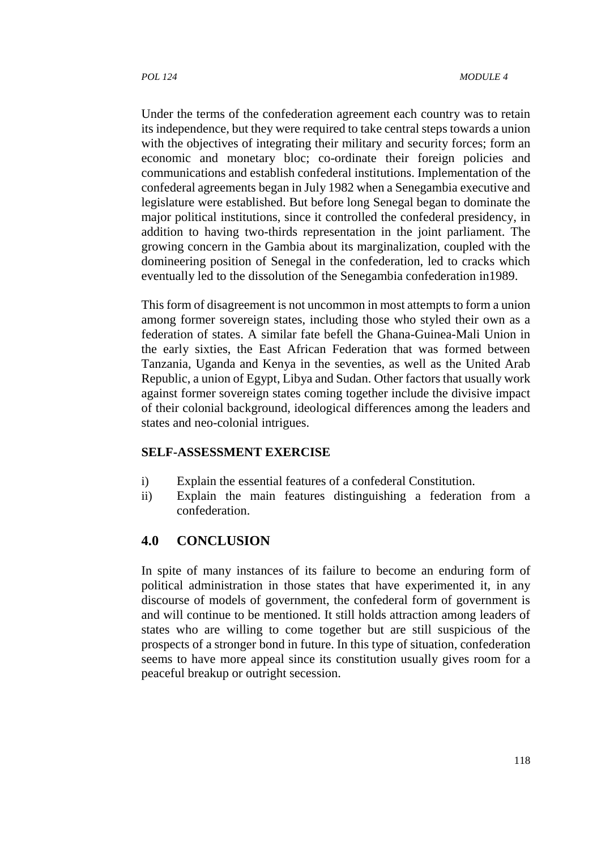Under the terms of the confederation agreement each country was to retain its independence, but they were required to take central steps towards a union with the objectives of integrating their military and security forces; form an economic and monetary bloc; co-ordinate their foreign policies and communications and establish confederal institutions. Implementation of the confederal agreements began in July 1982 when a Senegambia executive and legislature were established. But before long Senegal began to dominate the major political institutions, since it controlled the confederal presidency, in addition to having two-thirds representation in the joint parliament. The growing concern in the Gambia about its marginalization, coupled with the domineering position of Senegal in the confederation, led to cracks which eventually led to the dissolution of the Senegambia confederation in1989.

This form of disagreement is not uncommon in most attempts to form a union among former sovereign states, including those who styled their own as a federation of states. A similar fate befell the Ghana-Guinea-Mali Union in the early sixties, the East African Federation that was formed between Tanzania, Uganda and Kenya in the seventies, as well as the United Arab Republic, a union of Egypt, Libya and Sudan. Other factors that usually work against former sovereign states coming together include the divisive impact of their colonial background, ideological differences among the leaders and states and neo-colonial intrigues.

#### **SELF-ASSESSMENT EXERCISE**

- i) Explain the essential features of a confederal Constitution.
- ii) Explain the main features distinguishing a federation from a confederation.

### **4.0 CONCLUSION**

In spite of many instances of its failure to become an enduring form of political administration in those states that have experimented it, in any discourse of models of government, the confederal form of government is and will continue to be mentioned. It still holds attraction among leaders of states who are willing to come together but are still suspicious of the prospects of a stronger bond in future. In this type of situation, confederation seems to have more appeal since its constitution usually gives room for a peaceful breakup or outright secession.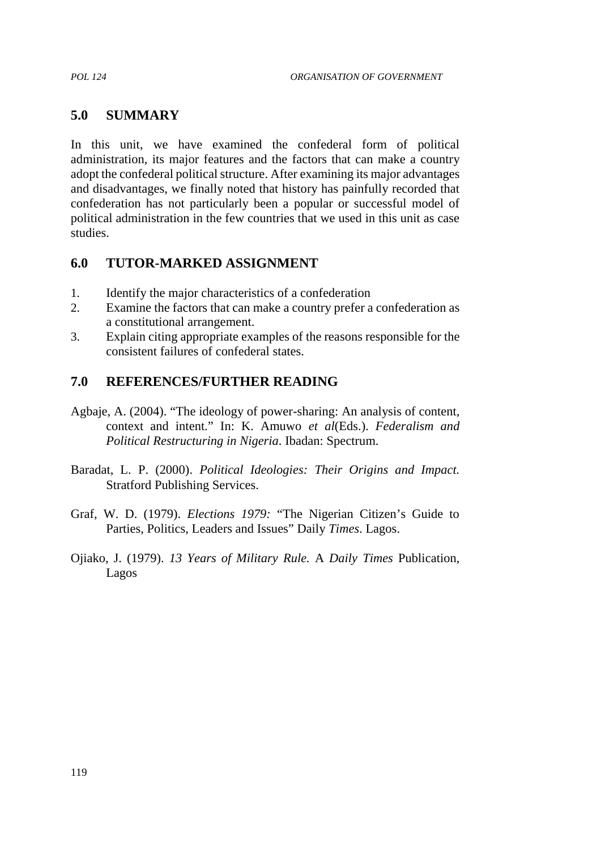### **5.0 SUMMARY**

In this unit, we have examined the confederal form of political administration, its major features and the factors that can make a country adopt the confederal political structure. After examining its major advantages and disadvantages, we finally noted that history has painfully recorded that confederation has not particularly been a popular or successful model of political administration in the few countries that we used in this unit as case studies.

### **6.0 TUTOR-MARKED ASSIGNMENT**

- 1. Identify the major characteristics of a confederation
- 2. Examine the factors that can make a country prefer a confederation as a constitutional arrangement.
- 3. Explain citing appropriate examples of the reasons responsible for the consistent failures of confederal states.

# **7.0 REFERENCES/FURTHER READING**

- Agbaje, A. (2004). "The ideology of power-sharing: An analysis of content, context and intent." In: K. Amuwo *et al*(Eds.). *Federalism and Political Restructuring in Nigeria*. Ibadan: Spectrum.
- Baradat, L. P. (2000). *Political Ideologies: Their Origins and Impact.* Stratford Publishing Services.
- Graf, W. D. (1979). *Elections 1979:* "The Nigerian Citizen's Guide to Parties*,* Politics, Leaders and Issues" Daily *Times*. Lagos.
- Ojiako, J. (1979). *13 Years of Military Rule.* A *Daily Times* Publication, Lagos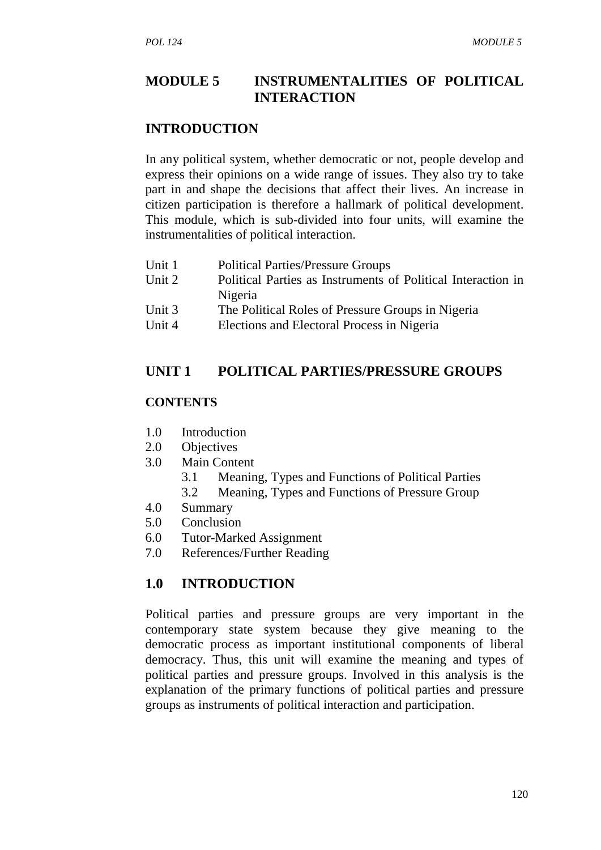# **MODULE 5 INSTRUMENTALITIES OF POLITICAL INTERACTION**

### **INTRODUCTION**

In any political system, whether democratic or not, people develop and express their opinions on a wide range of issues. They also try to take part in and shape the decisions that affect their lives. An increase in citizen participation is therefore a hallmark of political development. This module, which is sub-divided into four units, will examine the instrumentalities of political interaction.

- Unit 1 Political Parties/Pressure Groups
- Unit 2 Political Parties as Instruments of Political Interaction in Nigeria
- Unit 3 The Political Roles of Pressure Groups in Nigeria
- Unit 4 Elections and Electoral Process in Nigeria

### **UNIT 1 POLITICAL PARTIES/PRESSURE GROUPS**

#### **CONTENTS**

- 1.0 Introduction
- 2.0 Objectives
- 3.0 Main Content
	- 3.1 Meaning, Types and Functions of Political Parties
	- 3.2 Meaning, Types and Functions of Pressure Group
- 4.0 Summary
- 5.0 Conclusion
- 6.0 Tutor-Marked Assignment
- 7.0 References/Further Reading

### **1.0 INTRODUCTION**

Political parties and pressure groups are very important in the contemporary state system because they give meaning to the democratic process as important institutional components of liberal democracy. Thus, this unit will examine the meaning and types of political parties and pressure groups. Involved in this analysis is the explanation of the primary functions of political parties and pressure groups as instruments of political interaction and participation.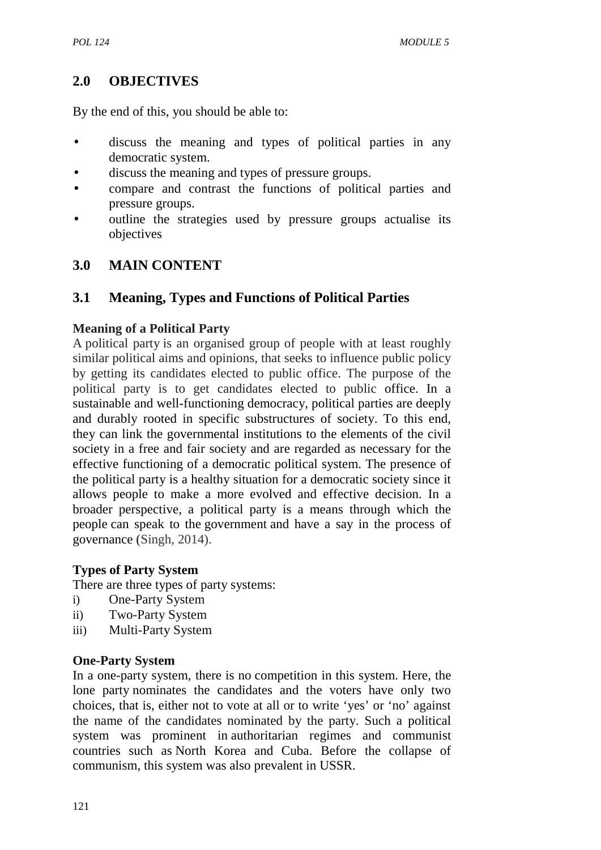# **2.0 OBJECTIVES**

By the end of this, you should be able to:

- discuss the meaning and types of political parties in any democratic system.
- discuss the meaning and types of pressure groups.
- compare and contrast the functions of political parties and pressure groups.
- outline the strategies used by pressure groups actualise its objectives

# **3.0 MAIN CONTENT**

# **3.1 Meaning, Types and Functions of Political Parties**

### **Meaning of a Political Party**

A political party is an organised group of people with at least roughly similar political aims and opinions, that seeks to influence public policy by getting its candidates elected to public office. The purpose of the political party is to get candidates elected to public office. In a sustainable and well-functioning democracy, political parties are deeply and durably rooted in specific substructures of society. To this end, they can link the governmental institutions to the elements of the civil society in a free and fair society and are regarded as necessary for the effective functioning of a democratic political system. The presence of the political party is a healthy situation for a democratic society since it allows people to make a more evolved and effective decision. In a broader perspective, a political party is a means through which the people can speak to the government and have a say in the process of governance (Singh, 2014).

### **Types of Party System**

There are three types of party systems:

- i) One-Party System
- ii) Two-Party System
- iii) Multi-Party System

### **One-Party System**

In a one-party system, there is no competition in this system. Here, the lone party nominates the candidates and the voters have only two choices, that is, either not to vote at all or to write 'yes' or 'no' against the name of the candidates nominated by the party. Such a political system was prominent in authoritarian regimes and communist countries such as North Korea and Cuba. Before the collapse of communism, this system was also prevalent in USSR.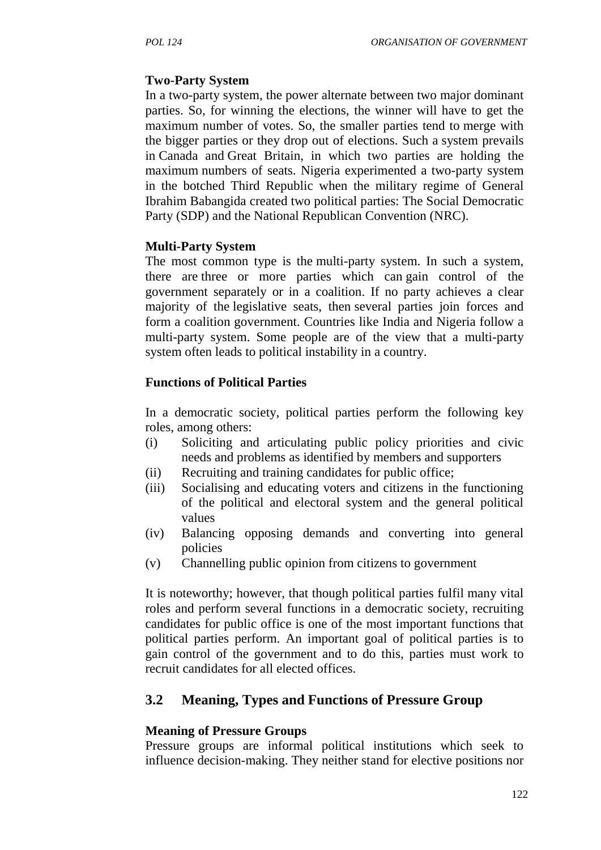### **Two-Party System**

In a two-party system, the power alternate between two major dominant parties. So, for winning the elections, the winner will have to get the maximum number of votes. So, the smaller parties tend to merge with the bigger parties or they drop out of elections. Such a system prevails in Canada and Great Britain, in which two parties are holding the maximum numbers of seats. Nigeria experimented a two-party system in the botched Third Republic when the military regime of General Ibrahim Babangida created two political parties: The Social Democratic Party (SDP) and the National Republican Convention (NRC).

### **Multi-Party System**

The most common type is the multi-party system. In such a system, there are three or more parties which can gain control of the government separately or in a coalition. If no party achieves a clear majority of the legislative seats, then several parties join forces and form a coalition government. Countries like India and Nigeria follow a multi-party system. Some people are of the view that a multi-party system often leads to political instability in a country.

### **Functions of Political Parties**

In a democratic society, political parties perform the following key roles, among others:

- (i) Soliciting and articulating public policy priorities and civic needs and problems as identified by members and supporters
- (ii) Recruiting and training candidates for public office;
- (iii) Socialising and educating voters and citizens in the functioning of the political and electoral system and the general political values
- (iv) Balancing opposing demands and converting into general policies
- (v) Channelling public opinion from citizens to government

It is noteworthy; however, that though political parties fulfil many vital roles and perform several functions in a democratic society, recruiting candidates for public office is one of the most important functions that political parties perform. An important goal of political parties is to gain control of the government and to do this, parties must work to recruit candidates for all elected offices.

# **3.2 Meaning, Types and Functions of Pressure Group**

#### **Meaning of Pressure Groups**

Pressure groups are informal political institutions which seek to influence decision-making. They neither stand for elective positions nor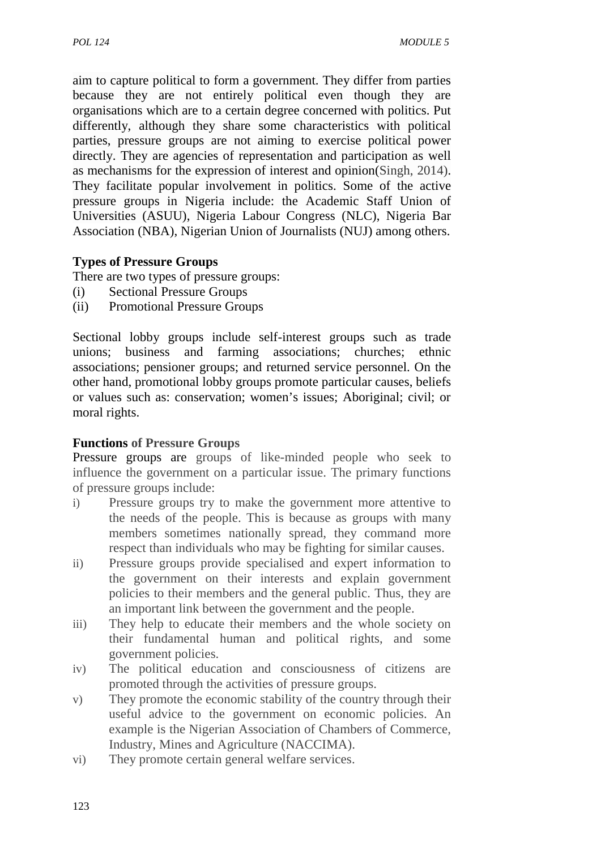aim to capture political to form a government. They differ from parties because they are not entirely political even though they are organisations which are to a certain degree concerned with politics. Put differently, although they share some characteristics with political parties, pressure groups are not aiming to exercise political power directly. They are agencies of representation and participation as well as mechanisms for the expression of interest and opinion(Singh, 2014). They facilitate popular involvement in politics. Some of the active pressure groups in Nigeria include: the Academic Staff Union of Universities (ASUU), Nigeria Labour Congress (NLC), Nigeria Bar Association (NBA), Nigerian Union of Journalists (NUJ) among others.

### **Types of Pressure Groups**

There are two types of pressure groups:

- (i) Sectional Pressure Groups
- (ii) Promotional Pressure Groups

Sectional lobby groups include self-interest groups such as trade unions; business and farming associations; churches; ethnic associations; pensioner groups; and returned service personnel. On the other hand, promotional lobby groups promote particular causes, beliefs or values such as: conservation; women's issues; Aboriginal; civil; or moral rights.

### **Functions of Pressure Groups**

Pressure groups are groups of like-minded people who seek to influence the government on a particular issue. The primary functions of pressure groups include:

- i) Pressure groups try to make the government more attentive to the needs of the people. This is because as groups with many members sometimes nationally spread, they command more respect than individuals who may be fighting for similar causes.
- ii) Pressure groups provide specialised and expert information to the government on their interests and explain government policies to their members and the general public. Thus, they are an important link between the government and the people.
- iii) They help to educate their members and the whole society on their fundamental human and political rights, and some government policies.
- iv) The political education and consciousness of citizens are promoted through the activities of pressure groups.
- v) They promote the economic stability of the country through their useful advice to the government on economic policies. An example is the Nigerian Association of Chambers of Commerce, Industry, Mines and Agriculture (NACCIMA).
- vi) They promote certain general welfare services.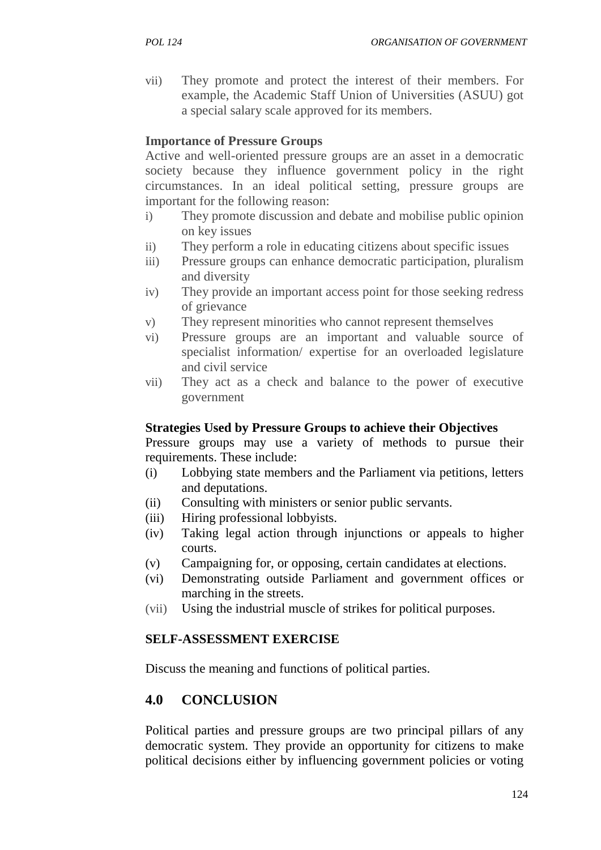vii) They promote and protect the interest of their members. For example, the Academic Staff Union of Universities (ASUU) got a special salary scale approved for its members.

### **Importance of Pressure Groups**

Active and well-oriented pressure groups are an asset in a democratic society because they influence government policy in the right circumstances. In an ideal political setting, pressure groups are important for the following reason:

- i) They promote discussion and debate and mobilise public opinion on key issues
- ii) They perform a role in educating citizens about specific issues
- iii) Pressure groups can enhance democratic participation, pluralism and diversity
- iv) They provide an important access point for those seeking redress of grievance
- v) They represent minorities who cannot represent themselves
- vi) Pressure groups are an important and valuable source of specialist information/ expertise for an overloaded legislature and civil service
- vii) They act as a check and balance to the power of executive government

### **Strategies Used by Pressure Groups to achieve their Objectives**

Pressure groups may use a variety of methods to pursue their requirements. These include:

- (i) Lobbying state members and the Parliament via petitions, letters and deputations.
- (ii) Consulting with ministers or senior public servants.
- (iii) Hiring professional lobbyists.
- (iv) Taking legal action through injunctions or appeals to higher courts.
- (v) Campaigning for, or opposing, certain candidates at elections.
- (vi) Demonstrating outside Parliament and government offices or marching in the streets.
- (vii) Using the industrial muscle of strikes for political purposes.

# **SELF-ASSESSMENT EXERCISE**

Discuss the meaning and functions of political parties.

# **4.0 CONCLUSION**

Political parties and pressure groups are two principal pillars of any democratic system. They provide an opportunity for citizens to make political decisions either by influencing government policies or voting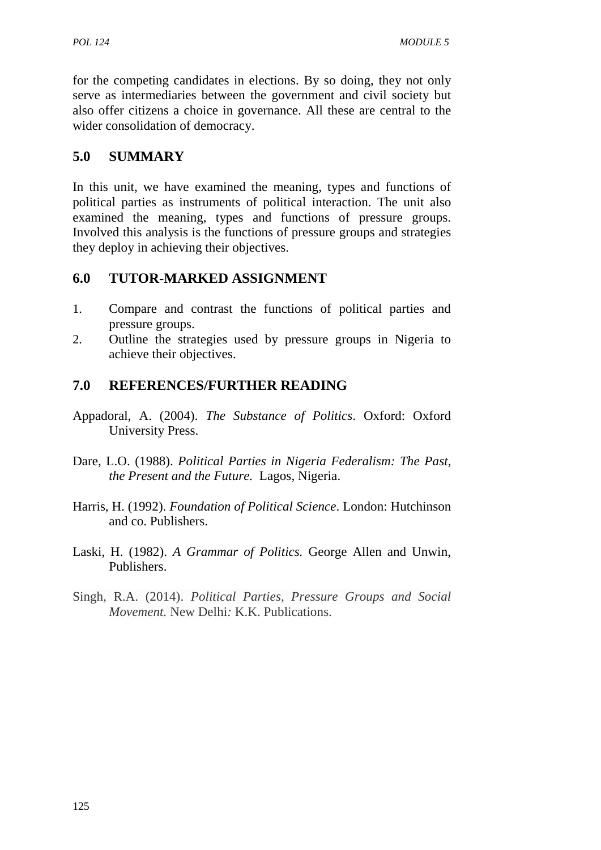for the competing candidates in elections. By so doing, they not only serve as intermediaries between the government and civil society but also offer citizens a choice in governance. All these are central to the wider consolidation of democracy.

# **5.0 SUMMARY**

In this unit, we have examined the meaning, types and functions of political parties as instruments of political interaction. The unit also examined the meaning, types and functions of pressure groups. Involved this analysis is the functions of pressure groups and strategies they deploy in achieving their objectives.

# **6.0 TUTOR-MARKED ASSIGNMENT**

- 1. Compare and contrast the functions of political parties and pressure groups.
- 2. Outline the strategies used by pressure groups in Nigeria to achieve their objectives.

# **7.0 REFERENCES/FURTHER READING**

- Appadoral, A. (2004). *The Substance of Politics*. Oxford: Oxford University Press.
- Dare, L.O. (1988). *Political Parties in Nigeria Federalism: The Past, the Present and the Future.* Lagos, Nigeria.
- Harris, H. (1992). *Foundation of Political Science*. London: Hutchinson and co. Publishers.
- Laski, H. (1982). *A Grammar of Politics.* George Allen and Unwin, Publishers.
- Singh, R.A. (2014). *Political Parties, Pressure Groups and Social Movement.* New Delhi*:* K.K. Publications.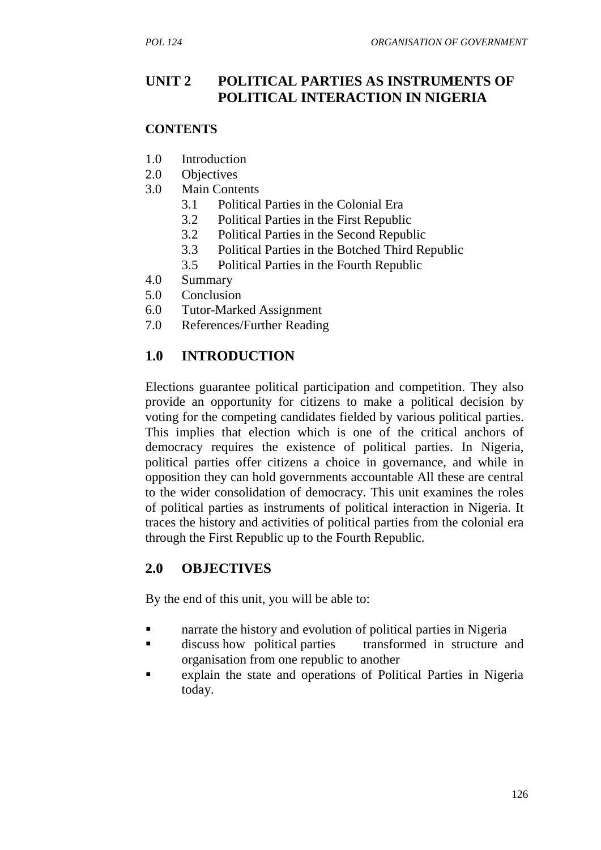# **UNIT 2 POLITICAL PARTIES AS INSTRUMENTS OF POLITICAL INTERACTION IN NIGERIA**

### **CONTENTS**

- 1.0 Introduction
- 2.0 Objectives
- 3.0 Main Contents
	- 3.1 Political Parties in the Colonial Era
	- 3.2 Political Parties in the First Republic
	- 3.2 Political Parties in the Second Republic
	- 3.3 Political Parties in the Botched Third Republic
	- 3.5 Political Parties in the Fourth Republic
- 4.0 Summary
- 5.0 Conclusion
- 6.0 Tutor-Marked Assignment
- 7.0 References/Further Reading

# **1.0 INTRODUCTION**

Elections guarantee political participation and competition. They also provide an opportunity for citizens to make a political decision by voting for the competing candidates fielded by various political parties. This implies that election which is one of the critical anchors of democracy requires the existence of political parties. In Nigeria, political parties offer citizens a choice in governance, and while in opposition they can hold governments accountable All these are central to the wider consolidation of democracy. This unit examines the roles of political parties as instruments of political interaction in Nigeria. It traces the history and activities of political parties from the colonial era through the First Republic up to the Fourth Republic.

# **2.0 OBJECTIVES**

By the end of this unit, you will be able to:

- narrate the history and evolution of political parties in Nigeria
- **discuss how political parties** transformed in structure and organisation from one republic to another
- explain the state and operations of Political Parties in Nigeria today.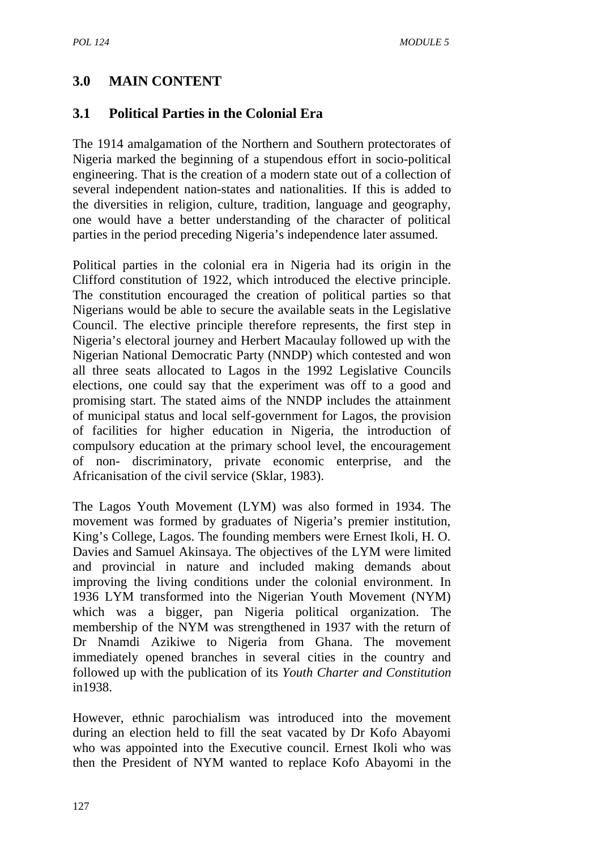# **3.0 MAIN CONTENT**

# **3.1 Political Parties in the Colonial Era**

The 1914 amalgamation of the Northern and Southern protectorates of Nigeria marked the beginning of a stupendous effort in socio-political engineering. That is the creation of a modern state out of a collection of several independent nation-states and nationalities. If this is added to the diversities in religion, culture, tradition, language and geography, one would have a better understanding of the character of political parties in the period preceding Nigeria's independence later assumed.

Political parties in the colonial era in Nigeria had its origin in the Clifford constitution of 1922, which introduced the elective principle. The constitution encouraged the creation of political parties so that Nigerians would be able to secure the available seats in the Legislative Council. The elective principle therefore represents, the first step in Nigeria's electoral journey and Herbert Macaulay followed up with the Nigerian National Democratic Party (NNDP) which contested and won all three seats allocated to Lagos in the 1992 Legislative Councils elections, one could say that the experiment was off to a good and promising start. The stated aims of the NNDP includes the attainment of municipal status and local self-government for Lagos, the provision of facilities for higher education in Nigeria, the introduction of compulsory education at the primary school level, the encouragement of non- discriminatory, private economic enterprise, and the Africanisation of the civil service (Sklar, 1983).

The Lagos Youth Movement (LYM) was also formed in 1934. The movement was formed by graduates of Nigeria's premier institution, King's College, Lagos. The founding members were Ernest Ikoli, H. O. Davies and Samuel Akinsaya. The objectives of the LYM were limited and provincial in nature and included making demands about improving the living conditions under the colonial environment. In 1936 LYM transformed into the Nigerian Youth Movement (NYM) which was a bigger, pan Nigeria political organization. The membership of the NYM was strengthened in 1937 with the return of Dr Nnamdi Azikiwe to Nigeria from Ghana. The movement immediately opened branches in several cities in the country and followed up with the publication of its *Youth Charter and Constitution* in1938.

However, ethnic parochialism was introduced into the movement during an election held to fill the seat vacated by Dr Kofo Abayomi who was appointed into the Executive council. Ernest Ikoli who was then the President of NYM wanted to replace Kofo Abayomi in the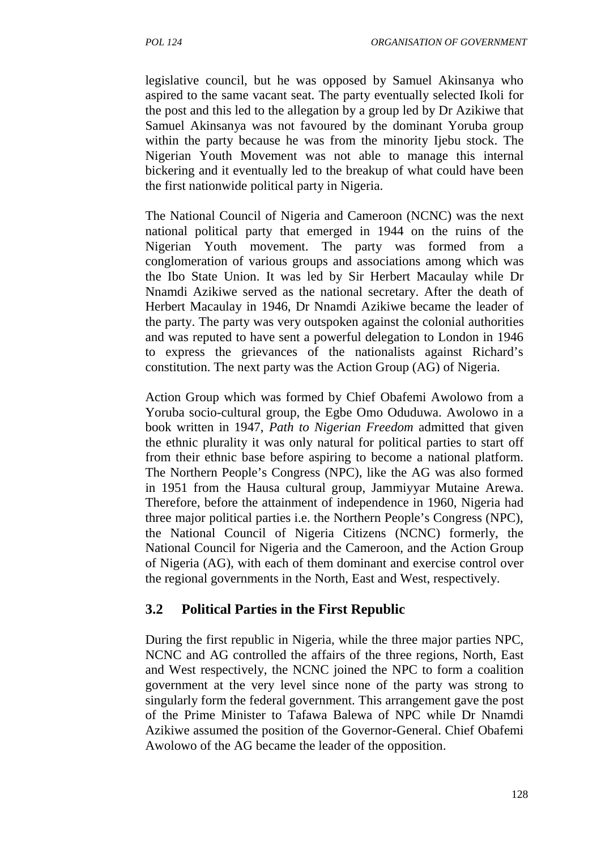legislative council, but he was opposed by Samuel Akinsanya who aspired to the same vacant seat. The party eventually selected Ikoli for the post and this led to the allegation by a group led by Dr Azikiwe that Samuel Akinsanya was not favoured by the dominant Yoruba group within the party because he was from the minority Ijebu stock. The Nigerian Youth Movement was not able to manage this internal bickering and it eventually led to the breakup of what could have been the first nationwide political party in Nigeria.

The National Council of Nigeria and Cameroon (NCNC) was the next national political party that emerged in 1944 on the ruins of the Nigerian Youth movement. The party was formed from a conglomeration of various groups and associations among which was the Ibo State Union. It was led by Sir Herbert Macaulay while Dr Nnamdi Azikiwe served as the national secretary. After the death of Herbert Macaulay in 1946, Dr Nnamdi Azikiwe became the leader of the party. The party was very outspoken against the colonial authorities and was reputed to have sent a powerful delegation to London in 1946 to express the grievances of the nationalists against Richard's constitution. The next party was the Action Group (AG) of Nigeria.

Action Group which was formed by Chief Obafemi Awolowo from a Yoruba socio-cultural group, the Egbe Omo Oduduwa. Awolowo in a book written in 1947, *Path to Nigerian Freedom* admitted that given the ethnic plurality it was only natural for political parties to start off from their ethnic base before aspiring to become a national platform. The Northern People's Congress (NPC), like the AG was also formed in 1951 from the Hausa cultural group, Jammiyyar Mutaine Arewa. Therefore, before the attainment of independence in 1960, Nigeria had three major political parties i.e. the Northern People's Congress (NPC), the National Council of Nigeria Citizens (NCNC) formerly, the National Council for Nigeria and the Cameroon, and the Action Group of Nigeria (AG), with each of them dominant and exercise control over the regional governments in the North, East and West, respectively.

# **3.2 Political Parties in the First Republic**

During the first republic in Nigeria, while the three major parties NPC, NCNC and AG controlled the affairs of the three regions, North, East and West respectively, the NCNC joined the NPC to form a coalition government at the very level since none of the party was strong to singularly form the federal government. This arrangement gave the post of the Prime Minister to Tafawa Balewa of NPC while Dr Nnamdi Azikiwe assumed the position of the Governor-General. Chief Obafemi Awolowo of the AG became the leader of the opposition.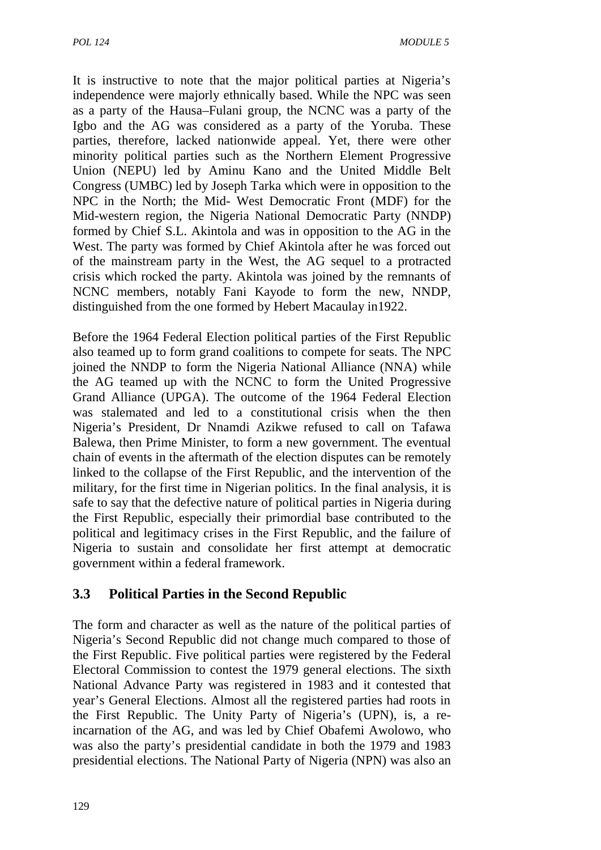It is instructive to note that the major political parties at Nigeria's independence were majorly ethnically based. While the NPC was seen as a party of the Hausa–Fulani group, the NCNC was a party of the Igbo and the AG was considered as a party of the Yoruba. These parties, therefore, lacked nationwide appeal. Yet, there were other minority political parties such as the Northern Element Progressive Union (NEPU) led by Aminu Kano and the United Middle Belt Congress (UMBC) led by Joseph Tarka which were in opposition to the NPC in the North; the Mid- West Democratic Front (MDF) for the Mid-western region, the Nigeria National Democratic Party (NNDP) formed by Chief S.L. Akintola and was in opposition to the AG in the West. The party was formed by Chief Akintola after he was forced out of the mainstream party in the West, the AG sequel to a protracted crisis which rocked the party. Akintola was joined by the remnants of NCNC members, notably Fani Kayode to form the new, NNDP, distinguished from the one formed by Hebert Macaulay in1922.

Before the 1964 Federal Election political parties of the First Republic also teamed up to form grand coalitions to compete for seats. The NPC joined the NNDP to form the Nigeria National Alliance (NNA) while the AG teamed up with the NCNC to form the United Progressive Grand Alliance (UPGA). The outcome of the 1964 Federal Election was stalemated and led to a constitutional crisis when the then Nigeria's President, Dr Nnamdi Azikwe refused to call on Tafawa Balewa, then Prime Minister, to form a new government. The eventual chain of events in the aftermath of the election disputes can be remotely linked to the collapse of the First Republic, and the intervention of the military, for the first time in Nigerian politics. In the final analysis, it is safe to say that the defective nature of political parties in Nigeria during the First Republic, especially their primordial base contributed to the political and legitimacy crises in the First Republic, and the failure of Nigeria to sustain and consolidate her first attempt at democratic government within a federal framework.

# **3.3 Political Parties in the Second Republic**

The form and character as well as the nature of the political parties of Nigeria's Second Republic did not change much compared to those of the First Republic. Five political parties were registered by the Federal Electoral Commission to contest the 1979 general elections. The sixth National Advance Party was registered in 1983 and it contested that year's General Elections. Almost all the registered parties had roots in the First Republic. The Unity Party of Nigeria's (UPN), is, a reincarnation of the AG, and was led by Chief Obafemi Awolowo, who was also the party's presidential candidate in both the 1979 and 1983 presidential elections. The National Party of Nigeria (NPN) was also an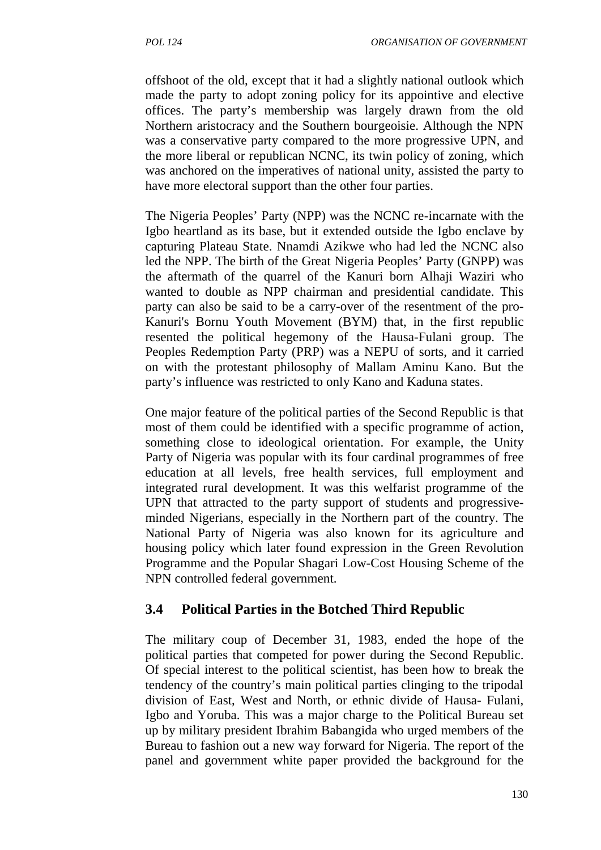offshoot of the old, except that it had a slightly national outlook which made the party to adopt zoning policy for its appointive and elective offices. The party's membership was largely drawn from the old Northern aristocracy and the Southern bourgeoisie. Although the NPN was a conservative party compared to the more progressive UPN, and the more liberal or republican NCNC, its twin policy of zoning, which was anchored on the imperatives of national unity, assisted the party to have more electoral support than the other four parties.

The Nigeria Peoples' Party (NPP) was the NCNC re-incarnate with the Igbo heartland as its base, but it extended outside the Igbo enclave by capturing Plateau State. Nnamdi Azikwe who had led the NCNC also led the NPP. The birth of the Great Nigeria Peoples' Party (GNPP) was the aftermath of the quarrel of the Kanuri born Alhaji Waziri who wanted to double as NPP chairman and presidential candidate. This party can also be said to be a carry-over of the resentment of the pro- Kanuri's Bornu Youth Movement (BYM) that, in the first republic resented the political hegemony of the Hausa-Fulani group. The Peoples Redemption Party (PRP) was a NEPU of sorts, and it carried on with the protestant philosophy of Mallam Aminu Kano. But the party's influence was restricted to only Kano and Kaduna states.

One major feature of the political parties of the Second Republic is that most of them could be identified with a specific programme of action, something close to ideological orientation. For example, the Unity Party of Nigeria was popular with its four cardinal programmes of free education at all levels, free health services, full employment and integrated rural development. It was this welfarist programme of the UPN that attracted to the party support of students and progressive minded Nigerians, especially in the Northern part of the country. The National Party of Nigeria was also known for its agriculture and housing policy which later found expression in the Green Revolution Programme and the Popular Shagari Low-Cost Housing Scheme of the NPN controlled federal government.

# **3.4 Political Parties in the Botched Third Republic**

The military coup of December 31, 1983, ended the hope of the political parties that competed for power during the Second Republic. Of special interest to the political scientist, has been how to break the tendency of the country's main political parties clinging to the tripodal division of East, West and North, or ethnic divide of Hausa- Fulani, Igbo and Yoruba. This was a major charge to the Political Bureau set up by military president Ibrahim Babangida who urged members of the Bureau to fashion out a new way forward for Nigeria. The report of the panel and government white paper provided the background for the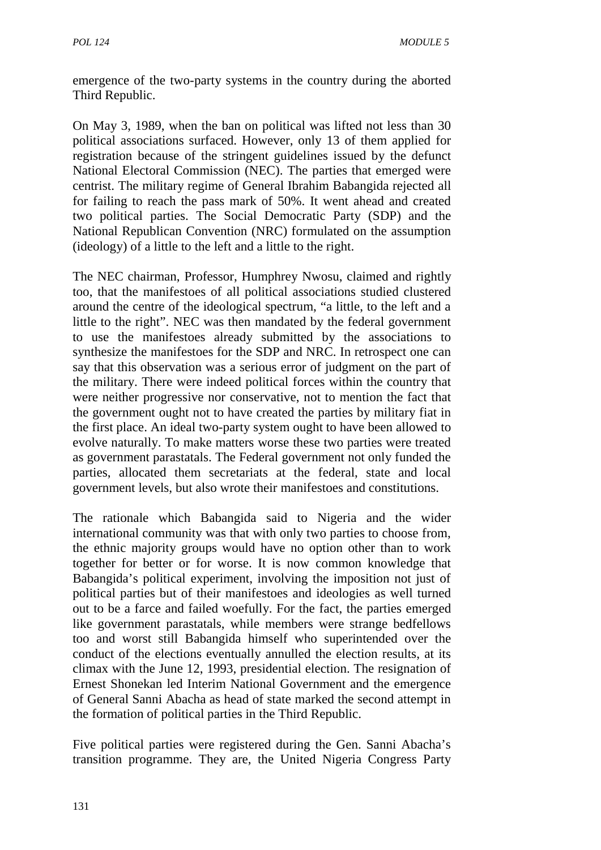emergence of the two-party systems in the country during the aborted Third Republic.

On May 3, 1989, when the ban on political was lifted not less than 30 political associations surfaced. However, only 13 of them applied for registration because of the stringent guidelines issued by the defunct National Electoral Commission (NEC). The parties that emerged were centrist. The military regime of General Ibrahim Babangida rejected all for failing to reach the pass mark of 50%. It went ahead and created two political parties. The Social Democratic Party (SDP) and the National Republican Convention (NRC) formulated on the assumption (ideology) of a little to the left and a little to the right.

The NEC chairman, Professor, Humphrey Nwosu, claimed and rightly too, that the manifestoes of all political associations studied clustered around the centre of the ideological spectrum, "a little, to the left and a little to the right". NEC was then mandated by the federal government to use the manifestoes already submitted by the associations to synthesize the manifestoes for the SDP and NRC. In retrospect one can say that this observation was a serious error of judgment on the part of the military. There were indeed political forces within the country that were neither progressive nor conservative, not to mention the fact that the government ought not to have created the parties by military fiat in the first place. An ideal two-party system ought to have been allowed to evolve naturally. To make matters worse these two parties were treated as government parastatals. The Federal government not only funded the parties, allocated them secretariats at the federal, state and local government levels, but also wrote their manifestoes and constitutions.

The rationale which Babangida said to Nigeria and the wider international community was that with only two parties to choose from, the ethnic majority groups would have no option other than to work together for better or for worse. It is now common knowledge that Babangida's political experiment, involving the imposition not just of political parties but of their manifestoes and ideologies as well turned out to be a farce and failed woefully. For the fact, the parties emerged like government parastatals, while members were strange bedfellows too and worst still Babangida himself who superintended over the conduct of the elections eventually annulled the election results, at its climax with the June 12, 1993, presidential election. The resignation of Ernest Shonekan led Interim National Government and the emergence of General Sanni Abacha as head of state marked the second attempt in the formation of political parties in the Third Republic.

Five political parties were registered during the Gen. Sanni Abacha's transition programme. They are, the United Nigeria Congress Party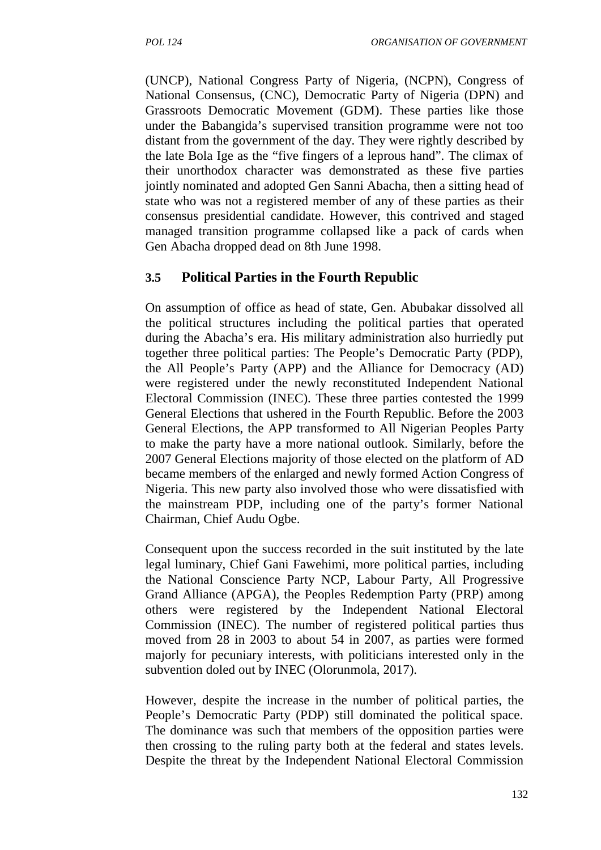(UNCP), National Congress Party of Nigeria, (NCPN), Congress of National Consensus, (CNC), Democratic Party of Nigeria (DPN) and Grassroots Democratic Movement (GDM). These parties like those under the Babangida's supervised transition programme were not too distant from the government of the day. They were rightly described by the late Bola Ige as the "five fingers of a leprous hand". The climax of their unorthodox character was demonstrated as these five parties jointly nominated and adopted Gen Sanni Abacha, then a sitting head of state who was not a registered member of any of these parties as their consensus presidential candidate. However, this contrived and staged managed transition programme collapsed like a pack of cards when Gen Abacha dropped dead on 8th June 1998.

# **3.5 Political Parties in the Fourth Republic**

On assumption of office as head of state, Gen. Abubakar dissolved all the political structures including the political parties that operated during the Abacha's era. His military administration also hurriedly put together three political parties: The People's Democratic Party (PDP), the All People's Party (APP) and the Alliance for Democracy (AD) were registered under the newly reconstituted Independent National Electoral Commission (INEC). These three parties contested the 1999 General Elections that ushered in the Fourth Republic. Before the 2003 General Elections, the APP transformed to All Nigerian Peoples Party to make the party have a more national outlook. Similarly, before the 2007 General Elections majority of those elected on the platform of AD became members of the enlarged and newly formed Action Congress of Nigeria. This new party also involved those who were dissatisfied with the mainstream PDP, including one of the party's former National Chairman, Chief Audu Ogbe.

Consequent upon the success recorded in the suit instituted by the late legal luminary, Chief Gani Fawehimi, more political parties, including the National Conscience Party NCP, Labour Party, All Progressive Grand Alliance (APGA), the Peoples Redemption Party (PRP) among others were registered by the Independent National Electoral Commission (INEC). The number of registered political parties thus moved from 28 in 2003 to about 54 in 2007, as parties were formed majorly for pecuniary interests, with politicians interested only in the subvention doled out by INEC (Olorunmola, 2017).

However, despite the increase in the number of political parties, the People's Democratic Party (PDP) still dominated the political space. The dominance was such that members of the opposition parties were then crossing to the ruling party both at the federal and states levels. Despite the threat by the Independent National Electoral Commission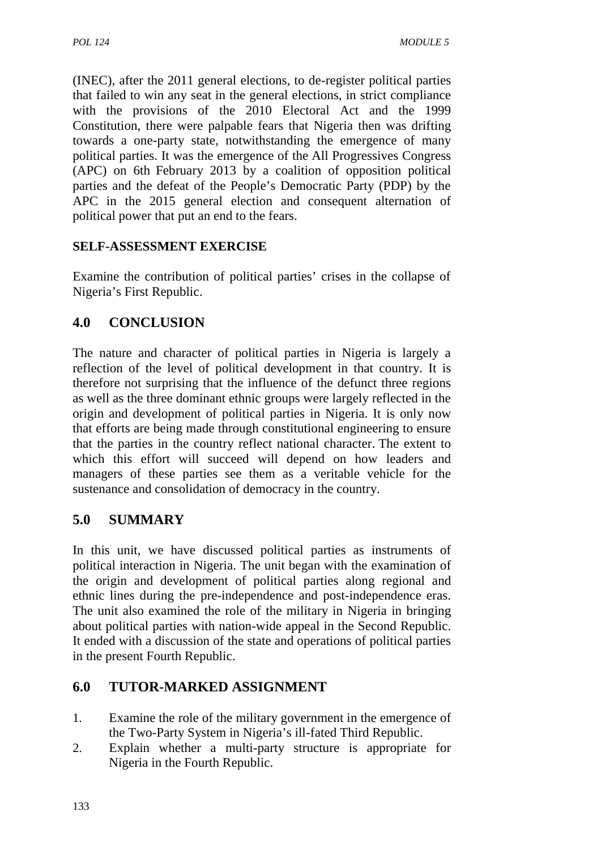(INEC), after the 2011 general elections, to de-register political parties that failed to win any seat in the general elections, in strict compliance with the provisions of the 2010 Electoral Act and the 1999 Constitution, there were palpable fears that Nigeria then was drifting towards a one-party state, notwithstanding the emergence of many political parties. It was the emergence of the All Progressives Congress (APC) on 6th February 2013 by a coalition of opposition political parties and the defeat of the People's Democratic Party (PDP) by the APC in the 2015 general election and consequent alternation of political power that put an end to the fears.

## **SELF-ASSESSMENT EXERCISE**

Examine the contribution of political parties' crises in the collapse of Nigeria's First Republic.

# **4.0 CONCLUSION**

The nature and character of political parties in Nigeria is largely a reflection of the level of political development in that country. It is therefore not surprising that the influence of the defunct three regions as well as the three dominant ethnic groups were largely reflected in the origin and development of political parties in Nigeria. It is only now that efforts are being made through constitutional engineering to ensure that the parties in the country reflect national character. The extent to which this effort will succeed will depend on how leaders and managers of these parties see them as a veritable vehicle for the sustenance and consolidation of democracy in the country.

# **5.0 SUMMARY**

In this unit, we have discussed political parties as instruments of political interaction in Nigeria. The unit began with the examination of the origin and development of political parties along regional and ethnic lines during the pre-independence and post-independence eras. The unit also examined the role of the military in Nigeria in bringing about political parties with nation-wide appeal in the Second Republic. It ended with a discussion of the state and operations of political parties in the present Fourth Republic.

## **6.0 TUTOR-MARKED ASSIGNMENT**

- 1. Examine the role of the military government in the emergence of the Two-Party System in Nigeria's ill-fated Third Republic.
- 2. Explain whether a multi-party structure is appropriate for Nigeria in the Fourth Republic.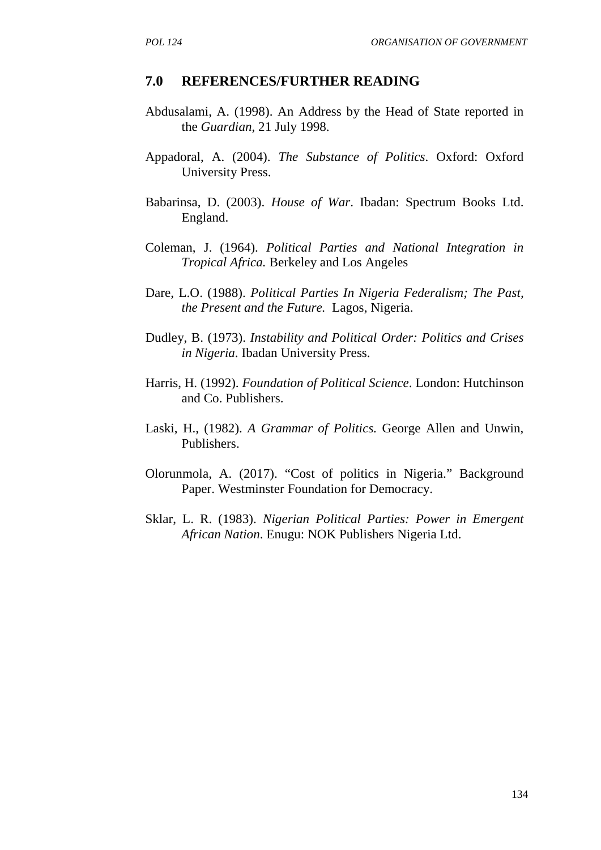#### **7.0 REFERENCES/FURTHER READING**

- Abdusalami, A. (1998). An Address by the Head of State reported in the *Guardian*, 21 July 1998.
- Appadoral, A. (2004). *The Substance of Politics*. Oxford: Oxford University Press.
- Babarinsa, D. (2003). *House of War*. Ibadan: Spectrum Books Ltd. England.
- Coleman, J. (1964). *Political Parties and National Integration in Tropical Africa.* Berkeley and Los Angeles
- Dare, L.O. (1988). *Political Parties In Nigeria Federalism; The Past, the Present and the Future.* Lagos, Nigeria.
- Dudley, B. (1973). *Instability and Political Order: Politics and Crises in Nigeria*. Ibadan University Press.
- Harris, H. (1992). *Foundation of Political Science*. London: Hutchinson and Co. Publishers.
- Laski, H., (1982). *A Grammar of Politics.* George Allen and Unwin, Publishers.
- Olorunmola, A. (2017). "Cost of politics in Nigeria." Background Paper. Westminster Foundation for Democracy.
- Sklar, L. R. (1983). *Nigerian Political Parties: Power in Emergent African Nation*. Enugu: NOK Publishers Nigeria Ltd.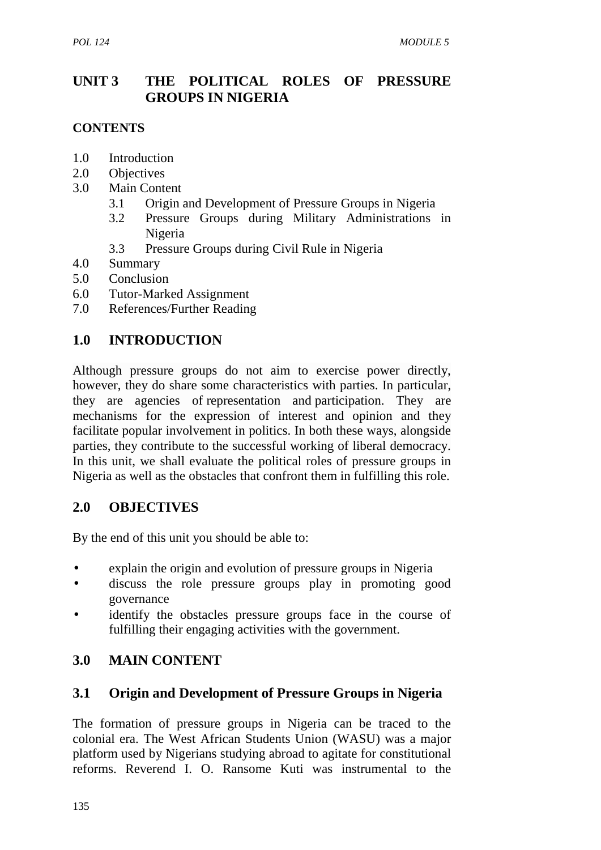# **UNIT 3 THE POLITICAL ROLES OF PRESSURE GROUPS IN NIGERIA**

### **CONTENTS**

- 1.0 Introduction
- 2.0 Objectives
- 3.0 Main Content
	- 3.1 Origin and Development of Pressure Groups in Nigeria
	- 3.2 Pressure Groups during Military Administrations in Nigeria
	- 3.3 Pressure Groups during Civil Rule in Nigeria
- 4.0 Summary
- 5.0 Conclusion
- 6.0 Tutor-Marked Assignment
- 7.0 References/Further Reading

# **1.0 INTRODUCTION**

Although pressure groups do not aim to exercise power directly, however, they do share some characteristics with parties. In particular, they are agencies of representation and participation. They are mechanisms for the expression of interest and opinion and they facilitate popular involvement in politics. In both these ways, alongside parties, they contribute to the successful working of liberal democracy. In this unit, we shall evaluate the political roles of pressure groups in Nigeria as well as the obstacles that confront them in fulfilling this role.

## **2.0 OBJECTIVES**

By the end of this unit you should be able to:

- explain the origin and evolution of pressure groups in Nigeria
- discuss the role pressure groups play in promoting good governance
- identify the obstacles pressure groups face in the course of fulfilling their engaging activities with the government.

# **3.0 MAIN CONTENT**

# **3.1 Origin and Development of Pressure Groups in Nigeria**

The formation of pressure groups in Nigeria can be traced to the colonial era. The West African Students Union (WASU) was a major platform used by Nigerians studying abroad to agitate for constitutional reforms. Reverend I. O. Ransome Kuti was instrumental to the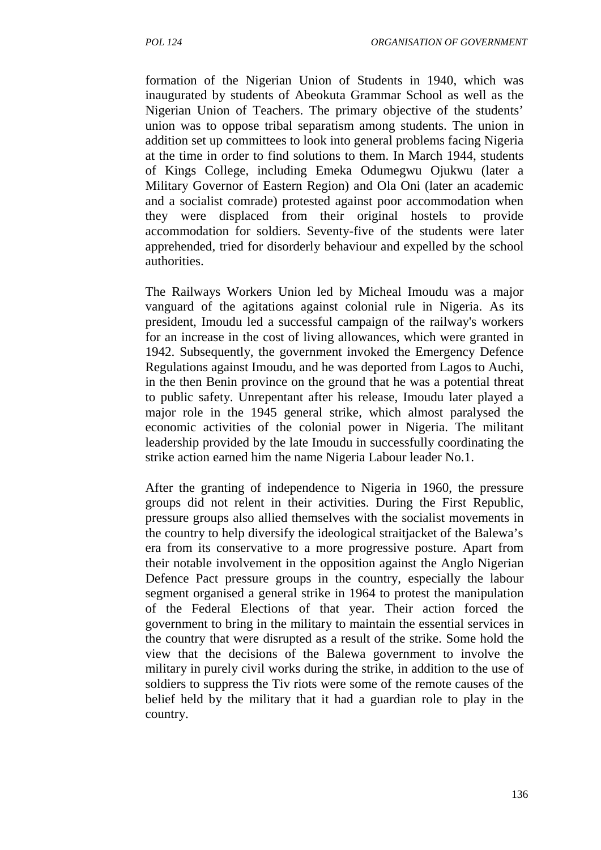formation of the Nigerian Union of Students in 1940, which was inaugurated by students of Abeokuta Grammar School as well as the Nigerian Union of Teachers. The primary objective of the students' union was to oppose tribal separatism among students. The union in addition set up committees to look into general problems facing Nigeria at the time in order to find solutions to them. In March 1944, students of Kings College, including Emeka Odumegwu Ojukwu (later a Military Governor of Eastern Region) and Ola Oni (later an academic and a socialist comrade) protested against poor accommodation when they were displaced from their original hostels to provide accommodation for soldiers. Seventy-five of the students were later apprehended, tried for disorderly behaviour and expelled by the school authorities.

The Railways Workers Union led by Micheal Imoudu was a major vanguard of the agitations against colonial rule in Nigeria. As its president, Imoudu led a successful campaign of the railway's workers for an increase in the cost of living allowances, which were granted in 1942. Subsequently, the government invoked the Emergency Defence Regulations against Imoudu, and he was deported from Lagos to Auchi, in the then Benin province on the ground that he was a potential threat to public safety. Unrepentant after his release, Imoudu later played a major role in the 1945 general strike, which almost paralysed the economic activities of the colonial power in Nigeria. The militant leadership provided by the late Imoudu in successfully coordinating the strike action earned him the name Nigeria Labour leader No.1.

After the granting of independence to Nigeria in 1960, the pressure groups did not relent in their activities. During the First Republic, pressure groups also allied themselves with the socialist movements in the country to help diversify the ideological straitjacket of the Balewa's era from its conservative to a more progressive posture. Apart from their notable involvement in the opposition against the Anglo Nigerian Defence Pact pressure groups in the country, especially the labour segment organised a general strike in 1964 to protest the manipulation of the Federal Elections of that year. Their action forced the government to bring in the military to maintain the essential services in the country that were disrupted as a result of the strike. Some hold the view that the decisions of the Balewa government to involve the military in purely civil works during the strike, in addition to the use of soldiers to suppress the Tiv riots were some of the remote causes of the belief held by the military that it had a guardian role to play in the country.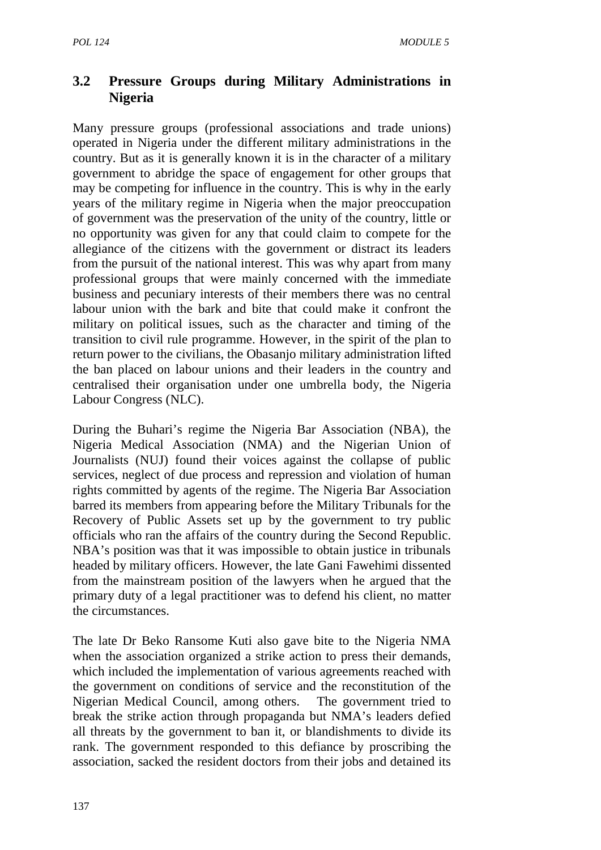# **3.2 Pressure Groups during Military Administrations in Nigeria**

Many pressure groups (professional associations and trade unions) operated in Nigeria under the different military administrations in the country. But as it is generally known it is in the character of a military government to abridge the space of engagement for other groups that may be competing for influence in the country. This is why in the early years of the military regime in Nigeria when the major preoccupation of government was the preservation of the unity of the country, little or no opportunity was given for any that could claim to compete for the allegiance of the citizens with the government or distract its leaders from the pursuit of the national interest. This was why apart from many professional groups that were mainly concerned with the immediate business and pecuniary interests of their members there was no central labour union with the bark and bite that could make it confront the military on political issues, such as the character and timing of the transition to civil rule programme. However, in the spirit of the plan to return power to the civilians, the Obasanjo military administration lifted the ban placed on labour unions and their leaders in the country and centralised their organisation under one umbrella body, the Nigeria Labour Congress (NLC).

During the Buhari's regime the Nigeria Bar Association (NBA), the Nigeria Medical Association (NMA) and the Nigerian Union of Journalists (NUJ) found their voices against the collapse of public services, neglect of due process and repression and violation of human rights committed by agents of the regime. The Nigeria Bar Association barred its members from appearing before the Military Tribunals for the Recovery of Public Assets set up by the government to try public officials who ran the affairs of the country during the Second Republic. NBA's position was that it was impossible to obtain justice in tribunals headed by military officers. However, the late Gani Fawehimi dissented from the mainstream position of the lawyers when he argued that the primary duty of a legal practitioner was to defend his client, no matter the circumstances.

The late Dr Beko Ransome Kuti also gave bite to the Nigeria NMA when the association organized a strike action to press their demands, which included the implementation of various agreements reached with the government on conditions of service and the reconstitution of the Nigerian Medical Council, among others. The government tried to break the strike action through propaganda but NMA's leaders defied all threats by the government to ban it, or blandishments to divide its rank. The government responded to this defiance by proscribing the association, sacked the resident doctors from their jobs and detained its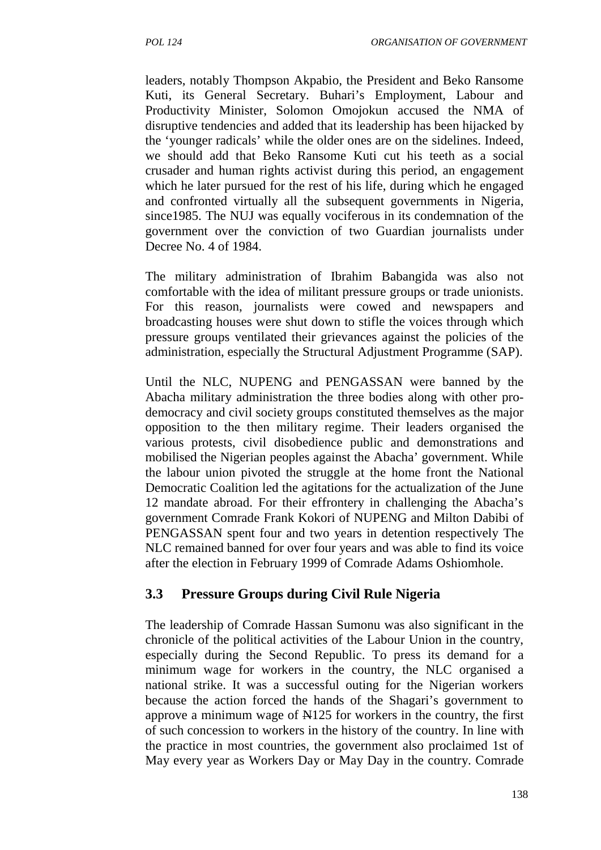leaders, notably Thompson Akpabio, the President and Beko Ransome Kuti, its General Secretary. Buhari's Employment, Labour and Productivity Minister, Solomon Omojokun accused the NMA of disruptive tendencies and added that its leadership has been hijacked by the 'younger radicals' while the older ones are on the sidelines. Indeed, we should add that Beko Ransome Kuti cut his teeth as a social crusader and human rights activist during this period, an engagement which he later pursued for the rest of his life, during which he engaged and confronted virtually all the subsequent governments in Nigeria, since1985. The NUJ was equally vociferous in its condemnation of the government over the conviction of two Guardian journalists under Decree No. 4 of 1984.

The military administration of Ibrahim Babangida was also not comfortable with the idea of militant pressure groups or trade unionists. For this reason, journalists were cowed and newspapers and broadcasting houses were shut down to stifle the voices through which pressure groups ventilated their grievances against the policies of the administration, especially the Structural Adjustment Programme (SAP).

Until the NLC, NUPENG and PENGASSAN were banned by the Abacha military administration the three bodies along with other pro democracy and civil society groups constituted themselves as the major opposition to the then military regime. Their leaders organised the various protests, civil disobedience public and demonstrations and mobilised the Nigerian peoples against the Abacha' government. While the labour union pivoted the struggle at the home front the National Democratic Coalition led the agitations for the actualization of the June 12 mandate abroad. For their effrontery in challenging the Abacha's government Comrade Frank Kokori of NUPENG and Milton Dabibi of PENGASSAN spent four and two years in detention respectively The NLC remained banned for over four years and was able to find its voice after the election in February 1999 of Comrade Adams Oshiomhole.

#### **3.3 Pressure Groups during Civil Rule Nigeria**

The leadership of Comrade Hassan Sumonu was also significant in the chronicle of the political activities of the Labour Union in the country, especially during the Second Republic. To press its demand for a minimum wage for workers in the country, the NLC organised a national strike. It was a successful outing for the Nigerian workers because the action forced the hands of the Shagari's government to approve a minimum wage of N125 for workers in the country, the first of such concession to workers in the history of the country. In line with the practice in most countries, the government also proclaimed 1st of May every year as Workers Day or May Day in the country. Comrade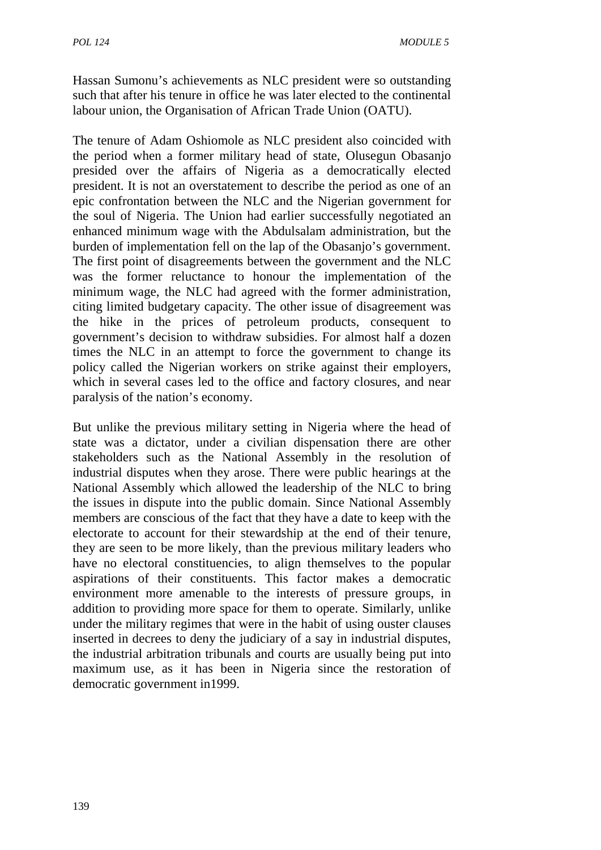Hassan Sumonu's achievements as NLC president were so outstanding such that after his tenure in office he was later elected to the continental labour union, the Organisation of African Trade Union (OATU).

The tenure of Adam Oshiomole as NLC president also coincided with the period when a former military head of state, Olusegun Obasanjo presided over the affairs of Nigeria as a democratically elected president. It is not an overstatement to describe the period as one of an epic confrontation between the NLC and the Nigerian government for the soul of Nigeria. The Union had earlier successfully negotiated an enhanced minimum wage with the Abdulsalam administration, but the burden of implementation fell on the lap of the Obasanjo's government. The first point of disagreements between the government and the NLC was the former reluctance to honour the implementation of the minimum wage, the NLC had agreed with the former administration, citing limited budgetary capacity. The other issue of disagreement was the hike in the prices of petroleum products, consequent to government's decision to withdraw subsidies. For almost half a dozen times the NLC in an attempt to force the government to change its policy called the Nigerian workers on strike against their employers, which in several cases led to the office and factory closures, and near paralysis of the nation's economy.

But unlike the previous military setting in Nigeria where the head of state was a dictator, under a civilian dispensation there are other stakeholders such as the National Assembly in the resolution of industrial disputes when they arose. There were public hearings at the National Assembly which allowed the leadership of the NLC to bring the issues in dispute into the public domain. Since National Assembly members are conscious of the fact that they have a date to keep with the electorate to account for their stewardship at the end of their tenure, they are seen to be more likely, than the previous military leaders who have no electoral constituencies, to align themselves to the popular aspirations of their constituents. This factor makes a democratic environment more amenable to the interests of pressure groups, in addition to providing more space for them to operate. Similarly, unlike under the military regimes that were in the habit of using ouster clauses inserted in decrees to deny the judiciary of a say in industrial disputes, the industrial arbitration tribunals and courts are usually being put into maximum use, as it has been in Nigeria since the restoration of democratic government in1999.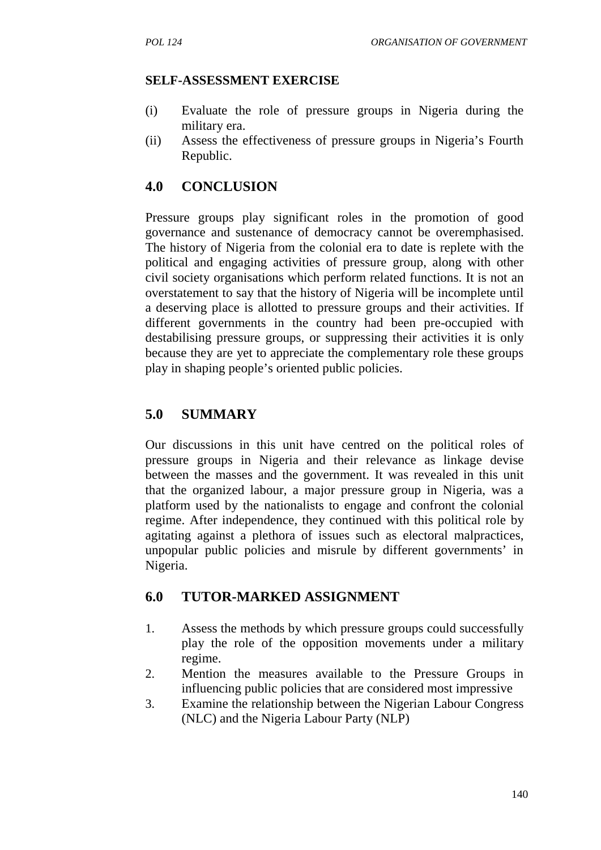### **SELF-ASSESSMENT EXERCISE**

- (i) Evaluate the role of pressure groups in Nigeria during the military era.
- (ii) Assess the effectiveness of pressure groups in Nigeria's Fourth Republic.

# **4.0 CONCLUSION**

Pressure groups play significant roles in the promotion of good governance and sustenance of democracy cannot be overemphasised. The history of Nigeria from the colonial era to date is replete with the political and engaging activities of pressure group, along with other civil society organisations which perform related functions. It is not an overstatement to say that the history of Nigeria will be incomplete until a deserving place is allotted to pressure groups and their activities. If different governments in the country had been pre-occupied with destabilising pressure groups, or suppressing their activities it is only because they are yet to appreciate the complementary role these groups play in shaping people's oriented public policies.

# **5.0 SUMMARY**

Our discussions in this unit have centred on the political roles of pressure groups in Nigeria and their relevance as linkage devise between the masses and the government. It was revealed in this unit that the organized labour, a major pressure group in Nigeria, was a platform used by the nationalists to engage and confront the colonial regime. After independence, they continued with this political role by agitating against a plethora of issues such as electoral malpractices, unpopular public policies and misrule by different governments' in Nigeria.

## **6.0 TUTOR-MARKED ASSIGNMENT**

- 1. Assess the methods by which pressure groups could successfully play the role of the opposition movements under a military regime.
- 2. Mention the measures available to the Pressure Groups in influencing public policies that are considered most impressive
- 3. Examine the relationship between the Nigerian Labour Congress (NLC) and the Nigeria Labour Party (NLP)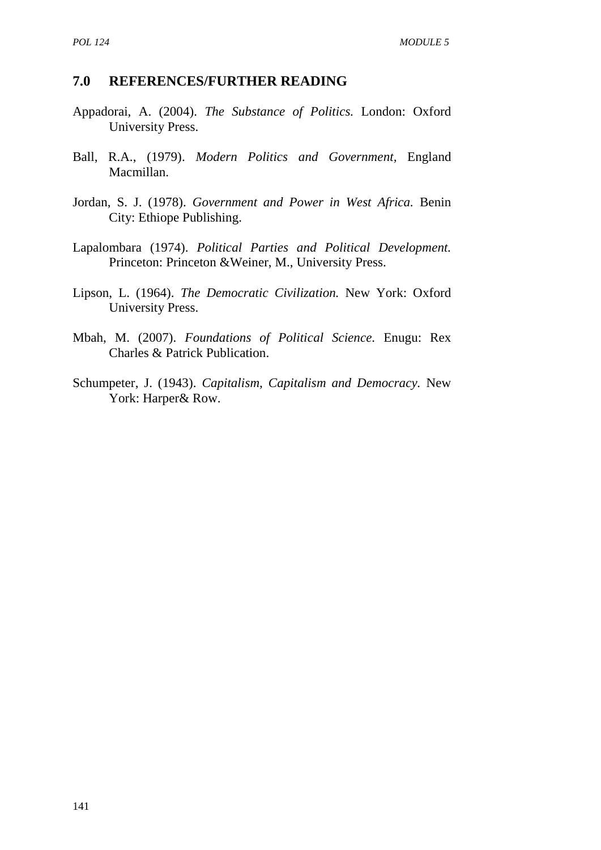#### **7.0 REFERENCES/FURTHER READING**

- Appadorai, A. (2004). *The Substance of Politics.* London: Oxford University Press.
- Ball, R.A., (1979). *Modern Politics and Government,* England Macmillan.
- Jordan, S. J. (1978). *Government and Power in West Africa.* Benin City: Ethiope Publishing.
- Lapalombara (1974). *Political Parties and Political Development.* Princeton: Princeton &Weiner, M., University Press.
- Lipson, L. (1964). *The Democratic Civilization.* New York: Oxford University Press.
- Mbah, M. (2007). *Foundations of Political Science.* Enugu: Rex Charles & Patrick Publication.
- Schumpeter, J. (1943). *Capitalism, Capitalism and Democracy.* New York: Harper& Row.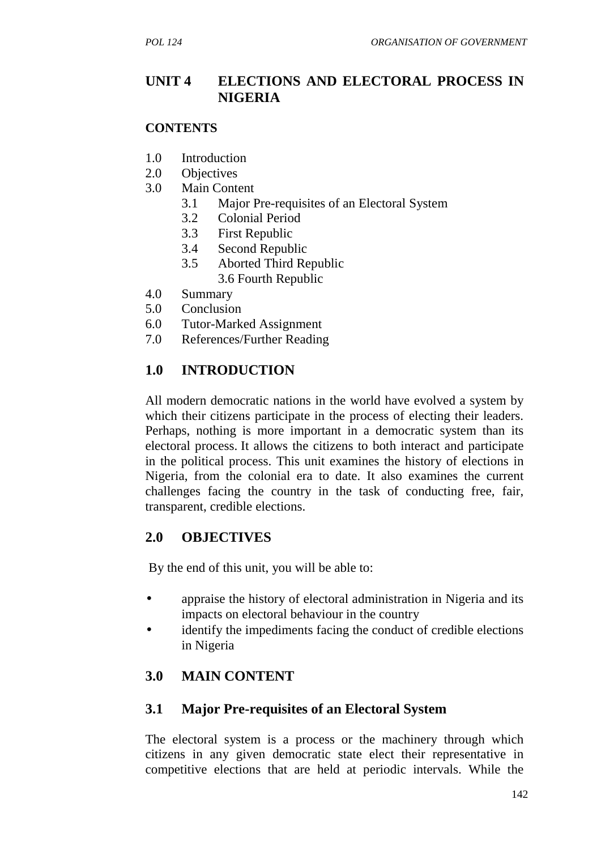### **UNIT 4 ELECTIONS AND ELECTORAL PROCESS IN NIGERIA**

#### **CONTENTS**

- 1.0 Introduction
- 2.0 Objectives
- 3.0 Main Content
	- 3.1 Major Pre-requisites of an Electoral System
	- 3.2 Colonial Period
	- 3.3 First Republic
	- 3.4 Second Republic
	- 3.5 Aborted Third Republic 3.6 Fourth Republic
- 4.0 Summary
- 5.0 Conclusion
- 6.0 Tutor-Marked Assignment
- 7.0 References/Further Reading

# **1.0 INTRODUCTION**

All modern democratic nations in the world have evolved a system by which their citizens participate in the process of electing their leaders. Perhaps, nothing is more important in a democratic system than its electoral process. It allows the citizens to both interact and participate in the political process. This unit examines the history of elections in Nigeria, from the colonial era to date. It also examines the current challenges facing the country in the task of conducting free, fair, transparent, credible elections.

## **2.0 OBJECTIVES**

By the end of this unit, you will be able to:

- appraise the history of electoral administration in Nigeria and its impacts on electoral behaviour in the country
- identify the impediments facing the conduct of credible elections in Nigeria

## **3.0 MAIN CONTENT**

#### **3.1 Major Pre-requisites of an Electoral System**

The electoral system is a process or the machinery through which citizens in any given democratic state elect their representative in competitive elections that are held at periodic intervals. While the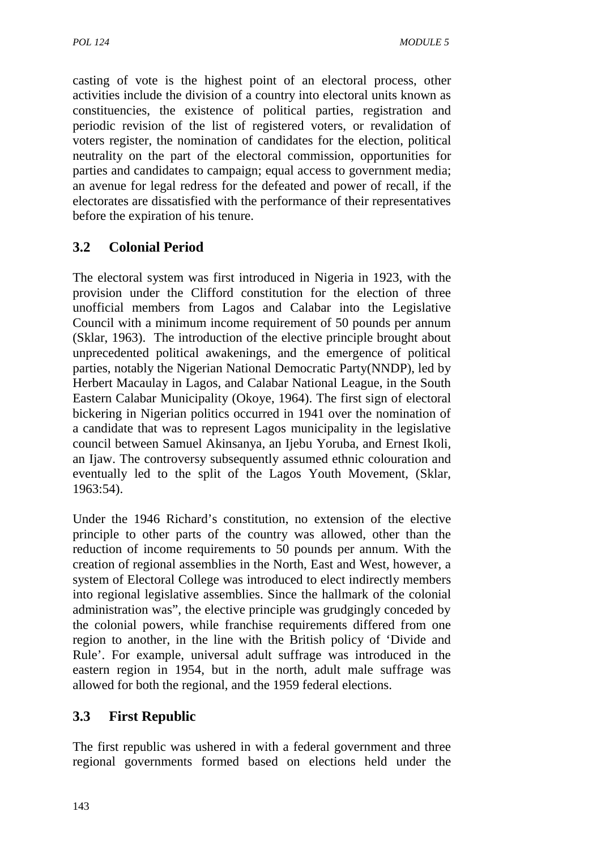casting of vote is the highest point of an electoral process, other activities include the division of a country into electoral units known as constituencies, the existence of political parties, registration and periodic revision of the list of registered voters, or revalidation of voters register, the nomination of candidates for the election, political neutrality on the part of the electoral commission, opportunities for parties and candidates to campaign; equal access to government media; an avenue for legal redress for the defeated and power of recall, if the electorates are dissatisfied with the performance of their representatives before the expiration of his tenure.

# **3.2 Colonial Period**

The electoral system was first introduced in Nigeria in 1923, with the provision under the Clifford constitution for the election of three unofficial members from Lagos and Calabar into the Legislative Council with a minimum income requirement of 50 pounds per annum (Sklar, 1963). The introduction of the elective principle brought about unprecedented political awakenings, and the emergence of political parties, notably the Nigerian National Democratic Party(NNDP), led by Herbert Macaulay in Lagos, and Calabar National League, in the South Eastern Calabar Municipality (Okoye, 1964). The first sign of electoral bickering in Nigerian politics occurred in 1941 over the nomination of a candidate that was to represent Lagos municipality in the legislative council between Samuel Akinsanya, an Ijebu Yoruba, and Ernest Ikoli, an Ijaw. The controversy subsequently assumed ethnic colouration and eventually led to the split of the Lagos Youth Movement, (Sklar, 1963:54).

Under the 1946 Richard's constitution, no extension of the elective principle to other parts of the country was allowed, other than the reduction of income requirements to 50 pounds per annum. With the creation of regional assemblies in the North, East and West, however, a system of Electoral College was introduced to elect indirectly members into regional legislative assemblies. Since the hallmark of the colonial administration was", the elective principle was grudgingly conceded by the colonial powers, while franchise requirements differed from one region to another, in the line with the British policy of 'Divide and Rule'. For example, universal adult suffrage was introduced in the eastern region in 1954, but in the north, adult male suffrage was allowed for both the regional, and the 1959 federal elections.

## **3.3 First Republic**

The first republic was ushered in with a federal government and three regional governments formed based on elections held under the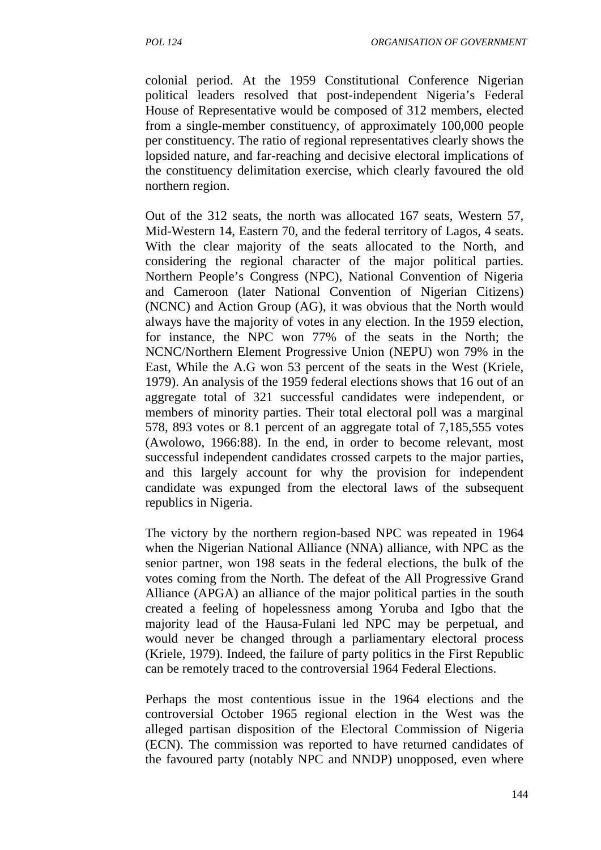colonial period. At the 1959 Constitutional Conference Nigerian political leaders resolved that post-independent Nigeria's Federal House of Representative would be composed of 312 members, elected from a single-member constituency, of approximately 100,000 people per constituency. The ratio of regional representatives clearly shows the lopsided nature, and far-reaching and decisive electoral implications of the constituency delimitation exercise, which clearly favoured the old northern region.

Out of the 312 seats, the north was allocated 167 seats, Western 57, Mid-Western 14, Eastern 70, and the federal territory of Lagos, 4 seats. With the clear majority of the seats allocated to the North, and considering the regional character of the major political parties. Northern People's Congress (NPC), National Convention of Nigeria and Cameroon (later National Convention of Nigerian Citizens) (NCNC) and Action Group (AG), it was obvious that the North would always have the majority of votes in any election. In the 1959 election, for instance, the NPC won 77% of the seats in the North; the NCNC/Northern Element Progressive Union (NEPU) won 79% in the East, While the A.G won 53 percent of the seats in the West (Kriele, 1979). An analysis of the 1959 federal elections shows that 16 out of an aggregate total of 321 successful candidates were independent, or members of minority parties. Their total electoral poll was a marginal 578, 893 votes or 8.1 percent of an aggregate total of 7,185,555 votes (Awolowo, 1966:88). In the end, in order to become relevant, most successful independent candidates crossed carpets to the major parties, and this largely account for why the provision for independent candidate was expunged from the electoral laws of the subsequent republics in Nigeria.

The victory by the northern region-based NPC was repeated in 1964 when the Nigerian National Alliance (NNA) alliance, with NPC as the senior partner, won 198 seats in the federal elections, the bulk of the votes coming from the North. The defeat of the All Progressive Grand Alliance (APGA) an alliance of the major political parties in the south created a feeling of hopelessness among Yoruba and Igbo that the majority lead of the Hausa-Fulani led NPC may be perpetual, and would never be changed through a parliamentary electoral process (Kriele, 1979). Indeed, the failure of party politics in the First Republic can be remotely traced to the controversial 1964 Federal Elections.

Perhaps the most contentious issue in the 1964 elections and the controversial October 1965 regional election in the West was the alleged partisan disposition of the Electoral Commission of Nigeria (ECN). The commission was reported to have returned candidates of the favoured party (notably NPC and NNDP) unopposed, even where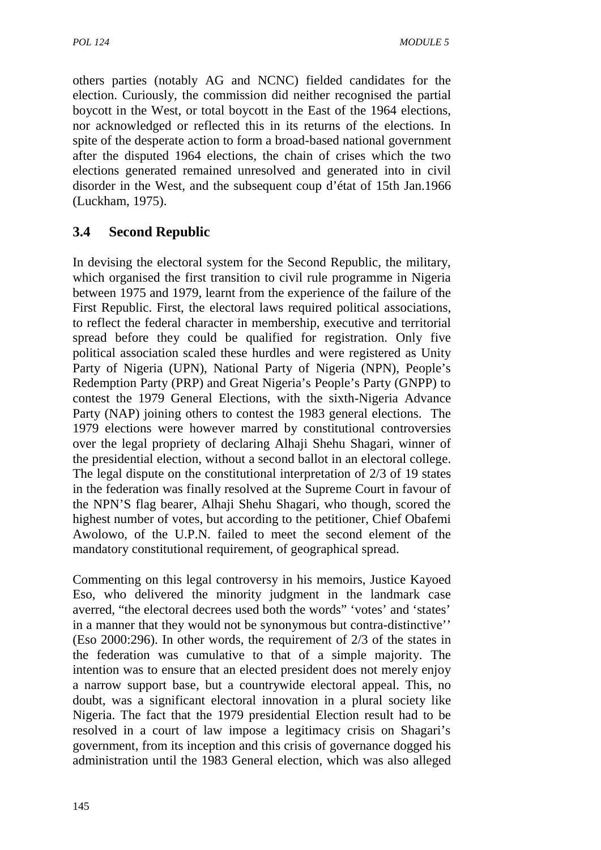others parties (notably AG and NCNC) fielded candidates for the election. Curiously, the commission did neither recognised the partial boycott in the West, or total boycott in the East of the 1964 elections, nor acknowledged or reflected this in its returns of the elections. In spite of the desperate action to form a broad-based national government after the disputed 1964 elections, the chain of crises which the two elections generated remained unresolved and generated into in civil disorder in the West, and the subsequent coup d'état of 15th Jan.1966 (Luckham, 1975).

# **3.4 Second Republic**

In devising the electoral system for the Second Republic, the military, which organised the first transition to civil rule programme in Nigeria between 1975 and 1979, learnt from the experience of the failure of the First Republic. First, the electoral laws required political associations, to reflect the federal character in membership, executive and territorial spread before they could be qualified for registration. Only five political association scaled these hurdles and were registered as Unity Party of Nigeria (UPN), National Party of Nigeria (NPN), People's Redemption Party (PRP) and Great Nigeria's People's Party (GNPP) to contest the 1979 General Elections, with the sixth-Nigeria Advance Party (NAP) joining others to contest the 1983 general elections. The 1979 elections were however marred by constitutional controversies over the legal propriety of declaring Alhaji Shehu Shagari, winner of the presidential election, without a second ballot in an electoral college. The legal dispute on the constitutional interpretation of 2/3 of 19 states in the federation was finally resolved at the Supreme Court in favour of the NPN'S flag bearer, Alhaji Shehu Shagari, who though, scored the highest number of votes, but according to the petitioner, Chief Obafemi Awolowo, of the U.P.N. failed to meet the second element of the mandatory constitutional requirement, of geographical spread.

Commenting on this legal controversy in his memoirs, Justice Kayoed Eso, who delivered the minority judgment in the landmark case averred, "the electoral decrees used both the words" 'votes' and 'states' in a manner that they would not be synonymous but contra-distinctive'' (Eso 2000:296). In other words, the requirement of 2/3 of the states in the federation was cumulative to that of a simple majority. The intention was to ensure that an elected president does not merely enjoy a narrow support base, but a countrywide electoral appeal. This, no doubt, was a significant electoral innovation in a plural society like Nigeria. The fact that the 1979 presidential Election result had to be resolved in a court of law impose a legitimacy crisis on Shagari's government, from its inception and this crisis of governance dogged his administration until the 1983 General election, which was also alleged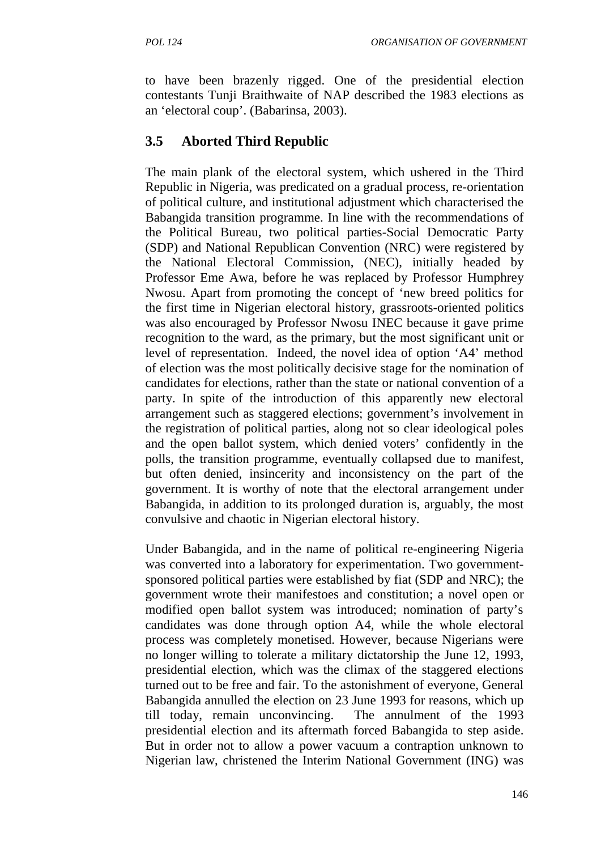to have been brazenly rigged. One of the presidential election contestants Tunji Braithwaite of NAP described the 1983 elections as an 'electoral coup'. (Babarinsa, 2003).

# **3.5 Aborted Third Republic**

The main plank of the electoral system, which ushered in the Third Republic in Nigeria, was predicated on a gradual process, re-orientation of political culture, and institutional adjustment which characterised the Babangida transition programme. In line with the recommendations of the Political Bureau, two political parties-Social Democratic Party (SDP) and National Republican Convention (NRC) were registered by the National Electoral Commission, (NEC), initially headed by Professor Eme Awa, before he was replaced by Professor Humphrey Nwosu. Apart from promoting the concept of 'new breed politics for the first time in Nigerian electoral history, grassroots-oriented politics was also encouraged by Professor Nwosu INEC because it gave prime recognition to the ward, as the primary, but the most significant unit or level of representation. Indeed, the novel idea of option 'A4' method of election was the most politically decisive stage for the nomination of candidates for elections, rather than the state or national convention of a party. In spite of the introduction of this apparently new electoral arrangement such as staggered elections; government's involvement in the registration of political parties, along not so clear ideological poles and the open ballot system, which denied voters' confidently in the polls, the transition programme, eventually collapsed due to manifest, but often denied, insincerity and inconsistency on the part of the government. It is worthy of note that the electoral arrangement under Babangida, in addition to its prolonged duration is, arguably, the most convulsive and chaotic in Nigerian electoral history.

Under Babangida, and in the name of political re-engineering Nigeria was converted into a laboratory for experimentation. Two government sponsored political parties were established by fiat (SDP and NRC); the government wrote their manifestoes and constitution; a novel open or modified open ballot system was introduced; nomination of party's candidates was done through option A4, while the whole electoral process was completely monetised. However, because Nigerians were no longer willing to tolerate a military dictatorship the June 12, 1993, presidential election, which was the climax of the staggered elections turned out to be free and fair. To the astonishment of everyone, General Babangida annulled the election on 23 June 1993 for reasons, which up till today, remain unconvincing. The annulment of the 1993 presidential election and its aftermath forced Babangida to step aside. But in order not to allow a power vacuum a contraption unknown to Nigerian law, christened the Interim National Government (ING) was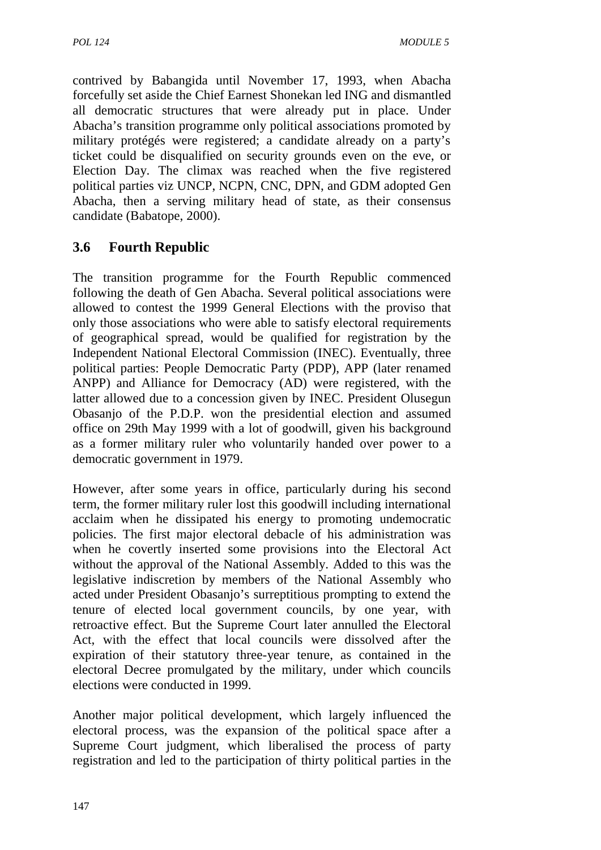contrived by Babangida until November 17, 1993, when Abacha forcefully set aside the Chief Earnest Shonekan led ING and dismantled all democratic structures that were already put in place. Under Abacha's transition programme only political associations promoted by military protégés were registered; a candidate already on a party's ticket could be disqualified on security grounds even on the eve, or Election Day. The climax was reached when the five registered political parties viz UNCP, NCPN, CNC, DPN, and GDM adopted Gen Abacha, then a serving military head of state, as their consensus candidate (Babatope, 2000).

# **3.6 Fourth Republic**

The transition programme for the Fourth Republic commenced following the death of Gen Abacha. Several political associations were allowed to contest the 1999 General Elections with the proviso that only those associations who were able to satisfy electoral requirements of geographical spread, would be qualified for registration by the Independent National Electoral Commission (INEC). Eventually, three political parties: People Democratic Party (PDP), APP (later renamed ANPP) and Alliance for Democracy (AD) were registered, with the latter allowed due to a concession given by INEC. President Olusegun Obasanjo of the P.D.P. won the presidential election and assumed office on 29th May 1999 with a lot of goodwill, given his background as a former military ruler who voluntarily handed over power to a democratic government in 1979.

However, after some years in office, particularly during his second term, the former military ruler lost this goodwill including international acclaim when he dissipated his energy to promoting undemocratic policies. The first major electoral debacle of his administration was when he covertly inserted some provisions into the Electoral Act without the approval of the National Assembly. Added to this was the legislative indiscretion by members of the National Assembly who acted under President Obasanjo's surreptitious prompting to extend the tenure of elected local government councils, by one year, with retroactive effect. But the Supreme Court later annulled the Electoral Act, with the effect that local councils were dissolved after the expiration of their statutory three-year tenure, as contained in the electoral Decree promulgated by the military, under which councils elections were conducted in 1999.

Another major political development, which largely influenced the electoral process, was the expansion of the political space after a Supreme Court judgment, which liberalised the process of party registration and led to the participation of thirty political parties in the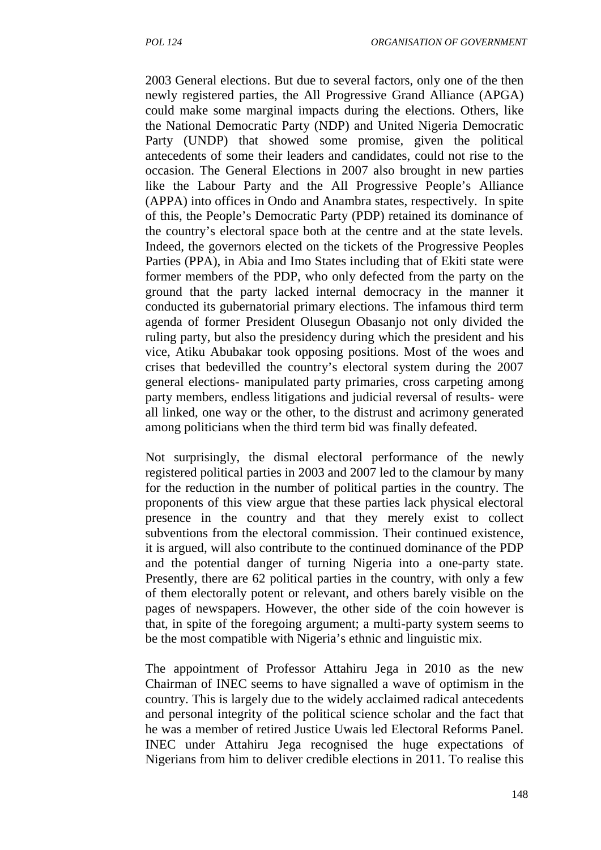2003 General elections. But due to several factors, only one of the then newly registered parties, the All Progressive Grand Alliance (APGA) could make some marginal impacts during the elections. Others, like the National Democratic Party (NDP) and United Nigeria Democratic Party (UNDP) that showed some promise, given the political antecedents of some their leaders and candidates, could not rise to the occasion. The General Elections in 2007 also brought in new parties like the Labour Party and the All Progressive People's Alliance (APPA) into offices in Ondo and Anambra states, respectively. In spite of this, the People's Democratic Party (PDP) retained its dominance of the country's electoral space both at the centre and at the state levels. Indeed, the governors elected on the tickets of the Progressive Peoples Parties (PPA), in Abia and Imo States including that of Ekiti state were former members of the PDP, who only defected from the party on the ground that the party lacked internal democracy in the manner it conducted its gubernatorial primary elections. The infamous third term agenda of former President Olusegun Obasanjo not only divided the ruling party, but also the presidency during which the president and his vice, Atiku Abubakar took opposing positions. Most of the woes and crises that bedevilled the country's electoral system during the 2007 general elections- manipulated party primaries, cross carpeting among party members, endless litigations and judicial reversal of results- were all linked, one way or the other, to the distrust and acrimony generated among politicians when the third term bid was finally defeated.

Not surprisingly, the dismal electoral performance of the newly registered political parties in 2003 and 2007 led to the clamour by many for the reduction in the number of political parties in the country. The proponents of this view argue that these parties lack physical electoral presence in the country and that they merely exist to collect subventions from the electoral commission. Their continued existence, it is argued, will also contribute to the continued dominance of the PDP and the potential danger of turning Nigeria into a one-party state. Presently, there are 62 political parties in the country, with only a few of them electorally potent or relevant, and others barely visible on the pages of newspapers. However, the other side of the coin however is that, in spite of the foregoing argument; a multi-party system seems to be the most compatible with Nigeria's ethnic and linguistic mix.

The appointment of Professor Attahiru Jega in 2010 as the new Chairman of INEC seems to have signalled a wave of optimism in the country. This is largely due to the widely acclaimed radical antecedents and personal integrity of the political science scholar and the fact that he was a member of retired Justice Uwais led Electoral Reforms Panel. INEC under Attahiru Jega recognised the huge expectations of Nigerians from him to deliver credible elections in 2011. To realise this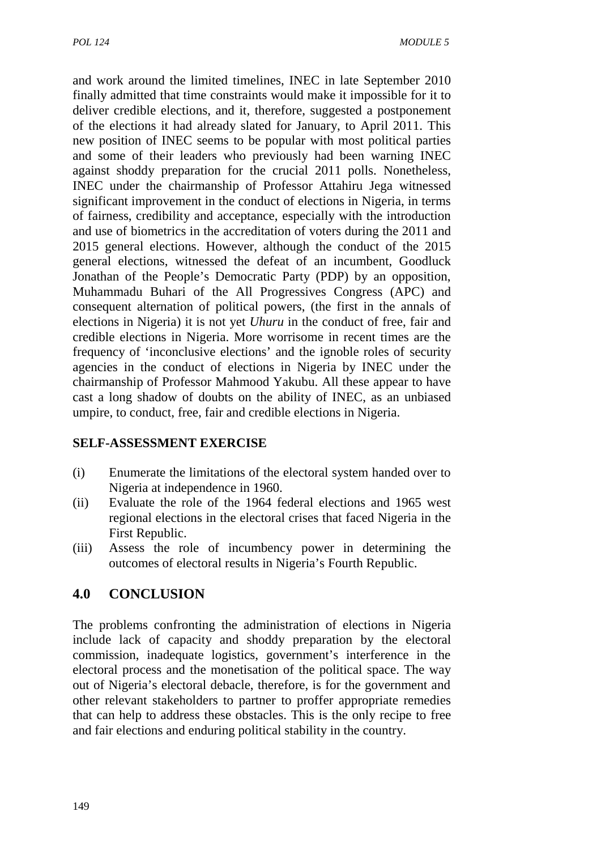and work around the limited timelines, INEC in late September 2010 finally admitted that time constraints would make it impossible for it to deliver credible elections, and it, therefore, suggested a postponement of the elections it had already slated for January, to April 2011. This new position of INEC seems to be popular with most political parties and some of their leaders who previously had been warning INEC against shoddy preparation for the crucial 2011 polls. Nonetheless, INEC under the chairmanship of Professor Attahiru Jega witnessed significant improvement in the conduct of elections in Nigeria, in terms of fairness, credibility and acceptance, especially with the introduction and use of biometrics in the accreditation of voters during the 2011 and 2015 general elections. However, although the conduct of the 2015 general elections, witnessed the defeat of an incumbent, Goodluck Jonathan of the People's Democratic Party (PDP) by an opposition, Muhammadu Buhari of the All Progressives Congress (APC) and consequent alternation of political powers, (the first in the annals of elections in Nigeria) it is not yet *Uhuru* in the conduct of free, fair and credible elections in Nigeria. More worrisome in recent times are the frequency of 'inconclusive elections' and the ignoble roles of security agencies in the conduct of elections in Nigeria by INEC under the chairmanship of Professor Mahmood Yakubu. All these appear to have cast a long shadow of doubts on the ability of INEC, as an unbiased umpire, to conduct, free, fair and credible elections in Nigeria.

#### **SELF-ASSESSMENT EXERCISE**

- (i) Enumerate the limitations of the electoral system handed over to Nigeria at independence in 1960.
- (ii) Evaluate the role of the 1964 federal elections and 1965 west regional elections in the electoral crises that faced Nigeria in the First Republic.
- (iii) Assess the role of incumbency power in determining the outcomes of electoral results in Nigeria's Fourth Republic.

# **4.0 CONCLUSION**

The problems confronting the administration of elections in Nigeria include lack of capacity and shoddy preparation by the electoral commission, inadequate logistics, government's interference in the electoral process and the monetisation of the political space. The way out of Nigeria's electoral debacle, therefore, is for the government and other relevant stakeholders to partner to proffer appropriate remedies that can help to address these obstacles. This is the only recipe to free and fair elections and enduring political stability in the country.